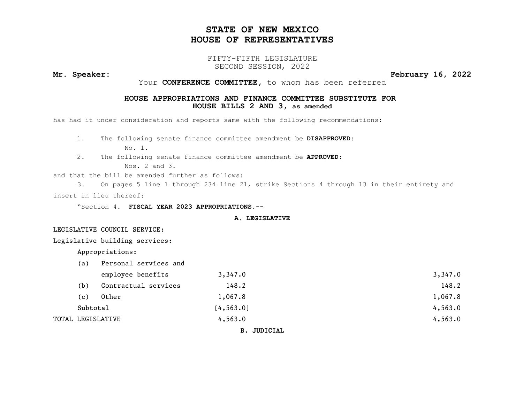# STATE OF NEW MEXICO HOUSE OF REPRESENTATIVES

### FIFTY-FIFTH LEGISLATURE SECOND SESSION, 2022

Mr. Speaker: February 16, 2022

Your CONFERENCE COMMITTEE, to whom has been referred

### HOUSE APPROPRIATIONS AND FINANCE COMMITTEE SUBSTITUTE FOR HOUSE BILLS 2 AND 3, as amended

has had it under consideration and reports same with the following recommendations:

1. The following senate finance committee amendment be DISAPPROVED:

No. 1.

2. The following senate finance committee amendment be APPROVED:

Nos. 2 and 3.

and that the bill be amended further as follows:

3. On pages 5 line 1 through 234 line 21, strike Sections 4 through 13 in their entirety and insert in lieu thereof:

"Section 4. FISCAL YEAR 2023 APPROPRIATIONS.--

### A. LEGISLATIVE

LEGISLATIVE COUNCIL SERVICE:

Legislative building services:

Appropriations:

| (a)      | Personal services and |            |         |
|----------|-----------------------|------------|---------|
|          | employee benefits     | 3,347.0    | 3,347.0 |
| (b)      | Contractual services  | 148.2      | 148.2   |
| (c)      | Other                 | 1,067.8    | 1,067.8 |
| Subtotal |                       | [4, 563.0] | 4,563.0 |
|          | TOTAL LEGISLATIVE     | 4,563.0    | 4,563.0 |
|          |                       |            |         |

B. JUDICIAL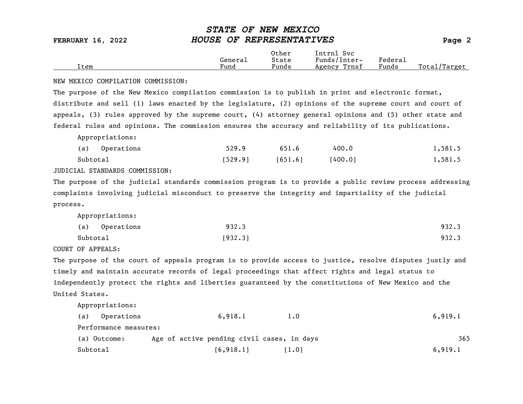|      |         | Other                             | Intrnl<br><b>Svc</b> |                                    |                  |
|------|---------|-----------------------------------|----------------------|------------------------------------|------------------|
|      | Genera⊥ | State                             | Funds/Inter-         | ${}_{\rm \texttt{Federa}_{\perp}}$ |                  |
| Item | Fund    | $\overline{\phantom{a}}$<br>Funds | Trnsf<br>Agency      | Funds                              | Total<br>'Target |

### NEW MEXICO COMPILATION COMMISSION:

The purpose of the New Mexico compilation commission is to publish in print and electronic format, distribute and sell (1) laws enacted by the legislature, (2) opinions of the supreme court and court of appeals, (3) rules approved by the supreme court, (4) attorney general opinions and (5) other state and federal rules and opinions. The commission ensures the accuracy and reliability of its publications.

Appropriations:

|          | (a) Operations | 529.9   | 651.6   | 400.0   | 1,581.5 |
|----------|----------------|---------|---------|---------|---------|
| Subtotal |                | 1529.91 | [651.6] | [400.0] | 1,581.5 |

JUDICIAL STANDARDS COMMISSION:

The purpose of the judicial standards commission program is to provide a public review process addressing complaints involving judicial misconduct to preserve the integrity and impartiality of the judicial process.

Appropriations:

|          | (a) Operations | 932.3   | 932.3 |
|----------|----------------|---------|-------|
| Subtotal |                | [932.3] | 932.3 |

COURT OF APPEALS:

The purpose of the court of appeals program is to provide access to justice, resolve disputes justly and timely and maintain accurate records of legal proceedings that affect rights and legal status to independently protect the rights and liberties guaranteed by the constitutions of New Mexico and the United States.

| (a)<br>Operations     | 6,918.1<br>1.0                             | 6,919.1 |
|-----------------------|--------------------------------------------|---------|
| Performance measures: |                                            |         |
| (a) Outcome:          | Age of active pending civil cases, in days | 365     |
| Subtotal              | [6, 918.1]<br>[1.01                        | 6,919.1 |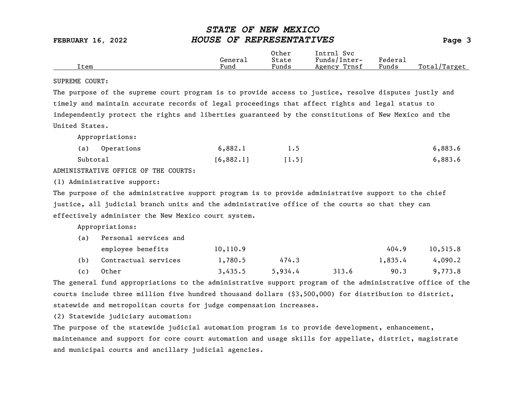|      | General | Other<br>State        | Svc<br>Intrnl<br>Funds/Inter- | ${}_{\rm Federa}$ |                  |
|------|---------|-----------------------|-------------------------------|-------------------|------------------|
| Item | Fund    | $\mathbf{r}$<br>Funds | Trnsf<br>Agency               | Funds             | Total<br>'Target |

### SUPREME COURT:

The purpose of the supreme court program is to provide access to justice, resolve disputes justly and timely and maintain accurate records of legal proceedings that affect rights and legal status to independently protect the rights and liberties guaranteed by the constitutions of New Mexico and the United States.

Appropriations:

| (a)<br>Operations | 6,882.1   | 1.5   | 6,883.6 |
|-------------------|-----------|-------|---------|
| Subtotal          | [6,882.1] | [1.5] | 6,883.6 |

ADMINISTRATIVE OFFICE OF THE COURTS:

(1) Administrative support:

The purpose of the administrative support program is to provide administrative support to the chief justice, all judicial branch units and the administrative office of the courts so that they can effectively administer the New Mexico court system.

Appropriations:

| (a) | Personal services and |           |         |       |         |           |
|-----|-----------------------|-----------|---------|-------|---------|-----------|
|     | employee benefits     | 10, 110.9 |         |       | 404.9   | 10, 515.8 |
| (b) | Contractual services  | 1,780.5   | 474.3   |       | 1,835.4 | 4,090.2   |
| (c) | Other                 | 3,435.5   | 5,934.4 | 313.6 | 90.3    | 9,773.8   |

The general fund appropriations to the administrative support program of the administrative office of the courts include three million five hundred thousand dollars (\$3,500,000) for distribution to district, statewide and metropolitan courts for judge compensation increases.

(2) Statewide judiciary automation:

The purpose of the statewide judicial automation program is to provide development, enhancement, maintenance and support for core court automation and usage skills for appellate, district, magistrate and municipal courts and ancillary judicial agencies.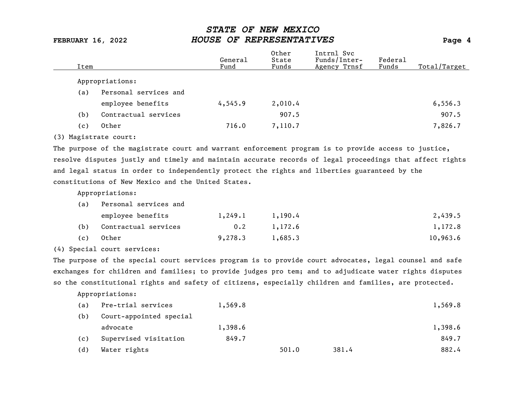| Item |                       | General<br>Fund | Other<br>State<br>Funds | Intrnl Svc<br>Funds/Inter-<br>Agency Trnsf | Federal<br>Funds | Total/Target |
|------|-----------------------|-----------------|-------------------------|--------------------------------------------|------------------|--------------|
|      | Appropriations:       |                 |                         |                                            |                  |              |
| (a)  | Personal services and |                 |                         |                                            |                  |              |
|      | employee benefits     | 4,545.9         | 2,010.4                 |                                            |                  | 6, 556.3     |
| (b)  | Contractual services  |                 | 907.5                   |                                            |                  | 907.5        |
| (c)  | Other                 | 716.0           | 7,110.7                 |                                            |                  | 7,826.7      |
|      |                       |                 |                         |                                            |                  |              |

(3) Magistrate court:

The purpose of the magistrate court and warrant enforcement program is to provide access to justice, resolve disputes justly and timely and maintain accurate records of legal proceedings that affect rights and legal status in order to independently protect the rights and liberties guaranteed by the constitutions of New Mexico and the United States.

Appropriations:

(a) Personal services and

| 1 a 1 | refectual services and |         |         |          |
|-------|------------------------|---------|---------|----------|
|       | employee benefits      | 1,249.1 | 1,190.4 | 2,439.5  |
| (b)   | Contractual services   | 0.2     | 1,172.6 | 1,172.8  |
| (c)   | Other                  | 9,278,3 | 1,685.3 | 10,963.6 |

(4) Special court services:

The purpose of the special court services program is to provide court advocates, legal counsel and safe exchanges for children and families; to provide judges pro tem; and to adjudicate water rights disputes so the constitutional rights and safety of citizens, especially children and families, are protected.

| (a) | Pre-trial services      | 1,569.8 |       |       | 1,569.8 |
|-----|-------------------------|---------|-------|-------|---------|
| (b) | Court-appointed special |         |       |       |         |
|     | advocate                | 1,398.6 |       |       | 1,398.6 |
| (c) | Supervised visitation   | 849.7   |       |       | 849.7   |
| (d) | Water rights            |         | 501.0 | 381.4 | 882.4   |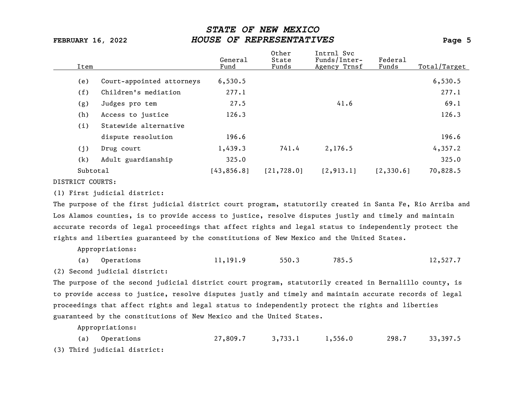| Item            |                           | General<br>Fund | Other<br>State<br>Funds | Intrnl Svc<br>Funds/Inter-<br>Agency Trnsf | Federal<br>Funds | Total/Target |
|-----------------|---------------------------|-----------------|-------------------------|--------------------------------------------|------------------|--------------|
| (e)             | Court-appointed attorneys | 6,530.5         |                         |                                            |                  | 6,530.5      |
| (f)             | Children's mediation      | 277.1           |                         |                                            |                  | 277.1        |
| (g)             | Judges pro tem            | 27.5            |                         | 41.6                                       |                  | 69.1         |
| (h)             | Access to justice         | 126.3           |                         |                                            |                  | 126.3        |
| (i)             | Statewide alternative     |                 |                         |                                            |                  |              |
|                 | dispute resolution        | 196.6           |                         |                                            |                  | 196.6        |
| (j)             | Drug court                | 1,439.3         | 741.4                   | 2,176.5                                    |                  | 4,357.2      |
| (k)             | Adult guardianship        | 325.0           |                         |                                            |                  | 325.0        |
| Subtotal        |                           | [43, 856.8]     | [21, 728.0]             | [2, 913.1]                                 | [2, 330.6]       | 70,828.5     |
| BICHBICH COUPES |                           |                 |                         |                                            |                  |              |

DISTRICT COURTS:

(1) First judicial district:

The purpose of the first judicial district court program, statutorily created in Santa Fe, Rio Arriba and Los Alamos counties, is to provide access to justice, resolve disputes justly and timely and maintain accurate records of legal proceedings that affect rights and legal status to independently protect the rights and liberties guaranteed by the constitutions of New Mexico and the United States.

Appropriations:

|  | (a) Operations | 11,191.9 | 550.3 | 785.5 | 12,527.7 |
|--|----------------|----------|-------|-------|----------|
|--|----------------|----------|-------|-------|----------|

(2) Second judicial district:

The purpose of the second judicial district court program, statutorily created in Bernalillo county, is to provide access to justice, resolve disputes justly and timely and maintain accurate records of legal proceedings that affect rights and legal status to independently protect the rights and liberties guaranteed by the constitutions of New Mexico and the United States.

Appropriations:

(a) Operations 27,809.7 3,733.1 1,556.0 298.7 33,397.5 (3) Third judicial district: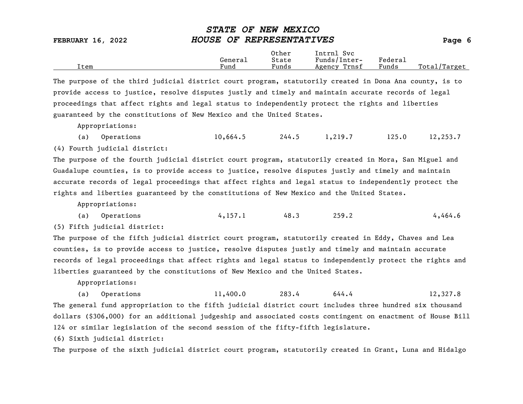Other Intrnl Svc<br>General State Funds/Inte General State Funds/Inter- Federal Total/Target

The purpose of the third judicial district court program, statutorily created in Dona Ana county, is to provide access to justice, resolve disputes justly and timely and maintain accurate records of legal proceedings that affect rights and legal status to independently protect the rights and liberties guaranteed by the constitutions of New Mexico and the United States.

Appropriations:

(a) Operations 10,664.5 244.5 1,219.7 125.0 12,253.7

(4) Fourth judicial district:

The purpose of the fourth judicial district court program, statutorily created in Mora, San Miguel and Guadalupe counties, is to provide access to justice, resolve disputes justly and timely and maintain accurate records of legal proceedings that affect rights and legal status to independently protect the rights and liberties guaranteed by the constitutions of New Mexico and the United States.

Appropriations:

(a) Operations  $4,157.1$   $48.3$   $259.2$   $4,464.6$ 

(5) Fifth judicial district:

The purpose of the fifth judicial district court program, statutorily created in Eddy, Chaves and Lea counties, is to provide access to justice, resolve disputes justly and timely and maintain accurate records of legal proceedings that affect rights and legal status to independently protect the rights and liberties guaranteed by the constitutions of New Mexico and the United States.

Appropriations:

(a) Operations 11,400.0 283.4 644.4 12,327.8 The general fund appropriation to the fifth judicial district court includes three hundred six thousand dollars (\$306,000) for an additional judgeship and associated costs contingent on enactment of House Bill 124 or similar legislation of the second session of the fifty-fifth legislature.

(6) Sixth judicial district:

The purpose of the sixth judicial district court program, statutorily created in Grant, Luna and Hidalgo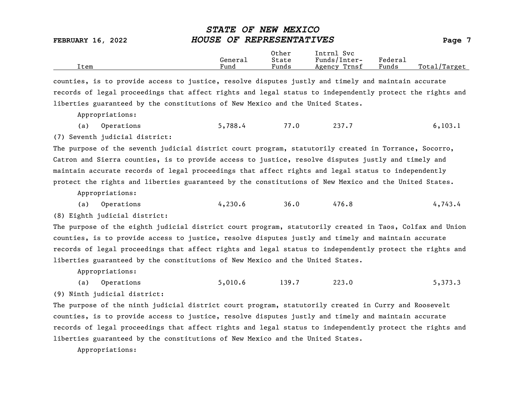Other Intrnl Svc<br>General State Funds/Inte General State Funds/Inter- Federal Total/Target

counties, is to provide access to justice, resolve disputes justly and timely and maintain accurate records of legal proceedings that affect rights and legal status to independently protect the rights and liberties guaranteed by the constitutions of New Mexico and the United States.

Appropriations:

|  | (a) Operations | 5,788.4 | 77.0 | 237.7 | 6, 103.1 |
|--|----------------|---------|------|-------|----------|
|--|----------------|---------|------|-------|----------|

(7) Seventh judicial district:

The purpose of the seventh judicial district court program, statutorily created in Torrance, Socorro, Catron and Sierra counties, is to provide access to justice, resolve disputes justly and timely and maintain accurate records of legal proceedings that affect rights and legal status to independently protect the rights and liberties guaranteed by the constitutions of New Mexico and the United States.

Appropriations:

(a) Operations 4,230.6 36.0 476.8 4,743.4

(8) Eighth judicial district:

The purpose of the eighth judicial district court program, statutorily created in Taos, Colfax and Union counties, is to provide access to justice, resolve disputes justly and timely and maintain accurate records of legal proceedings that affect rights and legal status to independently protect the rights and liberties guaranteed by the constitutions of New Mexico and the United States.

Appropriations:

(a) Operations 5,010.6 139.7 223.0 5,373.3 (9) Ninth judicial district:

The purpose of the ninth judicial district court program, statutorily created in Curry and Roosevelt counties, is to provide access to justice, resolve disputes justly and timely and maintain accurate records of legal proceedings that affect rights and legal status to independently protect the rights and liberties guaranteed by the constitutions of New Mexico and the United States.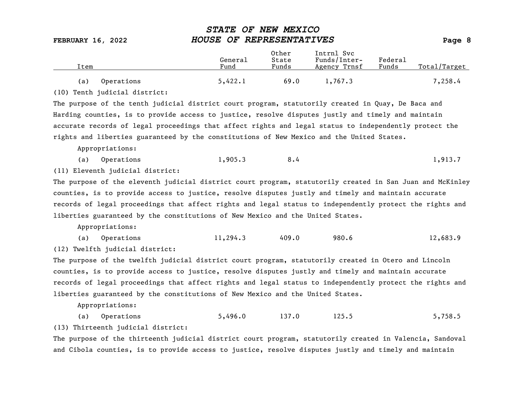| Item |            | General<br>Fund | Other<br>State<br>Funds | Intrnl Svc<br>Funds/Inter-<br>Agency Trnsf | Federal<br>Funds | Total/Target |
|------|------------|-----------------|-------------------------|--------------------------------------------|------------------|--------------|
| (a)  | Operations | 5,422.1         | 69.0                    | 1,767.3                                    |                  | 7,258.4      |

(10) Tenth judicial district:

The purpose of the tenth judicial district court program, statutorily created in Quay, De Baca and Harding counties, is to provide access to justice, resolve disputes justly and timely and maintain accurate records of legal proceedings that affect rights and legal status to independently protect the rights and liberties guaranteed by the constitutions of New Mexico and the United States.

Appropriations:

(a) Operations 1,905.3 8.4 1,913.7

(11) Eleventh judicial district:

The purpose of the eleventh judicial district court program, statutorily created in San Juan and McKinley counties, is to provide access to justice, resolve disputes justly and timely and maintain accurate records of legal proceedings that affect rights and legal status to independently protect the rights and liberties guaranteed by the constitutions of New Mexico and the United States.

Appropriations:

(a) Operations 11,294.3 409.0 980.6 12,683.9

(12) Twelfth judicial district:

The purpose of the twelfth judicial district court program, statutorily created in Otero and Lincoln counties, is to provide access to justice, resolve disputes justly and timely and maintain accurate records of legal proceedings that affect rights and legal status to independently protect the rights and liberties guaranteed by the constitutions of New Mexico and the United States.

Appropriations:

(a) Operations 5,496.0 137.0 125.5 5,758.5 (13) Thirteenth judicial district:

The purpose of the thirteenth judicial district court program, statutorily created in Valencia, Sandoval and Cibola counties, is to provide access to justice, resolve disputes justly and timely and maintain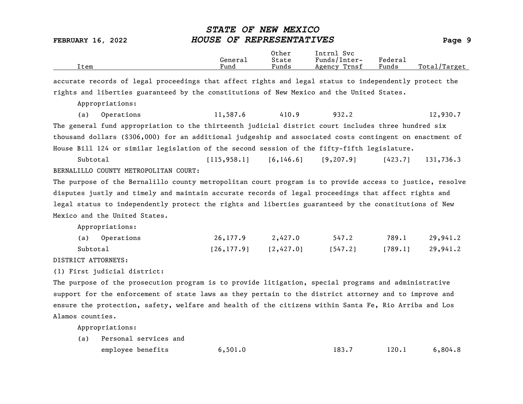FEBRUARY 16, 2022 HOUSE OF REPRESENTATIVES Page 9 Other Intrnl Svc<br>General State Funds/Inter General State Funds/Inter- Federal Total/Target accurate records of legal proceedings that affect rights and legal status to independently protect the rights and liberties guaranteed by the constitutions of New Mexico and the United States. Appropriations: (a) Operations 11,587.6 410.9 932.2 12,930.7 The general fund appropriation to the thirteenth judicial district court includes three hundred six thousand dollars (\$306,000) for an additional judgeship and associated costs contingent on enactment of House Bill 124 or similar legislation of the second session of the fifty-fifth legislature. Subtotal [115,958.1] [6,146.6] [9,207.9] [423.7] 131,736.3 BERNALILLO COUNTY METROPOLITAN COURT: The purpose of the Bernalillo county metropolitan court program is to provide access to justice, resolve disputes justly and timely and maintain accurate records of legal proceedings that affect rights and legal status to independently protect the rights and liberties guaranteed by the constitutions of New Mexico and the United States. Appropriations: (a) Operations 26,177.9 2,427.0 547.2 789.1 29,941.2 Subtotal [26,177.9] [2,427.0] [547.2] [789.1] 29,941.2 DISTRICT ATTORNEYS: (1) First judicial district: The purpose of the prosecution program is to provide litigation, special programs and administrative support for the enforcement of state laws as they pertain to the district attorney and to improve and

STATE OF NEW MEXICO

ensure the protection, safety, welfare and health of the citizens within Santa Fe, Rio Arriba and Los Alamos counties.

| (a) Personal services and |         |       |       |         |  |  |  |  |
|---------------------------|---------|-------|-------|---------|--|--|--|--|
| employee benefits         | 6,501.0 | 183.7 | 120.1 | 6,804.8 |  |  |  |  |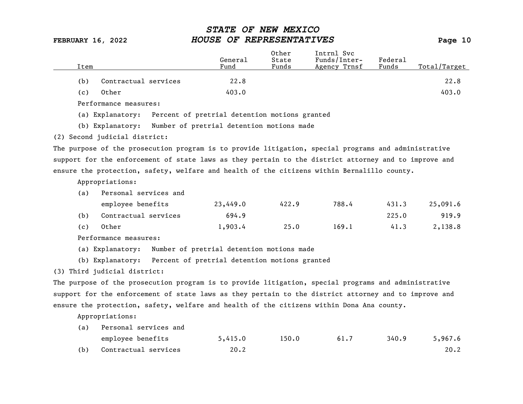| Item |                       | General<br>Fund                               | Other<br>State<br>Funds | Intrnl Svc<br>Funds/Inter-<br>Agency Trnsf | Federal<br>Funds | Total/Target |
|------|-----------------------|-----------------------------------------------|-------------------------|--------------------------------------------|------------------|--------------|
| (b)  | Contractual services  | 22.8                                          |                         |                                            |                  | 22.8         |
| (c)  | Other                 | 403.0                                         |                         |                                            |                  | 403.0        |
|      | Performance measures: |                                               |                         |                                            |                  |              |
|      | (a) Explanatory:      | Percent of pretrial detention motions granted |                         |                                            |                  |              |

(b) Explanatory: Number of pretrial detention motions made

(2) Second judicial district:

The purpose of the prosecution program is to provide litigation, special programs and administrative support for the enforcement of state laws as they pertain to the district attorney and to improve and ensure the protection, safety, welfare and health of the citizens within Bernalillo county.

Appropriations:

| (a) | Personal services and |          |       |       |       |          |  |  |  |  |
|-----|-----------------------|----------|-------|-------|-------|----------|--|--|--|--|
|     | employee benefits     | 23,449.0 | 422.9 | 788.4 | 431.3 | 25,091.6 |  |  |  |  |
| (b) | Contractual services  | 694.9    |       |       | 225.0 | 919.9    |  |  |  |  |
| (c) | Other                 | 1,903.4  | 25.0  | 169.1 | 41.3  | 2,138.8  |  |  |  |  |

Performance measures:

(a) Explanatory: Number of pretrial detention motions made

(b) Explanatory: Percent of pretrial detention motions granted

(3) Third judicial district:

The purpose of the prosecution program is to provide litigation, special programs and administrative support for the enforcement of state laws as they pertain to the district attorney and to improve and ensure the protection, safety, welfare and health of the citizens within Dona Ana county.

| (a) | Personal services and |         |       |      |       |         |
|-----|-----------------------|---------|-------|------|-------|---------|
|     | employee benefits     | 5,415.0 | 150.0 | 61.7 | 340.9 | 5,967.6 |
| (b) | Contractual services  | 20.2    |       |      |       | 20.2    |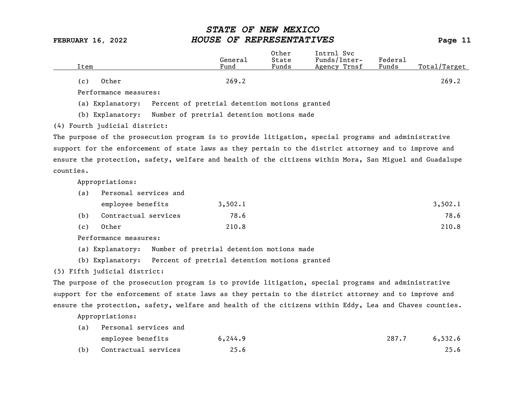| Item                  | General<br>Fund | Other<br>State<br>Funds | Intrnl Svc<br>Funds/Inter-<br>Agency Trnsf | Federal<br>Funds | Total/Target |
|-----------------------|-----------------|-------------------------|--------------------------------------------|------------------|--------------|
| Other<br>(c)          | 269.2           |                         |                                            |                  | 269.2        |
| Performance measures: |                 |                         |                                            |                  |              |

(a) Explanatory: Percent of pretrial detention motions granted

(b) Explanatory: Number of pretrial detention motions made

(4) Fourth judicial district:

The purpose of the prosecution program is to provide litigation, special programs and administrative support for the enforcement of state laws as they pertain to the district attorney and to improve and ensure the protection, safety, welfare and health of the citizens within Mora, San Miguel and Guadalupe counties.

Appropriations:

| (a) | Personal services and |         |         |  |  |  |  |
|-----|-----------------------|---------|---------|--|--|--|--|
|     | employee benefits     | 3,502.1 | 3,502.1 |  |  |  |  |
| (b) | Contractual services  | 78.6    | 78.6    |  |  |  |  |
| (c) | Other                 | 210.8   | 210.8   |  |  |  |  |

Performance measures:

(a) Explanatory: Number of pretrial detention motions made

(b) Explanatory: Percent of pretrial detention motions granted

### (5) Fifth judicial district:

The purpose of the prosecution program is to provide litigation, special programs and administrative support for the enforcement of state laws as they pertain to the district attorney and to improve and ensure the protection, safety, welfare and health of the citizens within Eddy, Lea and Chaves counties.

| (a) | Personal services and |          |       |         |
|-----|-----------------------|----------|-------|---------|
|     | employee benefits     | 6, 244.9 | 287.7 | 6,532.6 |
| (b) | Contractual services  | 25.6     |       | 25.6    |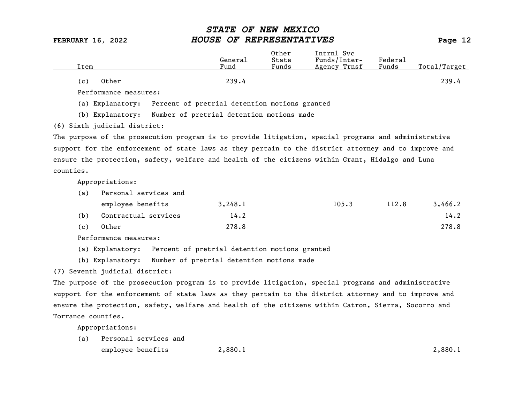| Item                  | General<br>Fund                               | Other<br>State<br>Funds | Intrnl Svc<br>Funds/Inter-<br>Agency Trnsf | Federal<br>Funds | Total/Target |
|-----------------------|-----------------------------------------------|-------------------------|--------------------------------------------|------------------|--------------|
| Other<br>(c)          | 239.4                                         |                         |                                            |                  | 239.4        |
| Performance measures: |                                               |                         |                                            |                  |              |
| Explanatory:<br>(a)   | Percent of pretrial detention motions granted |                         |                                            |                  |              |

(b) Explanatory: Number of pretrial detention motions made

(6) Sixth judicial district:

The purpose of the prosecution program is to provide litigation, special programs and administrative support for the enforcement of state laws as they pertain to the district attorney and to improve and ensure the protection, safety, welfare and health of the citizens within Grant, Hidalgo and Luna counties.

Appropriations:

| (a) | Personal services and |         |       |       |         |  |  |  |  |
|-----|-----------------------|---------|-------|-------|---------|--|--|--|--|
|     | employee benefits     | 3,248.1 | 105.3 | 112.8 | 3,466.2 |  |  |  |  |
| (b) | Contractual services  | 14.2    |       |       | 14.2    |  |  |  |  |
| (c) | Other                 | 278.8   |       |       | 278.8   |  |  |  |  |

Performance measures:

(a) Explanatory: Percent of pretrial detention motions granted

(b) Explanatory: Number of pretrial detention motions made

(7) Seventh judicial district:

The purpose of the prosecution program is to provide litigation, special programs and administrative support for the enforcement of state laws as they pertain to the district attorney and to improve and ensure the protection, safety, welfare and health of the citizens within Catron, Sierra, Socorro and Torrance counties.

Appropriations:

(a) Personal services and employee benefits  $2,880.1$  2,880.1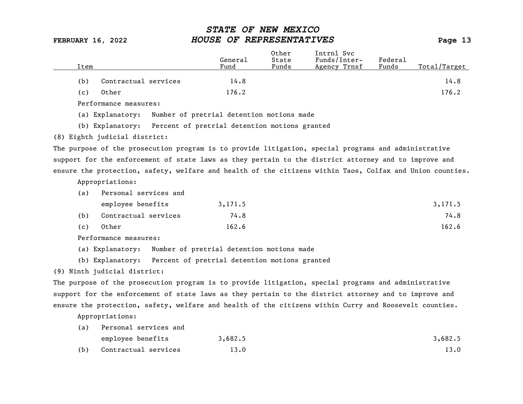|      |                               |                                                                |         | Other | Intrnl Svc                                                                                                |         |              |
|------|-------------------------------|----------------------------------------------------------------|---------|-------|-----------------------------------------------------------------------------------------------------------|---------|--------------|
|      |                               |                                                                | General | State | Funds/Inter-                                                                                              | Federal |              |
| Item |                               |                                                                | Fund    | Funds | Agency Trnsf                                                                                              | Funds   | Total/Target |
| (b)  | Contractual services          |                                                                | 14.8    |       |                                                                                                           |         | 14.8         |
| (c)  | Other                         |                                                                | 176.2   |       |                                                                                                           |         | 176.2        |
|      | Performance measures:         |                                                                |         |       |                                                                                                           |         |              |
|      | (a) Explanatory:              | Number of pretrial detention motions made                      |         |       |                                                                                                           |         |              |
|      |                               | (b) Explanatory: Percent of pretrial detention motions granted |         |       |                                                                                                           |         |              |
|      | (8) Eighth judicial district: |                                                                |         |       |                                                                                                           |         |              |
|      |                               |                                                                |         |       | The purpose of the prosecution program is to provide litigation, special programs and administrative      |         |              |
|      |                               |                                                                |         |       | support for the enforcement of state laws as they pertain to the district attorney and to improve and     |         |              |
|      |                               |                                                                |         |       | ensure the protection, safety, welfare and health of the citizens within Taos, Colfax and Union counties. |         |              |

Appropriations:

| (a) | Personal services and |         |         |
|-----|-----------------------|---------|---------|
|     | employee benefits     | 3,171.5 | 3,171.5 |
| (b) | Contractual services  | 74.8    | 74.8    |
| (c) | Other                 | 162.6   | 162.6   |

Performance measures:

(a) Explanatory: Number of pretrial detention motions made

(b) Explanatory: Percent of pretrial detention motions granted

(9) Ninth judicial district:

The purpose of the prosecution program is to provide litigation, special programs and administrative support for the enforcement of state laws as they pertain to the district attorney and to improve and ensure the protection, safety, welfare and health of the citizens within Curry and Roosevelt counties.

| (a) | Personal services and |         |         |
|-----|-----------------------|---------|---------|
|     | employee benefits     | 3,682.5 | 3,682.5 |
| (b) | Contractual services  | 13.0    | 13.0    |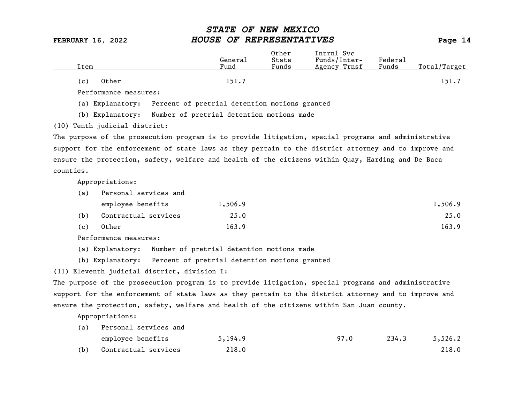| Item                  | General<br>Fund | Other<br>State<br>Funds | Intrnl Svc<br>Funds/Inter-<br>Agency Trnsf | Federal<br>Funds | Total/Target |
|-----------------------|-----------------|-------------------------|--------------------------------------------|------------------|--------------|
| Other<br>( c )        | 151.7           |                         |                                            |                  | 151.7        |
| Performance measures: |                 |                         |                                            |                  |              |

(a) Explanatory: Percent of pretrial detention motions granted

(b) Explanatory: Number of pretrial detention motions made

(10) Tenth judicial district:

The purpose of the prosecution program is to provide litigation, special programs and administrative support for the enforcement of state laws as they pertain to the district attorney and to improve and ensure the protection, safety, welfare and health of the citizens within Quay, Harding and De Baca counties.

Appropriations:

| (a) | Personal services and |         |         |
|-----|-----------------------|---------|---------|
|     | employee benefits     | 1,506.9 | 1,506.9 |
| (b) | Contractual services  | 25.0    | 25.0    |
| (c) | Other                 | 163.9   | 163.9   |

Performance measures:

(a) Explanatory: Number of pretrial detention motions made

(b) Explanatory: Percent of pretrial detention motions granted

(11) Eleventh judicial district, division I:

The purpose of the prosecution program is to provide litigation, special programs and administrative support for the enforcement of state laws as they pertain to the district attorney and to improve and ensure the protection, safety, welfare and health of the citizens within San Juan county.

| (a) | Personal services and |         |      |       |         |
|-----|-----------------------|---------|------|-------|---------|
|     | employee benefits     | 5,194.9 | 97.0 | 234.3 | 5,526.2 |
| (b) | Contractual services  | 218.0   |      |       | 218.0   |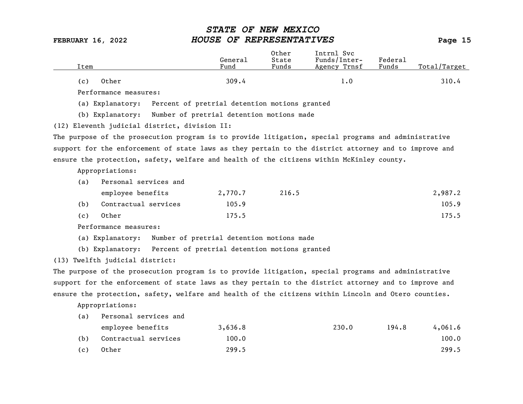| Item |                                                                                                       | General<br>Fund                               | Other<br>State<br>Funds | Intrnl Svc<br>Funds/Inter-<br>Agency Trnsf | Federal<br>Funds | Total/Target |
|------|-------------------------------------------------------------------------------------------------------|-----------------------------------------------|-------------------------|--------------------------------------------|------------------|--------------|
| (c)  | Other                                                                                                 | 309.4                                         |                         | 1.0                                        |                  | 310.4        |
|      | Performance measures:                                                                                 |                                               |                         |                                            |                  |              |
|      | (a) Explanatory:                                                                                      | Percent of pretrial detention motions granted |                         |                                            |                  |              |
|      | (b) Explanatory:                                                                                      | Number of pretrial detention motions made     |                         |                                            |                  |              |
|      | (12) Eleventh judicial district, division II:                                                         |                                               |                         |                                            |                  |              |
|      | The purpose of the prosecution program is to provide litigation, special programs and administrative  |                                               |                         |                                            |                  |              |
|      | support for the enforcement of state laws as they pertain to the district attorney and to improve and |                                               |                         |                                            |                  |              |
|      | ensure the protection, safety, welfare and health of the citizens within McKinley county.             |                                               |                         |                                            |                  |              |
|      | Appropriations:                                                                                       |                                               |                         |                                            |                  |              |
| (a)  | Personal services and                                                                                 |                                               |                         |                                            |                  |              |
|      | employee benefits                                                                                     | 2,770.7                                       | 216.5                   |                                            |                  | 2,987.2      |
| (b)  | Contractual services                                                                                  | 105.9                                         |                         |                                            |                  | 105.9        |
| (c)  | Other                                                                                                 | 175.5                                         |                         |                                            |                  | 175.5        |
|      | Performance measures:                                                                                 |                                               |                         |                                            |                  |              |
|      | (a) Explanatory:                                                                                      | Number of pretrial detention motions made     |                         |                                            |                  |              |
|      | (b) Explanatory: Percent of pretrial detention motions granted                                        |                                               |                         |                                            |                  |              |
|      | (13) Twelfth judicial district:                                                                       |                                               |                         |                                            |                  |              |
|      | The purpose of the prosecution program is to provide litigation, special programs and administrative  |                                               |                         |                                            |                  |              |
|      | support for the enforcement of state laws as they pertain to the district attorney and to improve and |                                               |                         |                                            |                  |              |
|      | ensure the protection, safety, welfare and health of the citizens within Lincoln and Otero counties.  |                                               |                         |                                            |                  |              |
|      | Appropriations:                                                                                       |                                               |                         |                                            |                  |              |
| (a)  | Personal services and                                                                                 |                                               |                         |                                            |                  |              |
|      | employee benefits                                                                                     | 3,636.8                                       |                         | 230.0                                      | 194.8            | 4,061.6      |
| (b)  | Contractual services                                                                                  | 100.0                                         |                         |                                            |                  | 100.0        |

(c) Other 299.5 299.5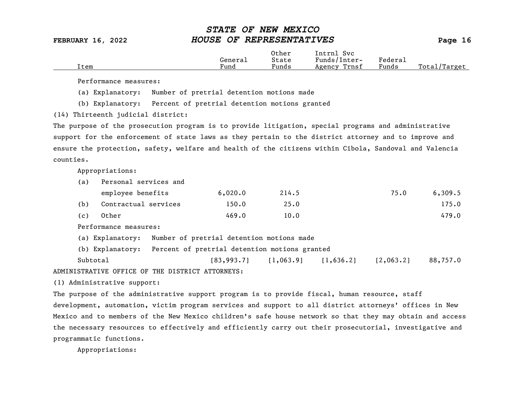|      |         | Other                             | Intrnl<br>Svc   |         |                   |
|------|---------|-----------------------------------|-----------------|---------|-------------------|
|      | Generai | State                             | Funds/Inter-    | Federau |                   |
| Item | Fund    | $\overline{\phantom{a}}$<br>Funds | Trnsf<br>Agency | Funds   | Total,<br>/Target |

Performance measures:

(a) Explanatory: Number of pretrial detention motions made

(b) Explanatory: Percent of pretrial detention motions granted

(14) Thirteenth judicial district:

The purpose of the prosecution program is to provide litigation, special programs and administrative support for the enforcement of state laws as they pertain to the district attorney and to improve and ensure the protection, safety, welfare and health of the citizens within Cibola, Sandoval and Valencia counties.

Appropriations:

| (a) | Personal services and |         |       |      |         |
|-----|-----------------------|---------|-------|------|---------|
|     | employee benefits     | 6,020.0 | 214.5 | 75.0 | 6,309.5 |
| (b) | Contractual services  | 150.0   | 25.0  |      | 175.0   |
| (c) | Other                 | 469.0   | 10.0  |      | 479.0   |

Performance measures:

(a) Explanatory: Number of pretrial detention motions made

(b) Explanatory: Percent of pretrial detention motions granted

Subtotal [83,993.7] [1,063.9] [1,636.2] [2,063.2] 88,757.0 ADMINISTRATIVE OFFICE OF THE DISTRICT ATTORNEYS:

(1) Administrative support:

The purpose of the administrative support program is to provide fiscal, human resource, staff development, automation, victim program services and support to all district attorneys' offices in New Mexico and to members of the New Mexico children's safe house network so that they may obtain and access the necessary resources to effectively and efficiently carry out their prosecutorial, investigative and programmatic functions.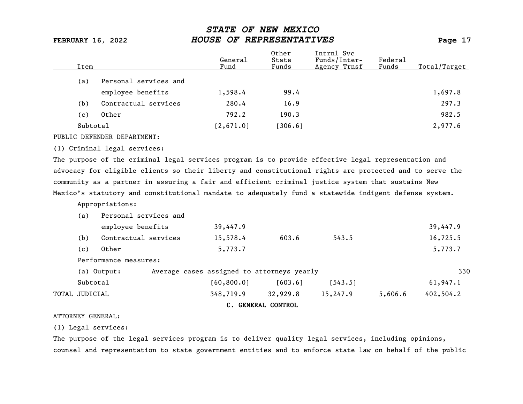| Item     |                       | General<br>Fund | Other<br>State<br>Funds | Intrnl Svc<br>Funds/Inter-<br>Agency Trnsf | Federal<br>Funds | Total/Target |
|----------|-----------------------|-----------------|-------------------------|--------------------------------------------|------------------|--------------|
| (a)      | Personal services and |                 |                         |                                            |                  |              |
|          | employee benefits     | 1,598.4         | 99.4                    |                                            |                  | 1,697.8      |
| (b)      | Contractual services  | 280.4           | 16.9                    |                                            |                  | 297.3        |
| (c)      | Other                 | 792.2           | 190.3                   |                                            |                  | 982.5        |
| Subtotal |                       | [2,671.0]       | [306.6]                 |                                            |                  | 2,977.6      |
|          |                       |                 |                         |                                            |                  |              |

### PUBLIC DEFENDER DEPARTMENT:

### (1) Criminal legal services:

The purpose of the criminal legal services program is to provide effective legal representation and advocacy for eligible clients so their liberty and constitutional rights are protected and to serve the community as a partner in assuring a fair and efficient criminal justice system that sustains New Mexico's statutory and constitutional mandate to adequately fund a statewide indigent defense system.

Appropriations:

|                | (a)      | Personal services and |                                            |                    |          |         |           |
|----------------|----------|-----------------------|--------------------------------------------|--------------------|----------|---------|-----------|
|                |          | employee benefits     | 39,447.9                                   |                    |          |         | 39,447.9  |
|                | (b)      | Contractual services  | 15,578.4                                   | 603.6              | 543.5    |         | 16,725.5  |
|                | (c)      | Other                 | 5,773.7                                    |                    |          |         | 5,773.7   |
|                |          | Performance measures: |                                            |                    |          |         |           |
|                |          | (a) Output:           | Average cases assigned to attorneys yearly |                    |          |         | 330       |
|                | Subtotal |                       | [60, 800.0]                                | [603.6]            | [543.5]  |         | 61,947.1  |
| TOTAL JUDICIAL |          |                       | 348,719.9                                  | 32,929.8           | 15,247.9 | 5,606.6 | 402,504.2 |
|                |          |                       |                                            | C. GENERAL CONTROL |          |         |           |

### ATTORNEY GENERAL:

(1) Legal services:

The purpose of the legal services program is to deliver quality legal services, including opinions, counsel and representation to state government entities and to enforce state law on behalf of the public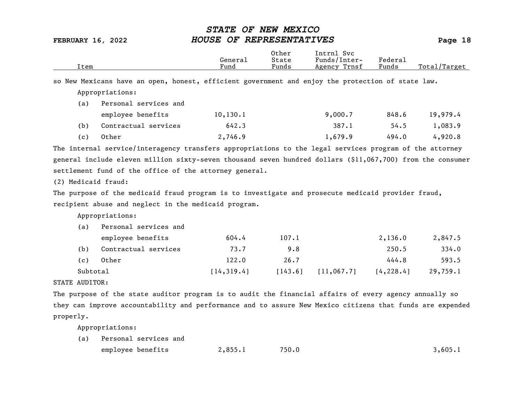|                     | Item     |                                                                                                            | General<br>Fund | Other<br>State<br>Funds | Intrnl Svc<br>Funds/Inter-<br>Agency Trnsf | Federal<br>Funds | Total/Target |
|---------------------|----------|------------------------------------------------------------------------------------------------------------|-----------------|-------------------------|--------------------------------------------|------------------|--------------|
|                     |          | so New Mexicans have an open, honest, efficient government and enjoy the protection of state law.          |                 |                         |                                            |                  |              |
|                     |          | Appropriations:                                                                                            |                 |                         |                                            |                  |              |
|                     | (a)      | Personal services and                                                                                      |                 |                         |                                            |                  |              |
|                     |          | employee benefits                                                                                          | 10, 130.1       |                         | 9,000.7                                    | 848.6            | 19,979.4     |
| (b)                 |          | Contractual services                                                                                       | 642.3           |                         | 387.1                                      | 54.5             | 1,083.9      |
| (c)                 |          | Other                                                                                                      | 2,746.9         |                         | 1,679.9                                    | 494.0            | 4,920.8      |
|                     |          | The internal service/interagency transfers appropriations to the legal services program of the attorney    |                 |                         |                                            |                  |              |
|                     |          | general include eleven million sixty-seven thousand seven hundred dollars (\$11,067,700) from the consumer |                 |                         |                                            |                  |              |
|                     |          | settlement fund of the office of the attorney general.                                                     |                 |                         |                                            |                  |              |
| (2) Medicaid fraud: |          |                                                                                                            |                 |                         |                                            |                  |              |
|                     |          | The purpose of the medicaid fraud program is to investigate and prosecute medicaid provider fraud,         |                 |                         |                                            |                  |              |
|                     |          | recipient abuse and neglect in the medicaid program.                                                       |                 |                         |                                            |                  |              |
|                     |          | Appropriations:                                                                                            |                 |                         |                                            |                  |              |
| (a)                 |          | Personal services and                                                                                      |                 |                         |                                            |                  |              |
|                     |          | employee benefits                                                                                          | 604.4           | 107.1                   |                                            | 2,136.0          | 2,847.5      |
| (b)                 |          | Contractual services                                                                                       | 73.7            | 9.8                     |                                            | 250.5            | 334.0        |
| (c)                 |          | Other                                                                                                      | 122.0           | 26.7                    |                                            | 444.8            | 593.5        |
|                     | Subtotal |                                                                                                            | [14, 319.4]     | [143.6]                 | [11, 067.7]                                | [4, 228.4]       | 29,759.1     |
| STATE AUDITOR:      |          |                                                                                                            |                 |                         |                                            |                  |              |
|                     |          | The purpose of the state auditor program is to audit the financial affairs of every agency annually so     |                 |                         |                                            |                  |              |
|                     |          | they can improve accountability and performance and to assure New Mexico citizens that funds are expended  |                 |                         |                                            |                  |              |
| properly.           |          |                                                                                                            |                 |                         |                                            |                  |              |
|                     |          | Appropriations:                                                                                            |                 |                         |                                            |                  |              |
| (a)                 |          | Personal services and                                                                                      |                 |                         |                                            |                  |              |

| emplovee benefits | 2,855.1 | 750.0 | .605.1 |
|-------------------|---------|-------|--------|
|                   |         |       |        |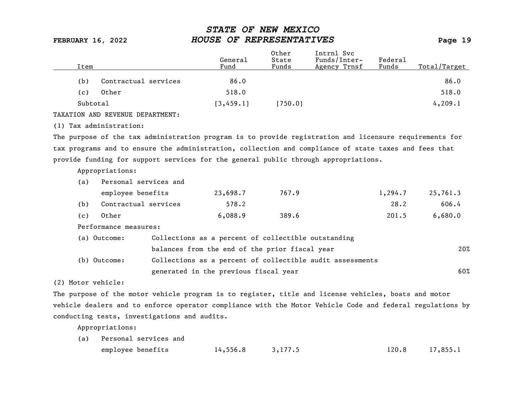|                                                                                                         | General                                                   | Other<br>State | Intrnl Svc<br>Funds/Inter- | Federal |              |
|---------------------------------------------------------------------------------------------------------|-----------------------------------------------------------|----------------|----------------------------|---------|--------------|
| Item                                                                                                    | Fund                                                      | Funds          | Agency Trnsf               | Funds   | Total/Target |
| Contractual services<br>(b)                                                                             | 86.0                                                      |                |                            |         | 86.0         |
| Other<br>(c)                                                                                            | 518.0                                                     |                |                            |         | 518.0        |
| Subtotal                                                                                                | [3, 459.1]                                                | [750.0]        |                            |         | 4, 209.1     |
| TAXATION AND REVENUE DEPARTMENT:                                                                        |                                                           |                |                            |         |              |
| (1) Tax administration:                                                                                 |                                                           |                |                            |         |              |
| The purpose of the tax administration program is to provide registration and licensure requirements for |                                                           |                |                            |         |              |
| tax programs and to ensure the administration, collection and compliance of state taxes and fees that   |                                                           |                |                            |         |              |
| provide funding for support services for the general public through appropriations.                     |                                                           |                |                            |         |              |
| Appropriations:                                                                                         |                                                           |                |                            |         |              |
| Personal services and<br>(a)                                                                            |                                                           |                |                            |         |              |
| employee benefits                                                                                       | 23,698.7                                                  | 767.9          |                            | 1,294.7 | 25,761.3     |
| Contractual services<br>(b)                                                                             | 578.2                                                     |                |                            | 28.2    | 606.4        |
| Other<br>(c)                                                                                            | 6,088.9                                                   | 389.6          |                            | 201.5   | 6,680.0      |
| Performance measures:                                                                                   |                                                           |                |                            |         |              |
| (a) Outcome:                                                                                            | Collections as a percent of collectible outstanding       |                |                            |         |              |
|                                                                                                         | balances from the end of the prior fiscal year            |                |                            |         | 20%          |
| (b) Outcome:                                                                                            | Collections as a percent of collectible audit assessments |                |                            |         |              |
|                                                                                                         | generated in the previous fiscal year                     |                |                            |         | 60%          |
| (2) Motor vehicle:                                                                                      |                                                           |                |                            |         |              |

The purpose of the motor vehicle program is to register, title and license vehicles, boats and motor vehicle dealers and to enforce operator compliance with the Motor Vehicle Code and federal regulations by conducting tests, investigations and audits.

| (a) Personal services and |                    |  |                  |
|---------------------------|--------------------|--|------------------|
| employee benefits         | $14,556.8$ 3,177.5 |  | $120.8$ 17,855.1 |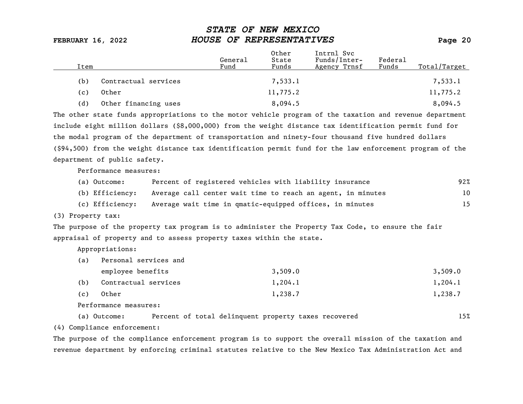| Item |                      | General<br>Fund | Other<br>State<br>Funds | Intrnl Svc<br>Funds/Inter-<br>Agency Trnsf | Federal<br>Funds | Total/Target |
|------|----------------------|-----------------|-------------------------|--------------------------------------------|------------------|--------------|
| (b)  | Contractual services |                 | 7,533.1                 |                                            |                  | 7,533.1      |
| (c)  | Other                |                 | 11,775.2                |                                            |                  | 11,775.2     |
| (d)  | Other financing uses |                 | 8,094.5                 |                                            |                  | 8,094.5      |

The other state funds appropriations to the motor vehicle program of the taxation and revenue department include eight million dollars (\$8,000,000) from the weight distance tax identification permit fund for the modal program of the department of transportation and ninety-four thousand five hundred dollars (\$94,500) from the weight distance tax identification permit fund for the law enforcement program of the department of public safety.

Performance measures:

| (a) Outcome:    | Percent of registered vehicles with liability insurance     | 92% |
|-----------------|-------------------------------------------------------------|-----|
| (b) Efficiency: | Average call center wait time to reach an agent, in minutes | 10  |
| (c) Efficiency: | Average wait time in qmatic-equipped offices, in minutes    | 15  |

(3) Property tax:

The purpose of the property tax program is to administer the Property Tax Code, to ensure the fair appraisal of property and to assess property taxes within the state.

Appropriations:

| (a) | Personal services and |         |         |
|-----|-----------------------|---------|---------|
|     | employee benefits     | 3,509.0 | 3,509.0 |
| (b) | Contractual services  | 1,204.1 | 1,204.1 |
| (c) | Other                 | 1,238.7 | 1,238.7 |

Performance measures:

(a) Outcome: Percent of total delinquent property taxes recovered 15%

(4) Compliance enforcement:

The purpose of the compliance enforcement program is to support the overall mission of the taxation and revenue department by enforcing criminal statutes relative to the New Mexico Tax Administration Act and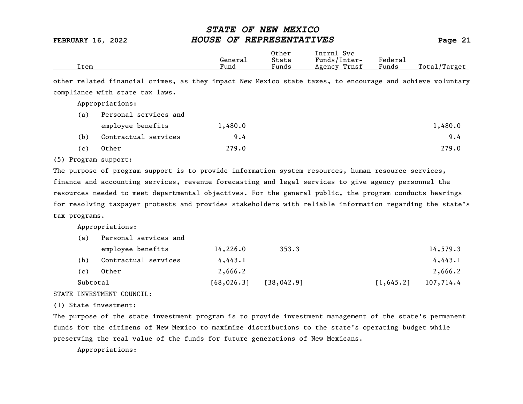|      |         | Other | Svc<br>Intrnl   |         |                 |
|------|---------|-------|-----------------|---------|-----------------|
|      | General | State | Funds/Inter-    | Federau |                 |
| Item | Fund    | Funds | Trnsf<br>Agency | Funds   | Total<br>Target |

other related financial crimes, as they impact New Mexico state taxes, to encourage and achieve voluntary compliance with state tax laws.

Appropriations:

| (a) | Personal services and |         |         |
|-----|-----------------------|---------|---------|
|     | employee benefits     | 1,480.0 | 1,480.0 |
| (b) | Contractual services  | 9.4     | 9.4     |
| (c) | Other                 | 279.0   | 279.0   |

### (5) Program support:

The purpose of program support is to provide information system resources, human resource services, finance and accounting services, revenue forecasting and legal services to give agency personnel the resources needed to meet departmental objectives. For the general public, the program conducts hearings for resolving taxpayer protests and provides stakeholders with reliable information regarding the state's tax programs.

Appropriations:

| (a)      | Personal services and |             |             |                         |
|----------|-----------------------|-------------|-------------|-------------------------|
|          | employee benefits     | 14,226.0    | 353.3       | 14,579.3                |
| (b)      | Contractual services  | 4,443.1     |             | 4,443.1                 |
| (c)      | Other                 | 2,666.2     |             | 2,666.2                 |
| Subtotal |                       | [68, 026.3] | [38, 042.9] | 107,714.4<br>[1, 645.2] |

### STATE INVESTMENT COUNCIL:

(1) State investment:

The purpose of the state investment program is to provide investment management of the state's permanent funds for the citizens of New Mexico to maximize distributions to the state's operating budget while preserving the real value of the funds for future generations of New Mexicans.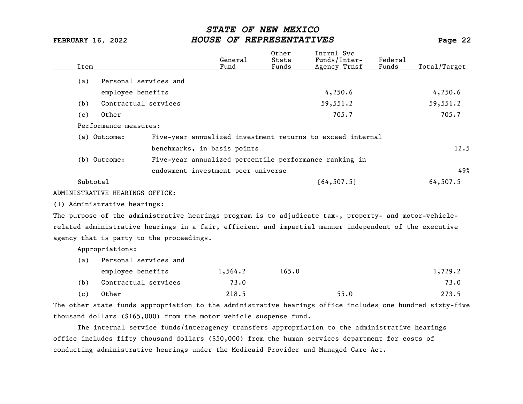| Item     |                                                                                                           | General<br>Fund | Other<br>State<br>Funds | Intrnl Svc<br>Funds/Inter-<br>Agency Trnsf                 | Federal<br>Funds | Total/Target |
|----------|-----------------------------------------------------------------------------------------------------------|-----------------|-------------------------|------------------------------------------------------------|------------------|--------------|
| (a)      | Personal services and                                                                                     |                 |                         |                                                            |                  |              |
|          | employee benefits                                                                                         |                 |                         | 4,250.6                                                    |                  | 4,250.6      |
| (b)      | Contractual services                                                                                      |                 |                         | 59,551.2                                                   |                  | 59,551.2     |
| (c)      | Other                                                                                                     |                 |                         | 705.7                                                      |                  | 705.7        |
|          | Performance measures:                                                                                     |                 |                         |                                                            |                  |              |
|          | (a) Outcome:                                                                                              |                 |                         | Five-year annualized investment returns to exceed internal |                  |              |
|          | benchmarks, in basis points                                                                               |                 |                         |                                                            |                  | 12.5         |
|          | (b) Outcome:                                                                                              |                 |                         | Five-year annualized percentile performance ranking in     |                  |              |
|          | endowment investment peer universe                                                                        |                 |                         |                                                            |                  | 49%          |
| Subtotal |                                                                                                           |                 |                         | [64, 507.5]                                                |                  | 64,507.5     |
|          | ADMINISTRATIVE HEARINGS OFFICE:                                                                           |                 |                         |                                                            |                  |              |
|          | (1) Administrative hearings:                                                                              |                 |                         |                                                            |                  |              |
|          | The purpose of the administrative hearings program is to adjudicate tax-, property- and motor-vehicle-    |                 |                         |                                                            |                  |              |
|          | related administrative hearings in a fair, efficient and impartial manner independent of the executive    |                 |                         |                                                            |                  |              |
|          | agency that is party to the proceedings.                                                                  |                 |                         |                                                            |                  |              |
|          | Appropriations:                                                                                           |                 |                         |                                                            |                  |              |
| (a)      | Personal services and                                                                                     |                 |                         |                                                            |                  |              |
|          | employee benefits                                                                                         | 1,564.2         | 165.0                   |                                                            |                  | 1,729.2      |
| (b)      | Contractual services                                                                                      | 73.0            |                         |                                                            |                  | 73.0         |
| (c)      | Other                                                                                                     | 218.5           |                         | 55.0                                                       |                  | 273.5        |
|          | The other state funds appropriation to the administrative hearings office includes one hundred sixty-five |                 |                         |                                                            |                  |              |
|          | thousand dollars $(§165,000)$ from the motor vehicle suspense fund.                                       |                 |                         |                                                            |                  |              |

The internal service funds/interagency transfers appropriation to the administrative hearings office includes fifty thousand dollars (\$50,000) from the human services department for costs of conducting administrative hearings under the Medicaid Provider and Managed Care Act.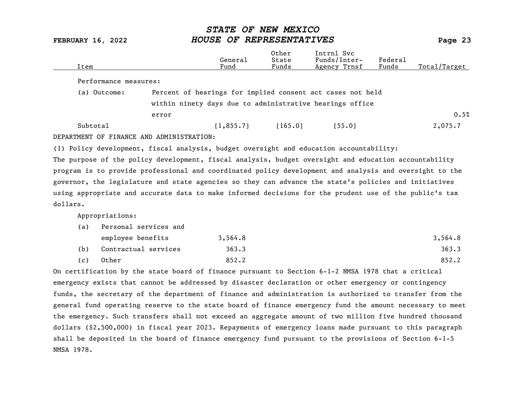| Item                                                                                    |                                                            | General<br>Fund | Other<br>State<br>Funds | Intrnl Svc<br>Funds/Inter-<br>Agency Trnsf | Federal<br>Funds | Total/Target |
|-----------------------------------------------------------------------------------------|------------------------------------------------------------|-----------------|-------------------------|--------------------------------------------|------------------|--------------|
| Performance measures:                                                                   |                                                            |                 |                         |                                            |                  |              |
| (a) Outcome:                                                                            | Percent of hearings for implied consent act cases not held |                 |                         |                                            |                  |              |
|                                                                                         | within ninety days due to administrative hearings office   |                 |                         |                                            |                  |              |
|                                                                                         | error                                                      |                 |                         |                                            |                  | 0.5%         |
| Subtotal                                                                                |                                                            | [1, 855, 7]     | [165.0]                 | [55.0]                                     |                  | 2,075.7      |
| DEPARTMENT OF FINANCE AND ADMINISTRATION:                                               |                                                            |                 |                         |                                            |                  |              |
| (1) Policy development, fiscal analysis, budget oversight and education accountability: |                                                            |                 |                         |                                            |                  |              |

The purpose of the policy development, fiscal analysis, budget oversight and education accountability program is to provide professional and coordinated policy development and analysis and oversight to the governor, the legislature and state agencies so they can advance the state's policies and initiatives using appropriate and accurate data to make informed decisions for the prudent use of the public's tax dollars.

Appropriations:

| (a) | Personal services and |         |         |
|-----|-----------------------|---------|---------|
|     | employee benefits     | 3,564.8 | 3,564.8 |
| (b) | Contractual services  | 363.3   | 363.3   |
| (c) | Other                 | 852.2   | 852.2   |

On certification by the state board of finance pursuant to Section 6-1-2 NMSA 1978 that a critical emergency exists that cannot be addressed by disaster declaration or other emergency or contingency funds, the secretary of the department of finance and administration is authorized to transfer from the general fund operating reserve to the state board of finance emergency fund the amount necessary to meet the emergency. Such transfers shall not exceed an aggregate amount of two million five hundred thousand dollars (\$2,500,000) in fiscal year 2023. Repayments of emergency loans made pursuant to this paragraph shall be deposited in the board of finance emergency fund pursuant to the provisions of Section 6-1-5 NMSA 1978.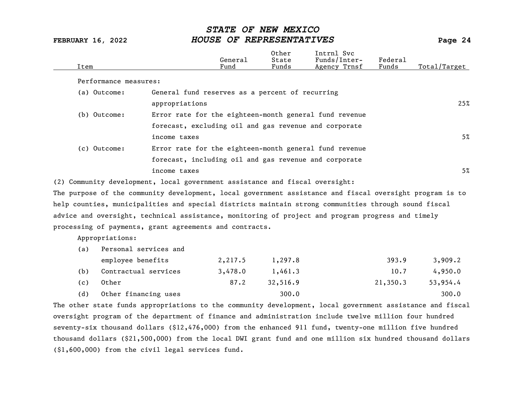| Item                                                                                                           |                                                        | General<br>Fund | Other<br>State<br>Funds | Intrnl Svc<br>Funds/Inter-<br>Agency Trnsf | Federal<br>Funds | Total/Target |
|----------------------------------------------------------------------------------------------------------------|--------------------------------------------------------|-----------------|-------------------------|--------------------------------------------|------------------|--------------|
| Performance measures:                                                                                          |                                                        |                 |                         |                                            |                  |              |
| (a) Outcome:                                                                                                   | General fund reserves as a percent of recurring        |                 |                         |                                            |                  |              |
|                                                                                                                | appropriations                                         |                 |                         |                                            |                  | 25%          |
| (b) Outcome:                                                                                                   | Error rate for the eighteen-month general fund revenue |                 |                         |                                            |                  |              |
|                                                                                                                | forecast, excluding oil and gas revenue and corporate  |                 |                         |                                            |                  |              |
|                                                                                                                | income taxes                                           |                 |                         |                                            |                  | 5%           |
| (c) Outcome:                                                                                                   | Error rate for the eighteen-month general fund revenue |                 |                         |                                            |                  |              |
|                                                                                                                | forecast, including oil and gas revenue and corporate  |                 |                         |                                            |                  |              |
|                                                                                                                | income taxes                                           |                 |                         |                                            |                  | $5\%$        |
| (2) Community development, local government assistance and fiscal oversight:                                   |                                                        |                 |                         |                                            |                  |              |
| The purpose of the community development, $\it local$ government assistance and fiscal oversight program is to |                                                        |                 |                         |                                            |                  |              |
| help counties, municipalities and special districts maintain strong communities through sound fiscal           |                                                        |                 |                         |                                            |                  |              |
| advice and oversight, technical assistance, monitoring of project and program progress and timely              |                                                        |                 |                         |                                            |                  |              |
| processing of payments, grant agreements and contracts.                                                        |                                                        |                 |                         |                                            |                  |              |
| Appropriations:                                                                                                |                                                        |                 |                         |                                            |                  |              |
| Personal services and<br>(a)                                                                                   |                                                        |                 |                         |                                            |                  |              |
| employee benefits                                                                                              |                                                        | 2,217.5         | 1,297.8                 |                                            | 393.9            | 3,909.2      |
| Contractual services<br>(b)                                                                                    |                                                        | 3,478.0         | 1,461.3                 |                                            | 10.7             | 4,950.0      |
| Other<br>(c)                                                                                                   |                                                        | 87.2            | 32,516.9                |                                            | 21,350.3         | 53,954.4     |

(d) Other financing uses 300.0 300.0 300.0 300.0

The other state funds appropriations to the community development, local government assistance and fiscal oversight program of the department of finance and administration include twelve million four hundred seventy-six thousand dollars (\$12,476,000) from the enhanced 911 fund, twenty-one million five hundred thousand dollars (\$21,500,000) from the local DWI grant fund and one million six hundred thousand dollars (\$1,600,000) from the civil legal services fund.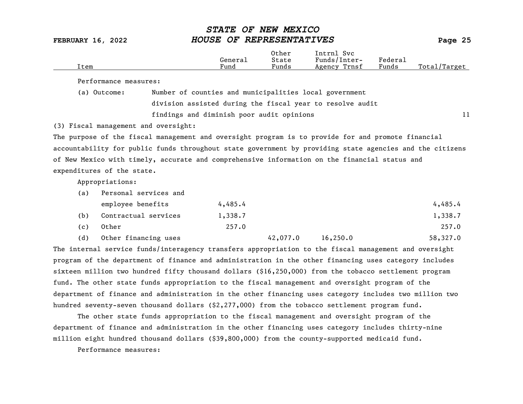| Item                                                                                                     |                                                                                                        |                                                                                                       | General<br>Fund | Other<br>State<br>Funds | Intrnl Svc<br>Funds/Inter-<br>Agency Trnsf | Federal<br>Funds | Total/Target |  |
|----------------------------------------------------------------------------------------------------------|--------------------------------------------------------------------------------------------------------|-------------------------------------------------------------------------------------------------------|-----------------|-------------------------|--------------------------------------------|------------------|--------------|--|
|                                                                                                          | Performance measures:                                                                                  |                                                                                                       |                 |                         |                                            |                  |              |  |
|                                                                                                          | (a) Outcome:                                                                                           | Number of counties and municipalities local government                                                |                 |                         |                                            |                  |              |  |
|                                                                                                          |                                                                                                        | division assisted during the fiscal year to resolve audit                                             |                 |                         |                                            |                  |              |  |
|                                                                                                          |                                                                                                        | findings and diminish poor audit opinions                                                             |                 |                         |                                            |                  | 11           |  |
|                                                                                                          | (3) Fiscal management and oversight:                                                                   |                                                                                                       |                 |                         |                                            |                  |              |  |
|                                                                                                          |                                                                                                        | The purpose of the fiscal management and oversight program is to provide for and promote financial    |                 |                         |                                            |                  |              |  |
| accountability for public funds throughout state government by providing state agencies and the citizens |                                                                                                        |                                                                                                       |                 |                         |                                            |                  |              |  |
| of New Mexico with timely, accurate and comprehensive information on the financial status and            |                                                                                                        |                                                                                                       |                 |                         |                                            |                  |              |  |
|                                                                                                          | expenditures of the state.                                                                             |                                                                                                       |                 |                         |                                            |                  |              |  |
|                                                                                                          | Appropriations:                                                                                        |                                                                                                       |                 |                         |                                            |                  |              |  |
| (a)                                                                                                      | Personal services and                                                                                  |                                                                                                       |                 |                         |                                            |                  |              |  |
|                                                                                                          | employee benefits                                                                                      |                                                                                                       | 4,485.4         |                         |                                            |                  | 4,485.4      |  |
| (b)                                                                                                      | Contractual services                                                                                   |                                                                                                       | 1,338.7         |                         |                                            |                  | 1,338.7      |  |
| (c)                                                                                                      | Other                                                                                                  |                                                                                                       | 257.0           |                         |                                            |                  | 257.0        |  |
| (d)                                                                                                      | Other financing uses                                                                                   |                                                                                                       |                 | 42,077.0                | 16, 250.0                                  |                  | 58,327.0     |  |
|                                                                                                          |                                                                                                        | The internal service funds/interagency transfers appropriation to the fiscal management and oversight |                 |                         |                                            |                  |              |  |
|                                                                                                          |                                                                                                        | program of the department of finance and administration in the other financing uses category includes |                 |                         |                                            |                  |              |  |
|                                                                                                          |                                                                                                        | sixteen million two hundred fifty thousand dollars (\$16,250,000) from the tobacco settlement program |                 |                         |                                            |                  |              |  |
|                                                                                                          |                                                                                                        | fund. The other state funds appropriation to the fiscal management and oversight program of the       |                 |                         |                                            |                  |              |  |
|                                                                                                          | department of finance and administration in the other financing uses category includes two million two |                                                                                                       |                 |                         |                                            |                  |              |  |
|                                                                                                          |                                                                                                        | hundred seventy-seven thousand dollars $(52, 277, 000)$ from the tobacco settlement program fund.     |                 |                         |                                            |                  |              |  |

The other state funds appropriation to the fiscal management and oversight program of the department of finance and administration in the other financing uses category includes thirty-nine million eight hundred thousand dollars (\$39,800,000) from the county-supported medicaid fund.

Performance measures: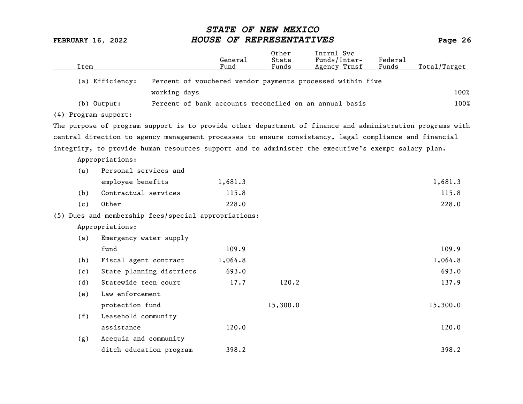| Item                 |                                                                                                           | General<br>Fund | Other<br>State<br>Funds | Intrnl Svc<br>Funds/Inter-<br>Agency Trnsf                 | Federal<br>Funds | Total/Target |
|----------------------|-----------------------------------------------------------------------------------------------------------|-----------------|-------------------------|------------------------------------------------------------|------------------|--------------|
| (a) Efficiency:      |                                                                                                           |                 |                         | Percent of vouchered vendor payments processed within five |                  |              |
|                      | working days                                                                                              |                 |                         |                                                            |                  | 100%         |
| (b) Output:          |                                                                                                           |                 |                         | Percent of bank accounts reconciled on an annual basis     |                  | 100%         |
| (4) Program support: |                                                                                                           |                 |                         |                                                            |                  |              |
|                      | The purpose of program support is to provide other department of finance and administration programs with |                 |                         |                                                            |                  |              |
|                      | central direction to agency management processes to ensure consistency, legal compliance and financial    |                 |                         |                                                            |                  |              |
|                      | integrity, to provide human resources support and to administer the executive's exempt salary plan.       |                 |                         |                                                            |                  |              |
| Appropriations:      |                                                                                                           |                 |                         |                                                            |                  |              |
| (a)                  | Personal services and                                                                                     |                 |                         |                                                            |                  |              |
|                      | employee benefits                                                                                         | 1,681.3         |                         |                                                            |                  | 1,681.3      |
| (b)                  | Contractual services                                                                                      | 115.8           |                         |                                                            |                  | 115.8        |
| Other<br>(c)         |                                                                                                           | 228.0           |                         |                                                            |                  | 228.0        |
|                      | (5) Dues and membership fees/special appropriations:                                                      |                 |                         |                                                            |                  |              |
| Appropriations:      |                                                                                                           |                 |                         |                                                            |                  |              |
| (a)                  | Emergency water supply                                                                                    |                 |                         |                                                            |                  |              |
| fund                 |                                                                                                           | 109.9           |                         |                                                            |                  | 109.9        |
| (b)                  | Fiscal agent contract                                                                                     | 1,064.8         |                         |                                                            |                  | 1,064.8      |
| (c)                  | State planning districts                                                                                  | 693.0           |                         |                                                            |                  | 693.0        |
| (d)                  | Statewide teen court                                                                                      | 17.7            | 120.2                   |                                                            |                  | 137.9        |
| (e)                  | Law enforcement                                                                                           |                 |                         |                                                            |                  |              |
|                      | protection fund                                                                                           |                 | 15,300.0                |                                                            |                  | 15,300.0     |
| (f)                  | Leasehold community                                                                                       |                 |                         |                                                            |                  |              |
|                      | assistance                                                                                                | 120.0           |                         |                                                            |                  | 120.0        |
| (g)                  | Acequia and community                                                                                     |                 |                         |                                                            |                  |              |
|                      | ditch education program                                                                                   | 398.2           |                         |                                                            |                  | 398.2        |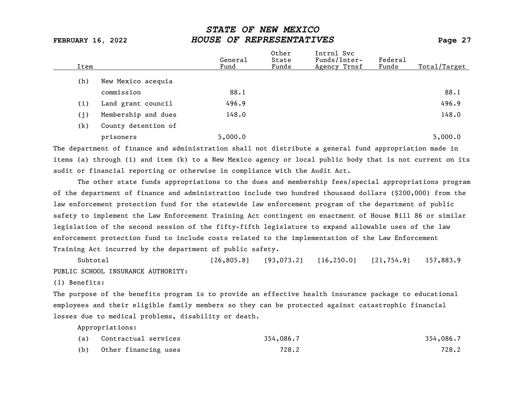| Item |                     | General<br>Fund | Other<br>State<br>Funds | Intrnl Svc<br>Funds/Inter-<br>Agency Trnsf | Federal<br>Funds | Total/Target |
|------|---------------------|-----------------|-------------------------|--------------------------------------------|------------------|--------------|
| (h)  | New Mexico acequia  |                 |                         |                                            |                  |              |
|      | commission          | 88.1            |                         |                                            |                  | 88.1         |
| (i)  | Land grant council  | 496.9           |                         |                                            |                  | 496.9        |
| (j)  | Membership and dues | 148.0           |                         |                                            |                  | 148.0        |
| (k)  | County detention of |                 |                         |                                            |                  |              |
|      | prisoners           | 5,000.0         |                         |                                            |                  | 5,000.0      |

The department of finance and administration shall not distribute a general fund appropriation made in items (a) through (i) and item (k) to a New Mexico agency or local public body that is not current on its audit or financial reporting or otherwise in compliance with the Audit Act.

The other state funds appropriations to the dues and membership fees/special appropriations program of the department of finance and administration include two hundred thousand dollars (\$200,000) from the law enforcement protection fund for the statewide law enforcement program of the department of public safety to implement the Law Enforcement Training Act contingent on enactment of House Bill 86 or similar legislation of the second session of the fifty-fifth legislature to expand allowable uses of the law enforcement protection fund to include costs related to the implementation of the Law Enforcement Training Act incurred by the department of public safety.

Subtotal [26,805.8] [93,073.2] [16,250.0] [21,754.9] 157,883.9 PUBLIC SCHOOL INSURANCE AUTHORITY:

(1) Benefits:

The purpose of the benefits program is to provide an effective health insurance package to educational employees and their eligible family members so they can be protected against catastrophic financial losses due to medical problems, disability or death.

| (a) | Contractual services | 354,086.7 | 354,086.7 |
|-----|----------------------|-----------|-----------|
| (b) | Other financing uses | 728.2     | 728.2     |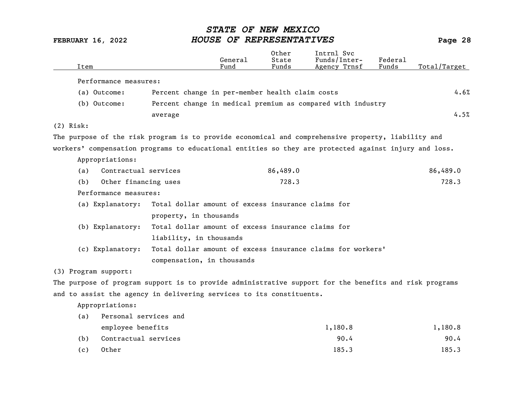|             | Item                                                                                                   |                                                             | General<br>Fund | 0ther<br>State<br>Funds | Intrnl Svc<br>Funds/Inter-<br>Agency Trnsf | Federal<br>Funds | Total/Target |
|-------------|--------------------------------------------------------------------------------------------------------|-------------------------------------------------------------|-----------------|-------------------------|--------------------------------------------|------------------|--------------|
|             | Performance measures:                                                                                  |                                                             |                 |                         |                                            |                  |              |
|             | (a) Outcome:                                                                                           | Percent change in per-member health claim costs             |                 |                         |                                            |                  | 4.6%         |
|             | (b) Outcome:                                                                                           | Percent change in medical premium as compared with industry |                 |                         |                                            |                  |              |
|             |                                                                                                        | average                                                     |                 |                         |                                            |                  | 4.5%         |
| $(2)$ Risk: |                                                                                                        |                                                             |                 |                         |                                            |                  |              |
|             | The purpose of the risk program is to provide economical and comprehensive property, liability and     |                                                             |                 |                         |                                            |                  |              |
|             | workers' compensation programs to educational entities so they are protected against injury and loss.  |                                                             |                 |                         |                                            |                  |              |
|             | Appropriations:                                                                                        |                                                             |                 |                         |                                            |                  |              |
|             | Contractual services<br>(a)                                                                            |                                                             |                 | 86,489.0                |                                            |                  | 86,489.0     |
|             | Other financing uses<br>(b)                                                                            |                                                             |                 | 728.3                   |                                            |                  | 728.3        |
|             | Performance measures:                                                                                  |                                                             |                 |                         |                                            |                  |              |
|             | (a) Explanatory:                                                                                       | Total dollar amount of excess insurance claims for          |                 |                         |                                            |                  |              |
|             |                                                                                                        | property, in thousands                                      |                 |                         |                                            |                  |              |
|             | (b) Explanatory:                                                                                       | Total dollar amount of excess insurance claims for          |                 |                         |                                            |                  |              |
|             |                                                                                                        | liability, in thousands                                     |                 |                         |                                            |                  |              |
|             | (c) Explanatory:                                                                                       | Total dollar amount of excess insurance claims for workers' |                 |                         |                                            |                  |              |
|             |                                                                                                        | compensation, in thousands                                  |                 |                         |                                            |                  |              |
|             | (3) Program support:                                                                                   |                                                             |                 |                         |                                            |                  |              |
|             | The purpose of program support is to provide administrative support for the benefits and risk programs |                                                             |                 |                         |                                            |                  |              |
|             | and to assist the agency in delivering services to its constituents.                                   |                                                             |                 |                         |                                            |                  |              |
|             | Appropriations:                                                                                        |                                                             |                 |                         |                                            |                  |              |
|             | Personal services and<br>(a)                                                                           |                                                             |                 |                         |                                            |                  |              |
|             | employee benefits                                                                                      |                                                             |                 |                         | 1,180.8                                    |                  | 1,180.8      |
|             |                                                                                                        |                                                             |                 |                         |                                            |                  |              |

- (b) Contractual services extending the services of the services of  $90.4$
- (c) Other 185.3 185.3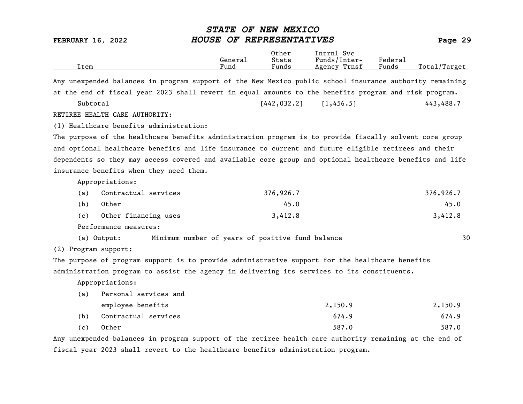FEBRUARY 16, 2022 HOUSE OF REPRESENTATIVES Page 29 Other Intrnl Svc<br>General State Funds/Inter General State Funds/Inter- Federal Total/Target Any unexpended balances in program support of the New Mexico public school insurance authority remaining at the end of fiscal year 2023 shall revert in equal amounts to the benefits program and risk program. Subtotal [442,032.2] [1,456.5] 443,488.7 RETIREE HEALTH CARE AUTHORITY: (1) Healthcare benefits administration: The purpose of the healthcare benefits administration program is to provide fiscally solvent core group and optional healthcare benefits and life insurance to current and future eligible retirees and their dependents so they may access covered and available core group and optional healthcare benefits and life insurance benefits when they need them. Appropriations: (a) Contractual services 376,926.7 376,926.7 (b) Other 45.0 45.0 (c) Other financing uses  $3,412.8$   $3,412.8$   $3,412.8$ Performance measures: (a) Output: Minimum number of years of positive fund balance 30 (2) Program support: The purpose of program support is to provide administrative support for the healthcare benefits administration program to assist the agency in delivering its services to its constituents. Appropriations: (a) Personal services and employee benefits 2,150.9 2,150.9 (b) Contractual services 674.9 674.9 (c) Other 587.0 587.0

STATE OF NEW MEXICO

Any unexpended balances in program support of the retiree health care authority remaining at the end of fiscal year 2023 shall revert to the healthcare benefits administration program.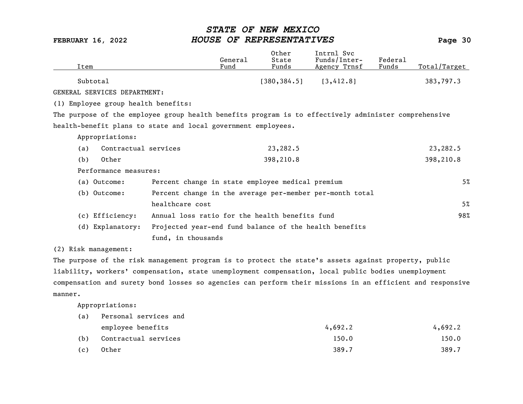| Item |                                     |                                                                                                      | General<br>Fund | Other<br>State<br>Funds | Intrnl Svc<br>Funds/Inter-<br>Agency Trnsf | Federal<br>Funds | Total/Target |
|------|-------------------------------------|------------------------------------------------------------------------------------------------------|-----------------|-------------------------|--------------------------------------------|------------------|--------------|
|      |                                     |                                                                                                      |                 |                         |                                            |                  |              |
|      | Subtotal                            |                                                                                                      |                 | [380, 384.5]            | [3,412.8]                                  |                  | 383,797.3    |
|      | GENERAL SERVICES DEPARTMENT:        |                                                                                                      |                 |                         |                                            |                  |              |
|      | (1) Employee group health benefits: |                                                                                                      |                 |                         |                                            |                  |              |
|      |                                     | The purpose of the employee group health benefits program is to effectively administer comprehensive |                 |                         |                                            |                  |              |
|      |                                     | health-benefit plans to state and local government employees.                                        |                 |                         |                                            |                  |              |
|      | Appropriations:                     |                                                                                                      |                 |                         |                                            |                  |              |
| (a)  | Contractual services                |                                                                                                      |                 | 23,282.5                |                                            |                  | 23,282.5     |
| (b)  | Other                               |                                                                                                      |                 | 398,210.8               |                                            |                  | 398,210.8    |
|      | Performance measures:               |                                                                                                      |                 |                         |                                            |                  |              |
|      | (a) Outcome:                        | Percent change in state employee medical premium                                                     |                 |                         |                                            |                  | $5\%$        |
|      | (b) Outcome:                        | Percent change in the average per-member per-month total                                             |                 |                         |                                            |                  |              |
|      |                                     | healthcare cost                                                                                      |                 |                         |                                            |                  | 5%           |
|      | (c) Efficiency:                     | Annual loss ratio for the health benefits fund                                                       |                 |                         |                                            |                  | 98%          |
|      | (d) Explanatory:                    | Projected year-end fund balance of the health benefits                                               |                 |                         |                                            |                  |              |
|      |                                     | fund, in thousands                                                                                   |                 |                         |                                            |                  |              |
|      | (2) Risk management:                |                                                                                                      |                 |                         |                                            |                  |              |

The purpose of the risk management program is to protect the state's assets against property, public liability, workers' compensation, state unemployment compensation, local public bodies unemployment compensation and surety bond losses so agencies can perform their missions in an efficient and responsive manner.

| (a) | Personal services and |         |         |
|-----|-----------------------|---------|---------|
|     | employee benefits     | 4,692.2 | 4,692.2 |
| (b) | Contractual services  | 150.0   | 150.0   |
| (c) | Other                 | 389.7   | 389.7   |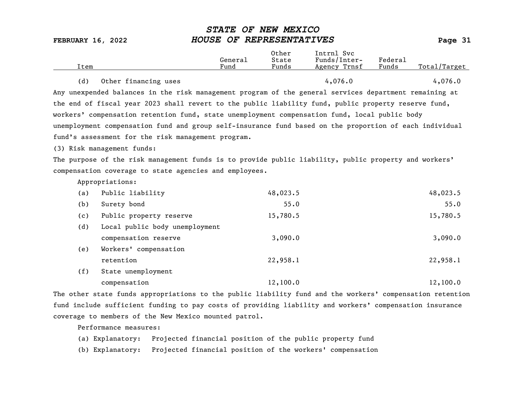| Item |                                                                                                         | General<br>Fund | Other<br>State<br>Funds | Intrnl Svc<br>Funds/Inter-<br>Agency Trnsf | Federal<br>Funds | Total/Target |
|------|---------------------------------------------------------------------------------------------------------|-----------------|-------------------------|--------------------------------------------|------------------|--------------|
| (d)  | Other financing uses                                                                                    |                 |                         | 4,076.0                                    |                  | 4,076.0      |
|      | Any unexpended balances in the risk management program of the general services department remaining at  |                 |                         |                                            |                  |              |
|      | the end of fiscal year 2023 shall revert to the public liability fund, public property reserve fund,    |                 |                         |                                            |                  |              |
|      | workers' compensation retention fund, state unemployment compensation fund, local public body           |                 |                         |                                            |                  |              |
|      | unemployment compensation fund and group self-insurance fund based on the proportion of each individual |                 |                         |                                            |                  |              |
|      | fund's assessment for the risk management program.                                                      |                 |                         |                                            |                  |              |
|      | (3) Risk management funds:                                                                              |                 |                         |                                            |                  |              |
|      | The purpose of the risk management funds is to provide public liability, public property and workers'   |                 |                         |                                            |                  |              |
|      | compensation coverage to state agencies and employees.                                                  |                 |                         |                                            |                  |              |
|      | Appropriations:                                                                                         |                 |                         |                                            |                  |              |
| (a)  | Public liability                                                                                        |                 | 48,023.5                |                                            |                  | 48,023.5     |
| (b)  | Surety bond                                                                                             |                 | 55.0                    |                                            |                  | 55.0         |
| (c)  | Public property reserve                                                                                 |                 | 15,780.5                |                                            |                  | 15,780.5     |
| (d)  | Local public body unemployment                                                                          |                 |                         |                                            |                  |              |
|      | compensation reserve                                                                                    |                 | 3,090.0                 |                                            |                  | 3,090.0      |
| (e)  | Workers' compensation                                                                                   |                 |                         |                                            |                  |              |
|      | retention                                                                                               |                 | 22,958.1                |                                            |                  | 22,958.1     |
| (f)  | State unemployment                                                                                      |                 |                         |                                            |                  |              |
|      | compensation                                                                                            |                 | 12,100.0                |                                            |                  | 12,100.0     |
|      |                                                                                                         |                 |                         |                                            |                  |              |

The other state funds appropriations to the public liability fund and the workers' compensation retention fund include sufficient funding to pay costs of providing liability and workers' compensation insurance coverage to members of the New Mexico mounted patrol.

Performance measures:

(a) Explanatory: Projected financial position of the public property fund

(b) Explanatory: Projected financial position of the workers' compensation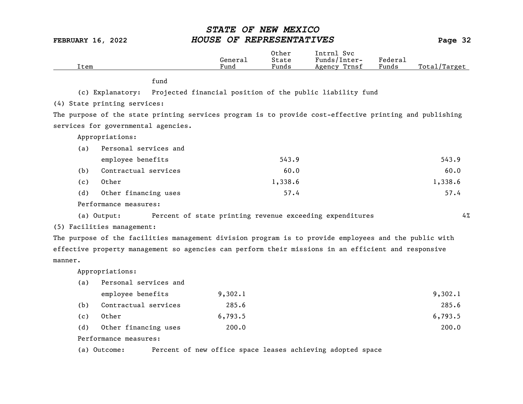| Item                                                                                                    | General<br>Fund | Other<br>State<br>Funds | Intrnl Svc<br>Funds/Inter-<br>Agency Trnsf | Federal<br>Funds | Total/Target |
|---------------------------------------------------------------------------------------------------------|-----------------|-------------------------|--------------------------------------------|------------------|--------------|
| fund                                                                                                    |                 |                         |                                            |                  |              |
| Projected financial position of the public liability fund<br>(c) Explanatory:                           |                 |                         |                                            |                  |              |
| (4) State printing services:                                                                            |                 |                         |                                            |                  |              |
| The purpose of the state printing services program is to provide cost-effective printing and publishing |                 |                         |                                            |                  |              |
|                                                                                                         |                 |                         |                                            |                  |              |
| services for governmental agencies.                                                                     |                 |                         |                                            |                  |              |
| Appropriations:                                                                                         |                 |                         |                                            |                  |              |
| Personal services and<br>(a)                                                                            |                 |                         |                                            |                  |              |
| employee benefits                                                                                       |                 | 543.9                   |                                            |                  | 543.9        |
| Contractual services<br>(b)                                                                             |                 | 60.0                    |                                            |                  | 60.0         |
| Other<br>(c)                                                                                            |                 | 1,338.6                 |                                            |                  | 1,338.6      |
| Other financing uses<br>(d)                                                                             |                 | 57.4                    |                                            |                  | 57.4         |
| Performance measures:                                                                                   |                 |                         |                                            |                  |              |
| Percent of state printing revenue exceeding expenditures<br>(a) Output:                                 |                 |                         |                                            |                  | 4%           |
| (5) Facilities management:                                                                              |                 |                         |                                            |                  |              |
| The purpose of the facilities management division program is to provide employees and the public with   |                 |                         |                                            |                  |              |
| effective property management so agencies can perform their missions in an efficient and responsive     |                 |                         |                                            |                  |              |
| manner.                                                                                                 |                 |                         |                                            |                  |              |
| Appropriations:                                                                                         |                 |                         |                                            |                  |              |
| Personal services and<br>(a)                                                                            |                 |                         |                                            |                  |              |
| employee benefits                                                                                       | 9,302.1         |                         |                                            |                  | 9,302.1      |
| (b)<br>Contractual services                                                                             | 285.6           |                         |                                            |                  | 285.6        |
| Other<br>(c)                                                                                            | 6,793.5         |                         |                                            |                  | 6,793.5      |
| (d)<br>Other financing uses                                                                             | 200.0           |                         |                                            |                  | 200.0        |
| Performance measures:                                                                                   |                 |                         |                                            |                  |              |

(a) Outcome: Percent of new office space leases achieving adopted space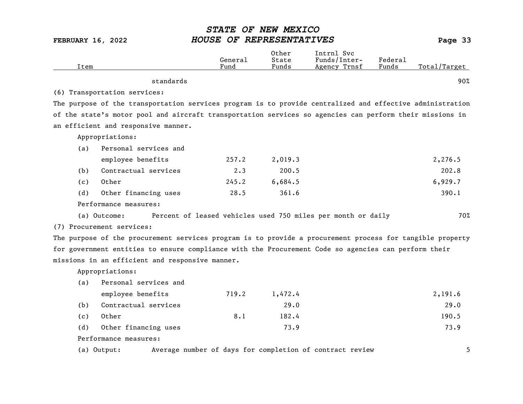| Item |                                                                                                           | General<br>Fund | Other<br>State<br>Funds | Intrnl Svc<br>Funds/Inter-<br>Agency Trnsf | Federal<br>Funds | Total/Target |
|------|-----------------------------------------------------------------------------------------------------------|-----------------|-------------------------|--------------------------------------------|------------------|--------------|
|      | standards                                                                                                 |                 |                         |                                            |                  | 90%          |
|      |                                                                                                           |                 |                         |                                            |                  |              |
|      | (6) Transportation services:                                                                              |                 |                         |                                            |                  |              |
|      | The purpose of the transportation services program is to provide centralized and effective administration |                 |                         |                                            |                  |              |
|      | of the state's motor pool and aircraft transportation services so agencies can perform their missions in  |                 |                         |                                            |                  |              |
|      | an efficient and responsive manner.                                                                       |                 |                         |                                            |                  |              |
|      | Appropriations:                                                                                           |                 |                         |                                            |                  |              |
| (a)  | Personal services and                                                                                     |                 |                         |                                            |                  |              |
|      | employee benefits                                                                                         | 257.2           | 2,019.3                 |                                            |                  | 2,276.5      |
| (b)  | Contractual services                                                                                      | $2 \cdot 3$     | 200.5                   |                                            |                  | 202.8        |
| (c)  | Other                                                                                                     | 245.2           | 6,684.5                 |                                            |                  | 6,929.7      |
| (d)  | Other financing uses                                                                                      | 28.5            | 361.6                   |                                            |                  | 390.1        |
|      | Performance measures:                                                                                     |                 |                         |                                            |                  |              |
|      | Percent of leased vehicles used 750 miles per month or daily<br>(a) Outcome:                              |                 |                         |                                            |                  | 70%          |
|      | (7) Procurement services:                                                                                 |                 |                         |                                            |                  |              |
|      | The purpose of the procurement services program is to provide a procurement process for tangible property |                 |                         |                                            |                  |              |
|      | for government entities to ensure compliance with the Procurement Code so agencies can perform their      |                 |                         |                                            |                  |              |
|      | missions in an efficient and responsive manner.                                                           |                 |                         |                                            |                  |              |
|      | Appropriations:                                                                                           |                 |                         |                                            |                  |              |
| (a)  | Personal services and                                                                                     |                 |                         |                                            |                  |              |
|      | employee benefits                                                                                         | 719.2           | 1,472.4                 |                                            |                  | 2,191.6      |
| (b)  | Contractual services                                                                                      |                 | 29.0                    |                                            |                  | 29.0         |
| (c)  | Other                                                                                                     | 8.1             | 182.4                   |                                            |                  | 190.5        |
| (d)  | Other financing uses                                                                                      |                 | 73.9                    |                                            |                  | 73.9         |
|      | Performance measures:                                                                                     |                 |                         |                                            |                  |              |
|      | Average number of days for completion of contract review<br>(a) Output:                                   |                 |                         |                                            |                  | 5            |
|      |                                                                                                           |                 |                         |                                            |                  |              |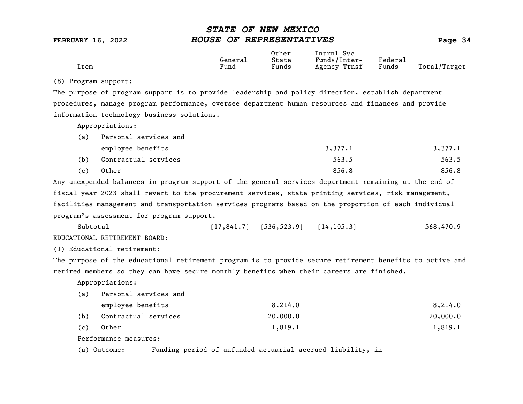|      |         | Other                 | Intrnl<br><b>Svc</b> |                             |                 |
|------|---------|-----------------------|----------------------|-----------------------------|-----------------|
|      | General | State                 | Funds/Inter-         | ${}_{\rm \texttt{Federau}}$ |                 |
| Item | Fund    | $\mathbf{r}$<br>Funds | Trnsf<br>Agency      | Funds                       | Total<br>Target |

### (8) Program support:

The purpose of program support is to provide leadership and policy direction, establish department procedures, manage program performance, oversee department human resources and finances and provide information technology business solutions.

Appropriations:

| (a) | Personal services and |         |         |  |  |  |
|-----|-----------------------|---------|---------|--|--|--|
|     | employee benefits     | 3,377.1 | 3,377.1 |  |  |  |
| (b) | Contractual services  | 563.5   | 563.5   |  |  |  |
| (c) | Other                 | 856.8   | 856.8   |  |  |  |

Any unexpended balances in program support of the general services department remaining at the end of fiscal year 2023 shall revert to the procurement services, state printing services, risk management, facilities management and transportation services programs based on the proportion of each individual program's assessment for program support.

Subtotal [17,841.7] [536,523.9] [14,105.3] 568,470.9 EDUCATIONAL RETIREMENT BOARD:

(1) Educational retirement:

The purpose of the educational retirement program is to provide secure retirement benefits to active and retired members so they can have secure monthly benefits when their careers are finished.

Appropriations:

(a) Personal services and

|     | employee benefits    | 8,214.0  | 8,214.0  |
|-----|----------------------|----------|----------|
| (b) | Contractual services | 20,000,0 | 20,000.0 |
| (c) | Other                | 1,819.1  | 1,819.1  |

Performance measures:

(a) Outcome: Funding period of unfunded actuarial accrued liability, in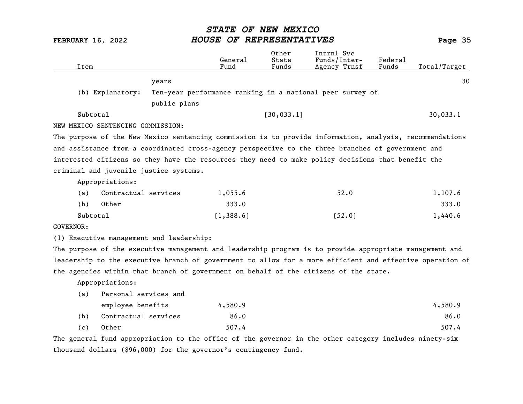| Item             |                                   |                                                                                                           | General<br>Fund | Other<br>State<br>Funds | Intrnl Svc<br>Funds/Inter-<br>Agency Trnsf                | Federal<br>Funds | Total/Target |
|------------------|-----------------------------------|-----------------------------------------------------------------------------------------------------------|-----------------|-------------------------|-----------------------------------------------------------|------------------|--------------|
|                  |                                   | years                                                                                                     |                 |                         |                                                           |                  | 30           |
|                  | (b) Explanatory:                  |                                                                                                           |                 |                         | Ten-year performance ranking in a national peer survey of |                  |              |
|                  |                                   | public plans                                                                                              |                 |                         |                                                           |                  |              |
| Subtotal         |                                   |                                                                                                           |                 | [30, 033.1]             |                                                           |                  | 30,033.1     |
|                  | NEW MEXICO SENTENCING COMMISSION: |                                                                                                           |                 |                         |                                                           |                  |              |
|                  |                                   | The purpose of the New Mexico sentencing commission is to provide information, analysis, recommendations  |                 |                         |                                                           |                  |              |
|                  |                                   | and assistance from a coordinated cross-agency perspective to the three branches of government and        |                 |                         |                                                           |                  |              |
|                  |                                   | interested citizens so they have the resources they need to make policy decisions that benefit the        |                 |                         |                                                           |                  |              |
|                  |                                   | criminal and juvenile justice systems.                                                                    |                 |                         |                                                           |                  |              |
|                  | Appropriations:                   |                                                                                                           |                 |                         |                                                           |                  |              |
| (a)              | Contractual services              |                                                                                                           | 1,055.6         |                         | 52.0                                                      |                  | 1,107.6      |
| (b)              | Other                             |                                                                                                           | 333.0           |                         |                                                           |                  | 333.0        |
| Subtotal         |                                   |                                                                                                           | [1, 388.6]      |                         | [52.0]                                                    |                  | 1,440.6      |
| <b>GOVERNOR:</b> |                                   |                                                                                                           |                 |                         |                                                           |                  |              |
|                  |                                   | (1) Executive management and leadership:                                                                  |                 |                         |                                                           |                  |              |
|                  |                                   | The purpose of the executive management and leadership program is to provide appropriate management and   |                 |                         |                                                           |                  |              |
|                  |                                   | leadership to the executive branch of government to allow for a more efficient and effective operation of |                 |                         |                                                           |                  |              |
|                  |                                   | the agencies within that branch of government on behalf of the citizens of the state.                     |                 |                         |                                                           |                  |              |
|                  | Appropriations:                   |                                                                                                           |                 |                         |                                                           |                  |              |
| (a)              | Personal services and             |                                                                                                           |                 |                         |                                                           |                  |              |
|                  | employee benefits                 |                                                                                                           | 4,580.9         |                         |                                                           |                  | 4,580.9      |
| (b)              | Contractual services              |                                                                                                           | 86.0            |                         |                                                           |                  | 86.0         |
| (c)              | Other                             |                                                                                                           | 507.4           |                         |                                                           |                  | 507.4        |
|                  |                                   | The general fund appropriation to the office of the governor in the other category includes ninety-six    |                 |                         |                                                           |                  |              |
|                  |                                   | thousand dollars (\$96,000) for the governor's contingency fund.                                          |                 |                         |                                                           |                  |              |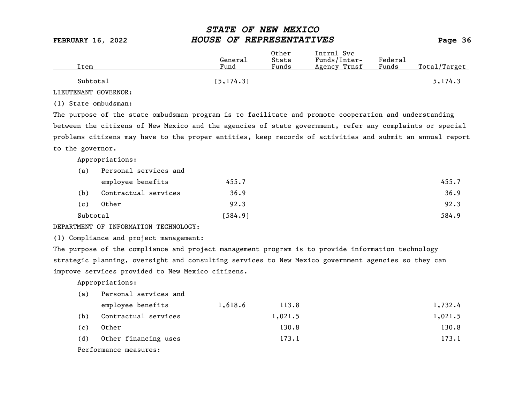| Item     | General<br>Fund | Other<br>State<br>Funds | Intrnl Svc<br>Funds/Inter-<br>Agency Trnsf | Federal<br>Funds | Total/Target |
|----------|-----------------|-------------------------|--------------------------------------------|------------------|--------------|
| Subtotal | [5, 174.3]      |                         |                                            |                  | 5, 174.3     |

LIEUTENANT GOVERNOR:

(1) State ombudsman:

The purpose of the state ombudsman program is to facilitate and promote cooperation and understanding between the citizens of New Mexico and the agencies of state government, refer any complaints or special problems citizens may have to the proper entities, keep records of activities and submit an annual report to the governor.

Appropriations:

| (a)      | Personal services and |         |       |  |
|----------|-----------------------|---------|-------|--|
|          | employee benefits     | 455.7   | 455.7 |  |
| (b)      | Contractual services  | 36.9    | 36.9  |  |
| (c)      | Other                 | 92.3    | 92.3  |  |
| Subtotal |                       | [584.9] | 584.9 |  |

### DEPARTMENT OF INFORMATION TECHNOLOGY:

(1) Compliance and project management:

The purpose of the compliance and project management program is to provide information technology strategic planning, oversight and consulting services to New Mexico government agencies so they can improve services provided to New Mexico citizens.

| (a) | Personal services and |         |         |         |
|-----|-----------------------|---------|---------|---------|
|     | employee benefits     | 1,618.6 | 113.8   | 1,732.4 |
| (b) | Contractual services  |         | 1,021.5 | 1,021.5 |
| (c) | Other                 |         | 130.8   | 130.8   |
| (d) | Other financing uses  |         | 173.1   | 173.1   |
|     | Performance measures: |         |         |         |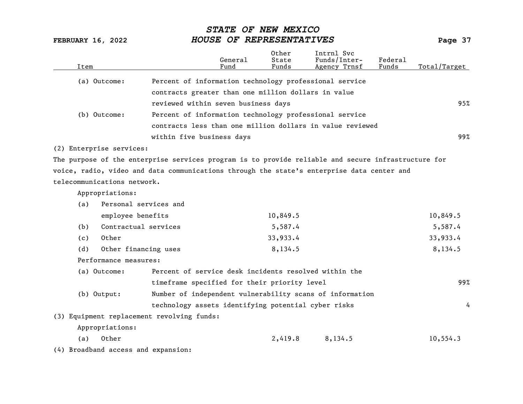| Item |                                     |                                                                                                     | General<br>Fund | Other<br>State<br>Funds | Intrnl Svc<br>Funds/Inter-<br>Agency Trnsf | Federal<br>Funds | Total/Target |
|------|-------------------------------------|-----------------------------------------------------------------------------------------------------|-----------------|-------------------------|--------------------------------------------|------------------|--------------|
|      | (a) Outcome:                        | Percent of information technology professional service                                              |                 |                         |                                            |                  |              |
|      |                                     | contracts greater than one million dollars in value                                                 |                 |                         |                                            |                  |              |
|      |                                     | reviewed within seven business days                                                                 |                 |                         |                                            |                  | 95%          |
|      | (b) Outcome:                        | Percent of information technology professional service                                              |                 |                         |                                            |                  |              |
|      |                                     | contracts less than one million dollars in value reviewed                                           |                 |                         |                                            |                  |              |
|      |                                     | within five business days                                                                           |                 |                         |                                            |                  | 99%          |
|      | (2) Enterprise services:            |                                                                                                     |                 |                         |                                            |                  |              |
|      |                                     | The purpose of the enterprise services program is to provide reliable and secure infrastructure for |                 |                         |                                            |                  |              |
|      |                                     | voice, radio, video and data communications through the state's enterprise data center and          |                 |                         |                                            |                  |              |
|      | telecommunications network.         |                                                                                                     |                 |                         |                                            |                  |              |
|      | Appropriations:                     |                                                                                                     |                 |                         |                                            |                  |              |
| (a)  | Personal services and               |                                                                                                     |                 |                         |                                            |                  |              |
|      | employee benefits                   |                                                                                                     |                 | 10,849.5                |                                            |                  | 10,849.5     |
| (b)  | Contractual services                |                                                                                                     |                 | 5,587.4                 |                                            |                  | 5,587.4      |
| (c)  | Other                               |                                                                                                     |                 | 33,933.4                |                                            |                  | 33,933.4     |
| (d)  | Other financing uses                |                                                                                                     |                 | 8,134.5                 |                                            |                  | 8,134.5      |
|      | Performance measures:               |                                                                                                     |                 |                         |                                            |                  |              |
|      | (a) Outcome:                        | Percent of service desk incidents resolved within the                                               |                 |                         |                                            |                  |              |
|      |                                     | timeframe specified for their priority level                                                        |                 |                         |                                            |                  | 99%          |
|      | (b) Output:                         | Number of independent vulnerability scans of information                                            |                 |                         |                                            |                  |              |
|      |                                     | technology assets identifying potential cyber risks                                                 |                 |                         |                                            |                  | 4            |
|      |                                     | (3) Equipment replacement revolving funds:                                                          |                 |                         |                                            |                  |              |
|      | Appropriations:                     |                                                                                                     |                 |                         |                                            |                  |              |
| (a)  | Other                               |                                                                                                     |                 | 2,419.8                 | 8,134.5                                    |                  | 10, 554.3    |
|      | (4) Broadband access and expansion: |                                                                                                     |                 |                         |                                            |                  |              |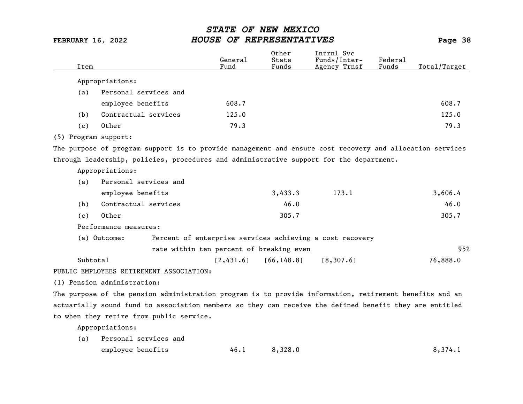| Item                 |                                                                                                          | General<br>Fund                          | Other<br>State<br>Funds | Intrnl Svc<br>Funds/Inter-<br>Agency Trnsf               | Federal<br>Funds | Total/Target |
|----------------------|----------------------------------------------------------------------------------------------------------|------------------------------------------|-------------------------|----------------------------------------------------------|------------------|--------------|
|                      | Appropriations:                                                                                          |                                          |                         |                                                          |                  |              |
| (a)                  | Personal services and                                                                                    |                                          |                         |                                                          |                  |              |
|                      | employee benefits                                                                                        | 608.7                                    |                         |                                                          |                  | 608.7        |
| (b)                  | Contractual services                                                                                     | 125.0                                    |                         |                                                          |                  | 125.0        |
| (c)                  | Other                                                                                                    | 79.3                                     |                         |                                                          |                  | 79.3         |
| (5) Program support: |                                                                                                          |                                          |                         |                                                          |                  |              |
|                      | The purpose of program support is to provide management and ensure cost recovery and allocation services |                                          |                         |                                                          |                  |              |
|                      | through leadership, policies, procedures and administrative support for the department.                  |                                          |                         |                                                          |                  |              |
|                      | Appropriations:                                                                                          |                                          |                         |                                                          |                  |              |
| (a)                  | Personal services and                                                                                    |                                          |                         |                                                          |                  |              |
|                      | employee benefits                                                                                        |                                          | 3,433.3                 | 173.1                                                    |                  | 3,606.4      |
| (b)                  | Contractual services                                                                                     |                                          | 46.0                    |                                                          |                  | 46.0         |
| (c)                  | Other                                                                                                    |                                          | 305.7                   |                                                          |                  | 305.7        |
|                      | Performance measures:                                                                                    |                                          |                         |                                                          |                  |              |
|                      | (a) Outcome:                                                                                             |                                          |                         | Percent of enterprise services achieving a cost recovery |                  |              |
|                      |                                                                                                          | rate within ten percent of breaking even |                         |                                                          |                  | 95%          |
| Subtotal             |                                                                                                          | [2,431.6]                                | [66, 148.8]             | [8, 307.6]                                               |                  | 76,888.0     |
|                      | PUBLIC EMPLOYEES RETIREMENT ASSOCIATION:                                                                 |                                          |                         |                                                          |                  |              |
|                      | (1) Pension administration:                                                                              |                                          |                         |                                                          |                  |              |
|                      | The purpose of the pension administration program is to provide information, retirement benefits and an  |                                          |                         |                                                          |                  |              |
|                      | actuarially sound fund to association members so they can receive the defined benefit they are entitled  |                                          |                         |                                                          |                  |              |
|                      | to when they retire from public service.                                                                 |                                          |                         |                                                          |                  |              |

Appropriations:

(a) Personal services and employee benefits 46.1 8,328.0 8,374.1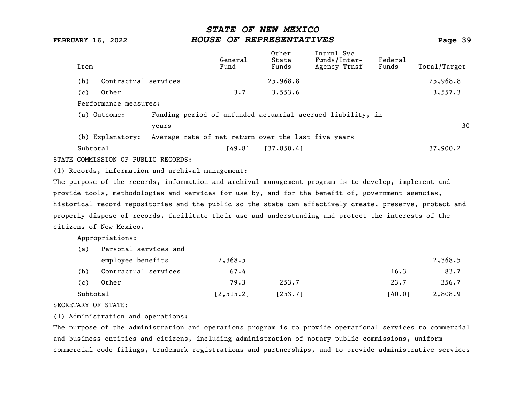| Item                                                                                                      |                                                     | General<br>Fund | Other<br>State<br>Funds | Intrnl Svc<br>Funds/Inter-<br>Agency Trnsf                 | Federal<br>Funds | Total/Target |
|-----------------------------------------------------------------------------------------------------------|-----------------------------------------------------|-----------------|-------------------------|------------------------------------------------------------|------------------|--------------|
| Contractual services<br>(b)                                                                               |                                                     |                 | 25,968.8                |                                                            |                  | 25,968.8     |
| Other<br>(c)                                                                                              |                                                     | 3.7             | 3,553.6                 |                                                            |                  | 3,557.3      |
| Performance measures:                                                                                     |                                                     |                 |                         |                                                            |                  |              |
| (a) Outcome:                                                                                              |                                                     |                 |                         | Funding period of unfunded actuarial accrued liability, in |                  |              |
|                                                                                                           | years                                               |                 |                         |                                                            |                  | 30           |
| (b) Explanatory:                                                                                          | Average rate of net return over the last five years |                 |                         |                                                            |                  |              |
| Subtotal                                                                                                  |                                                     | [49.8]          | [37, 850.4]             |                                                            |                  | 37,900.2     |
| STATE COMMISSION OF PUBLIC RECORDS:                                                                       |                                                     |                 |                         |                                                            |                  |              |
| (1) Records, information and archival management:                                                         |                                                     |                 |                         |                                                            |                  |              |
| The purpose of the records, information and archival management program is to develop, implement and      |                                                     |                 |                         |                                                            |                  |              |
| provide tools, methodologies and services for use by, and for the benefit of, government agencies,        |                                                     |                 |                         |                                                            |                  |              |
| historical record repositories and the public so the state can effectively create, preserve, protect and  |                                                     |                 |                         |                                                            |                  |              |
| properly dispose of records, facilitate their use and understanding and protect the interests of the      |                                                     |                 |                         |                                                            |                  |              |
| citizens of New Mexico.                                                                                   |                                                     |                 |                         |                                                            |                  |              |
| Appropriations:                                                                                           |                                                     |                 |                         |                                                            |                  |              |
| Personal services and<br>(a)                                                                              |                                                     |                 |                         |                                                            |                  |              |
| employee benefits                                                                                         |                                                     | 2,368.5         |                         |                                                            |                  | 2,368.5      |
| Contractual services<br>(b)                                                                               |                                                     | 67.4            |                         |                                                            | 16.3             | 83.7         |
| Other<br>(c)                                                                                              |                                                     | 79.3            | 253.7                   |                                                            | 23.7             | 356.7        |
| Subtotal                                                                                                  |                                                     | [2, 515.2]      | [253.7]                 |                                                            | [40.0]           | 2,808.9      |
| SECRETARY OF STATE:                                                                                       |                                                     |                 |                         |                                                            |                  |              |
| (1) Administration and operations:                                                                        |                                                     |                 |                         |                                                            |                  |              |
| The purpose of the administration and operations program is to provide operational services to commercial |                                                     |                 |                         |                                                            |                  |              |
| and business entities and citizens, including administration of notary public commissions, uniform        |                                                     |                 |                         |                                                            |                  |              |

commercial code filings, trademark registrations and partnerships, and to provide administrative services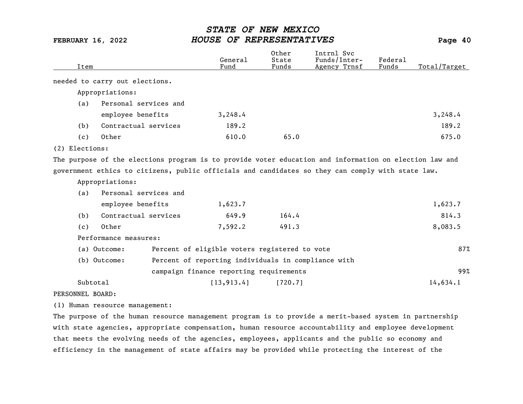| Item             |                                | General<br>Fund                                     | 0ther<br>State<br>Funds | Intrnl Svc<br>Funds/Inter-<br>Agency Trnsf                                                             | Federal<br>Funds | Total/Target |
|------------------|--------------------------------|-----------------------------------------------------|-------------------------|--------------------------------------------------------------------------------------------------------|------------------|--------------|
|                  | needed to carry out elections. |                                                     |                         |                                                                                                        |                  |              |
|                  | Appropriations:                |                                                     |                         |                                                                                                        |                  |              |
| (a)              | Personal services and          |                                                     |                         |                                                                                                        |                  |              |
|                  | employee benefits              | 3,248.4                                             |                         |                                                                                                        |                  | 3,248.4      |
| (b)              | Contractual services           | 189.2                                               |                         |                                                                                                        |                  | 189.2        |
| (c)              | Other                          | 610.0                                               | 65.0                    |                                                                                                        |                  | 675.0        |
| (2) Elections:   |                                |                                                     |                         |                                                                                                        |                  |              |
|                  |                                |                                                     |                         | The purpose of the elections program is to provide voter education and information on election law and |                  |              |
|                  |                                |                                                     |                         | government ethics to citizens, public officials and candidates so they can comply with state law.      |                  |              |
|                  | Appropriations:                |                                                     |                         |                                                                                                        |                  |              |
| (a)              | Personal services and          |                                                     |                         |                                                                                                        |                  |              |
|                  | employee benefits              | 1,623.7                                             |                         |                                                                                                        |                  | 1,623.7      |
| (b)              | Contractual services           | 649.9                                               | 164.4                   |                                                                                                        |                  | 814.3        |
| (c)              | Other                          | 7,592.2                                             | 491.3                   |                                                                                                        |                  | 8,083.5      |
|                  | Performance measures:          |                                                     |                         |                                                                                                        |                  |              |
|                  | (a) Outcome:                   | Percent of eligible voters registered to vote       |                         |                                                                                                        |                  | 87%          |
|                  | (b) Outcome:                   | Percent of reporting individuals in compliance with |                         |                                                                                                        |                  |              |
|                  |                                | campaign finance reporting requirements             |                         |                                                                                                        |                  | 99%          |
|                  | Subtotal                       | [13, 913.4]                                         | [720.7]                 |                                                                                                        |                  | 14,634.1     |
| PERSONNEL BOARD: |                                |                                                     |                         |                                                                                                        |                  |              |

(1) Human resource management:

The purpose of the human resource management program is to provide a merit-based system in partnership with state agencies, appropriate compensation, human resource accountability and employee development that meets the evolving needs of the agencies, employees, applicants and the public so economy and efficiency in the management of state affairs may be provided while protecting the interest of the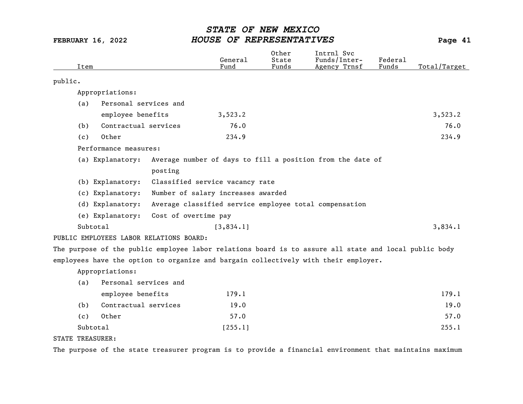|         | Item |                                         |                      | General<br>Fund                    | Other<br>State<br>Funds | Intrnl Svc<br>Funds/Inter-<br>Agency Trnsf                                                            | Federal<br>Funds | Total/Target |
|---------|------|-----------------------------------------|----------------------|------------------------------------|-------------------------|-------------------------------------------------------------------------------------------------------|------------------|--------------|
| public. |      |                                         |                      |                                    |                         |                                                                                                       |                  |              |
|         |      | Appropriations:                         |                      |                                    |                         |                                                                                                       |                  |              |
|         | (a)  | Personal services and                   |                      |                                    |                         |                                                                                                       |                  |              |
|         |      | employee benefits                       |                      | 3,523.2                            |                         |                                                                                                       |                  | 3,523.2      |
|         | (b)  | Contractual services                    |                      | 76.0                               |                         |                                                                                                       |                  | 76.0         |
|         | (c)  | Other                                   |                      | 234.9                              |                         |                                                                                                       |                  | 234.9        |
|         |      | Performance measures:                   |                      |                                    |                         |                                                                                                       |                  |              |
|         |      | (a) Explanatory:                        |                      |                                    |                         | Average number of days to fill a position from the date of                                            |                  |              |
|         |      |                                         | posting              |                                    |                         |                                                                                                       |                  |              |
|         |      | (b) Explanatory:                        |                      | Classified service vacancy rate    |                         |                                                                                                       |                  |              |
|         |      | (c) Explanatory:                        |                      | Number of salary increases awarded |                         |                                                                                                       |                  |              |
|         |      | (d) Explanatory:                        |                      |                                    |                         | Average classified service employee total compensation                                                |                  |              |
|         |      | (e) Explanatory:                        | Cost of overtime pay |                                    |                         |                                                                                                       |                  |              |
|         |      | Subtotal                                |                      | [3, 834.1]                         |                         |                                                                                                       |                  | 3,834.1      |
|         |      | PUBLIC EMPLOYEES LABOR RELATIONS BOARD: |                      |                                    |                         |                                                                                                       |                  |              |
|         |      |                                         |                      |                                    |                         | The purpose of the public employee labor relations board is to assure all state and local public body |                  |              |
|         |      |                                         |                      |                                    |                         | employees have the option to organize and bargain collectively with their employer.                   |                  |              |
|         |      | Appropriations:                         |                      |                                    |                         |                                                                                                       |                  |              |
|         | (a)  | Personal services and                   |                      |                                    |                         |                                                                                                       |                  |              |
|         |      | employee benefits                       |                      | 179.1                              |                         |                                                                                                       |                  | 179.1        |
|         | (b)  | Contractual services                    |                      | 19.0                               |                         |                                                                                                       |                  | 19.0         |
|         | (c)  | Other                                   |                      | 57.0                               |                         |                                                                                                       |                  | 57.0         |
|         |      | Subtotal                                |                      | [255.1]                            |                         |                                                                                                       |                  | 255.1        |
|         |      | $m n n + n + n - n$                     |                      |                                    |                         |                                                                                                       |                  |              |

STATE TREASURER:

The purpose of the state treasurer program is to provide a financial environment that maintains maximum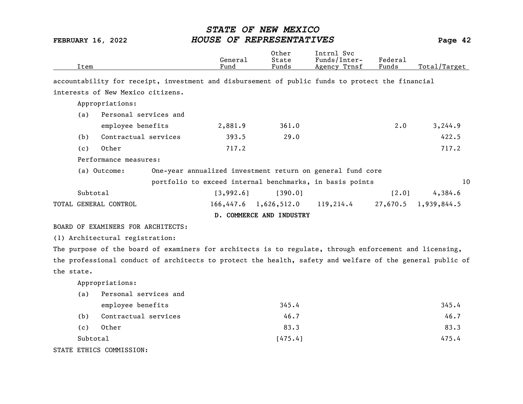| Item     |                                    | General<br>Fund | Other<br>State<br>Funds                                                                                 | Intrnl Svc<br>Funds/Inter-<br>Agency Trnsf | Federal<br>Funds | Total/Target           |
|----------|------------------------------------|-----------------|---------------------------------------------------------------------------------------------------------|--------------------------------------------|------------------|------------------------|
|          |                                    |                 | accountability for receipt, investment and disbursement of public funds to protect the financial        |                                            |                  |                        |
|          | interests of New Mexico citizens.  |                 |                                                                                                         |                                            |                  |                        |
|          | Appropriations:                    |                 |                                                                                                         |                                            |                  |                        |
| (a)      | Personal services and              |                 |                                                                                                         |                                            |                  |                        |
|          | employee benefits                  | 2,881.9         | 361.0                                                                                                   |                                            | $2 \cdot 0$      | 3,244.9                |
| (b)      | Contractual services               | 393.5           | 29.0                                                                                                    |                                            |                  | 422.5                  |
| (c)      | Other                              | 717.2           |                                                                                                         |                                            |                  | 717.2                  |
|          | Performance measures:              |                 |                                                                                                         |                                            |                  |                        |
|          | (a) Outcome:                       |                 | One-year annualized investment return on general fund core                                              |                                            |                  |                        |
|          |                                    |                 | portfolio to exceed internal benchmarks, in basis points                                                |                                            |                  | 10                     |
| Subtotal |                                    | [3,992.6]       | [390.0]                                                                                                 |                                            | [2.0]            | 4,384.6                |
|          | TOTAL GENERAL CONTROL              |                 | $166,447.6$ 1,626,512.0                                                                                 | 119,214.4                                  |                  | $27,670.5$ 1,939,844.5 |
|          |                                    |                 | D. COMMERCE AND INDUSTRY                                                                                |                                            |                  |                        |
|          | BOARD OF EXAMINERS FOR ARCHITECTS: |                 |                                                                                                         |                                            |                  |                        |
|          | (1) Architectural registration:    |                 |                                                                                                         |                                            |                  |                        |
|          |                                    |                 | The purpose of the board of examiners for architects is to regulate, through enforcement and licensing, |                                            |                  |                        |
|          |                                    |                 | the professional conduct of architects to protect the boalth secondary indicate the coneral public of   |                                            |                  |                        |

the professional conduct of architects to protect the health, safety and welfare of the general public of the state.

Appropriations:

| (a) | Personal services and         |         |       |
|-----|-------------------------------|---------|-------|
|     | employee benefits             | 345.4   | 345.4 |
| (b) | Contractual services          | 46.7    | 46.7  |
| (c) | Other                         | 83.3    | 83.3  |
|     | Subtotal                      | [475.4] | 475.4 |
|     | <b>PR PRIITOC COMATCCTON.</b> |         |       |

STATE ETHICS COMMISSION: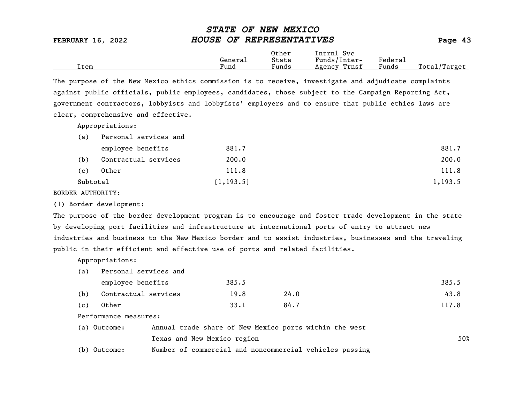| <b>FEBRUARY 16, 2022</b> | HOUSE OF REPRESENTATIVES |                |                            |         |  |
|--------------------------|--------------------------|----------------|----------------------------|---------|--|
|                          | General                  | Other<br>State | Intrnl Svc<br>Funds/Inter- | Federal |  |

Item Fund Funds Agency Trnsf Funds Total/Target

STATE OF NEW MEXICO

The purpose of the New Mexico ethics commission is to receive, investigate and adjudicate complaints against public officials, public employees, candidates, those subject to the Campaign Reporting Act, government contractors, lobbyists and lobbyists' employers and to ensure that public ethics laws are clear, comprehensive and effective.

Appropriations:

| (a)      | Personal services and |            |         |
|----------|-----------------------|------------|---------|
|          | employee benefits     | 881.7      | 881.7   |
| (b)      | Contractual services  | 200.0      | 200.0   |
| (c)      | Other                 | 111.8      | 111.8   |
| Subtotal |                       | [1, 193.5] | 1,193.5 |

BORDER AUTHORITY:

(1) Border development:

The purpose of the border development program is to encourage and foster trade development in the state by developing port facilities and infrastructure at international ports of entry to attract new industries and business to the New Mexico border and to assist industries, businesses and the traveling public in their efficient and effective use of ports and related facilities.

Appropriations:

(a) Personal services and

|     | employee benefits    | 385.5 |      | 385.5 |
|-----|----------------------|-------|------|-------|
| (b) | Contractual services | 19.8  | 24.0 | 43.8  |
| (c) | Other                | 33.1  | 84.7 | 117.8 |

Performance measures:

| (a) Outcome: | Annual trade share of New Mexico ports within the west  |     |
|--------------|---------------------------------------------------------|-----|
|              | Texas and New Mexico region                             | 50% |
| (b) Outcome: | Number of commercial and noncommercial vehicles passing |     |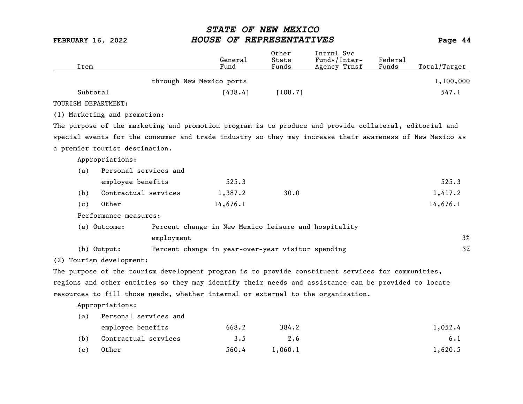| Item                |                                |            | General<br>Fund                                                                                          | 0ther<br>State<br>Funds | Intrnl Svc<br>Funds/Inter-<br>Agency Trnsf | Federal<br>Funds | Total/Target |
|---------------------|--------------------------------|------------|----------------------------------------------------------------------------------------------------------|-------------------------|--------------------------------------------|------------------|--------------|
|                     |                                |            | through New Mexico ports                                                                                 |                         |                                            |                  | 1,100,000    |
|                     | Subtotal                       |            | [438.4]                                                                                                  | [108.7]                 |                                            |                  | 547.1        |
| TOURISM DEPARTMENT: |                                |            |                                                                                                          |                         |                                            |                  |              |
|                     | (1) Marketing and promotion:   |            |                                                                                                          |                         |                                            |                  |              |
|                     |                                |            | The purpose of the marketing and promotion program is to produce and provide collateral, editorial and   |                         |                                            |                  |              |
|                     |                                |            | special events for the consumer and trade industry so they may increase their awareness of New Mexico as |                         |                                            |                  |              |
|                     | a premier tourist destination. |            |                                                                                                          |                         |                                            |                  |              |
|                     | Appropriations:                |            |                                                                                                          |                         |                                            |                  |              |
| (a)                 | Personal services and          |            |                                                                                                          |                         |                                            |                  |              |
|                     | employee benefits              |            | 525.3                                                                                                    |                         |                                            |                  | 525.3        |
| (b)                 | Contractual services           |            | 1,387.2                                                                                                  | 30.0                    |                                            |                  | 1,417.2      |
| (c)                 | Other                          |            | 14,676.1                                                                                                 |                         |                                            |                  | 14,676.1     |
|                     | Performance measures:          |            |                                                                                                          |                         |                                            |                  |              |
|                     | (a) Outcome:                   |            | Percent change in New Mexico leisure and hospitality                                                     |                         |                                            |                  |              |
|                     |                                | employment |                                                                                                          |                         |                                            |                  | 3%           |
|                     | (b) Output:                    |            | Percent change in year-over-year visitor spending                                                        |                         |                                            |                  | $3\%$        |
|                     | (2) Tourism development:       |            |                                                                                                          |                         |                                            |                  |              |
|                     |                                |            | The purpose of the tourism development program is to provide constituent services for communities,       |                         |                                            |                  |              |
|                     |                                |            | regions and other entities so they may identify their needs and assistance can be provided to locate     |                         |                                            |                  |              |
|                     |                                |            | resources to fill those needs, whether internal or external to the organization.                         |                         |                                            |                  |              |
|                     | Appropriations:                |            |                                                                                                          |                         |                                            |                  |              |
| (a)                 | Personal services and          |            |                                                                                                          |                         |                                            |                  |              |
|                     | employee benefits              |            | 668.2                                                                                                    | 384.2                   |                                            |                  | 1,052.4      |
| (b)                 | Contractual services           |            | 3.5                                                                                                      | 2.6                     |                                            |                  | 6.1          |
| (c)                 | Other                          |            | 560.4                                                                                                    | 1,060.1                 |                                            |                  | 1,620.5      |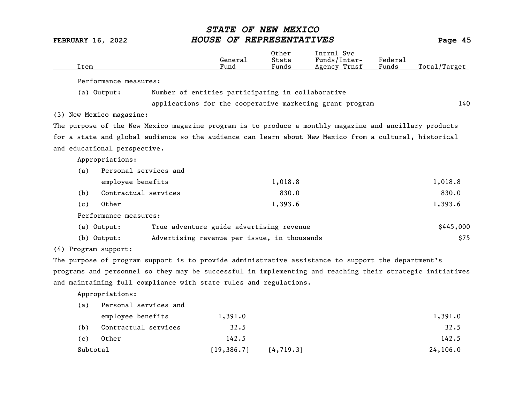| Item     |                              |                                                                   | General<br>Fund | Other<br>State<br>Funds | Intrnl Svc<br>Funds/Inter-<br>Agency Trnsf                                                                | Federal<br>Funds | Total/Target |
|----------|------------------------------|-------------------------------------------------------------------|-----------------|-------------------------|-----------------------------------------------------------------------------------------------------------|------------------|--------------|
|          | Performance measures:        |                                                                   |                 |                         |                                                                                                           |                  |              |
|          | (a) Output:                  | Number of entities participating in collaborative                 |                 |                         |                                                                                                           |                  |              |
|          |                              |                                                                   |                 |                         | applications for the cooperative marketing grant program                                                  |                  | 140          |
|          | (3) New Mexico magazine:     |                                                                   |                 |                         |                                                                                                           |                  |              |
|          |                              |                                                                   |                 |                         | The purpose of the New Mexico magazine program is to produce a monthly magazine and ancillary products    |                  |              |
|          |                              |                                                                   |                 |                         | for a state and global audience so the audience can learn about New Mexico from a cultural, historical    |                  |              |
|          | and educational perspective. |                                                                   |                 |                         |                                                                                                           |                  |              |
|          | Appropriations:              |                                                                   |                 |                         |                                                                                                           |                  |              |
| (a)      | Personal services and        |                                                                   |                 |                         |                                                                                                           |                  |              |
|          | employee benefits            |                                                                   |                 | 1,018.8                 |                                                                                                           |                  | 1,018.8      |
| (b)      | Contractual services         |                                                                   |                 | 830.0                   |                                                                                                           |                  | 830.0        |
| (c)      | Other                        |                                                                   |                 | 1,393.6                 |                                                                                                           |                  | 1,393.6      |
|          | Performance measures:        |                                                                   |                 |                         |                                                                                                           |                  |              |
|          | (a) Output:                  | True adventure guide advertising revenue                          |                 |                         |                                                                                                           |                  | \$445,000    |
|          | $(b)$ Output:                | Advertising revenue per issue, in thousands                       |                 |                         |                                                                                                           |                  | \$75         |
|          | (4) Program support:         |                                                                   |                 |                         |                                                                                                           |                  |              |
|          |                              |                                                                   |                 |                         | The purpose of program support is to provide administrative assistance to support the department's        |                  |              |
|          |                              |                                                                   |                 |                         | programs and personnel so they may be successful in implementing and reaching their strategic initiatives |                  |              |
|          |                              | and maintaining full compliance with state rules and regulations. |                 |                         |                                                                                                           |                  |              |
|          | Appropriations:              |                                                                   |                 |                         |                                                                                                           |                  |              |
| (a)      | Personal services and        |                                                                   |                 |                         |                                                                                                           |                  |              |
|          | employee benefits            |                                                                   | 1,391.0         |                         |                                                                                                           |                  | 1,391.0      |
| (b)      | Contractual services         |                                                                   | 32.5            |                         |                                                                                                           |                  | 32.5         |
| (c)      | Other                        |                                                                   | 142.5           |                         |                                                                                                           |                  | 142.5        |
| Subtotal |                              |                                                                   | [19, 386.7]     | [4, 719.3]              |                                                                                                           |                  | 24,106.0     |
|          |                              |                                                                   |                 |                         |                                                                                                           |                  |              |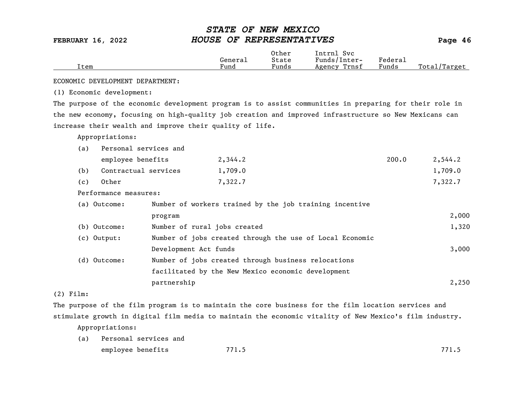|      |         | Other | Svc<br>Intrnl   |         |                  |
|------|---------|-------|-----------------|---------|------------------|
|      | General | State | Funds/Inter-    | Federau |                  |
| Item | Fund    | Funds | Trnsf<br>Agency | Funds   | Total<br>Target/ |

ECONOMIC DEVELOPMENT DEPARTMENT:

(1) Economic development:

The purpose of the economic development program is to assist communities in preparing for their role in the new economy, focusing on high-quality job creation and improved infrastructure so New Mexicans can increase their wealth and improve their quality of life.

Appropriations:

| (a) | Personal services and |                              |                                                          |       |         |
|-----|-----------------------|------------------------------|----------------------------------------------------------|-------|---------|
|     | employee benefits     |                              | 2,344.2                                                  | 200.0 | 2,544.2 |
| (b) | Contractual services  |                              | 1,709.0                                                  |       | 1,709.0 |
| (c) | Other                 |                              | 7,322.7                                                  |       | 7,322.7 |
|     | Performance measures: |                              |                                                          |       |         |
|     | (a) Outcome:          |                              | Number of workers trained by the job training incentive  |       |         |
|     |                       | program                      |                                                          |       | 2,000   |
|     | (b) Outcome:          | Number of rural jobs created |                                                          |       | 1,320   |
|     | $(c)$ Output:         |                              | Number of jobs created through the use of Local Economic |       |         |
|     |                       | Development Act funds        |                                                          |       | 3,000   |
|     | (d) Outcome:          |                              | Number of jobs created through business relocations      |       |         |
|     |                       |                              | facilitated by the New Mexico economic development       |       |         |
|     |                       | partnership                  |                                                          |       | 2,250   |

(2) Film:

The purpose of the film program is to maintain the core business for the film location services and stimulate growth in digital film media to maintain the economic vitality of New Mexico's film industry.

Appropriations:

(a) Personal services and employee benefits 771.5 771.5 771.5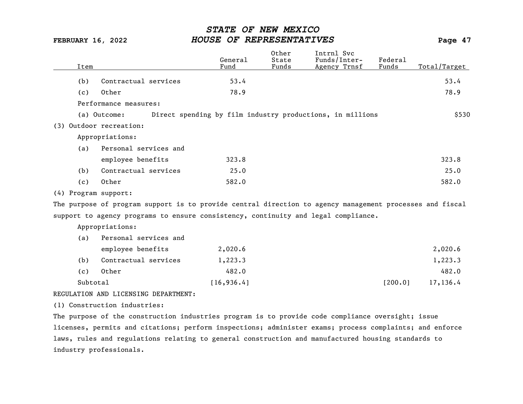| Item                    |                                                                                                          | General<br>Fund | Other<br>State<br>Funds | Intrnl Svc<br>Funds/Inter-<br>Agency Trnsf                | Federa1<br>Funds | Total/Target |
|-------------------------|----------------------------------------------------------------------------------------------------------|-----------------|-------------------------|-----------------------------------------------------------|------------------|--------------|
| (b)                     | Contractual services                                                                                     | 53.4            |                         |                                                           |                  | 53.4         |
| (c)                     | Other                                                                                                    | 78.9            |                         |                                                           |                  | 78.9         |
|                         | Performance measures:                                                                                    |                 |                         |                                                           |                  |              |
|                         | (a) Outcome:                                                                                             |                 |                         | Direct spending by film industry productions, in millions |                  | \$530        |
| (3) Outdoor recreation: |                                                                                                          |                 |                         |                                                           |                  |              |
|                         | Appropriations:                                                                                          |                 |                         |                                                           |                  |              |
| (a)                     | Personal services and                                                                                    |                 |                         |                                                           |                  |              |
|                         | employee benefits                                                                                        | 323.8           |                         |                                                           |                  | 323.8        |
| (b)                     | Contractual services                                                                                     | 25.0            |                         |                                                           |                  | 25.0         |
| (c)                     | Other                                                                                                    | 582.0           |                         |                                                           |                  | 582.0        |
| (4) Program support:    |                                                                                                          |                 |                         |                                                           |                  |              |
|                         | The purpose of program support is to provide central direction to agency management processes and fiscal |                 |                         |                                                           |                  |              |
|                         | support to agency programs to ensure consistency, continuity and legal compliance.                       |                 |                         |                                                           |                  |              |
|                         | Appropriations:                                                                                          |                 |                         |                                                           |                  |              |
| (a)                     | Personal services and                                                                                    |                 |                         |                                                           |                  |              |
|                         | employee benefits                                                                                        | 2,020.6         |                         |                                                           |                  | 2,020.6      |
| (b)                     | Contractual services                                                                                     | 1,223.3         |                         |                                                           |                  | 1,223.3      |
| (c)                     | Other                                                                                                    | 482.0           |                         |                                                           |                  | 482.0        |
| Subtotal                |                                                                                                          | [16, 936.4]     |                         |                                                           | [200.0]          | 17,136.4     |
|                         | REGULATION AND LICENSING DEPARTMENT:                                                                     |                 |                         |                                                           |                  |              |
|                         | (1) Construction industries:                                                                             |                 |                         |                                                           |                  |              |

The purpose of the construction industries program is to provide code compliance oversight; issue licenses, permits and citations; perform inspections; administer exams; process complaints; and enforce laws, rules and regulations relating to general construction and manufactured housing standards to industry professionals.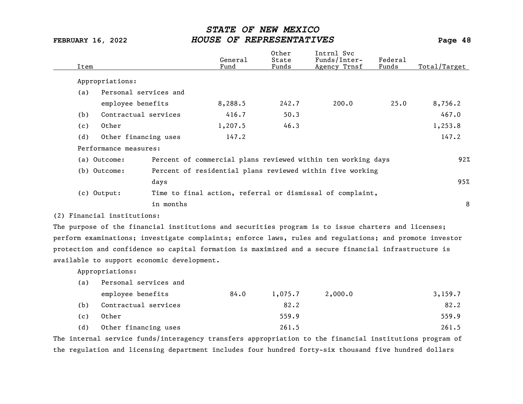| Item |                             |                                            | General<br>Fund | Other<br>State<br>Funds | Intrnl Svc<br>Funds/Inter-<br>Agency Trnsf                                                              | Federal<br>Funds | Total/Target |
|------|-----------------------------|--------------------------------------------|-----------------|-------------------------|---------------------------------------------------------------------------------------------------------|------------------|--------------|
|      | Appropriations:             |                                            |                 |                         |                                                                                                         |                  |              |
| (a)  |                             | Personal services and                      |                 |                         |                                                                                                         |                  |              |
|      | employee benefits           |                                            | 8,288.5         | 242.7                   | 200.0                                                                                                   | 25.0             | 8,756.2      |
| (b)  |                             | Contractual services                       | 416.7           | 50.3                    |                                                                                                         |                  | 467.0        |
| (c)  | Other                       |                                            | 1,207.5         | 46.3                    |                                                                                                         |                  | 1,253.8      |
| (d)  |                             | Other financing uses                       | 147.2           |                         |                                                                                                         |                  | 147.2        |
|      | Performance measures:       |                                            |                 |                         |                                                                                                         |                  |              |
|      | (a) Outcome:                |                                            |                 |                         | Percent of commercial plans reviewed within ten working days                                            |                  | 92%          |
|      | (b) Outcome:                |                                            |                 |                         | Percent of residential plans reviewed within five working                                               |                  |              |
|      |                             | days                                       |                 |                         |                                                                                                         |                  | 95%          |
|      | $(c)$ Output:               |                                            |                 |                         | Time to final action, referral or dismissal of complaint,                                               |                  |              |
|      |                             | in months                                  |                 |                         |                                                                                                         |                  | 8            |
|      | (2) Financial institutions: |                                            |                 |                         |                                                                                                         |                  |              |
|      |                             |                                            |                 |                         | The purpose of the financial institutions and securities program is to issue charters and licenses;     |                  |              |
|      |                             |                                            |                 |                         | perform examinations; investigate complaints; enforce laws, rules and regulations; and promote investor |                  |              |
|      |                             |                                            |                 |                         | protection and confidence so capital formation is maximized and a secure financial infrastructure is    |                  |              |
|      |                             | available to support economic development. |                 |                         |                                                                                                         |                  |              |
|      | Appropriations:             |                                            |                 |                         |                                                                                                         |                  |              |
| (a)  |                             | Personal services and                      |                 |                         |                                                                                                         |                  |              |
|      | employee benefits           |                                            | 84.0            | 1,075.7                 | 2,000.0                                                                                                 |                  | 3,159.7      |
| (b)  |                             | Contractual services                       |                 | 82.2                    |                                                                                                         |                  | 82.2         |
| (c)  | Other                       |                                            |                 | 559.9                   |                                                                                                         |                  | 559.9        |
| (d)  |                             | Other financing uses                       |                 | 261.5                   |                                                                                                         |                  | 261.5        |

The internal service funds/interagency transfers appropriation to the financial institutions program of the regulation and licensing department includes four hundred forty-six thousand five hundred dollars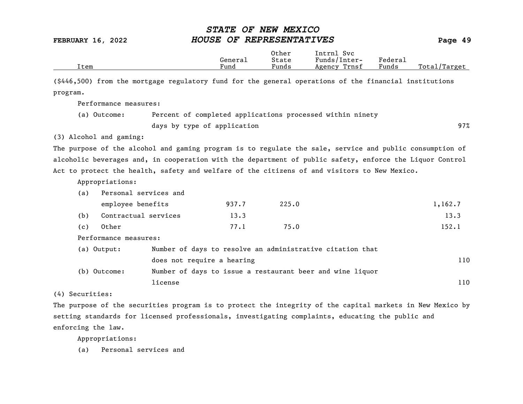|      |         | Other                 | Intrnl<br><b>Svc</b> |                             |                 |
|------|---------|-----------------------|----------------------|-----------------------------|-----------------|
|      | General | State                 | Funds/Inter-         | ${}_{\rm \texttt{Federau}}$ |                 |
| Item | Fund    | $\mathbf{r}$<br>Funds | Trnsf<br>Agency      | Funds                       | Total<br>Target |

(\$446,500) from the mortgage regulatory fund for the general operations of the financial institutions program.

Performance measures:

| (a) Outcome: | Percent of completed applications processed within ninety |     |
|--------------|-----------------------------------------------------------|-----|
|              | days by type of application                               | 97% |

(3) Alcohol and gaming:

The purpose of the alcohol and gaming program is to regulate the sale, service and public consumption of alcoholic beverages and, in cooperation with the department of public safety, enforce the Liquor Control Act to protect the health, safety and welfare of the citizens of and visitors to New Mexico.

Appropriations:

| (a) | Personal services and         |                            |                                                           |         |
|-----|-------------------------------|----------------------------|-----------------------------------------------------------|---------|
|     | employee benefits             | 937.7                      | 225.0                                                     | 1,162.7 |
| (b) | Contractual services          | 13.3                       |                                                           | 13.3    |
| (c) | Other                         | 77.1                       | 75.0                                                      | 152.1   |
|     | Performance measures:         |                            |                                                           |         |
|     | (a) Output:                   |                            | Number of days to resolve an administrative citation that |         |
|     |                               | does not require a hearing |                                                           | 110     |
|     | $(h)$ $011$ $r0$ $m0$ $\cdot$ |                            | Number of days to issue a restaurant beer and wine liquor |         |

(b) Outcome: Number of days to issue a restaurant beer and wine liquor license and the set of the set of the set of the set of the set of the set of the set of the set of the set of the set of the set of the set of the set of the set of the set of the set of the set of the set of the set of t

(4) Securities:

The purpose of the securities program is to protect the integrity of the capital markets in New Mexico by setting standards for licensed professionals, investigating complaints, educating the public and enforcing the law.

Appropriations:

(a) Personal services and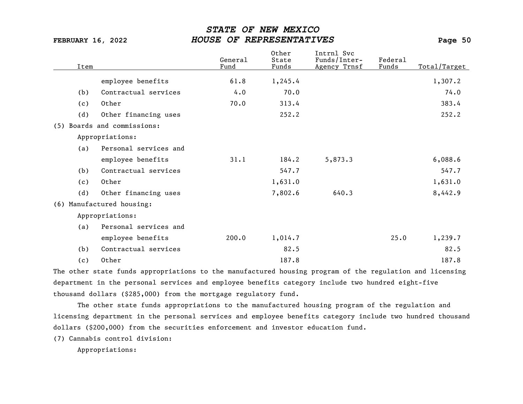| Item |                             | General<br>Fund | Other<br>State<br>Funds | Intrnl Svc<br>Funds/Inter-<br>Agency Trnsf | Federal<br>Funds | Total/Target |
|------|-----------------------------|-----------------|-------------------------|--------------------------------------------|------------------|--------------|
|      |                             |                 |                         |                                            |                  |              |
|      | employee benefits           | 61.8            | 1,245.4                 |                                            |                  | 1,307.2      |
| (b)  | Contractual services        | 4.0             | 70.0                    |                                            |                  | 74.0         |
| (c)  | Other                       | 70.0            | 313.4                   |                                            |                  | 383.4        |
| (d)  | Other financing uses        |                 | 252.2                   |                                            |                  | 252.2        |
|      | (5) Boards and commissions: |                 |                         |                                            |                  |              |
|      | Appropriations:             |                 |                         |                                            |                  |              |
| (a)  | Personal services and       |                 |                         |                                            |                  |              |
|      | employee benefits           | 31.1            | 184.2                   | 5,873.3                                    |                  | 6,088.6      |
| (b)  | Contractual services        |                 | 547.7                   |                                            |                  | 547.7        |
| (c)  | Other                       |                 | 1,631.0                 |                                            |                  | 1,631.0      |
| (d)  | Other financing uses        |                 | 7,802.6                 | 640.3                                      |                  | 8,442.9      |
| (6)  | Manufactured housing:       |                 |                         |                                            |                  |              |
|      | Appropriations:             |                 |                         |                                            |                  |              |
| (a)  | Personal services and       |                 |                         |                                            |                  |              |
|      | employee benefits           | 200.0           | 1,014.7                 |                                            | 25.0             | 1,239.7      |
| (b)  | Contractual services        |                 | 82.5                    |                                            |                  | 82.5         |
| (c)  | Other                       |                 | 187.8                   |                                            |                  | 187.8        |

The other state funds appropriations to the manufactured housing program of the regulation and licensing department in the personal services and employee benefits category include two hundred eight-five thousand dollars (\$285,000) from the mortgage regulatory fund.

The other state funds appropriations to the manufactured housing program of the regulation and licensing department in the personal services and employee benefits category include two hundred thousand dollars (\$200,000) from the securities enforcement and investor education fund.

(7) Cannabis control division:

Appropriations: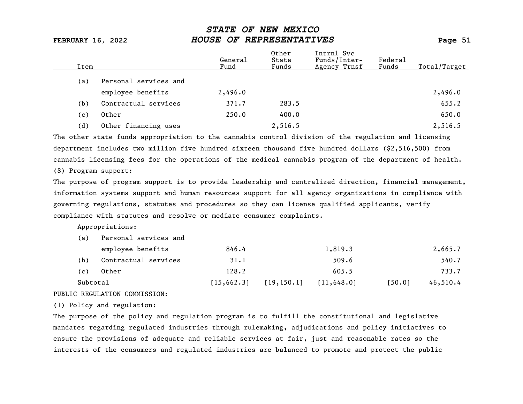|     | Item                  | General<br>Fund | Other<br>State<br>Funds | Intrnl Svc<br>Funds/Inter-<br>Agency Trnsf | Federal<br>Funds | Total/Target |
|-----|-----------------------|-----------------|-------------------------|--------------------------------------------|------------------|--------------|
| (a) | Personal services and |                 |                         |                                            |                  |              |
|     | employee benefits     | 2,496.0         |                         |                                            |                  | 2,496.0      |
| (b) | Contractual services  | 371.7           | 283.5                   |                                            |                  | 655.2        |
| (c) | Other                 | 250.0           | 400.0                   |                                            |                  | 650.0        |
| (d) | Other financing uses  |                 | 2,516.5                 |                                            |                  | 2,516.5      |

The other state funds appropriation to the cannabis control division of the regulation and licensing department includes two million five hundred sixteen thousand five hundred dollars (\$2,516,500) from cannabis licensing fees for the operations of the medical cannabis program of the department of health.

(8) Program support:

The purpose of program support is to provide leadership and centralized direction, financial management, information systems support and human resources support for all agency organizations in compliance with governing regulations, statutes and procedures so they can license qualified applicants, verify compliance with statutes and resolve or mediate consumer complaints.

Appropriations:

| (a)      | Personal services and |             |                             |         |        |          |
|----------|-----------------------|-------------|-----------------------------|---------|--------|----------|
|          | employee benefits     | 846.4       |                             | 1,819.3 |        | 2,665.7  |
| (b)      | Contractual services  | 31.1        |                             | 509.6   |        | 540.7    |
| (c)      | Other                 | 128.2       |                             | 605.5   |        | 733.7    |
| Subtotal |                       | [15, 662.3] | $[19, 150.1]$ $[11, 648.0]$ |         | [50.0] | 46,510.4 |

### PUBLIC REGULATION COMMISSION:

(1) Policy and regulation:

The purpose of the policy and regulation program is to fulfill the constitutional and legislative mandates regarding regulated industries through rulemaking, adjudications and policy initiatives to ensure the provisions of adequate and reliable services at fair, just and reasonable rates so the interests of the consumers and regulated industries are balanced to promote and protect the public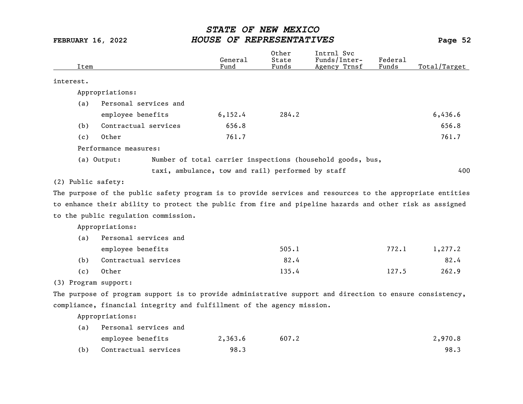| Item                 |                                                                                                           | General<br>Fund                                   | Other<br>State<br>Funds | Intrnl Svc<br>Funds/Inter-<br>Agency Trnsf                 | <b>Federal</b><br>Funds | Total/Target |
|----------------------|-----------------------------------------------------------------------------------------------------------|---------------------------------------------------|-------------------------|------------------------------------------------------------|-------------------------|--------------|
| interest.            |                                                                                                           |                                                   |                         |                                                            |                         |              |
|                      | Appropriations:                                                                                           |                                                   |                         |                                                            |                         |              |
| (a)                  | Personal services and                                                                                     |                                                   |                         |                                                            |                         |              |
|                      | employee benefits                                                                                         | 6, 152.4                                          | 284.2                   |                                                            |                         | 6,436.6      |
| (b)                  | Contractual services                                                                                      | 656.8                                             |                         |                                                            |                         | 656.8        |
| (c)                  | Other                                                                                                     | 761.7                                             |                         |                                                            |                         | 761.7        |
|                      | Performance measures:                                                                                     |                                                   |                         |                                                            |                         |              |
|                      | (a) Output:                                                                                               |                                                   |                         | Number of total carrier inspections (household goods, bus, |                         |              |
|                      |                                                                                                           | taxi, ambulance, tow and rail) performed by staff |                         |                                                            |                         | 400          |
| (2) Public safety:   |                                                                                                           |                                                   |                         |                                                            |                         |              |
|                      | The purpose of the public safety program is to provide services and resources to the appropriate entities |                                                   |                         |                                                            |                         |              |
|                      | to enhance their ability to protect the public from fire and pipeline hazards and other risk as assigned  |                                                   |                         |                                                            |                         |              |
|                      | to the public regulation commission.                                                                      |                                                   |                         |                                                            |                         |              |
|                      | Appropriations:                                                                                           |                                                   |                         |                                                            |                         |              |
| (a)                  | Personal services and                                                                                     |                                                   |                         |                                                            |                         |              |
|                      | employee benefits                                                                                         |                                                   | 505.1                   |                                                            | 772.1                   | 1,277.2      |
| (b)                  | Contractual services                                                                                      |                                                   | 82.4                    |                                                            |                         | 82.4         |
| (c)                  | Other                                                                                                     |                                                   | 135.4                   |                                                            | 127.5                   | 262.9        |
| (3) Program support: |                                                                                                           |                                                   |                         |                                                            |                         |              |
|                      | The purpose of program support is to provide administrative support and direction to ensure consistency,  |                                                   |                         |                                                            |                         |              |
|                      | compliance, financial integrity and fulfillment of the agency mission.                                    |                                                   |                         |                                                            |                         |              |
|                      | Appropriations:                                                                                           |                                                   |                         |                                                            |                         |              |
| (a)                  | Personal services and                                                                                     |                                                   |                         |                                                            |                         |              |
|                      | employee benefits                                                                                         | 2,363.6                                           | 607.2                   |                                                            |                         | 2,970.8      |
| (b)                  | Contractual services                                                                                      | 98.3                                              |                         |                                                            |                         | 98.3         |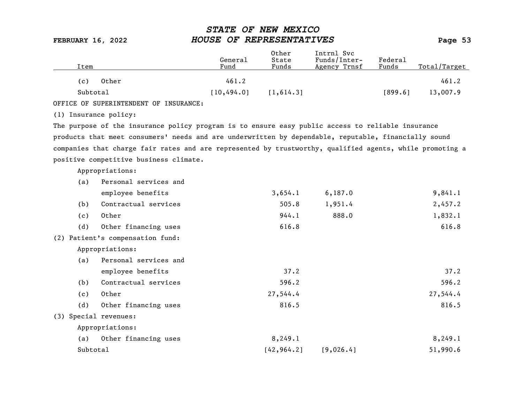| Item                  |                                                                                                          | General<br>Fund | Other<br>State<br>Funds | Intrnl Svc<br>Funds/Inter-<br>Agency Trnsf | Federa1<br>Funds | Total/Target |
|-----------------------|----------------------------------------------------------------------------------------------------------|-----------------|-------------------------|--------------------------------------------|------------------|--------------|
| (c)                   | Other                                                                                                    | 461.2           |                         |                                            |                  | 461.2        |
| Subtotal              |                                                                                                          | [10, 494.0]     | [1, 614.3]              |                                            | [899.6]          | 13,007.9     |
|                       | OFFICE OF SUPERINTENDENT OF INSURANCE:                                                                   |                 |                         |                                            |                  |              |
| (1) Insurance policy: |                                                                                                          |                 |                         |                                            |                  |              |
|                       | The purpose of the insurance policy program is to ensure easy public access to reliable insurance        |                 |                         |                                            |                  |              |
|                       | products that meet consumers' needs and are underwritten by dependable, reputable, financially sound     |                 |                         |                                            |                  |              |
|                       | companies that charge fair rates and are represented by trustworthy, qualified agents, while promoting a |                 |                         |                                            |                  |              |
|                       | positive competitive business climate.                                                                   |                 |                         |                                            |                  |              |
|                       | Appropriations:                                                                                          |                 |                         |                                            |                  |              |
| (a)                   | Personal services and                                                                                    |                 |                         |                                            |                  |              |
|                       | employee benefits                                                                                        |                 | 3,654.1                 | 6, 187.0                                   |                  | 9,841.1      |
| (b)                   | Contractual services                                                                                     |                 | 505.8                   | 1,951.4                                    |                  | 2,457.2      |
| (c)                   | Other                                                                                                    |                 | 944.1                   | 888.0                                      |                  | 1,832.1      |
| (d)                   | Other financing uses                                                                                     |                 | 616.8                   |                                            |                  | 616.8        |
|                       | (2) Patient's compensation fund:                                                                         |                 |                         |                                            |                  |              |
|                       | Appropriations:                                                                                          |                 |                         |                                            |                  |              |
| (a)                   | Personal services and                                                                                    |                 |                         |                                            |                  |              |
|                       | employee benefits                                                                                        |                 | 37.2                    |                                            |                  | 37.2         |
| (b)                   | Contractual services                                                                                     |                 | 596.2                   |                                            |                  | 596.2        |
| (c)                   | Other                                                                                                    |                 | 27,544.4                |                                            |                  | 27,544.4     |
| (d)                   | Other financing uses                                                                                     |                 | 816.5                   |                                            |                  | 816.5        |
| (3) Special revenues: |                                                                                                          |                 |                         |                                            |                  |              |
|                       | Appropriations:                                                                                          |                 |                         |                                            |                  |              |
| (a)                   | Other financing uses                                                                                     |                 | 8,249.1                 |                                            |                  | 8,249.1      |
| Subtotal              |                                                                                                          |                 | [42, 964.2]             | [9,026.4]                                  |                  | 51,990.6     |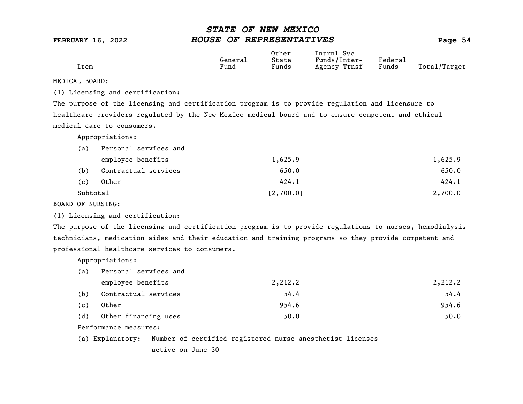|      |         | Other | Intrnl<br>Svc   |                                    |                  |
|------|---------|-------|-----------------|------------------------------------|------------------|
|      | General | State | Funds/Inter-    | ${}_{\rm \texttt{Federa}_{\perp}}$ |                  |
| Item | Fund    | Funds | Trnsf<br>Agency | Funds                              | Total<br>'Target |

MEDICAL BOARD:

(1) Licensing and certification:

The purpose of the licensing and certification program is to provide regulation and licensure to healthcare providers regulated by the New Mexico medical board and to ensure competent and ethical medical care to consumers.

Appropriations:

| (a)      | Personal services and |           |         |
|----------|-----------------------|-----------|---------|
|          | employee benefits     | 1,625.9   | 1,625.9 |
| (b)      | Contractual services  | 650.0     | 650.0   |
| (c)      | Other                 | 424.1     | 424.1   |
| Subtotal |                       | [2,700.0] | 2,700.0 |

BOARD OF NURSING:

(1) Licensing and certification:

The purpose of the licensing and certification program is to provide regulations to nurses, hemodialysis technicians, medication aides and their education and training programs so they provide competent and professional healthcare services to consumers.

Appropriations:

| (a) | Personal services and |         |         |
|-----|-----------------------|---------|---------|
|     | employee benefits     | 2,212.2 | 2,212.2 |
| (b) | Contractual services  | 54.4    | 54.4    |
| (c) | Other                 | 954.6   | 954.6   |
| (d) | Other financing uses  | 50.0    | 50.0    |

Performance measures:

(a) Explanatory: Number of certified registered nurse anesthetist licenses

active on June 30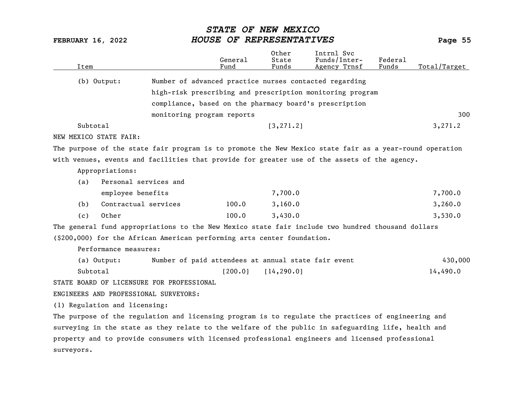| Item                                                                                                    |                                                           | General<br>Fund | Other<br>State<br>Funds | Intrnl Svc<br>Funds/Inter-<br>Agency Trnsf | Federal<br>Funds | Total/Target |
|---------------------------------------------------------------------------------------------------------|-----------------------------------------------------------|-----------------|-------------------------|--------------------------------------------|------------------|--------------|
| (b) Output:                                                                                             | Number of advanced practice nurses contacted regarding    |                 |                         |                                            |                  |              |
|                                                                                                         | high-risk prescribing and prescription monitoring program |                 |                         |                                            |                  |              |
|                                                                                                         | compliance, based on the pharmacy board's prescription    |                 |                         |                                            |                  |              |
|                                                                                                         | monitoring program reports                                |                 |                         |                                            |                  | 300          |
| Subtotal                                                                                                |                                                           |                 | [3, 271.2]              |                                            |                  | 3,271.2      |
| NEW MEXICO STATE FAIR:                                                                                  |                                                           |                 |                         |                                            |                  |              |
|                                                                                                         |                                                           |                 |                         |                                            |                  |              |
| The purpose of the state fair program is to promote the New Mexico state fair as a year-round operation |                                                           |                 |                         |                                            |                  |              |
| with venues, events and facilities that provide for greater use of the assets of the agency.            |                                                           |                 |                         |                                            |                  |              |
| Appropriations:                                                                                         |                                                           |                 |                         |                                            |                  |              |
| Personal services and<br>(a)                                                                            |                                                           |                 |                         |                                            |                  |              |
| employee benefits                                                                                       |                                                           |                 | 7,700.0                 |                                            |                  | 7,700.0      |
| Contractual services<br>(b)                                                                             |                                                           | 100.0           | 3,160.0                 |                                            |                  | 3,260.0      |
| Other<br>(c)                                                                                            |                                                           | 100.0           | 3,430.0                 |                                            |                  | 3,530.0      |
| The general fund appropriations to the New Mexico state fair include two hundred thousand dollars       |                                                           |                 |                         |                                            |                  |              |
| (\$200,000) for the African American performing arts center foundation.                                 |                                                           |                 |                         |                                            |                  |              |
| Performance measures:                                                                                   |                                                           |                 |                         |                                            |                  |              |
| (a) Output:                                                                                             | Number of paid attendees at annual state fair event       |                 |                         |                                            |                  | 430,000      |
| Subtotal                                                                                                |                                                           | [200.0]         | [14, 290.0]             |                                            |                  | 14,490.0     |
| STATE BOARD OF LICENSURE FOR PROFESSIONAL                                                               |                                                           |                 |                         |                                            |                  |              |
| ENGINEERS AND PROFESSIONAL SURVEYORS:                                                                   |                                                           |                 |                         |                                            |                  |              |
| (1) Regulation and licensing:                                                                           |                                                           |                 |                         |                                            |                  |              |
| The purpose of the regulation and licensing program is to regulate the practices of engineering and     |                                                           |                 |                         |                                            |                  |              |
| surveying in the state as they relate to the welfare of the public in safeguarding life, health and     |                                                           |                 |                         |                                            |                  |              |
| property and to provide consumers with licensed professional engineers and licensed professional        |                                                           |                 |                         |                                            |                  |              |
| surveyors.                                                                                              |                                                           |                 |                         |                                            |                  |              |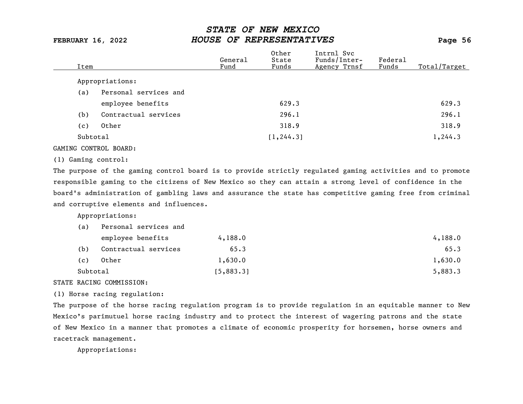| Item     |                       | General<br>Fund | Other<br>State<br>Funds | Intrnl Svc<br>Funds/Inter-<br>Agency Trnsf | Federal<br>Funds | Total/Target |
|----------|-----------------------|-----------------|-------------------------|--------------------------------------------|------------------|--------------|
|          | Appropriations:       |                 |                         |                                            |                  |              |
| (a)      | Personal services and |                 |                         |                                            |                  |              |
|          | employee benefits     |                 | 629.3                   |                                            |                  | 629.3        |
| (b)      | Contractual services  |                 | 296.1                   |                                            |                  | 296.1        |
| (c)      | Other                 |                 | 318.9                   |                                            |                  | 318.9        |
| Subtotal |                       |                 | [1, 244.3]              |                                            |                  | 1,244.3      |
|          |                       |                 |                         |                                            |                  |              |

### GAMING CONTROL BOARD:

### (1) Gaming control:

The purpose of the gaming control board is to provide strictly regulated gaming activities and to promote responsible gaming to the citizens of New Mexico so they can attain a strong level of confidence in the board's administration of gambling laws and assurance the state has competitive gaming free from criminal and corruptive elements and influences.

Appropriations:

| (a)      | Personal services and |           |         |
|----------|-----------------------|-----------|---------|
|          | employee benefits     | 4,188.0   | 4,188.0 |
| (b)      | Contractual services  | 65.3      | 65.3    |
| (c)      | Other                 | 1,630.0   | 1,630.0 |
| Subtotal |                       | [5,883.3] | 5,883.3 |

### STATE RACING COMMISSION:

(1) Horse racing regulation:

The purpose of the horse racing regulation program is to provide regulation in an equitable manner to New Mexico's parimutuel horse racing industry and to protect the interest of wagering patrons and the state of New Mexico in a manner that promotes a climate of economic prosperity for horsemen, horse owners and racetrack management.

Appropriations: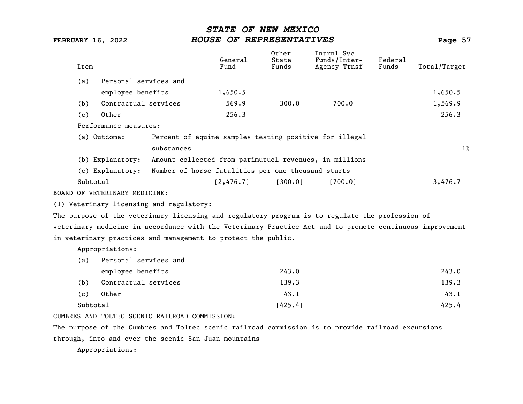| Item     |                               |                                                               | General<br>Fund | Other<br>State<br>Funds | Intrnl Svc<br>Funds/Inter-<br>Agency Trnsf                                                               | Federal<br>Funds | Total/Target |
|----------|-------------------------------|---------------------------------------------------------------|-----------------|-------------------------|----------------------------------------------------------------------------------------------------------|------------------|--------------|
| (a)      | Personal services and         |                                                               |                 |                         |                                                                                                          |                  |              |
|          | employee benefits             |                                                               | 1,650.5         |                         |                                                                                                          |                  | 1,650.5      |
| (b)      | Contractual services          |                                                               | 569.9           | 300.0                   | 700.0                                                                                                    |                  | 1,569.9      |
| (c)      | Other                         |                                                               | 256.3           |                         |                                                                                                          |                  | 256.3        |
|          | Performance measures:         |                                                               |                 |                         |                                                                                                          |                  |              |
|          | (a) Outcome:                  | Percent of equine samples testing positive for illegal        |                 |                         |                                                                                                          |                  |              |
|          |                               | substances                                                    |                 |                         |                                                                                                          |                  | $1\%$        |
|          | (b) Explanatory:              | Amount collected from parimutuel revenues, in millions        |                 |                         |                                                                                                          |                  |              |
|          | (c) Explanatory:              | Number of horse fatalities per one thousand starts            |                 |                         |                                                                                                          |                  |              |
| Subtotal |                               |                                                               | [2, 476.7]      | [300.0]                 | [700.0]                                                                                                  |                  | 3,476.7      |
|          | BOARD OF VETERINARY MEDICINE: |                                                               |                 |                         |                                                                                                          |                  |              |
|          |                               | (1) Veterinary licensing and regulatory:                      |                 |                         |                                                                                                          |                  |              |
|          |                               |                                                               |                 |                         | The purpose of the veterinary licensing and regulatory program is to regulate the profession of          |                  |              |
|          |                               |                                                               |                 |                         | veterinary medicine in accordance with the Veterinary Practice Act and to promote continuous improvement |                  |              |
|          |                               | in veterinary practices and management to protect the public. |                 |                         |                                                                                                          |                  |              |
|          | Appropriations:               |                                                               |                 |                         |                                                                                                          |                  |              |
| (a)      | Personal services and         |                                                               |                 |                         |                                                                                                          |                  |              |
|          | employee benefits             |                                                               |                 | 243.0                   |                                                                                                          |                  | 243.0        |
| (b)      | Contractual services          |                                                               |                 | 139.3                   |                                                                                                          |                  | 139.3        |
| (c)      | Other                         |                                                               |                 | 43.1                    |                                                                                                          |                  | 43.1         |
| Subtotal |                               |                                                               |                 | [425.4]                 |                                                                                                          |                  | 425.4        |
|          |                               | CUMBRES AND TOLTEC SCENIC RAILROAD COMMISSION:                |                 |                         |                                                                                                          |                  |              |
|          |                               |                                                               |                 |                         | The purpose of the Cumbres and Toltec scenic railroad commission is to provide railroad excursions       |                  |              |

through, into and over the scenic San Juan mountains

Appropriations: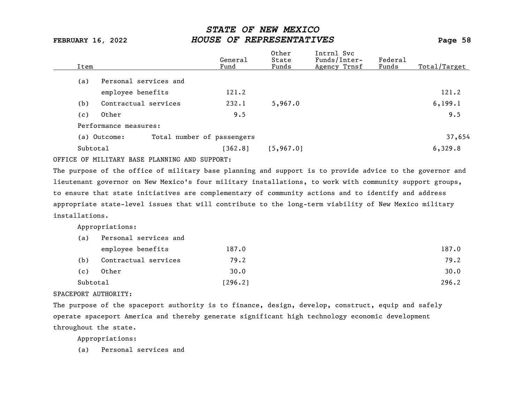| Item |                       | General<br>Fund            | Other<br>State<br>Funds | Intrnl Svc<br>Funds/Inter-<br>Agency Trnsf | Federal<br>Funds | Total/Target |
|------|-----------------------|----------------------------|-------------------------|--------------------------------------------|------------------|--------------|
| (a)  | Personal services and |                            |                         |                                            |                  |              |
|      | employee benefits     | 121.2                      |                         |                                            |                  | 121.2        |
| (b)  | Contractual services  | 232.1                      | 5,967.0                 |                                            |                  | 6, 199.1     |
| (c)  | Other                 | 9.5                        |                         |                                            |                  | 9.5          |
|      | Performance measures: |                            |                         |                                            |                  |              |
|      | (a) Outcome:          | Total number of passengers |                         |                                            |                  | 37,654       |
|      | Subtotal              | [362.8]                    | [5, 967.0]              |                                            |                  | 6,329.8      |
|      |                       |                            |                         |                                            |                  |              |

OFFICE OF MILITARY BASE PLANNING AND SUPPORT:

The purpose of the office of military base planning and support is to provide advice to the governor and lieutenant governor on New Mexico's four military installations, to work with community support groups, to ensure that state initiatives are complementary of community actions and to identify and address appropriate state-level issues that will contribute to the long-term viability of New Mexico military installations.

Appropriations:

| (a)      | Personal services and |         |       |
|----------|-----------------------|---------|-------|
|          | employee benefits     | 187.0   | 187.0 |
| (b)      | Contractual services  | 79.2    | 79.2  |
| (c)      | Other                 | 30.0    | 30.0  |
| Subtotal |                       | [296.2] | 296.2 |

### SPACEPORT AUTHORITY:

The purpose of the spaceport authority is to finance, design, develop, construct, equip and safely operate spaceport America and thereby generate significant high technology economic development throughout the state.

Appropriations:

(a) Personal services and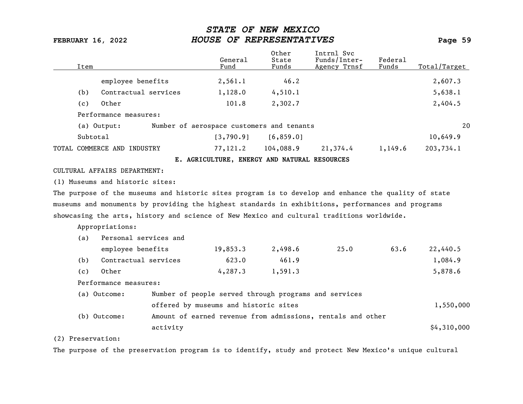| Item              |                                                                                                      | General<br>Fund                                             | Other<br>State<br>Funds | Intrnl Svc<br>Funds/Inter-<br>Agency Trnsf | Federal<br>Funds | Total/Target |
|-------------------|------------------------------------------------------------------------------------------------------|-------------------------------------------------------------|-------------------------|--------------------------------------------|------------------|--------------|
|                   | employee benefits                                                                                    | 2,561.1                                                     | 46.2                    |                                            |                  | 2,607.3      |
| (b)               | Contractual services                                                                                 | 1,128.0                                                     | 4,510.1                 |                                            |                  | 5,638.1      |
| (c)               | Other                                                                                                | 101.8                                                       | 2,302.7                 |                                            |                  | 2,404.5      |
|                   | Performance measures:                                                                                |                                                             |                         |                                            |                  |              |
|                   | (a) Output:                                                                                          | Number of aerospace customers and tenants                   |                         |                                            |                  | 20           |
|                   | Subtotal                                                                                             | [3,790.9]                                                   | [6, 859.0]              |                                            |                  | 10,649.9     |
|                   | TOTAL COMMERCE AND INDUSTRY                                                                          | 77,121.2                                                    | 104,088.9               | 21,374.4                                   | 1,149.6          | 203,734.1    |
|                   |                                                                                                      | E. AGRICULTURE, ENERGY AND NATURAL RESOURCES                |                         |                                            |                  |              |
|                   | CULTURAL AFFAIRS DEPARTMENT:                                                                         |                                                             |                         |                                            |                  |              |
|                   | (1) Museums and historic sites:                                                                      |                                                             |                         |                                            |                  |              |
|                   | The purpose of the museums and historic sites program is to develop and enhance the quality of state |                                                             |                         |                                            |                  |              |
|                   | museums and monuments by providing the highest standards in exhibitions, performances and programs   |                                                             |                         |                                            |                  |              |
|                   | showcasing the arts, history and science of New Mexico and cultural traditions worldwide.            |                                                             |                         |                                            |                  |              |
|                   | Appropriations:                                                                                      |                                                             |                         |                                            |                  |              |
| (a)               | Personal services and                                                                                |                                                             |                         |                                            |                  |              |
|                   | employee benefits                                                                                    | 19,853.3                                                    | 2,498.6                 | 25.0                                       | 63.6             | 22,440.5     |
| (b)               | Contractual services                                                                                 | 623.0                                                       | 461.9                   |                                            |                  | 1,084.9      |
| (c)               | Other                                                                                                | 4, 287.3                                                    | 1,591.3                 |                                            |                  | 5,878.6      |
|                   | Performance measures:                                                                                |                                                             |                         |                                            |                  |              |
|                   | (a) Outcome:                                                                                         | Number of people served through programs and services       |                         |                                            |                  |              |
|                   |                                                                                                      | offered by museums and historic sites                       |                         |                                            |                  | 1,550,000    |
|                   | (b) Outcome:                                                                                         | Amount of earned revenue from admissions, rentals and other |                         |                                            |                  |              |
|                   | activity                                                                                             |                                                             |                         |                                            |                  | \$4,310,000  |
| (2) Preservation: |                                                                                                      |                                                             |                         |                                            |                  |              |

The purpose of the preservation program is to identify, study and protect New Mexico's unique cultural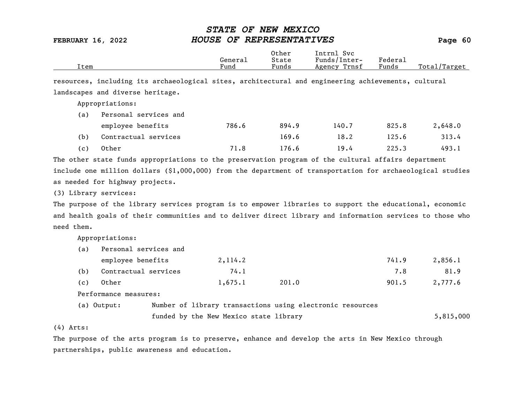|      | General | Other<br>State        | Intrnl<br>Sv c<br>Funds/Inter- | Federa <sub>1</sub> |                  |
|------|---------|-----------------------|--------------------------------|---------------------|------------------|
| Item | Fund    | $\mathbf{r}$<br>Funds | Trnsf<br>Agency                | Funds               | Total<br>'Target |

resources, including its archaeological sites, architectural and engineering achievements, cultural landscapes and diverse heritage.

Appropriations:

| (a) | Personal services and |       |       |       |       |         |  |  |
|-----|-----------------------|-------|-------|-------|-------|---------|--|--|
|     | employee benefits     | 786.6 | 894.9 | 140.7 | 825.8 | 2,648.0 |  |  |
| (b) | Contractual services  |       | 169.6 | 18.2  | 125.6 | 313.4   |  |  |
| (c) | Other                 | 71.8  | 176.6 | 19.4  | 225.3 | 493.1   |  |  |

The other state funds appropriations to the preservation program of the cultural affairs department include one million dollars (\$1,000,000) from the department of transportation for archaeological studies as needed for highway projects.

(3) Library services:

The purpose of the library services program is to empower libraries to support the educational, economic and health goals of their communities and to deliver direct library and information services to those who need them.

Appropriations:

| (a) | Personal services and |  |                                        |                                                           |       |           |
|-----|-----------------------|--|----------------------------------------|-----------------------------------------------------------|-------|-----------|
|     | employee benefits     |  | 2, 114.2                               |                                                           | 741.9 | 2,856.1   |
| (b) | Contractual services  |  | 74.1                                   |                                                           | 7.8   | 81.9      |
| (c) | Other                 |  | 1,675.1                                | 201.0                                                     | 901.5 | 2,777.6   |
|     | Performance measures: |  |                                        |                                                           |       |           |
|     | (a) Output:           |  |                                        | Number of library transactions using electronic resources |       |           |
|     |                       |  | funded by the New Mexico state library |                                                           |       | 5,815,000 |

(4) Arts:

The purpose of the arts program is to preserve, enhance and develop the arts in New Mexico through partnerships, public awareness and education.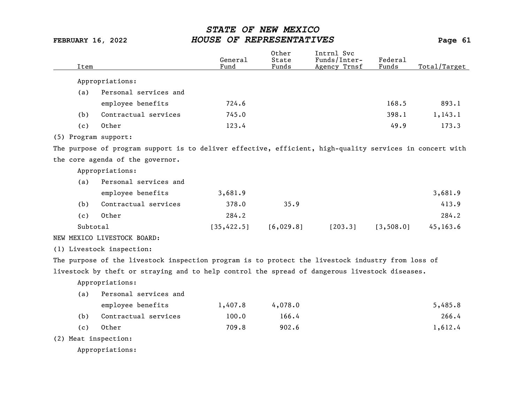| Item     |                                                                                                          | General<br>Fund | Other<br>State<br>Funds | Intrnl Svc<br>Funds/Inter-<br>Agency Trnsf | Federal<br>Funds | Total/Target |
|----------|----------------------------------------------------------------------------------------------------------|-----------------|-------------------------|--------------------------------------------|------------------|--------------|
|          | Appropriations:                                                                                          |                 |                         |                                            |                  |              |
| (a)      | Personal services and                                                                                    |                 |                         |                                            |                  |              |
|          | employee benefits                                                                                        | 724.6           |                         |                                            | 168.5            | 893.1        |
| (b)      | Contractual services                                                                                     | 745.0           |                         |                                            | 398.1            | 1, 143.1     |
| (c)      | Other                                                                                                    | 123.4           |                         |                                            | 49.9             | 173.3        |
|          | (5) Program support:                                                                                     |                 |                         |                                            |                  |              |
|          | The purpose of program support is to deliver effective, efficient, high-quality services in concert with |                 |                         |                                            |                  |              |
|          | the core agenda of the governor.                                                                         |                 |                         |                                            |                  |              |
|          | Appropriations:                                                                                          |                 |                         |                                            |                  |              |
| (a)      | Personal services and                                                                                    |                 |                         |                                            |                  |              |
|          | employee benefits                                                                                        | 3,681.9         |                         |                                            |                  | 3,681.9      |
| (b)      | Contractual services                                                                                     | 378.0           | 35.9                    |                                            |                  | 413.9        |
| (c)      | Other                                                                                                    | 284.2           |                         |                                            |                  | 284.2        |
| Subtotal |                                                                                                          | [35, 422.5]     | [6,029.8]               | [203.3]                                    | [3, 508.0]       | 45,163.6     |
|          | NEW MEXICO LIVESTOCK BOARD:                                                                              |                 |                         |                                            |                  |              |
|          | (1) Livestock inspection:                                                                                |                 |                         |                                            |                  |              |
|          | The purpose of the livestock inspection program is to protect the livestock industry from loss of        |                 |                         |                                            |                  |              |
|          | livestock by theft or straying and to help control the spread of dangerous livestock diseases.           |                 |                         |                                            |                  |              |
|          | Appropriations:                                                                                          |                 |                         |                                            |                  |              |
| (a)      | Personal services and                                                                                    |                 |                         |                                            |                  |              |
|          | employee benefits                                                                                        | 1,407.8         | 4,078.0                 |                                            |                  | 5,485.8      |
| (b)      | Contractual services                                                                                     | 100.0           | 166.4                   |                                            |                  | 266.4        |
| (c)      | Other                                                                                                    | 709.8           | 902.6                   |                                            |                  | 1,612.4      |
|          | (2) Meat inspection:                                                                                     |                 |                         |                                            |                  |              |
|          | Appropriations:                                                                                          |                 |                         |                                            |                  |              |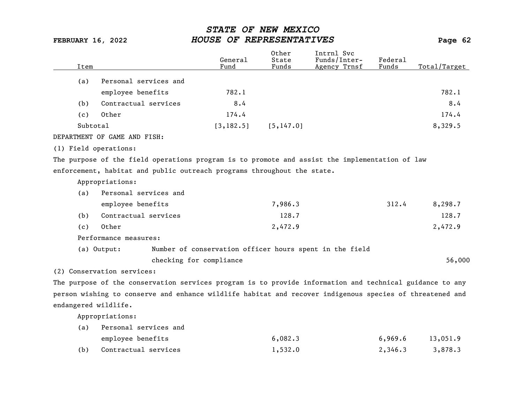| Item                 |                                                                                                          | General<br>Fund | 0ther<br>State<br>Funds | Intrnl Svc<br>Funds/Inter-<br>Agency Trnsf              | Federal<br>Funds | Total/Target |
|----------------------|----------------------------------------------------------------------------------------------------------|-----------------|-------------------------|---------------------------------------------------------|------------------|--------------|
| (a)                  | Personal services and                                                                                    |                 |                         |                                                         |                  |              |
|                      | employee benefits                                                                                        | 782.1           |                         |                                                         |                  | 782.1        |
| (b)                  | Contractual services                                                                                     | 8.4             |                         |                                                         |                  | 8.4          |
| (c)                  | Other                                                                                                    | 174.4           |                         |                                                         |                  | 174.4        |
|                      | Subtotal                                                                                                 | [3, 182.5]      | [5, 147.0]              |                                                         |                  | 8,329.5      |
|                      | DEPARTMENT OF GAME AND FISH:                                                                             |                 |                         |                                                         |                  |              |
|                      | (1) Field operations:                                                                                    |                 |                         |                                                         |                  |              |
|                      | The purpose of the field operations program is to promote and assist the implementation of law           |                 |                         |                                                         |                  |              |
|                      | enforcement, habitat and public outreach programs throughout the state.                                  |                 |                         |                                                         |                  |              |
|                      | Appropriations:                                                                                          |                 |                         |                                                         |                  |              |
| (a)                  | Personal services and                                                                                    |                 |                         |                                                         |                  |              |
|                      | employee benefits                                                                                        |                 | 7,986.3                 |                                                         | 312.4            | 8,298.7      |
| (b)                  | Contractual services                                                                                     |                 | 128.7                   |                                                         |                  | 128.7        |
| (c)                  | Other                                                                                                    |                 | 2,472.9                 |                                                         |                  | 2,472.9      |
|                      | Performance measures:                                                                                    |                 |                         |                                                         |                  |              |
|                      | (a) Output:                                                                                              |                 |                         | Number of conservation officer hours spent in the field |                  |              |
|                      | checking for compliance                                                                                  |                 |                         |                                                         |                  | 56,000       |
|                      | (2) Conservation services:                                                                               |                 |                         |                                                         |                  |              |
|                      | The purpose of the conservation services program is to provide information and technical guidance to any |                 |                         |                                                         |                  |              |
|                      | person wishing to conserve and enhance wildlife habitat and recover indigenous species of threatened and |                 |                         |                                                         |                  |              |
| endangered wildlife. |                                                                                                          |                 |                         |                                                         |                  |              |
|                      | Appropriations:                                                                                          |                 |                         |                                                         |                  |              |
| (a)                  | Personal services and                                                                                    |                 |                         |                                                         |                  |              |

| employee benefits    | 6,082.3 | 6,969.6 | 13,051.9 |
|----------------------|---------|---------|----------|
| Contractual services | 1,532.0 | 2,346.3 | 3,878.3  |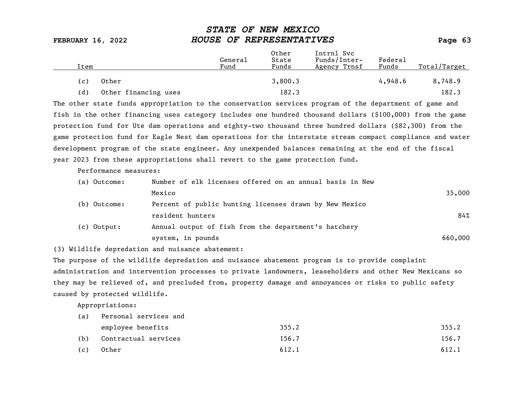| Item |                      | General<br>Fund | Other<br>State<br>Funds | Intrnl Svc<br>Funds/Inter-<br>Agency Trnsf | Federal<br>Funds | Total/Target |
|------|----------------------|-----------------|-------------------------|--------------------------------------------|------------------|--------------|
| (c)  | Other                |                 | 3,800.3                 |                                            | 4,948.6          | 8,748.9      |
| (d)  | Other financing uses |                 | 182.3                   |                                            |                  | 182.3        |

The other state funds appropriation to the conservation services program of the department of game and fish in the other financing uses category includes one hundred thousand dollars (\$100,000) from the game protection fund for Ute dam operations and eighty-two thousand three hundred dollars (\$82,300) from the game protection fund for Eagle Nest dam operations for the interstate stream compact compliance and water development program of the state engineer. Any unexpended balances remaining at the end of the fiscal year 2023 from these appropriations shall revert to the game protection fund.

Performance measures:

| (a) Outcome:  | Number of elk licenses offered on an annual basis in New |         |
|---------------|----------------------------------------------------------|---------|
|               | Mexico                                                   | 35,000  |
| (b) Outcome:  | Percent of public hunting licenses drawn by New Mexico   |         |
|               | resident hunters                                         | 84%     |
| $(c)$ Output: | Annual output of fish from the department's hatchery     |         |
|               | system, in pounds                                        | 660,000 |

(3) Wildlife depredation and nuisance abatement:

The purpose of the wildlife depredation and nuisance abatement program is to provide complaint administration and intervention processes to private landowners, leaseholders and other New Mexicans so they may be relieved of, and precluded from, property damage and annoyances or risks to public safety caused by protected wildlife.

Appropriations:

| (a) | Personal services and |       |       |  |  |  |  |
|-----|-----------------------|-------|-------|--|--|--|--|
|     | employee benefits     | 355.2 | 355.2 |  |  |  |  |
| (b) | Contractual services  | 156.7 | 156.7 |  |  |  |  |
| (c) | Other                 | 612.1 | 612.1 |  |  |  |  |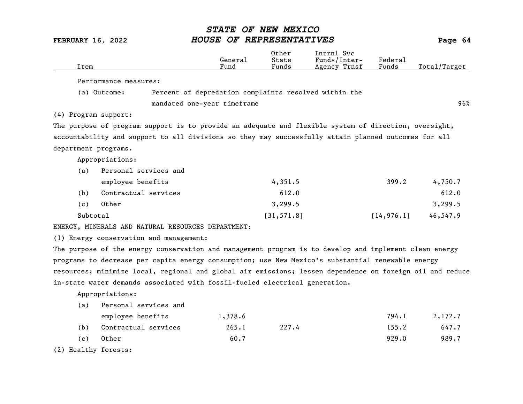| Item                 |                                                                                                           | General<br>Fund | Other<br>State<br>Funds | Intrnl Svc<br>Funds/Inter-<br>Agency Trnsf | Federal<br>Funds | Total/Target |
|----------------------|-----------------------------------------------------------------------------------------------------------|-----------------|-------------------------|--------------------------------------------|------------------|--------------|
|                      | Performance measures:                                                                                     |                 |                         |                                            |                  |              |
|                      | Percent of depredation complaints resolved within the<br>(a) Outcome:                                     |                 |                         |                                            |                  |              |
|                      | mandated one-year timeframe                                                                               |                 |                         |                                            |                  | 96%          |
| (4) Program support: |                                                                                                           |                 |                         |                                            |                  |              |
|                      | The purpose of program support is to provide an adequate and flexible system of direction, oversight,     |                 |                         |                                            |                  |              |
|                      | accountability and support to all divisions so they may successfully attain planned outcomes for all      |                 |                         |                                            |                  |              |
| department programs. |                                                                                                           |                 |                         |                                            |                  |              |
|                      | Appropriations:                                                                                           |                 |                         |                                            |                  |              |
| (a)                  | Personal services and                                                                                     |                 |                         |                                            |                  |              |
|                      | employee benefits                                                                                         |                 | 4,351.5                 |                                            | 399.2            | 4,750.7      |
| (b)                  | Contractual services                                                                                      |                 | 612.0                   |                                            |                  | 612.0        |
|                      | Other                                                                                                     |                 |                         |                                            |                  |              |
| (c)                  |                                                                                                           |                 | 3,299.5                 |                                            |                  | 3, 299.5     |
| Subtotal             |                                                                                                           |                 | [31, 571.8]             |                                            | [14, 976.1]      | 46,547.9     |
|                      | ENERGY, MINERALS AND NATURAL RESOURCES DEPARTMENT:                                                        |                 |                         |                                            |                  |              |
|                      | (1) Energy conservation and management:                                                                   |                 |                         |                                            |                  |              |
|                      | The purpose of the energy conservation and management program is to develop and implement clean energy    |                 |                         |                                            |                  |              |
|                      | programs to decrease per capita energy consumption; use New Mexico's substantial renewable energy         |                 |                         |                                            |                  |              |
|                      | resources; minimize local, regional and global air emissions; lessen dependence on foreign oil and reduce |                 |                         |                                            |                  |              |
|                      | in-state water demands associated with fossil-fueled electrical generation.                               |                 |                         |                                            |                  |              |
|                      | Appropriations:                                                                                           |                 |                         |                                            |                  |              |
| (a)                  | Personal services and                                                                                     |                 |                         |                                            |                  |              |
|                      | employee benefits                                                                                         | 1,378.6         |                         |                                            | 794.1            | 2,172.7      |
| (b)                  | Contractual services                                                                                      | 265.1           | 227.4                   |                                            | 155.2            | 647.7        |

(c) Other 60.7 60.7 929.0 989.7

(2) Healthy forests: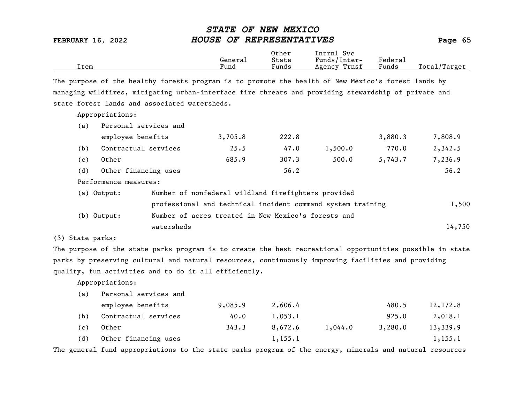|      |         | Other | Svc<br>Intrnl   |                                    |              |
|------|---------|-------|-----------------|------------------------------------|--------------|
|      | General | State | Funds/Inter-    | ${}_{\rm \texttt{Federa}_{\perp}}$ |              |
| Item | Fund    | Funds | Trnsf<br>Agency | Funds                              | Total/Target |

The purpose of the healthy forests program is to promote the health of New Mexico's forest lands by managing wildfires, mitigating urban-interface fire threats and providing stewardship of private and state forest lands and associated watersheds.

Appropriations:

| (a)                                                                  | Personal services and                                       |                                                     |         |       |         |         |         |
|----------------------------------------------------------------------|-------------------------------------------------------------|-----------------------------------------------------|---------|-------|---------|---------|---------|
|                                                                      | employee benefits                                           |                                                     | 3,705.8 | 222.8 |         | 3,880.3 | 7,808.9 |
| (b)                                                                  | Contractual services                                        |                                                     | 25.5    | 47.0  | 1,500.0 | 770.0   | 2,342.5 |
| (c)                                                                  | Other                                                       |                                                     | 685.9   | 307.3 | 500.0   | 5,743.7 | 7,236.9 |
| (d)                                                                  | Other financing uses                                        |                                                     |         | 56.2  |         |         | 56.2    |
|                                                                      | Performance measures:                                       |                                                     |         |       |         |         |         |
|                                                                      | (a) Output:                                                 | Number of nonfederal wildland firefighters provided |         |       |         |         |         |
|                                                                      | professional and technical incident command system training |                                                     |         |       |         | 1,500   |         |
| Number of acres treated in New Mexico's forests and<br>$(b)$ Output: |                                                             |                                                     |         |       |         |         |         |
|                                                                      |                                                             | watersheds                                          |         |       |         |         | 14,750  |

(3) State parks:

The purpose of the state parks program is to create the best recreational opportunities possible in state parks by preserving cultural and natural resources, continuously improving facilities and providing quality, fun activities and to do it all efficiently.

Appropriations:

| (a) | Personal services and |         |          |         |         |          |
|-----|-----------------------|---------|----------|---------|---------|----------|
|     | employee benefits     | 9,085.9 | 2,606.4  |         | 480.5   | 12,172.8 |
| (b) | Contractual services  | 40.0    | 1,053.1  |         | 925.0   | 2,018.1  |
| (c) | Other                 | 343.3   | 8,672.6  | 1,044.0 | 3,280.0 | 13,339.9 |
| (d) | Other financing uses  |         | 1, 155.1 |         |         | 1,155.1  |

The general fund appropriations to the state parks program of the energy, minerals and natural resources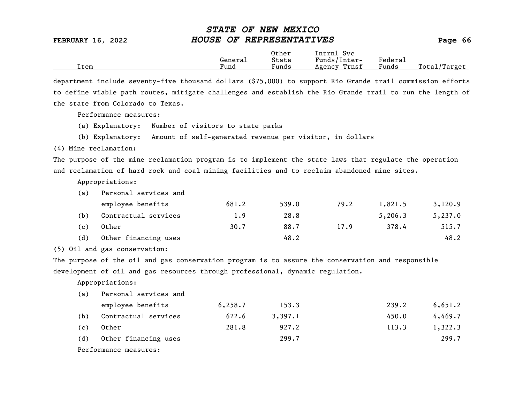|      |                      | Other                             | Intrnl<br>Sv c  |                           |                  |
|------|----------------------|-----------------------------------|-----------------|---------------------------|------------------|
|      | Genera⊥              | State                             | Funds/Inter-    | ${}_{\rm Federa_{\perp}}$ |                  |
| Item | $\mathbf{r}$<br>Fund | $\overline{\phantom{a}}$<br>Funds | Trnsf<br>Agency | Funds                     | Total<br>Target/ |

department include seventy-five thousand dollars (\$75,000) to support Rio Grande trail commission efforts to define viable path routes, mitigate challenges and establish the Rio Grande trail to run the length of the state from Colorado to Texas.

Performance measures:

- (a) Explanatory: Number of visitors to state parks
- (b) Explanatory: Amount of self-generated revenue per visitor, in dollars

(4) Mine reclamation:

The purpose of the mine reclamation program is to implement the state laws that regulate the operation and reclamation of hard rock and coal mining facilities and to reclaim abandoned mine sites.

Appropriations:

| (a) | Personal services and |       |       |      |         |         |
|-----|-----------------------|-------|-------|------|---------|---------|
|     | employee benefits     | 681.2 | 539.0 | 79.2 | 1,821.5 | 3,120.9 |
| (b) | Contractual services  | 1.9   | 28.8  |      | 5,206.3 | 5,237.0 |
| (c) | Other                 | 30.7  | 88.7  | 17.9 | 378.4   | 515.7   |
| (d) | Other financing uses  |       | 48.2  |      |         | 48.2    |

(5) Oil and gas conservation:

The purpose of the oil and gas conservation program is to assure the conservation and responsible development of oil and gas resources through professional, dynamic regulation.

Appropriations:

| (a) | Personal services and |          |         |       |         |
|-----|-----------------------|----------|---------|-------|---------|
|     | employee benefits     | 6, 258.7 | 153.3   | 239.2 | 6,651.2 |
| (b) | Contractual services  | 622.6    | 3,397.1 | 450.0 | 4,469.7 |
| (c) | Other                 | 281.8    | 927.2   | 113.3 | 1,322.3 |
| (d) | Other financing uses  |          | 299.7   |       | 299.7   |
|     | Performance measures: |          |         |       |         |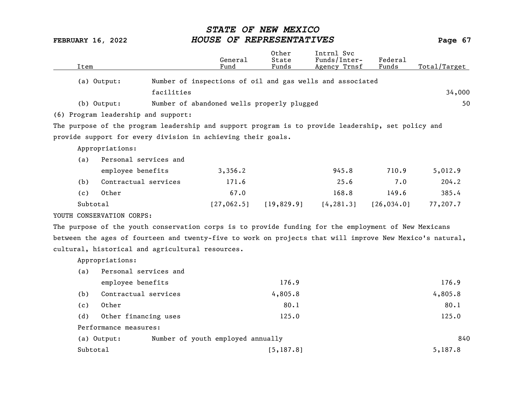|      |                                                                                                     | General                                                   | Other<br>State | Intrnl Svc<br>Funds/Inter- | Federal     |              |
|------|-----------------------------------------------------------------------------------------------------|-----------------------------------------------------------|----------------|----------------------------|-------------|--------------|
| Item |                                                                                                     | Fund                                                      | Funds          | Agency Trnsf               | Funds       | Total/Target |
|      | (a) Output:                                                                                         | Number of inspections of oil and gas wells and associated |                |                            |             |              |
|      | facilities                                                                                          |                                                           |                |                            |             | 34,000       |
|      | (b) Output:                                                                                         | Number of abandoned wells properly plugged                |                |                            |             | 50           |
|      | (6) Program leadership and support:                                                                 |                                                           |                |                            |             |              |
|      | The purpose of the program leadership and support program is to provide leadership, set policy and  |                                                           |                |                            |             |              |
|      | provide support for every division in achieving their goals.                                        |                                                           |                |                            |             |              |
|      | Appropriations:                                                                                     |                                                           |                |                            |             |              |
| (a)  | Personal services and                                                                               |                                                           |                |                            |             |              |
|      | employee benefits                                                                                   | 3,356.2                                                   |                | 945.8                      | 710.9       | 5,012.9      |
| (b)  | Contractual services                                                                                | 171.6                                                     |                | 25.6                       | 7.0         | 204.2        |
| (c)  | Other                                                                                               | 67.0                                                      |                | 168.8                      | 149.6       | 385.4        |
|      | Subtotal                                                                                            | [27,062.5]                                                | [19,829.9]     | [4, 281.3]                 | [26, 034.0] | 77,207.7     |
|      | YOUTH CONSERVATION CORPS:                                                                           |                                                           |                |                            |             |              |
|      | The numeroe of the wouth concernation come is to nuevide funding few the employment of New Mexicano |                                                           |                |                            |             |              |

The purpose of the youth conservation corps is to provide funding for the employment of New Mexicans between the ages of fourteen and twenty-five to work on projects that will improve New Mexico's natural, cultural, historical and agricultural resources.

Appropriations:

| (a)      | Personal services and                            |            |         |
|----------|--------------------------------------------------|------------|---------|
|          | employee benefits                                | 176.9      | 176.9   |
| (b)      | Contractual services                             | 4,805.8    | 4,805.8 |
| (c)      | Other                                            | 80.1       | 80.1    |
| (d)      | Other financing uses                             | 125.0      | 125.0   |
|          | Performance measures:                            |            |         |
|          | Number of youth employed annually<br>(a) Output: |            | 840     |
| Subtotal |                                                  | [5, 187.8] | 5,187.8 |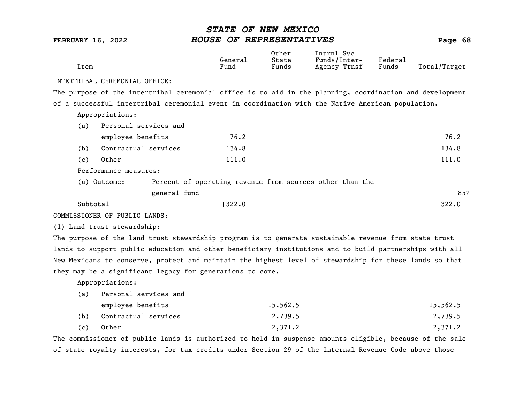| Item     |                                                                                                          | General<br>Fund | Other<br>State<br>Funds | Intrnl Svc<br>Funds/Inter-<br>Agency Trnsf               | Federal<br>Funds | Total/Target |
|----------|----------------------------------------------------------------------------------------------------------|-----------------|-------------------------|----------------------------------------------------------|------------------|--------------|
|          | INTERTRIBAL CEREMONIAL OFFICE:                                                                           |                 |                         |                                                          |                  |              |
|          | The purpose of the intertribal ceremonial office is to aid in the planning, coordination and development |                 |                         |                                                          |                  |              |
|          | of a successful intertribal ceremonial event in coordination with the Native American population.        |                 |                         |                                                          |                  |              |
|          | Appropriations:                                                                                          |                 |                         |                                                          |                  |              |
| (a)      | Personal services and                                                                                    |                 |                         |                                                          |                  |              |
|          | employee benefits                                                                                        | 76.2            |                         |                                                          |                  | 76.2         |
| (b)      | Contractual services                                                                                     | 134.8           |                         |                                                          |                  | 134.8        |
| (c)      | Other                                                                                                    | 111.0           |                         |                                                          |                  | 111.0        |
|          | Performance measures:                                                                                    |                 |                         |                                                          |                  |              |
|          | (a) Outcome:                                                                                             |                 |                         | Percent of operating revenue from sources other than the |                  |              |
|          | general fund                                                                                             |                 |                         |                                                          |                  | 85%          |
| Subtotal |                                                                                                          | [322.0]         |                         |                                                          |                  | 322.0        |
|          | COMMISSIONER OF PUBLIC LANDS:                                                                            |                 |                         |                                                          |                  |              |
|          | (1) Land trust stewardship:                                                                              |                 |                         |                                                          |                  |              |
|          | The purpose of the land trust stewardship program is to generate sustainable revenue from state trust    |                 |                         |                                                          |                  |              |
|          | lands to support public education and other beneficiary institutions and to build partnerships with all  |                 |                         |                                                          |                  |              |
|          | New Mexicans to conserve, protect and maintain the highest level of stewardship for these lands so that  |                 |                         |                                                          |                  |              |
|          | they may be a significant legacy for generations to come.                                                |                 |                         |                                                          |                  |              |
|          | Appropriations:                                                                                          |                 |                         |                                                          |                  |              |
| (a)      | Personal services and                                                                                    |                 |                         |                                                          |                  |              |
|          | employee benefits                                                                                        |                 | 15,562.5                |                                                          |                  | 15,562.5     |
| (b)      | Contractual services                                                                                     |                 | 2,739.5                 |                                                          |                  | 2,739.5      |
| (c)      | Other                                                                                                    |                 | 2,371.2                 |                                                          |                  | 2,371.2      |
|          |                                                                                                          |                 |                         |                                                          |                  |              |

The commissioner of public lands is authorized to hold in suspense amounts eligible, because of the sale of state royalty interests, for tax credits under Section 29 of the Internal Revenue Code above those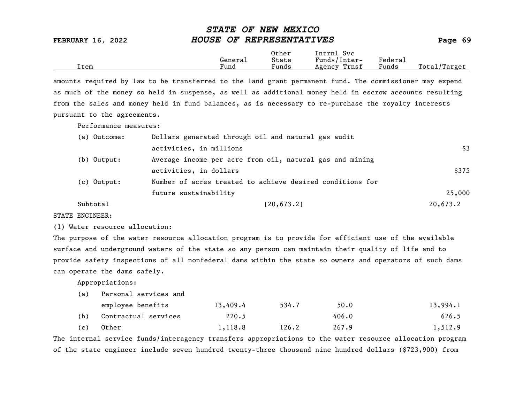|      |         | Other                 | Intrnl<br>Sv c  |                     |                   |
|------|---------|-----------------------|-----------------|---------------------|-------------------|
|      | Generai | State                 | Funds/Inter-    | Federa <sub>1</sub> |                   |
| Item | Fund    | $\mathbf{r}$<br>Funds | Trnsf<br>Agency | Funds               | Total,<br>'Target |

amounts required by law to be transferred to the land grant permanent fund. The commissioner may expend as much of the money so held in suspense, as well as additional money held in escrow accounts resulting from the sales and money held in fund balances, as is necessary to re-purchase the royalty interests pursuant to the agreements.

Performance measures:

| (a) Outcome: | Dollars generated through oil and natural gas audit       |          |
|--------------|-----------------------------------------------------------|----------|
|              | activities, in millions                                   | \$3      |
| (b) Output:  | Average income per acre from oil, natural gas and mining  |          |
|              | activities, in dollars                                    | \$375    |
| (c) Output:  | Number of acres treated to achieve desired conditions for |          |
|              | future sustainability                                     | 25,000   |
| Subtotal     | [20,673.2]                                                | 20,673.2 |

STATE ENGINEER:

(1) Water resource allocation:

The purpose of the water resource allocation program is to provide for efficient use of the available surface and underground waters of the state so any person can maintain their quality of life and to provide safety inspections of all nonfederal dams within the state so owners and operators of such dams can operate the dams safely.

Appropriations:

| (a) Personal services and |  |
|---------------------------|--|
|---------------------------|--|

|     | employee benefits    | 13,409.4 | 534.7 | 50.0  | 13,994.1 |
|-----|----------------------|----------|-------|-------|----------|
| (b) | Contractual services | 220.5    |       | 406.0 | 626.5    |
| (c) | Other                | 1,118.8  | 126.2 | 267.9 | 1,512.9  |

The internal service funds/interagency transfers appropriations to the water resource allocation program of the state engineer include seven hundred twenty-three thousand nine hundred dollars (\$723,900) from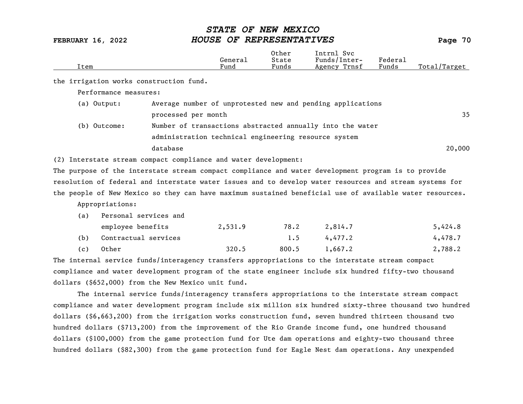| Item |                                         |                     | General<br>Fund                                                 | Other<br>State<br>Funds | Intrnl Svc<br>Funds/Inter-<br>Agency Trnsf                                                               | Federal<br>Funds | Total/Target |
|------|-----------------------------------------|---------------------|-----------------------------------------------------------------|-------------------------|----------------------------------------------------------------------------------------------------------|------------------|--------------|
|      | the irrigation works construction fund. |                     |                                                                 |                         |                                                                                                          |                  |              |
|      | Performance measures:                   |                     |                                                                 |                         |                                                                                                          |                  |              |
|      | (a) Output:                             |                     |                                                                 |                         | Average number of unprotested new and pending applications                                               |                  |              |
|      |                                         | processed per month |                                                                 |                         |                                                                                                          |                  | 35           |
|      | (b) Outcome:                            |                     |                                                                 |                         | Number of transactions abstracted annually into the water                                                |                  |              |
|      |                                         |                     | administration technical engineering resource system            |                         |                                                                                                          |                  |              |
|      |                                         | database            |                                                                 |                         |                                                                                                          |                  | 20,000       |
|      |                                         |                     | (2) Interstate stream compact compliance and water development: |                         |                                                                                                          |                  |              |
|      |                                         |                     |                                                                 |                         | The purpose of the interstate stream compact compliance and water development program is to provide      |                  |              |
|      |                                         |                     |                                                                 |                         | resolution of federal and interstate water issues and to develop water resources and stream systems for  |                  |              |
|      |                                         |                     |                                                                 |                         | the people of New Mexico so they can have maximum sustained beneficial use of available water resources. |                  |              |
|      | Appropriations:                         |                     |                                                                 |                         |                                                                                                          |                  |              |
| (a)  | Personal services and                   |                     |                                                                 |                         |                                                                                                          |                  |              |
|      | employee benefits                       |                     | 2,531.9                                                         | 78.2                    | 2,814.7                                                                                                  |                  | 5,424.8      |
| (b)  | Contractual services                    |                     |                                                                 | 1.5                     | 4,477.2                                                                                                  |                  | 4,478.7      |
| (c)  | Other                                   |                     | 320.5                                                           | 800.5                   | 1,667.2                                                                                                  |                  | 2,788.2      |

The internal service funds/interagency transfers appropriations to the interstate stream compact compliance and water development program of the state engineer include six hundred fifty-two thousand dollars (\$652,000) from the New Mexico unit fund.

The internal service funds/interagency transfers appropriations to the interstate stream compact compliance and water development program include six million six hundred sixty-three thousand two hundred dollars (\$6,663,200) from the irrigation works construction fund, seven hundred thirteen thousand two hundred dollars (\$713,200) from the improvement of the Rio Grande income fund, one hundred thousand dollars (\$100,000) from the game protection fund for Ute dam operations and eighty-two thousand three hundred dollars (\$82,300) from the game protection fund for Eagle Nest dam operations. Any unexpended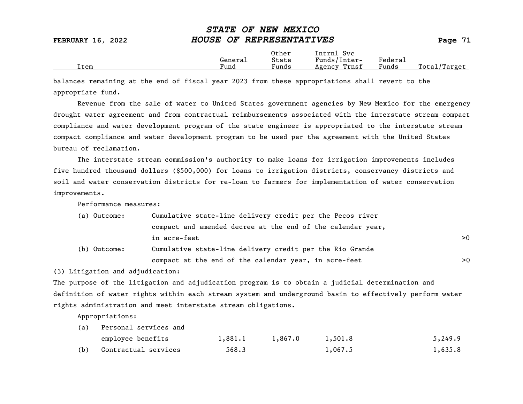|      |         | Other | Intrnl<br><b>Svc</b> |                                    |                   |
|------|---------|-------|----------------------|------------------------------------|-------------------|
|      | General | State | Funds/Inter-         | ${}_{\rm \texttt{Federa}_{\perp}}$ |                   |
| Item | Fund    | Funds | Trnsf<br>Agency      | –<br>Funds                         | Total,<br>'Target |

balances remaining at the end of fiscal year 2023 from these appropriations shall revert to the appropriate fund.

Revenue from the sale of water to United States government agencies by New Mexico for the emergency drought water agreement and from contractual reimbursements associated with the interstate stream compact compliance and water development program of the state engineer is appropriated to the interstate stream compact compliance and water development program to be used per the agreement with the United States bureau of reclamation.

The interstate stream commission's authority to make loans for irrigation improvements includes five hundred thousand dollars (\$500,000) for loans to irrigation districts, conservancy districts and soil and water conservation districts for re-loan to farmers for implementation of water conservation improvements.

Performance measures:

| (a) Outcome: | Cumulative state-line delivery credit per the Pecos river   |    |  |  |
|--------------|-------------------------------------------------------------|----|--|--|
|              | compact and amended decree at the end of the calendar year, |    |  |  |
|              | in acre-feet                                                | >0 |  |  |
| (b) Outcome: | Cumulative state-line delivery credit per the Rio Grande    |    |  |  |
|              | compact at the end of the calendar year, in acre-feet       | >0 |  |  |

(3) Litigation and adjudication:

The purpose of the litigation and adjudication program is to obtain a judicial determination and definition of water rights within each stream system and underground basin to effectively perform water rights administration and meet interstate stream obligations.

Appropriations:

| (a) | Personal services and |         |         |         |         |
|-----|-----------------------|---------|---------|---------|---------|
|     | employee benefits     | 1,881.1 | 1,867.0 | 1,501.8 | 5,249.9 |
| (b) | Contractual services  | 568.3   |         | 1,067.5 | 1,635.8 |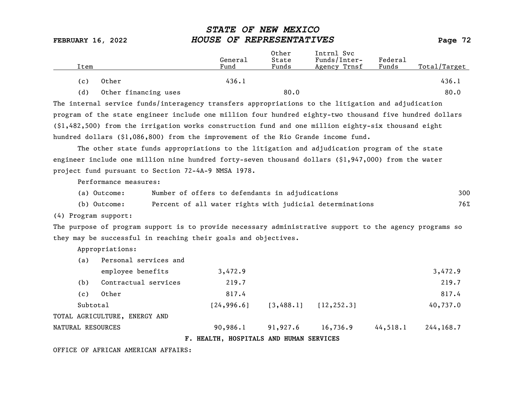| Item |                      | General<br>Fund | Other<br>State<br>Funds | Intrnl Svc<br>Funds/Inter-<br>Agency Trnsf | Federal<br>Funds | Total/Target |
|------|----------------------|-----------------|-------------------------|--------------------------------------------|------------------|--------------|
| (c)  | Other                | 436.1           |                         |                                            |                  | 436.1        |
| (d)  | Other financing uses |                 | 80.0                    |                                            |                  | 80.0         |

The internal service funds/interagency transfers appropriations to the litigation and adjudication program of the state engineer include one million four hundred eighty-two thousand five hundred dollars (\$1,482,500) from the irrigation works construction fund and one million eighty-six thousand eight hundred dollars (\$1,086,800) from the improvement of the Rio Grande income fund.

The other state funds appropriations to the litigation and adjudication program of the state engineer include one million nine hundred forty-seven thousand dollars (\$1,947,000) from the water project fund pursuant to Section 72-4A-9 NMSA 1978.

Performance measures:

| (a) Outcome: | Number of offers to defendants in adjudications          | 300 |
|--------------|----------------------------------------------------------|-----|
| (b) Outcome: | Percent of all water rights with judicial determinations | 76% |

(4) Program support:

The purpose of program support is to provide necessary administrative support to the agency programs so they may be successful in reaching their goals and objectives.

Appropriations:

| (a)      | Personal services and         |  |             |                                         |             |          |             |  |
|----------|-------------------------------|--|-------------|-----------------------------------------|-------------|----------|-------------|--|
|          | employee benefits             |  | 3,472.9     |                                         |             |          | 3,472.9     |  |
| (b)      | Contractual services          |  | 219.7       |                                         |             |          | 219.7       |  |
| (c)      | Other                         |  | 817.4       |                                         |             |          | 817.4       |  |
| Subtotal |                               |  | [24, 996.6] | [3, 488.1]                              | [12, 252.3] |          | 40,737.0    |  |
|          | TOTAL AGRICULTURE, ENERGY AND |  |             |                                         |             |          |             |  |
|          | NATURAL RESOURCES             |  | 90,986.1    | 91,927.6                                | 16,736.9    | 44,518.1 | 244, 168, 7 |  |
|          |                               |  |             | F. HEALTH, HOSPITALS AND HUMAN SERVICES |             |          |             |  |

OFFICE OF AFRICAN AMERICAN AFFAIRS: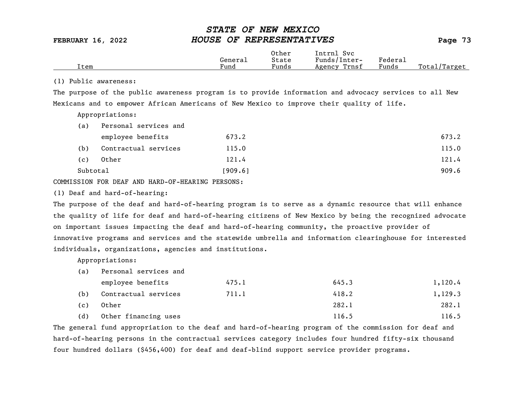|  | Item | General<br>Fund | Other<br>State<br>$\overline{\phantom{a}}$<br>Funds | Intrnl<br>Svc<br>Funds/Inter-<br>Trnsf<br>Agency | Federai<br>Funds | Total,<br>'Target |
|--|------|-----------------|-----------------------------------------------------|--------------------------------------------------|------------------|-------------------|
|--|------|-----------------|-----------------------------------------------------|--------------------------------------------------|------------------|-------------------|

### (1) Public awareness:

The purpose of the public awareness program is to provide information and advocacy services to all New Mexicans and to empower African Americans of New Mexico to improve their quality of life.

Appropriations:

| (a)      | Personal services and |         |       |
|----------|-----------------------|---------|-------|
|          | employee benefits     | 673.2   | 673.2 |
| (b)      | Contractual services  | 115.0   | 115.0 |
| (c)      | Other                 | 121.4   | 121.4 |
| Subtotal |                       | [909.6] | 909.6 |

COMMISSION FOR DEAF AND HARD-OF-HEARING PERSONS:

(1) Deaf and hard-of-hearing:

The purpose of the deaf and hard-of-hearing program is to serve as a dynamic resource that will enhance the quality of life for deaf and hard-of-hearing citizens of New Mexico by being the recognized advocate on important issues impacting the deaf and hard-of-hearing community, the proactive provider of innovative programs and services and the statewide umbrella and information clearinghouse for interested individuals, organizations, agencies and institutions.

Appropriations:

(a) Personal services and

|     | employee benefits    | 475.1 | 645.3 | 1,120.4 |
|-----|----------------------|-------|-------|---------|
| (b) | Contractual services | 711.1 | 418.2 | 1,129.3 |
| (c) | Other                |       | 282.1 | 282.1   |
| (d) | Other financing uses |       | 116.5 | 116.5   |

The general fund appropriation to the deaf and hard-of-hearing program of the commission for deaf and hard-of-hearing persons in the contractual services category includes four hundred fifty-six thousand four hundred dollars (\$456,400) for deaf and deaf-blind support service provider programs.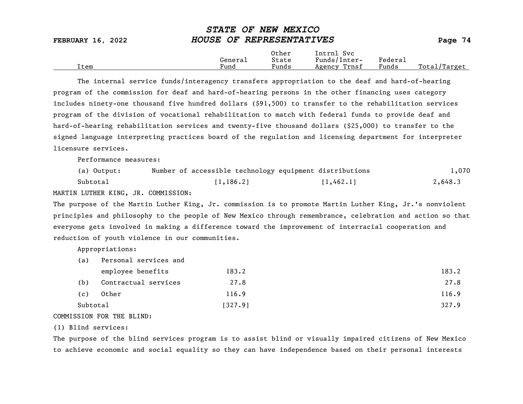| <b>FEBRUARY 16, 2022</b> | HOUSE OF REPRESENTATIVES |                         |                                            |                  | Page 74      |
|--------------------------|--------------------------|-------------------------|--------------------------------------------|------------------|--------------|
| [tem                     | General<br>Fund          | Other<br>State<br>Funds | Intrnl Svc<br>Funds/Inter-<br>Agency Trnsf | Federal<br>Funds | Total/Target |

STATE OF NEW MEXICO

The internal service funds/interagency transfers appropriation to the deaf and hard-of-hearing program of the commission for deaf and hard-of-hearing persons in the other financing uses category includes ninety-one thousand five hundred dollars (\$91,500) to transfer to the rehabilitation services program of the division of vocational rehabilitation to match with federal funds to provide deaf and hard-of-hearing rehabilitation services and twenty-five thousand dollars (\$25,000) to transfer to the signed language interpreting practices board of the regulation and licensing department for interpreter licensure services.

Performance measures:

| (a) Output: | Number of accessible technology equipment distributions |            | 1,070   |
|-------------|---------------------------------------------------------|------------|---------|
| Subtotal    | [1, 186.2]                                              | [1, 462.1] | 2,648.3 |

MARTIN LUTHER KING, JR. COMMISSION:

The purpose of the Martin Luther King, Jr. commission is to promote Martin Luther King, Jr.'s nonviolent principles and philosophy to the people of New Mexico through remembrance, celebration and action so that everyone gets involved in making a difference toward the improvement of interracial cooperation and reduction of youth violence in our communities.

Appropriations:

| (a)      | Personal services and |         |       |
|----------|-----------------------|---------|-------|
|          | employee benefits     | 183.2   | 183.2 |
| (b)      | Contractual services  | 27.8    | 27.8  |
| (c)      | Other                 | 116.9   | 116.9 |
| Subtotal |                       | [327.9] | 327.9 |
|          |                       |         |       |

COMMISSION FOR THE BLIND:

(1) Blind services:

The purpose of the blind services program is to assist blind or visually impaired citizens of New Mexico to achieve economic and social equality so they can have independence based on their personal interests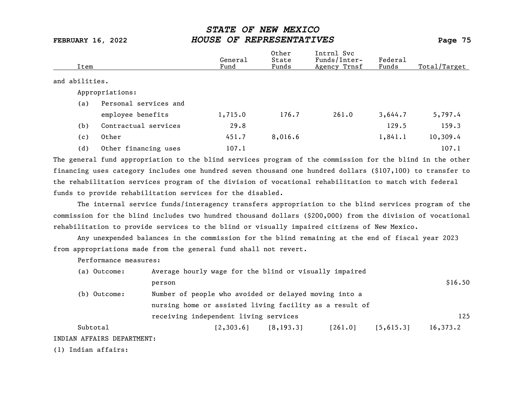| Item           |                       | General<br>Fund | Other<br>State<br>Funds | Intrnl Svc<br>Funds/Inter-<br>Agency Trnsf | Federal<br>Funds | Total/Target |
|----------------|-----------------------|-----------------|-------------------------|--------------------------------------------|------------------|--------------|
| and abilities. |                       |                 |                         |                                            |                  |              |
|                | Appropriations:       |                 |                         |                                            |                  |              |
| (a)            | Personal services and |                 |                         |                                            |                  |              |
|                | employee benefits     | 1,715.0         | 176.7                   | 261.0                                      | 3,644.7          | 5,797.4      |
| (b)            | Contractual services  | 29.8            |                         |                                            | 129.5            | 159.3        |
| (c)            | Other                 | 451.7           | 8,016.6                 |                                            | 1,841.1          | 10,309.4     |
| (d)            | Other financing uses  | 107.1           |                         |                                            |                  | 107.1        |

The general fund appropriation to the blind services program of the commission for the blind in the other financing uses category includes one hundred seven thousand one hundred dollars (\$107,100) to transfer to the rehabilitation services program of the division of vocational rehabilitation to match with federal funds to provide rehabilitation services for the disabled.

The internal service funds/interagency transfers appropriation to the blind services program of the commission for the blind includes two hundred thousand dollars (\$200,000) from the division of vocational rehabilitation to provide services to the blind or visually impaired citizens of New Mexico.

Any unexpended balances in the commission for the blind remaining at the end of fiscal year 2023 from appropriations made from the general fund shall not revert.

Performance measures:

| (a) Outcome:               | Average hourly wage for the blind or visually impaired  |            |         |           |          |
|----------------------------|---------------------------------------------------------|------------|---------|-----------|----------|
|                            | person                                                  |            |         |           | \$16.50  |
| (b) Outcome:               | Number of people who avoided or delayed moving into a   |            |         |           |          |
|                            | nursing home or assisted living facility as a result of |            |         |           |          |
|                            | receiving independent living services                   |            |         |           | 125      |
| Subtotal                   | [2, 303.6]                                              | [8, 193.3] | [261.0] | [5,615.3] | 16,373.2 |
| INDIAN AFFAIRS DEPARTMENT: |                                                         |            |         |           |          |

(1) Indian affairs: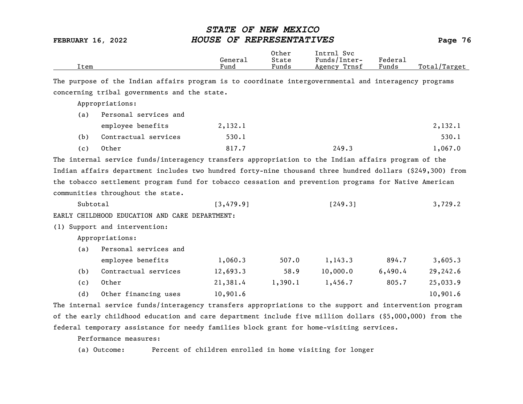| Item     |                                                                                                           | General<br>Fund | Other<br>State<br>Funds | Intrnl Svc<br>Funds/Inter-<br>Agency Trnsf | Federal<br>Funds | Total/Target |
|----------|-----------------------------------------------------------------------------------------------------------|-----------------|-------------------------|--------------------------------------------|------------------|--------------|
|          | The purpose of the Indian affairs program is to coordinate intergovernmental and interagency programs     |                 |                         |                                            |                  |              |
|          | concerning tribal governments and the state.                                                              |                 |                         |                                            |                  |              |
|          | Appropriations:                                                                                           |                 |                         |                                            |                  |              |
| (a)      | Personal services and                                                                                     |                 |                         |                                            |                  |              |
|          | employee benefits                                                                                         | 2,132.1         |                         |                                            |                  | 2,132.1      |
| (b)      | Contractual services                                                                                      | 530.1           |                         |                                            |                  | 530.1        |
| (c)      | Other                                                                                                     | 817.7           |                         | 249.3                                      |                  | 1,067.0      |
|          | The internal service funds/interagency transfers appropriation to the Indian affairs program of the       |                 |                         |                                            |                  |              |
|          | Indian affairs department includes two hundred forty-nine thousand three hundred dollars (\$249,300) from |                 |                         |                                            |                  |              |
|          | the tobacco settlement program fund for tobacco cessation and prevention programs for Native American     |                 |                         |                                            |                  |              |
|          | communities throughout the state.                                                                         |                 |                         |                                            |                  |              |
| Subtotal |                                                                                                           | [3, 479.9]      |                         | [249.3]                                    |                  | 3,729.2      |
|          | EARLY CHILDHOOD EDUCATION AND CARE DEPARTMENT:                                                            |                 |                         |                                            |                  |              |
|          | (1) Support and intervention:                                                                             |                 |                         |                                            |                  |              |
|          | Appropriations:                                                                                           |                 |                         |                                            |                  |              |
| (a)      | Personal services and                                                                                     |                 |                         |                                            |                  |              |
|          | employee benefits                                                                                         | 1,060.3         | 507.0                   | 1,143.3                                    | 894.7            | 3,605.3      |
| (b)      | Contractual services                                                                                      | 12,693.3        | 58.9                    | 10,000.0                                   | 6,490.4          | 29,242.6     |
| (c)      | Other                                                                                                     | 21,381.4        | 1,390.1                 | 1,456.7                                    | 805.7            | 25,033.9     |
| (d)      | Other financing uses                                                                                      | 10,901.6        |                         |                                            |                  | 10,901.6     |
|          | The internal service funds/interagency transfers appropriations to the support and intervention program   |                 |                         |                                            |                  |              |
|          | of the early childhood education and care department include five million dollars (\$5,000,000) from the  |                 |                         |                                            |                  |              |

federal temporary assistance for needy families block grant for home-visiting services.

Performance measures:

(a) Outcome: Percent of children enrolled in home visiting for longer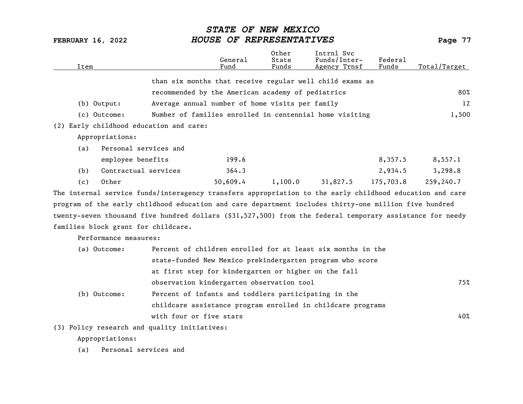| Item                                                                                                      |                                                             | General<br>Fund | Other<br>State<br>Funds | Intrnl Svc<br>Funds/Inter-<br>Agency Trnsf | Federal<br>Funds | Total/Target |
|-----------------------------------------------------------------------------------------------------------|-------------------------------------------------------------|-----------------|-------------------------|--------------------------------------------|------------------|--------------|
|                                                                                                           | than six months that receive regular well child exams as    |                 |                         |                                            |                  |              |
|                                                                                                           | recommended by the American academy of pediatrics           |                 |                         |                                            |                  | 80%          |
| $(b)$ Output:                                                                                             | Average annual number of home visits per family             |                 |                         |                                            |                  | 12           |
| (c) Outcome:                                                                                              | Number of families enrolled in centennial home visiting     |                 |                         |                                            |                  | 1,500        |
| (2) Early childhood education and care:                                                                   |                                                             |                 |                         |                                            |                  |              |
| Appropriations:                                                                                           |                                                             |                 |                         |                                            |                  |              |
| Personal services and<br>(a)                                                                              |                                                             |                 |                         |                                            |                  |              |
| employee benefits                                                                                         |                                                             | 199.6           |                         |                                            | 8,357.5          | 8,557.1      |
| Contractual services<br>(b)                                                                               |                                                             | 364.3           |                         |                                            | 2,934.5          | 3,298.8      |
| Other<br>(c)                                                                                              |                                                             | 50,609.4        | 1,100.0                 | 31,827.5                                   | 175,703.8        | 259,240.7    |
| The internal service funds/interagency transfers appropriation to the early childhood education and care  |                                                             |                 |                         |                                            |                  |              |
| program of the early childhood education and care department includes thirty-one million five hundred     |                                                             |                 |                         |                                            |                  |              |
| twenty-seven thousand five hundred dollars (\$31,527,500) from the federal temporary assistance for needy |                                                             |                 |                         |                                            |                  |              |
| families block grant for childcare.                                                                       |                                                             |                 |                         |                                            |                  |              |
| Performance measures:                                                                                     |                                                             |                 |                         |                                            |                  |              |
| (a) Outcome:                                                                                              | Percent of children enrolled for at least six months in the |                 |                         |                                            |                  |              |
|                                                                                                           | state-funded New Mexico prekindergarten program who score   |                 |                         |                                            |                  |              |
|                                                                                                           | at first step for kindergarten or higher on the fall        |                 |                         |                                            |                  |              |

observation kindergarten observation tool 75% (b) Outcome: Percent of infants and toddlers participating in the childcare assistance program enrolled in childcare programs with four or five stars 40%

(3) Policy research and quality initiatives:

Appropriations:

(a) Personal services and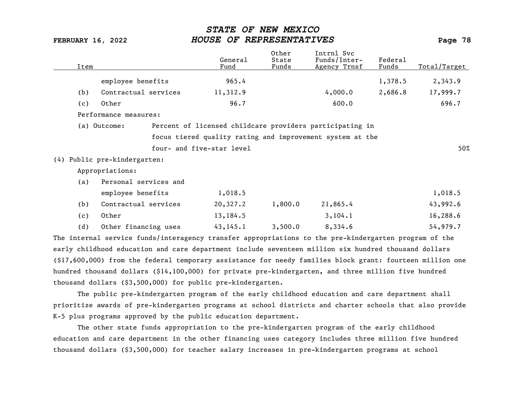| Item |                                                                                                       |                           | General<br>Fund | Other<br>State<br>Funds | Intrnl Svc<br>Funds/Inter-<br>Agency Trnsf                | Federal<br>Funds | Total/Target |
|------|-------------------------------------------------------------------------------------------------------|---------------------------|-----------------|-------------------------|-----------------------------------------------------------|------------------|--------------|
|      | employee benefits                                                                                     |                           | 965.4           |                         |                                                           | 1,378.5          | 2,343.9      |
| (b)  | Contractual services                                                                                  |                           | 11,312.9        |                         | 4,000.0                                                   | 2,686.8          | 17,999.7     |
| (c)  | Other                                                                                                 |                           | 96.7            |                         | 600.0                                                     |                  | 696.7        |
|      | Performance measures:                                                                                 |                           |                 |                         |                                                           |                  |              |
|      | (a) Outcome:                                                                                          |                           |                 |                         | Percent of licensed childcare providers participating in  |                  |              |
|      |                                                                                                       |                           |                 |                         | focus tiered quality rating and improvement system at the |                  |              |
|      |                                                                                                       | four- and five-star level |                 |                         |                                                           |                  | 50%          |
|      | (4) Public pre-kindergarten:                                                                          |                           |                 |                         |                                                           |                  |              |
|      | Appropriations:                                                                                       |                           |                 |                         |                                                           |                  |              |
| (a)  | Personal services and                                                                                 |                           |                 |                         |                                                           |                  |              |
|      | employee benefits                                                                                     |                           | 1,018.5         |                         |                                                           |                  | 1,018.5      |
| (b)  | Contractual services                                                                                  |                           | 20,327.2        | 1,800.0                 | 21,865.4                                                  |                  | 43,992.6     |
| (c)  | Other                                                                                                 |                           | 13,184.5        |                         | 3, 104.1                                                  |                  | 16,288.6     |
| (d)  | Other financing uses                                                                                  |                           | 43, 145.1       | 3,500.0                 | 8,334.6                                                   |                  | 54,979.7     |
|      | The internal service funds/interagency transfer appropriations to the pre-kindergarten program of the |                           |                 |                         |                                                           |                  |              |
|      |                                                                                                       |                           |                 |                         |                                                           |                  |              |

early childhood education and care department include seventeen million six hundred thousand dollars (\$17,600,000) from the federal temporary assistance for needy families block grant: fourteen million one hundred thousand dollars (\$14,100,000) for private pre-kindergarten, and three million five hundred thousand dollars (\$3,500,000) for public pre-kindergarten.

The public pre-kindergarten program of the early childhood education and care department shall prioritize awards of pre-kindergarten programs at school districts and charter schools that also provide K-5 plus programs approved by the public education department.

The other state funds appropriation to the pre-kindergarten program of the early childhood education and care department in the other financing uses category includes three million five hundred thousand dollars (\$3,500,000) for teacher salary increases in pre-kindergarten programs at school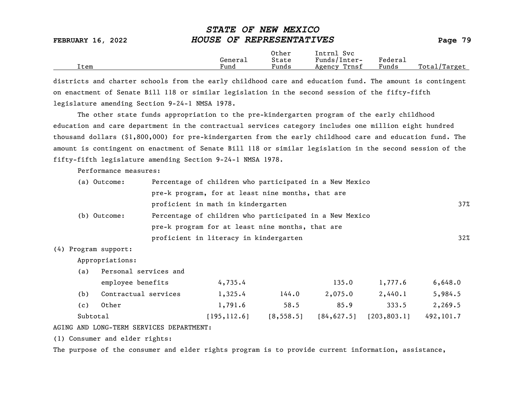| <b>FEBRUARY 16, 2022</b> |         | HOUSE OF REPRESENTATIVES |                            |         |              |  |  |
|--------------------------|---------|--------------------------|----------------------------|---------|--------------|--|--|
|                          | General | Other<br>State           | Intrnl Svc<br>Funds/Inter- | Federal |              |  |  |
| [tem                     | Fund    | Funds                    | Agency Trnsf               | Funds   | Total/Target |  |  |

STATE OF NEW MEXICO

districts and charter schools from the early childhood care and education fund. The amount is contingent on enactment of Senate Bill 118 or similar legislation in the second session of the fifty-fifth legislature amending Section 9-24-1 NMSA 1978.

The other state funds appropriation to the pre-kindergarten program of the early childhood education and care department in the contractual services category includes one million eight hundred thousand dollars (\$1,800,000) for pre-kindergarten from the early childhood care and education fund. The amount is contingent on enactment of Senate Bill 118 or similar legislation in the second session of the fifty-fifth legislature amending Section 9-24-1 NMSA 1978.

Performance measures:

| (a) Outcome: | Percentage of children who participated in a New Mexico |        |
|--------------|---------------------------------------------------------|--------|
|              | pre-k program, for at least nine months, that are       |        |
|              | proficient in math in kindergarten                      | 37%    |
| (b) Outcome: | Percentage of children who participated in a New Mexico |        |
|              | pre-k program for at least nine months, that are        |        |
|              | proficient in literacy in kindergarten                  | $32\%$ |

### (4) Program support:

Appropriations:

(a) Personal services and

|          | employee benefits    | 4,735.4       |            | 135.0       | 1,777.6      | 6,648.0    |
|----------|----------------------|---------------|------------|-------------|--------------|------------|
| (b)      | Contractual services | 1,325.4       | 144.0      | 2,075.0     | 2,440.1      | 5,984.5    |
| (c)      | Other                | 1,791.6       | 58.5       | 85.9        | 333.5        | 2,269.5    |
| Subtotal |                      | [195, 112, 6] | [8, 558.5] | [84, 627.5] | [203, 803.1] | 492, 101.7 |

### AGING AND LONG-TERM SERVICES DEPARTMENT:

(1) Consumer and elder rights:

The purpose of the consumer and elder rights program is to provide current information, assistance,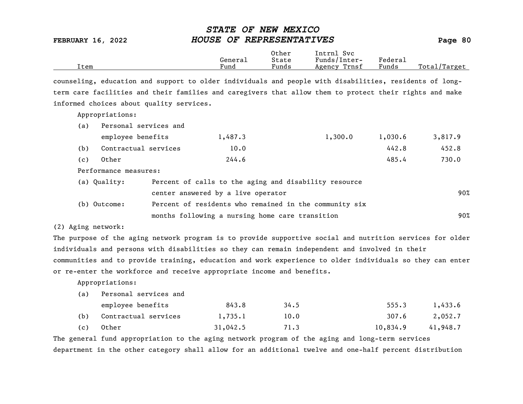|      |         | Other | Intrnl<br>Svc   |                                    |                  |
|------|---------|-------|-----------------|------------------------------------|------------------|
|      | General | State | Funds/Inter-    | ${}_{\rm \texttt{Federa}_{\perp}}$ |                  |
| Item | Fund    | Funds | Trnsf<br>Agency | Funds                              | Total<br>'Target |

counseling, education and support to older individuals and people with disabilities, residents of longterm care facilities and their families and caregivers that allow them to protect their rights and make informed choices about quality services.

Appropriations:

| (a) | Personal services and              |  |         |                                                       |         |         |
|-----|------------------------------------|--|---------|-------------------------------------------------------|---------|---------|
|     | employee benefits                  |  | 1,487.3 | 1,300.0                                               | 1,030.6 | 3,817.9 |
| (b) | Contractual services               |  | 10.0    |                                                       | 442.8   | 452.8   |
| (c) | Other                              |  | 244.6   |                                                       | 485.4   | 730.0   |
|     | Performance measures:              |  |         |                                                       |         |         |
|     | (a) Quality:                       |  |         | Percent of calls to the aging and disability resource |         |         |
|     | center answered by a live operator |  |         |                                                       | 90%     |         |

| (b) Outcome: | Percent of residents who remained in the community six |     |
|--------------|--------------------------------------------------------|-----|
|              | months following a nursing home care transition        | 90% |

(2) Aging network:

The purpose of the aging network program is to provide supportive social and nutrition services for older individuals and persons with disabilities so they can remain independent and involved in their communities and to provide training, education and work experience to older individuals so they can enter or re-enter the workforce and receive appropriate income and benefits.

Appropriations:

(a) Personal services and

|     | employee benefits        | 843.8    | 34.5 | 555.3    | 1,433.6  |
|-----|--------------------------|----------|------|----------|----------|
|     | (b) Contractual services | 1,735.1  | 10.0 | 307.6    | 2,052.7  |
| (c) | Other                    | 31,042.5 | 71.3 | 10,834.9 | 41,948.7 |

The general fund appropriation to the aging network program of the aging and long-term services department in the other category shall allow for an additional twelve and one-half percent distribution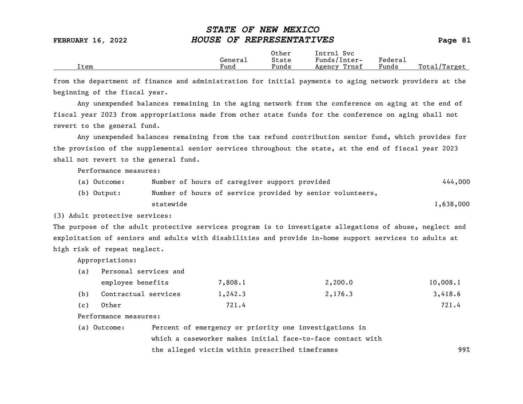|      |         | Other                 | Intrnl<br>Sv c  |                     |                   |
|------|---------|-----------------------|-----------------|---------------------|-------------------|
|      | Generai | State                 | Funds/Inter-    | Federa <sub>1</sub> |                   |
| Item | Fund    | $\mathbf{r}$<br>Funds | Trnsf<br>Agency | Funds               | Total,<br>'Target |

from the department of finance and administration for initial payments to aging network providers at the beginning of the fiscal year.

Any unexpended balances remaining in the aging network from the conference on aging at the end of fiscal year 2023 from appropriations made from other state funds for the conference on aging shall not revert to the general fund.

Any unexpended balances remaining from the tax refund contribution senior fund, which provides for the provision of the supplemental senior services throughout the state, at the end of fiscal year 2023 shall not revert to the general fund.

Performance measures:

| (a) Outcome: | Number of hours of caregiver support provided             | 444,000   |
|--------------|-----------------------------------------------------------|-----------|
| (b) Output:  | Number of hours of service provided by senior volunteers, |           |
|              | statewide                                                 | 1,638,000 |

(3) Adult protective services:

The purpose of the adult protective services program is to investigate allegations of abuse, neglect and exploitation of seniors and adults with disabilities and provide in-home support services to adults at high risk of repeat neglect.

Appropriations:

(a) Personal services and

|     | employee benefits    | 7,808.1 | 2,200.0 | 10,008.1 |
|-----|----------------------|---------|---------|----------|
| (b) | Contractual services | 1,242.3 | 2,176.3 | 3,418.6  |
| (c) | Other                | 721.4   |         | 721.4    |

Performance measures:

| (a) Outcome: | Percent of emergency or priority one investigations in     |     |
|--------------|------------------------------------------------------------|-----|
|              | which a caseworker makes initial face-to-face contact with |     |
|              | the alleged victim within prescribed timeframes            | 99% |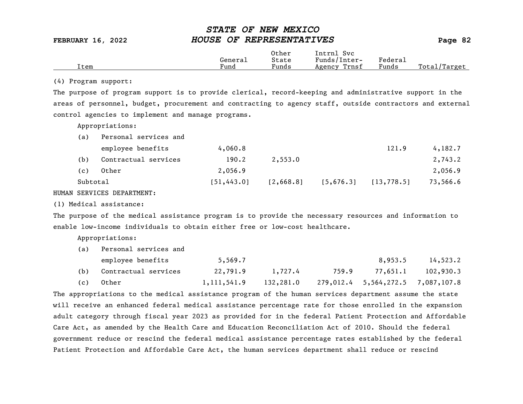|      |                      | Other                             | Intrnl<br>Sv c  |                                            |                  |
|------|----------------------|-----------------------------------|-----------------|--------------------------------------------|------------------|
|      | General              | State                             | Funds/Inter-    | ${}_{\rm Federa}$                          |                  |
| Item | $\mathbf{r}$<br>Fund | $\overline{\phantom{a}}$<br>Funds | Trnsf<br>Agency | and the state of the state of the<br>Funds | Total<br>'Target |
|      |                      |                                   |                 |                                            |                  |

### (4) Program support:

The purpose of program support is to provide clerical, record-keeping and administrative support in the areas of personnel, budget, procurement and contracting to agency staff, outside contractors and external control agencies to implement and manage programs.

Appropriations:

| (a)      | Personal services and |             |           |           |             |          |
|----------|-----------------------|-------------|-----------|-----------|-------------|----------|
|          | employee benefits     | 4,060.8     |           |           | 121.9       | 4,182.7  |
| (b)      | Contractual services  | 190.2       | 2,553.0   |           |             | 2,743.2  |
| (c)      | Other                 | 2,056.9     |           |           |             | 2,056.9  |
| Subtotal |                       | [51, 443.0] | [2,668.8] | [5,676.3] | [13, 778.5] | 73,566.6 |

HUMAN SERVICES DEPARTMENT:

(1) Medical assistance:

The purpose of the medical assistance program is to provide the necessary resources and information to enable low-income individuals to obtain either free or low-cost healthcare.

Appropriations:

| (a) | Personal services and |             |           |       |                                   |           |  |  |  |  |
|-----|-----------------------|-------------|-----------|-------|-----------------------------------|-----------|--|--|--|--|
|     | employee benefits     | 5,569.7     |           |       | 8,953.5                           | 14,523.2  |  |  |  |  |
| (b) | Contractual services  | 22,791.9    | 1,727.4   | 759.9 | 77,651.1                          | 102,930.3 |  |  |  |  |
| (c) | Other                 | 1,111,541.9 | 132,281.0 |       | 279,012.4 5,564,272.5 7,087,107.8 |           |  |  |  |  |

The appropriations to the medical assistance program of the human services department assume the state will receive an enhanced federal medical assistance percentage rate for those enrolled in the expansion adult category through fiscal year 2023 as provided for in the federal Patient Protection and Affordable Care Act, as amended by the Health Care and Education Reconciliation Act of 2010. Should the federal government reduce or rescind the federal medical assistance percentage rates established by the federal Patient Protection and Affordable Care Act, the human services department shall reduce or rescind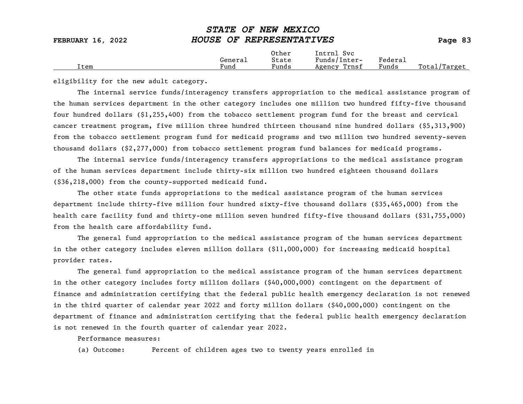Total/Target

eligibility for the new adult category.

The internal service funds/interagency transfers appropriation to the medical assistance program of the human services department in the other category includes one million two hundred fifty-five thousand four hundred dollars (\$1,255,400) from the tobacco settlement program fund for the breast and cervical cancer treatment program, five million three hundred thirteen thousand nine hundred dollars (\$5,313,900) from the tobacco settlement program fund for medicaid programs and two million two hundred seventy-seven thousand dollars (\$2,277,000) from tobacco settlement program fund balances for medicaid programs.

The internal service funds/interagency transfers appropriations to the medical assistance program of the human services department include thirty-six million two hundred eighteen thousand dollars (\$36,218,000) from the county-supported medicaid fund.

The other state funds appropriations to the medical assistance program of the human services department include thirty-five million four hundred sixty-five thousand dollars (\$35,465,000) from the health care facility fund and thirty-one million seven hundred fifty-five thousand dollars (\$31,755,000) from the health care affordability fund.

The general fund appropriation to the medical assistance program of the human services department in the other category includes eleven million dollars (\$11,000,000) for increasing medicaid hospital provider rates.

The general fund appropriation to the medical assistance program of the human services department in the other category includes forty million dollars (\$40,000,000) contingent on the department of finance and administration certifying that the federal public health emergency declaration is not renewed in the third quarter of calendar year 2022 and forty million dollars (\$40,000,000) contingent on the department of finance and administration certifying that the federal public health emergency declaration is not renewed in the fourth quarter of calendar year 2022.

Performance measures:

(a) Outcome: Percent of children ages two to twenty years enrolled in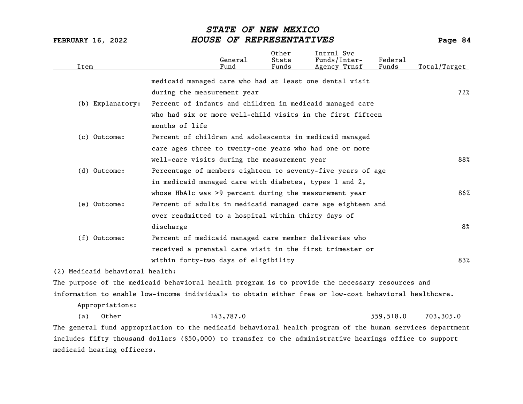| Item                            | General<br>Fund                                                                                           | Other<br>State<br>Funds | Intrnl Svc<br>Funds/Inter-<br>Agency Trnsf | Federal<br>Funds | Total/Target |
|---------------------------------|-----------------------------------------------------------------------------------------------------------|-------------------------|--------------------------------------------|------------------|--------------|
|                                 | medicaid managed care who had at least one dental visit                                                   |                         |                                            |                  |              |
|                                 | during the measurement year                                                                               |                         |                                            |                  | 72%          |
| (b) Explanatory:                | Percent of infants and children in medicaid managed care                                                  |                         |                                            |                  |              |
|                                 | who had six or more well-child visits in the first fifteen                                                |                         |                                            |                  |              |
|                                 | months of life                                                                                            |                         |                                            |                  |              |
| (c) Outcome:                    | Percent of children and adolescents in medicaid managed                                                   |                         |                                            |                  |              |
|                                 | care ages three to twenty-one years who had one or more                                                   |                         |                                            |                  |              |
|                                 | well-care visits during the measurement year                                                              |                         |                                            |                  | 88%          |
| (d) Outcome:                    | Percentage of members eighteen to seventy-five years of age                                               |                         |                                            |                  |              |
|                                 | in medicaid managed care with diabetes, types 1 and 2,                                                    |                         |                                            |                  |              |
|                                 | whose HbAlc was >9 percent during the measurement year                                                    |                         |                                            |                  | 86%          |
| (e) Outcome:                    | Percent of adults in medicaid managed care age eighteen and                                               |                         |                                            |                  |              |
|                                 | over readmitted to a hospital within thirty days of                                                       |                         |                                            |                  |              |
|                                 | discharge                                                                                                 |                         |                                            |                  | $8\%$        |
| (f) Outcome:                    | Percent of medicaid managed care member deliveries who                                                    |                         |                                            |                  |              |
|                                 | received a prenatal care visit in the first trimester or                                                  |                         |                                            |                  |              |
|                                 | within forty-two days of eligibility                                                                      |                         |                                            |                  | 83%          |
| (2) Medicaid behavioral health: |                                                                                                           |                         |                                            |                  |              |
|                                 | The purpose of the medicaid behavioral health program is to provide the necessary resources and           |                         |                                            |                  |              |
|                                 | information to enable low-income individuals to obtain either free or low-cost behavioral healthcare.     |                         |                                            |                  |              |
| Appropriations:                 |                                                                                                           |                         |                                            |                  |              |
| Other<br>(a)                    | 143,787.0                                                                                                 |                         |                                            | 559,518.0        | 703,305.0    |
|                                 | The general fund appropriation to the medicaid behavioral health program of the human services department |                         |                                            |                  |              |
|                                 | includes fifty thousand dollars (\$50,000) to transfer to the administrative hearings office to support   |                         |                                            |                  |              |
| medicaid hearing officers.      |                                                                                                           |                         |                                            |                  |              |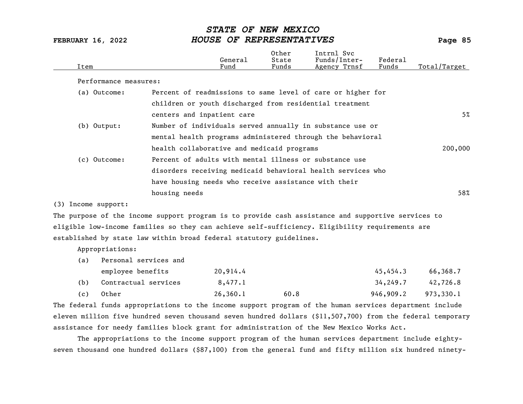| Item                |                       | General<br>Fund                                      | Other<br>State<br>Funds | Intrnl Svc<br>Funds/Inter-<br>Agency Trnsf                  | Federal<br>Funds | Total/Target |
|---------------------|-----------------------|------------------------------------------------------|-------------------------|-------------------------------------------------------------|------------------|--------------|
|                     | Performance measures: |                                                      |                         |                                                             |                  |              |
| (a) Outcome:        |                       |                                                      |                         | Percent of readmissions to same level of care or higher for |                  |              |
|                     |                       |                                                      |                         | children or youth discharged from residential treatment     |                  |              |
|                     |                       | centers and inpatient care                           |                         |                                                             |                  | 5%           |
| $(b)$ Output:       |                       |                                                      |                         | Number of individuals served annually in substance use or   |                  |              |
|                     |                       |                                                      |                         | mental health programs administered through the behavioral  |                  |              |
|                     |                       | health collaborative and medicaid programs           |                         |                                                             |                  | 200,000      |
| (c) Outcome:        |                       |                                                      |                         | Percent of adults with mental illness or substance use      |                  |              |
|                     |                       |                                                      |                         | disorders receiving medicaid behavioral health services who |                  |              |
|                     |                       | have housing needs who receive assistance with their |                         |                                                             |                  |              |
|                     | housing needs         |                                                      |                         |                                                             |                  | 58%          |
| (3) Income support: |                       |                                                      |                         |                                                             |                  |              |

The purpose of the income support program is to provide cash assistance and supportive services to eligible low-income families so they can achieve self-sufficiency. Eligibility requirements are established by state law within broad federal statutory guidelines.

Appropriations:

| (a) | Personal services and |          |      |           |           |  |  |  |  |  |
|-----|-----------------------|----------|------|-----------|-----------|--|--|--|--|--|
|     | employee benefits     | 20,914.4 |      | 45,454.3  | 66,368.7  |  |  |  |  |  |
| (b) | Contractual services  | 8,477.1  |      | 34,249.7  | 42,726.8  |  |  |  |  |  |
| (c) | Other                 | 26,360.1 | 60.8 | 946,909.2 | 973,330.1 |  |  |  |  |  |

The federal funds appropriations to the income support program of the human services department include eleven million five hundred seven thousand seven hundred dollars (\$11,507,700) from the federal temporary assistance for needy families block grant for administration of the New Mexico Works Act.

The appropriations to the income support program of the human services department include eightyseven thousand one hundred dollars (\$87,100) from the general fund and fifty million six hundred ninety-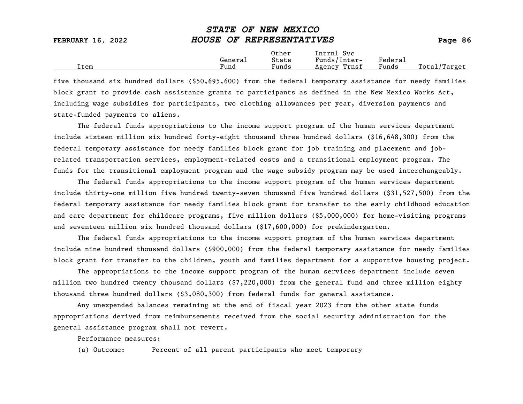| FEBRUARY 16, 2022 | HOUSE OF REPRESENTATIVES                                | Page 86               |
|-------------------|---------------------------------------------------------|-----------------------|
|                   | Other<br>Intrnl Svc<br>Funds/Inter-<br>State<br>General | Federal               |
| Item              | Fund<br>Funds<br>Agency Trnsf                           | Total/Target<br>Funds |

STATE OF NEW MEXICO

five thousand six hundred dollars (\$50,695,600) from the federal temporary assistance for needy families block grant to provide cash assistance grants to participants as defined in the New Mexico Works Act, including wage subsidies for participants, two clothing allowances per year, diversion payments and state-funded payments to aliens.

The federal funds appropriations to the income support program of the human services department include sixteen million six hundred forty-eight thousand three hundred dollars (\$16,648,300) from the federal temporary assistance for needy families block grant for job training and placement and jobrelated transportation services, employment-related costs and a transitional employment program. The funds for the transitional employment program and the wage subsidy program may be used interchangeably.

The federal funds appropriations to the income support program of the human services department include thirty-one million five hundred twenty-seven thousand five hundred dollars (\$31,527,500) from the federal temporary assistance for needy families block grant for transfer to the early childhood education and care department for childcare programs, five million dollars (\$5,000,000) for home-visiting programs and seventeen million six hundred thousand dollars (\$17,600,000) for prekindergarten.

The federal funds appropriations to the income support program of the human services department include nine hundred thousand dollars (\$900,000) from the federal temporary assistance for needy families block grant for transfer to the children, youth and families department for a supportive housing project.

The appropriations to the income support program of the human services department include seven million two hundred twenty thousand dollars (\$7,220,000) from the general fund and three million eighty thousand three hundred dollars (\$3,080,300) from federal funds for general assistance.

Any unexpended balances remaining at the end of fiscal year 2023 from the other state funds appropriations derived from reimbursements received from the social security administration for the general assistance program shall not revert.

Performance measures:

(a) Outcome: Percent of all parent participants who meet temporary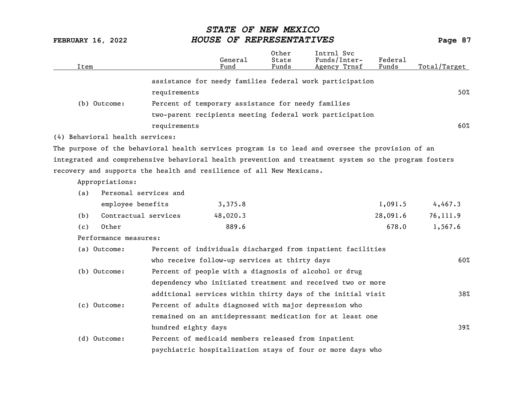| Item                                                                                                  |                                                             | General<br>Fund | Other<br>State<br>Funds | Intrnl Svc<br>Funds/Inter-<br>Agency Trnsf | Federal<br>Funds | Total/Target |
|-------------------------------------------------------------------------------------------------------|-------------------------------------------------------------|-----------------|-------------------------|--------------------------------------------|------------------|--------------|
|                                                                                                       | assistance for needy families federal work participation    |                 |                         |                                            |                  |              |
|                                                                                                       | requirements                                                |                 |                         |                                            |                  | 50%          |
| (b) Outcome:                                                                                          | Percent of temporary assistance for needy families          |                 |                         |                                            |                  |              |
|                                                                                                       | two-parent recipients meeting federal work participation    |                 |                         |                                            |                  |              |
|                                                                                                       | requirements                                                |                 |                         |                                            |                  | 60%          |
| (4) Behavioral health services:                                                                       |                                                             |                 |                         |                                            |                  |              |
| The purpose of the behavioral health services program is to lead and oversee the provision of an      |                                                             |                 |                         |                                            |                  |              |
| integrated and comprehensive behavioral health prevention and treatment system so the program fosters |                                                             |                 |                         |                                            |                  |              |
| recovery and supports the health and resilience of all New Mexicans.                                  |                                                             |                 |                         |                                            |                  |              |
| Appropriations:                                                                                       |                                                             |                 |                         |                                            |                  |              |
| Personal services and<br>(a)                                                                          |                                                             |                 |                         |                                            |                  |              |
| employee benefits                                                                                     |                                                             | 3,375.8         |                         |                                            | 1,091.5          | 4,467.3      |
| Contractual services<br>(b)                                                                           |                                                             | 48,020.3        |                         |                                            | 28,091.6         | 76,111.9     |
| Other<br>(c)                                                                                          |                                                             | 889.6           |                         |                                            | 678.0            | 1,567.6      |
| Performance measures:                                                                                 |                                                             |                 |                         |                                            |                  |              |
| (a) Outcome:                                                                                          | Percent of individuals discharged from inpatient facilities |                 |                         |                                            |                  |              |
|                                                                                                       | who receive follow-up services at thirty days               |                 |                         |                                            |                  | 60%          |
| (b) Outcome:                                                                                          | Percent of people with a diagnosis of alcohol or drug       |                 |                         |                                            |                  |              |
|                                                                                                       | dependency who initiated treatment and received two or more |                 |                         |                                            |                  |              |
|                                                                                                       | additional services within thirty days of the initial visit |                 |                         |                                            |                  | 38%          |
| (c) Outcome:                                                                                          | Percent of adults diagnosed with major depression who       |                 |                         |                                            |                  |              |
|                                                                                                       | remained on an antidepressant medication for at least one   |                 |                         |                                            |                  |              |
|                                                                                                       | hundred eighty days                                         |                 |                         |                                            |                  | 39%          |
| (d) Outcome:                                                                                          | Percent of medicaid members released from inpatient         |                 |                         |                                            |                  |              |
|                                                                                                       | psychiatric hospitalization stays of four or more days who  |                 |                         |                                            |                  |              |
|                                                                                                       |                                                             |                 |                         |                                            |                  |              |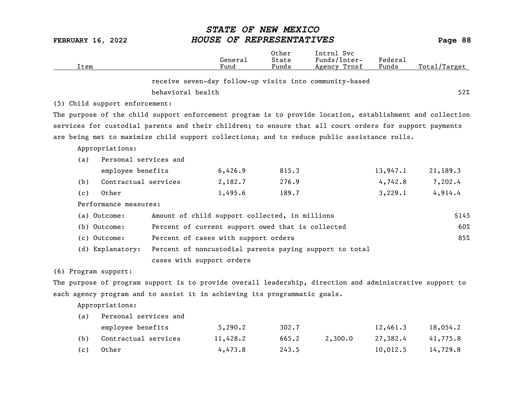| <b>FEBRUARY 16, 2022</b> |                                                                                                           | STATE OF NEW MEXICO<br>HOUSE OF REPRESENTATIVES   |                         |                                                         |                  | Page 88      |
|--------------------------|-----------------------------------------------------------------------------------------------------------|---------------------------------------------------|-------------------------|---------------------------------------------------------|------------------|--------------|
| Item                     |                                                                                                           | General<br>Fund                                   | Other<br>State<br>Funds | Intrnl Svc<br>Funds/Inter-<br>Agency Trnsf              | Federal<br>Funds | Total/Target |
|                          |                                                                                                           |                                                   |                         | receive seven-day follow-up visits into community-based |                  |              |
|                          | behavioral health                                                                                         |                                                   |                         |                                                         |                  | 52%          |
|                          | (5) Child support enforcement:                                                                            |                                                   |                         |                                                         |                  |              |
|                          | The purpose of the child support enforcement program is to provide location, establishment and collection |                                                   |                         |                                                         |                  |              |
|                          | services for custodial parents and their children; to ensure that all court orders for support payments   |                                                   |                         |                                                         |                  |              |
|                          | are being met to maximize child support collections; and to reduce public assistance rolls.               |                                                   |                         |                                                         |                  |              |
|                          | Appropriations:                                                                                           |                                                   |                         |                                                         |                  |              |
| (a)                      | Personal services and                                                                                     |                                                   |                         |                                                         |                  |              |
|                          | employee benefits                                                                                         | 6,426.9                                           | 815.3                   |                                                         | 13,947.1         | 21,189.3     |
| (b)                      | Contractual services                                                                                      | 2,182.7                                           | 276.9                   |                                                         | 4,742.8          | 7,202.4      |
| (c)                      | Other                                                                                                     | 1,495.6                                           | 189.7                   |                                                         | 3,229.1          | 4,914.4      |
|                          | Performance measures:                                                                                     |                                                   |                         |                                                         |                  |              |
|                          | (a) Outcome:                                                                                              | Amount of child support collected, in millions    |                         |                                                         |                  | \$145        |
|                          | (b) Outcome:                                                                                              | Percent of current support owed that is collected |                         |                                                         |                  | 60%          |
|                          | (c) Outcome:                                                                                              | Percent of cases with support orders              |                         |                                                         |                  | 85%          |
|                          | (d) Explanatory:                                                                                          |                                                   |                         | Percent of noncustodial parents paying support to total |                  |              |
|                          | cases with support orders                                                                                 |                                                   |                         |                                                         |                  |              |
| (6) Program support:     |                                                                                                           |                                                   |                         |                                                         |                  |              |
|                          | The purpose of program support is to provide overall leadership, direction and administrative support to  |                                                   |                         |                                                         |                  |              |
|                          | each agency program and to assist it in achieving its programmatic goals.                                 |                                                   |                         |                                                         |                  |              |
|                          | Appropriations:                                                                                           |                                                   |                         |                                                         |                  |              |
| (a)                      | Personal services and                                                                                     |                                                   |                         |                                                         |                  |              |
|                          | employee benefits                                                                                         | 5,290.2                                           | 302.7                   |                                                         | 12,461.3         | 18,054.2     |
| (b)                      | Contractual services                                                                                      | 11,428.2                                          | 665.2                   | 2,300.0                                                 | 27,382.4         | 41,775.8     |
| (c)                      | Other                                                                                                     | 4,473.8                                           | 243.5                   |                                                         | 10,012.5         | 14,729.8     |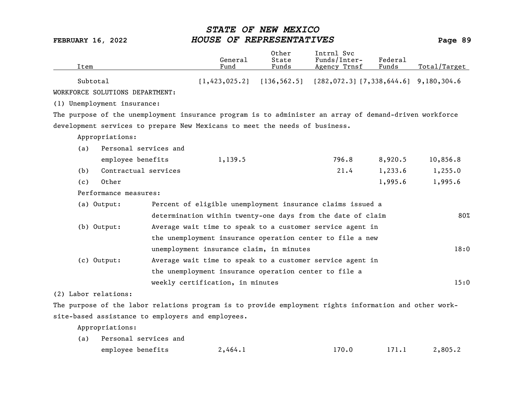| Item                                                                                                   |                                                       | General<br>Fund | Other<br>State<br>Funds | Intrnl Svc<br>Funds/Inter-<br>Agency Trnsf                                | Federal<br>Funds | Total/Target |
|--------------------------------------------------------------------------------------------------------|-------------------------------------------------------|-----------------|-------------------------|---------------------------------------------------------------------------|------------------|--------------|
| Subtotal                                                                                               |                                                       |                 |                         | $[1,423,025.2]$ $[136,562.5]$ $[282,072.3]$ $[7,338,644.6]$ $9,180,304.6$ |                  |              |
| WORKFORCE SOLUTIONS DEPARTMENT:                                                                        |                                                       |                 |                         |                                                                           |                  |              |
| (1) Unemployment insurance:                                                                            |                                                       |                 |                         |                                                                           |                  |              |
| The purpose of the unemployment insurance program is to administer an array of demand-driven workforce |                                                       |                 |                         |                                                                           |                  |              |
| development services to prepare New Mexicans to meet the needs of business.                            |                                                       |                 |                         |                                                                           |                  |              |
| Appropriations:                                                                                        |                                                       |                 |                         |                                                                           |                  |              |
| Personal services and<br>(a)                                                                           |                                                       |                 |                         |                                                                           |                  |              |
| employee benefits                                                                                      |                                                       | 1,139.5         |                         | 796.8                                                                     | 8,920.5          | 10,856.8     |
| Contractual services<br>(b)                                                                            |                                                       |                 |                         | 21.4                                                                      | 1,233.6          | 1,255.0      |
| Other<br>(c)                                                                                           |                                                       |                 |                         |                                                                           | 1,995.6          | 1,995.6      |
| Performance measures:                                                                                  |                                                       |                 |                         |                                                                           |                  |              |
| (a) Output:                                                                                            |                                                       |                 |                         | Percent of eligible unemployment insurance claims issued a                |                  |              |
|                                                                                                        |                                                       |                 |                         | determination within twenty-one days from the date of claim               |                  | 80%          |
| (b) Output:                                                                                            |                                                       |                 |                         | Average wait time to speak to a customer service agent in                 |                  |              |
|                                                                                                        |                                                       |                 |                         | the unemployment insurance operation center to file a new                 |                  |              |
|                                                                                                        | unemployment insurance claim, in minutes              |                 |                         |                                                                           |                  | 18:0         |
| (c) Output:                                                                                            |                                                       |                 |                         | Average wait time to speak to a customer service agent in                 |                  |              |
|                                                                                                        | the unemployment insurance operation center to file a |                 |                         |                                                                           |                  |              |
|                                                                                                        | weekly certification, in minutes                      |                 |                         |                                                                           |                  | 15:0         |
| (2) Labor relations:                                                                                   |                                                       |                 |                         |                                                                           |                  |              |
| The purpose of the labor relations program is to provide employment rights information and other work- |                                                       |                 |                         |                                                                           |                  |              |
| site-based assistance to employers and employees.                                                      |                                                       |                 |                         |                                                                           |                  |              |

| (a) Personal services and |         |       |       |         |
|---------------------------|---------|-------|-------|---------|
| employee benefits         | 2,464.1 | 170.0 | 171.1 | 2,805.2 |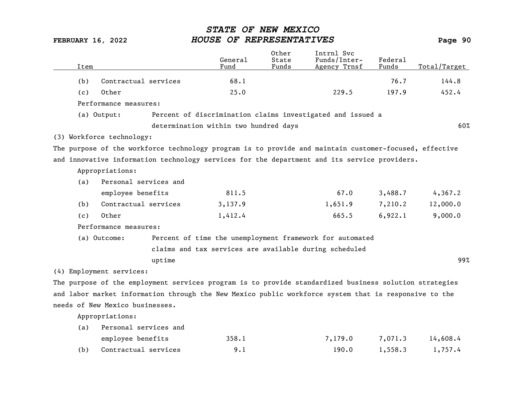| Item |                                 |        | General<br>Fund                       | Other<br>State<br>Funds | Intrnl Svc<br>Funds/Inter-<br>Agency Trnsf                                                             | Federal<br>Funds | Total/Target |
|------|---------------------------------|--------|---------------------------------------|-------------------------|--------------------------------------------------------------------------------------------------------|------------------|--------------|
| (b)  | Contractual services            |        | 68.1                                  |                         |                                                                                                        | 76.7             | 144.8        |
| (c)  | Other                           |        | 25.0                                  |                         | 229.5                                                                                                  | 197.9            | 452.4        |
|      | Performance measures:           |        |                                       |                         |                                                                                                        |                  |              |
|      | (a) Output:                     |        |                                       |                         | Percent of discrimination claims investigated and issued a                                             |                  |              |
|      |                                 |        |                                       |                         |                                                                                                        |                  |              |
|      |                                 |        | determination within two hundred days |                         |                                                                                                        |                  | 60%          |
|      | (3) Workforce technology:       |        |                                       |                         |                                                                                                        |                  |              |
|      |                                 |        |                                       |                         | The purpose of the workforce technology program is to provide and maintain customer-focused, effective |                  |              |
|      |                                 |        |                                       |                         | and innovative information technology services for the department and its service providers.           |                  |              |
|      | Appropriations:                 |        |                                       |                         |                                                                                                        |                  |              |
| (a)  | Personal services and           |        |                                       |                         |                                                                                                        |                  |              |
|      | employee benefits               |        | 811.5                                 |                         | 67.0                                                                                                   | 3,488.7          | 4,367.2      |
| (b)  | Contractual services            |        | 3,137.9                               |                         | 1,651.9                                                                                                | 7,210.2          | 12,000.0     |
| (c)  | Other                           |        | 1,412.4                               |                         | 665.5                                                                                                  | 6,922.1          | 9,000.0      |
|      | Performance measures:           |        |                                       |                         |                                                                                                        |                  |              |
|      | (a) Outcome:                    |        |                                       |                         | Percent of time the unemployment framework for automated                                               |                  |              |
|      |                                 |        |                                       |                         | claims and tax services are available during scheduled                                                 |                  |              |
|      |                                 | uptime |                                       |                         |                                                                                                        |                  | 99%          |
|      | (4) Employment services:        |        |                                       |                         |                                                                                                        |                  |              |
|      |                                 |        |                                       |                         | The purpose of the employment services program is to provide standardized business solution strategies |                  |              |
|      |                                 |        |                                       |                         | and labor market information through the New Mexico public workforce system that is responsive to the  |                  |              |
|      | needs of New Mexico businesses. |        |                                       |                         |                                                                                                        |                  |              |
|      | Appropriations:                 |        |                                       |                         |                                                                                                        |                  |              |
|      |                                 |        |                                       |                         |                                                                                                        |                  |              |
| (a)  | Personal services and           |        |                                       |                         |                                                                                                        |                  |              |
|      | employee benefits               |        | 358.1                                 |                         | 7,179.0                                                                                                | 7,071.3          | 14,608.4     |
| (b)  | Contractual services            |        | 9.1                                   |                         | 190.0                                                                                                  | 1,558.3          | 1,757.4      |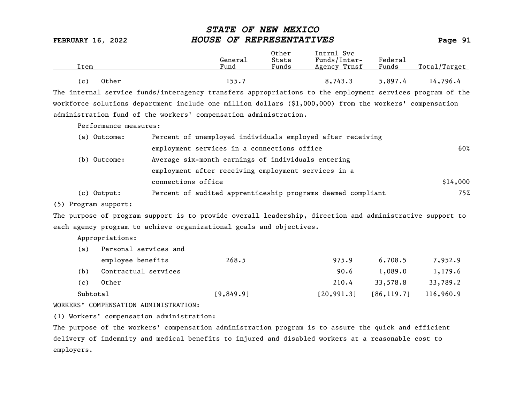| Item           | General<br>Fund | Other<br>State<br>Funds | Intrnl Svc<br>Funds/Inter-<br>Agency Trnsf | Federal<br>Funds | Total/Target |
|----------------|-----------------|-------------------------|--------------------------------------------|------------------|--------------|
| Other<br>( c ) | 155.7           |                         | 8,743.3                                    | 5,897.4          | 14,796.4     |

The internal service funds/interagency transfers appropriations to the employment services program of the workforce solutions department include one million dollars (\$1,000,000) from the workers' compensation administration fund of the workers' compensation administration.

Performance measures:

| (a) Outcome: | Percent of unemployed individuals employed after receiving  |          |
|--------------|-------------------------------------------------------------|----------|
|              | employment services in a connections office                 | 60%      |
| (b) Outcome: | Average six-month earnings of individuals entering          |          |
|              | employment after receiving employment services in a         |          |
|              | connections office                                          | \$14,000 |
| (c) Output:  | Percent of audited apprenticeship programs deemed compliant | 75%      |

(5) Program support:

The purpose of program support is to provide overall leadership, direction and administrative support to each agency program to achieve organizational goals and objectives.

Appropriations:

| (a)      | Personal services and |           |             |             |           |  |  |  |
|----------|-----------------------|-----------|-------------|-------------|-----------|--|--|--|
|          | employee benefits     | 268.5     | 975.9       | 6,708.5     | 7,952.9   |  |  |  |
| (b)      | Contractual services  |           | 90.6        | 1,089.0     | 1,179.6   |  |  |  |
| (c)      | Other                 |           | 210.4       | 33,578.8    | 33,789.2  |  |  |  |
| Subtotal |                       | [9,849.9] | [20, 991.3] | [86, 119.7] | 116,960.9 |  |  |  |

WORKERS' COMPENSATION ADMINISTRATION:

(1) Workers' compensation administration:

The purpose of the workers' compensation administration program is to assure the quick and efficient delivery of indemnity and medical benefits to injured and disabled workers at a reasonable cost to employers.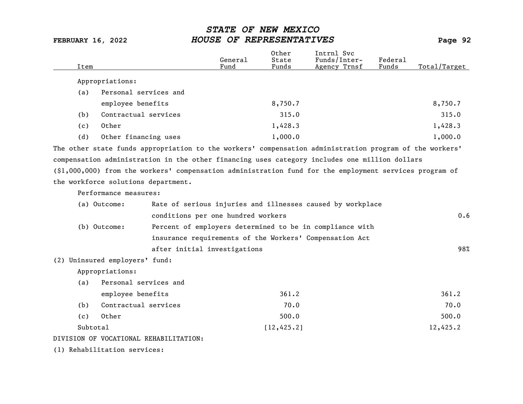| Item     |                                     |                                        | General<br>Fund                    | Other<br>State<br>Funds | Intrnl Svc<br>Funds/Inter-<br>Agency Trnsf                                                                | Federal<br>Funds | Total/Target |
|----------|-------------------------------------|----------------------------------------|------------------------------------|-------------------------|-----------------------------------------------------------------------------------------------------------|------------------|--------------|
|          |                                     |                                        |                                    |                         |                                                                                                           |                  |              |
|          | Appropriations:                     |                                        |                                    |                         |                                                                                                           |                  |              |
| (a)      | Personal services and               |                                        |                                    |                         |                                                                                                           |                  |              |
|          | employee benefits                   |                                        |                                    | 8,750.7                 |                                                                                                           |                  | 8,750.7      |
| (b)      | Contractual services                |                                        |                                    | 315.0                   |                                                                                                           |                  | 315.0        |
| (c)      | Other                               |                                        |                                    | 1,428.3                 |                                                                                                           |                  | 1,428.3      |
| (d)      | Other financing uses                |                                        |                                    | 1,000.0                 |                                                                                                           |                  | 1,000.0      |
|          |                                     |                                        |                                    |                         | The other state funds appropriation to the workers' compensation administration program of the workers'   |                  |              |
|          |                                     |                                        |                                    |                         | compensation administration in the other financing uses category includes one million dollars             |                  |              |
|          |                                     |                                        |                                    |                         | $(\$1,000,000)$ from the workers' compensation administration fund for the employment services program of |                  |              |
|          | the workforce solutions department. |                                        |                                    |                         |                                                                                                           |                  |              |
|          | Performance measures:               |                                        |                                    |                         |                                                                                                           |                  |              |
|          | (a) Outcome:                        |                                        |                                    |                         | Rate of serious injuries and illnesses caused by workplace                                                |                  |              |
|          |                                     |                                        | conditions per one hundred workers |                         |                                                                                                           |                  | 0.6          |
|          | (b) Outcome:                        |                                        |                                    |                         | Percent of employers determined to be in compliance with                                                  |                  |              |
|          |                                     |                                        |                                    |                         | insurance requirements of the Workers' Compensation Act                                                   |                  |              |
|          |                                     |                                        | after initial investigations       |                         |                                                                                                           |                  | 98%          |
|          | (2) Uninsured employers' fund:      |                                        |                                    |                         |                                                                                                           |                  |              |
|          | Appropriations:                     |                                        |                                    |                         |                                                                                                           |                  |              |
| (a)      | Personal services and               |                                        |                                    |                         |                                                                                                           |                  |              |
|          | employee benefits                   |                                        |                                    | 361.2                   |                                                                                                           |                  | 361.2        |
| (b)      | Contractual services                |                                        |                                    | 70.0                    |                                                                                                           |                  | 70.0         |
| (c)      | Other                               |                                        |                                    | 500.0                   |                                                                                                           |                  | 500.0        |
| Subtotal |                                     |                                        |                                    | [12, 425.2]             |                                                                                                           |                  | 12,425.2     |
|          |                                     | DIVISION OF VOCATIONAL REHABILITATION: |                                    |                         |                                                                                                           |                  |              |
|          |                                     |                                        |                                    |                         |                                                                                                           |                  |              |

(1) Rehabilitation services: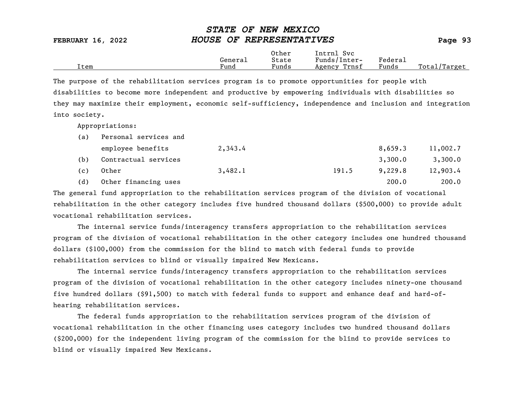|      |         | Other | Intrnl<br>Svc   |                                    |                 |
|------|---------|-------|-----------------|------------------------------------|-----------------|
|      | General | State | Funds/Inter-    | ${}_{\rm \texttt{Federa}_{\perp}}$ |                 |
| Item | Fund    | Funds | Trnsf<br>Agency | Funds                              | Total<br>Target |

The purpose of the rehabilitation services program is to promote opportunities for people with disabilities to become more independent and productive by empowering individuals with disabilities so they may maximize their employment, economic self-sufficiency, independence and inclusion and integration into society.

Appropriations:

| (a) | Personal services and |         |       |         |          |  |  |  |
|-----|-----------------------|---------|-------|---------|----------|--|--|--|
|     | employee benefits     | 2,343.4 |       | 8,659.3 | 11,002.7 |  |  |  |
| (b) | Contractual services  |         |       | 3,300.0 | 3,300.0  |  |  |  |
| (c) | Other                 | 3,482.1 | 191.5 | 9,229.8 | 12,903.4 |  |  |  |
| (d) | Other financing uses  |         |       | 200.0   | 200.0    |  |  |  |

The general fund appropriation to the rehabilitation services program of the division of vocational rehabilitation in the other category includes five hundred thousand dollars (\$500,000) to provide adult vocational rehabilitation services.

The internal service funds/interagency transfers appropriation to the rehabilitation services program of the division of vocational rehabilitation in the other category includes one hundred thousand dollars (\$100,000) from the commission for the blind to match with federal funds to provide rehabilitation services to blind or visually impaired New Mexicans.

The internal service funds/interagency transfers appropriation to the rehabilitation services program of the division of vocational rehabilitation in the other category includes ninety-one thousand five hundred dollars (\$91,500) to match with federal funds to support and enhance deaf and hard-ofhearing rehabilitation services.

The federal funds appropriation to the rehabilitation services program of the division of vocational rehabilitation in the other financing uses category includes two hundred thousand dollars (\$200,000) for the independent living program of the commission for the blind to provide services to blind or visually impaired New Mexicans.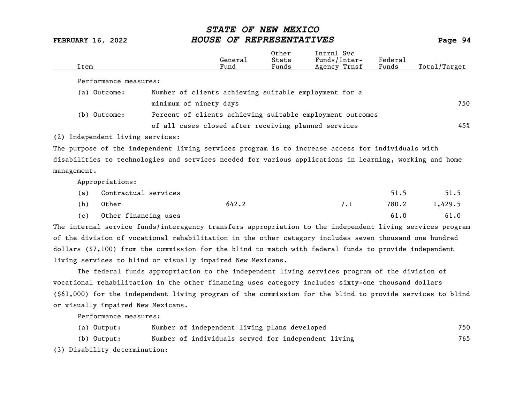| Item        |                                  |                                                      | General<br>Fund | Other<br>State<br>Funds | Intrnl Svc<br>Funds/Inter-<br>Agency Trnsf                                                              | Federal<br>Funds | Total/Target |
|-------------|----------------------------------|------------------------------------------------------|-----------------|-------------------------|---------------------------------------------------------------------------------------------------------|------------------|--------------|
|             | Performance measures:            |                                                      |                 |                         |                                                                                                         |                  |              |
|             | (a) Outcome:                     |                                                      |                 |                         | Number of clients achieving suitable employment for a                                                   |                  |              |
|             |                                  | minimum of ninety days                               |                 |                         |                                                                                                         |                  | 750          |
|             | (b) Outcome:                     |                                                      |                 |                         | Percent of clients achieving suitable employment outcomes                                               |                  |              |
|             |                                  | of all cases closed after receiving planned services |                 |                         |                                                                                                         |                  | 45%          |
|             | (2) Independent living services: |                                                      |                 |                         |                                                                                                         |                  |              |
|             |                                  |                                                      |                 |                         | The purpose of the independent living services program is to increase access for individuals with       |                  |              |
|             |                                  |                                                      |                 |                         | disabilities to technologies and services needed for various applications in learning, working and home |                  |              |
| management. |                                  |                                                      |                 |                         |                                                                                                         |                  |              |
|             | Appropriations:                  |                                                      |                 |                         |                                                                                                         |                  |              |
| (a)         | Contractual services             |                                                      |                 |                         |                                                                                                         | 51.5             | 51.5         |
| (b)         | Other                            |                                                      | 642.2           |                         | 7.1                                                                                                     | 780.2            | 1,429.5      |
| (c)         | Other financing uses             |                                                      |                 |                         |                                                                                                         | 61.0             | 61.0         |

The internal service funds/interagency transfers appropriation to the independent living services program of the division of vocational rehabilitation in the other category includes seven thousand one hundred dollars (\$7,100) from the commission for the blind to match with federal funds to provide independent living services to blind or visually impaired New Mexicans.

The federal funds appropriation to the independent living services program of the division of vocational rehabilitation in the other financing uses category includes sixty-one thousand dollars (\$61,000) for the independent living program of the commission for the blind to provide services to blind or visually impaired New Mexicans.

Performance measures:

|  | (a) Output:                   |  | Number of independent living plans developed        |  |  | 750 |
|--|-------------------------------|--|-----------------------------------------------------|--|--|-----|
|  | (b) Output:                   |  | Number of individuals served for independent living |  |  | 765 |
|  | (3) Disability determination: |  |                                                     |  |  |     |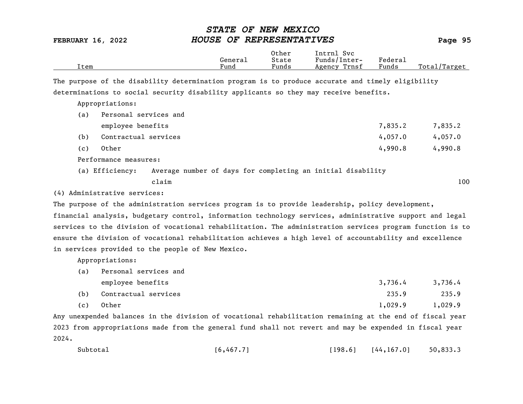|      |         | Other | Svc<br>[ntrnl   |                   |                  |
|------|---------|-------|-----------------|-------------------|------------------|
|      | General | State | Funds/Inter-    | ${}_{\rm Federa}$ |                  |
| Item | Fund    | Funds | Trnsf<br>Agency | Funds             | Total<br>'Target |
|      |         |       |                 |                   |                  |

The purpose of the disability determination program is to produce accurate and timely eligibility determinations to social security disability applicants so they may receive benefits.

Appropriations:

| (a) | Personal services and |                                                             |  |  |         |         |
|-----|-----------------------|-------------------------------------------------------------|--|--|---------|---------|
|     | employee benefits     |                                                             |  |  | 7,835.2 | 7,835.2 |
| (b) | Contractual services  |                                                             |  |  | 4,057.0 | 4,057.0 |
| (c) | Other                 |                                                             |  |  | 4,990.8 | 4,990.8 |
|     | Performance measures: |                                                             |  |  |         |         |
|     | (a) Efficiency:       | Average number of days for completing an initial disability |  |  |         |         |

claim 100

(4) Administrative services:

The purpose of the administration services program is to provide leadership, policy development,

financial analysis, budgetary control, information technology services, administrative support and legal services to the division of vocational rehabilitation. The administration services program function is to ensure the division of vocational rehabilitation achieves a high level of accountability and excellence in services provided to the people of New Mexico.

Appropriations:

| (a) | Personal services and |         |         |  |  |  |  |  |
|-----|-----------------------|---------|---------|--|--|--|--|--|
|     | employee benefits     | 3,736,4 | 3,736.4 |  |  |  |  |  |
| (b) | Contractual services  | 235.9   | 235.9   |  |  |  |  |  |
| .   |                       | -----   | .       |  |  |  |  |  |

(c) Other 1,029.9 1,029.9

Any unexpended balances in the division of vocational rehabilitation remaining at the end of fiscal year 2023 from appropriations made from the general fund shall not revert and may be expended in fiscal year 2024.

| Subtotal<br>[6, 467.7] | [198.6] | [44, 167.0] | 50,833.3 |
|------------------------|---------|-------------|----------|
|------------------------|---------|-------------|----------|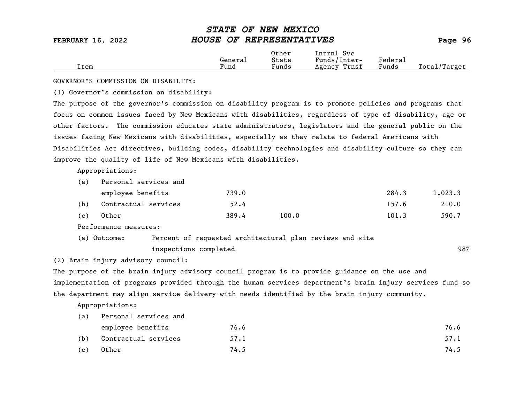|      |         | Other | Intrnl<br>Svc   |                            |                   |
|------|---------|-------|-----------------|----------------------------|-------------------|
|      | General | State | Funds/Inter-    | ${}_{\rm{}Federa_{\perp}}$ |                   |
| Item | Fund    | Funds | Trnsf<br>Agency | Funds                      | Total,<br>/Target |

GOVERNOR'S COMMISSION ON DISABILITY:

(1) Governor's commission on disability:

The purpose of the governor's commission on disability program is to promote policies and programs that focus on common issues faced by New Mexicans with disabilities, regardless of type of disability, age or other factors. The commission educates state administrators, legislators and the general public on the issues facing New Mexicans with disabilities, especially as they relate to federal Americans with Disabilities Act directives, building codes, disability technologies and disability culture so they can improve the quality of life of New Mexicans with disabilities.

Appropriations:

| (a) | Personal services and |       |       |       |         |  |  |  |  |
|-----|-----------------------|-------|-------|-------|---------|--|--|--|--|
|     | employee benefits     | 739.0 |       | 284.3 | 1,023.3 |  |  |  |  |
| (b) | Contractual services  | 52.4  |       | 157.6 | 210.0   |  |  |  |  |
| (c) | Other                 | 389.4 | 100.0 | 101.3 | 590.7   |  |  |  |  |

Performance measures:

| (a) Outcome: | Percent of requested architectural plan reviews and site |     |
|--------------|----------------------------------------------------------|-----|
|              | inspections completed                                    | 98% |

(2) Brain injury advisory council:

The purpose of the brain injury advisory council program is to provide guidance on the use and implementation of programs provided through the human services department's brain injury services fund so the department may align service delivery with needs identified by the brain injury community.

| (a) | Personal services and |      |      |  |  |
|-----|-----------------------|------|------|--|--|
|     | employee benefits     | 76.6 | 76.6 |  |  |
| (b) | Contractual services  | 57.1 | 57.1 |  |  |
| (c) | Other                 | 74.5 | 74.5 |  |  |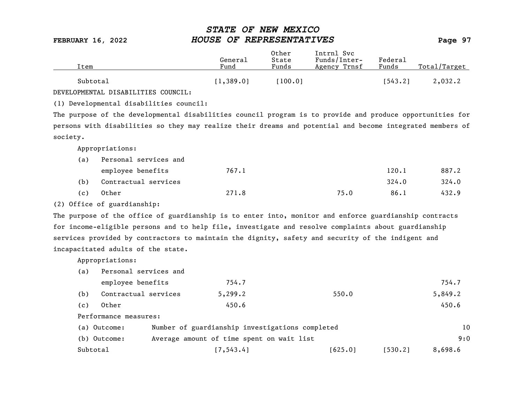| ítem     | General<br>Fund | Other<br>State<br>Funds | Intrnl Svc<br>Funds/Inter-<br>Agency Trnsf | Federal<br>Funds | Total/Target |
|----------|-----------------|-------------------------|--------------------------------------------|------------------|--------------|
| Subtotal | [1, 389.0]      | 100.01                  |                                            | 1543.21          | 2,032.2      |

DEVELOPMENTAL DISABILITIES COUNCIL:

(1) Developmental disabilities council:

The purpose of the developmental disabilities council program is to provide and produce opportunities for persons with disabilities so they may realize their dreams and potential and become integrated members of society.

Appropriations:

| (a) | Personal services and |       |      |       |       |
|-----|-----------------------|-------|------|-------|-------|
|     | employee benefits     | 767.1 |      | 120.1 | 887.2 |
| (b) | Contractual services  |       |      | 324.0 | 324.0 |
| (c) | Other                 | 271.8 | 75.0 | 86.1  | 432.9 |

(2) Office of guardianship:

The purpose of the office of guardianship is to enter into, monitor and enforce guardianship contracts for income-eligible persons and to help file, investigate and resolve complaints about guardianship services provided by contractors to maintain the dignity, safety and security of the indigent and incapacitated adults of the state.

| (a) | Personal services and |                                           |                                                 |         |         |
|-----|-----------------------|-------------------------------------------|-------------------------------------------------|---------|---------|
|     | employee benefits     | 754.7                                     |                                                 |         | 754.7   |
| (b) | Contractual services  | 5,299.2                                   | 550.0                                           |         | 5,849.2 |
| (c) | Other                 | 450.6                                     |                                                 |         | 450.6   |
|     | Performance measures: |                                           |                                                 |         |         |
|     | (a) Outcome:          |                                           | Number of guardianship investigations completed |         | 10      |
|     | (b) Outcome:          | Average amount of time spent on wait list |                                                 |         | 9:0     |
|     | Subtotal              | [7, 543.4]                                | [625.0]                                         | [530.2] | 8,698.6 |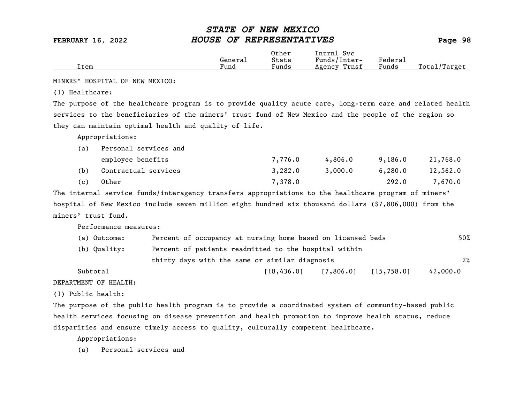|      |         | Other                             | Intrnl<br>Svc   |         |                   |
|------|---------|-----------------------------------|-----------------|---------|-------------------|
|      | Generai | State                             | Funds/Inter-    | Federau |                   |
| Item | Fund    | $\overline{\phantom{a}}$<br>Funds | Trnsf<br>Agency | Funds   | Total,<br>/Target |

MINERS' HOSPITAL OF NEW MEXICO:

(1) Healthcare:

The purpose of the healthcare program is to provide quality acute care, long-term care and related health services to the beneficiaries of the miners' trust fund of New Mexico and the people of the region so they can maintain optimal health and quality of life.

Appropriations:

| (a) | Personal services and |         |         |         |          |
|-----|-----------------------|---------|---------|---------|----------|
|     | employee benefits     | 7,776.0 | 4,806.0 | 9,186.0 | 21,768.0 |
| (b) | Contractual services  | 3,282.0 | 3,000.0 | 6,280.0 | 12,562.0 |
| (c) | Other                 | 7,378.0 |         | 292.0   | 7,670.0  |

The internal service funds/interagency transfers appropriations to the healthcare program of miners' hospital of New Mexico include seven million eight hundred six thousand dollars (\$7,806,000) from the miners' trust fund.

Performance measures:

| (a) Outcome: | Percent of occupancy at nursing home based on licensed beds | 50%      |  |  |  |
|--------------|-------------------------------------------------------------|----------|--|--|--|
| (b) Quality: | Percent of patients readmitted to the hospital within       |          |  |  |  |
|              | thirty days with the same or similar diagnosis              |          |  |  |  |
| Subtotal     | 18,436,01<br>[15, 758.0]<br>[7,806.0]                       | 42,000.0 |  |  |  |

DEPARTMENT OF HEALTH:

(1) Public health:

The purpose of the public health program is to provide a coordinated system of community-based public health services focusing on disease prevention and health promotion to improve health status, reduce disparities and ensure timely access to quality, culturally competent healthcare.

Appropriations:

(a) Personal services and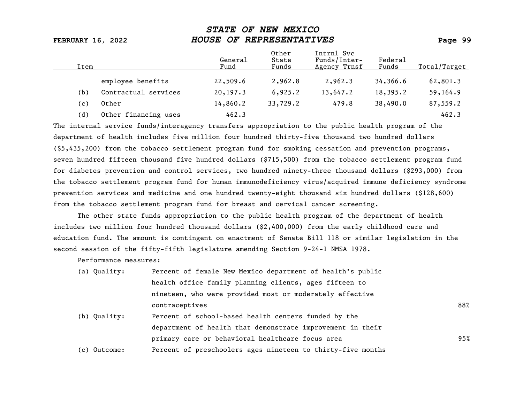| Item |                      | General<br>Fund | Other<br>State<br>Funds | Intrnl Svc<br>Funds/Inter-<br>Agency Trnsf | Federal<br>Funds | Total/Target |
|------|----------------------|-----------------|-------------------------|--------------------------------------------|------------------|--------------|
|      | employee benefits    | 22,509.6        | 2,962.8                 | 2,962.3                                    | 34,366.6         | 62,801.3     |
| (b)  | Contractual services | 20, 197.3       | 6,925.2                 | 13,647.2                                   | 18,395.2         | 59,164.9     |
| (c)  | Other                | 14,860.2        | 33,729.2                | 479.8                                      | 38,490.0         | 87,559.2     |
| (d)  | Other financing uses | 462.3           |                         |                                            |                  | 462.3        |

The internal service funds/interagency transfers appropriation to the public health program of the department of health includes five million four hundred thirty-five thousand two hundred dollars (\$5,435,200) from the tobacco settlement program fund for smoking cessation and prevention programs, seven hundred fifteen thousand five hundred dollars (\$715,500) from the tobacco settlement program fund for diabetes prevention and control services, two hundred ninety-three thousand dollars (\$293,000) from the tobacco settlement program fund for human immunodeficiency virus/acquired immune deficiency syndrome prevention services and medicine and one hundred twenty-eight thousand six hundred dollars (\$128,600) from the tobacco settlement program fund for breast and cervical cancer screening.

The other state funds appropriation to the public health program of the department of health includes two million four hundred thousand dollars (\$2,400,000) from the early childhood care and education fund. The amount is contingent on enactment of Senate Bill 118 or similar legislation in the second session of the fifty-fifth legislature amending Section 9-24-1 NMSA 1978.

Performance measures:

| (a) Quality: | Percent of female New Mexico department of health's public  |     |
|--------------|-------------------------------------------------------------|-----|
|              | health office family planning clients, ages fifteen to      |     |
|              | nineteen, who were provided most or moderately effective    |     |
|              | contraceptives                                              | 88% |
| (b) Quality: | Percent of school-based health centers funded by the        |     |
|              | department of health that demonstrate improvement in their  |     |
|              | primary care or behavioral healthcare focus area            | 95% |
| (c) Outcome: | Percent of preschoolers ages nineteen to thirty-five months |     |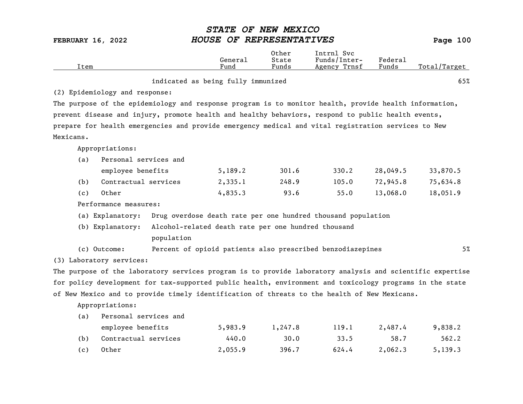|      | General | Other<br>State | Svc<br>Intrnl<br>Funds/Inter- | Federal |              |
|------|---------|----------------|-------------------------------|---------|--------------|
| Item | Fund    | Funds          | Agency Trnsf                  | Funds   | Total/Target |
|      |         |                |                               |         |              |

### indicated as being fully immunized 65%

(2) Epidemiology and response:

The purpose of the epidemiology and response program is to monitor health, provide health information, prevent disease and injury, promote health and healthy behaviors, respond to public health events, prepare for health emergencies and provide emergency medical and vital registration services to New Mexicans.

Appropriations:

| (a) | Personal services and |         |       |       |          |          |  |
|-----|-----------------------|---------|-------|-------|----------|----------|--|
|     | employee benefits     | 5,189.2 | 301.6 | 330.2 | 28,049.5 | 33,870.5 |  |
| (b) | Contractual services  | 2,335.1 | 248.9 | 105.0 | 72,945.8 | 75,634.8 |  |
| (c) | Other                 | 4,835,3 | 93.6  | 55.0  | 13,068.0 | 18,051.9 |  |

Performance measures:

(a) Explanatory: Drug overdose death rate per one hundred thousand population

(b) Explanatory: Alcohol-related death rate per one hundred thousand population and the contract of the contract of the contract of the contract of the contract of the contract of the contract of the contract of the contract of the contract of the contract of the contract of the contract of

(c) Outcome: Percent of opioid patients also prescribed benzodiazepines 5%

(3) Laboratory services:

The purpose of the laboratory services program is to provide laboratory analysis and scientific expertise for policy development for tax-supported public health, environment and toxicology programs in the state of New Mexico and to provide timely identification of threats to the health of New Mexicans.

| (a) | Personal services and |         |         |       |         |         |  |  |  |  |
|-----|-----------------------|---------|---------|-------|---------|---------|--|--|--|--|
|     | employee benefits     | 5,983.9 | 1,247.8 | 119.1 | 2,487.4 | 9,838.2 |  |  |  |  |
| (b) | Contractual services  | 440.0   | 30.0    | 33.5  | 58.7    | 562.2   |  |  |  |  |
| (c) | Other                 | 2,055.9 | 396.7   | 624.4 | 2,062,3 | 5,139.3 |  |  |  |  |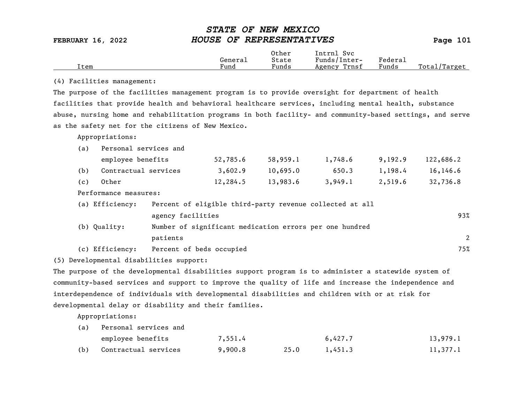|      |         | Other                             | Intrnl<br>Svc   |         |                   |
|------|---------|-----------------------------------|-----------------|---------|-------------------|
|      | Generai | State                             | Funds/Inter-    | Federau |                   |
| Item | Fund    | $\overline{\phantom{a}}$<br>Funds | Trnsf<br>Agency | Funds   | Total,<br>/Target |

### (4) Facilities management:

The purpose of the facilities management program is to provide oversight for department of health facilities that provide health and behavioral healthcare services, including mental health, substance abuse, nursing home and rehabilitation programs in both facility- and community-based settings, and serve as the safety net for the citizens of New Mexico.

Appropriations:

| (a) | Personal services and                       |                   |                                                                                                                                                                                                                                                                                                  |          |         |         |           |  |
|-----|---------------------------------------------|-------------------|--------------------------------------------------------------------------------------------------------------------------------------------------------------------------------------------------------------------------------------------------------------------------------------------------|----------|---------|---------|-----------|--|
|     | employee benefits                           |                   | 52,785.6                                                                                                                                                                                                                                                                                         | 58,959.1 | 1,748.6 | 9,192.9 | 122,686.2 |  |
| (b) | Contractual services                        |                   | 3,602.9                                                                                                                                                                                                                                                                                          | 10,695.0 | 650.3   | 1,198.4 | 16, 146.6 |  |
| (c) | Other                                       |                   | 12,284.5                                                                                                                                                                                                                                                                                         | 13,983.6 | 3,949.1 | 2,519.6 | 32,736.8  |  |
|     | Performance measures:                       |                   |                                                                                                                                                                                                                                                                                                  |          |         |         |           |  |
|     | (a) Efficiency:                             |                   | Percent of eligible third-party revenue collected at all                                                                                                                                                                                                                                         |          |         |         |           |  |
|     |                                             | agency facilities |                                                                                                                                                                                                                                                                                                  |          |         |         | 93%       |  |
|     | $\sqrt{1}$ $\sqrt{2}$ $\sqrt{1}$ $\sqrt{2}$ |                   | $\mathbf{r}$ and $\mathbf{r}$ and $\mathbf{r}$ are $\mathbf{r}$ and $\mathbf{r}$ are $\mathbf{r}$ and $\mathbf{r}$ are $\mathbf{r}$ and $\mathbf{r}$ are $\mathbf{r}$ and $\mathbf{r}$ are $\mathbf{r}$ and $\mathbf{r}$ are $\mathbf{r}$ and $\mathbf{r}$ are $\mathbf{r}$ and $\mathbf{r}$ are |          |         |         |           |  |

- (b) Quality: Number of significant medication errors per one hundred patients 2
- (c) Efficiency: Percent of beds occupied 75%

(5) Developmental disabilities support:

The purpose of the developmental disabilities support program is to administer a statewide system of community-based services and support to improve the quality of life and increase the independence and interdependence of individuals with developmental disabilities and children with or at risk for developmental delay or disability and their families.

| (a) | Personal services and |         |      |         |          |
|-----|-----------------------|---------|------|---------|----------|
|     | employee benefits     | 7,551.4 |      | 6,427.7 | 13,979.1 |
| (b) | Contractual services  | 9,900.8 | 25.0 | 1,451.3 | 11,377.1 |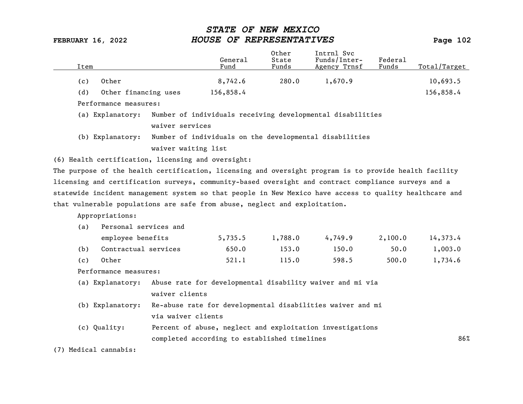| Item |                                                                            |                     | General<br>Fund                              | Other<br>State<br>Funds | Intrnl Svc<br>Funds/Inter-<br>Agency Trnsf                                                              | Federal<br>Funds | Total/Target |
|------|----------------------------------------------------------------------------|---------------------|----------------------------------------------|-------------------------|---------------------------------------------------------------------------------------------------------|------------------|--------------|
| (c)  | Other                                                                      |                     | 8,742.6                                      | 280.0                   | 1,670.9                                                                                                 |                  | 10,693.5     |
| (d)  | Other financing uses                                                       |                     | 156,858.4                                    |                         |                                                                                                         |                  | 156,858.4    |
|      | Performance measures:                                                      |                     |                                              |                         |                                                                                                         |                  |              |
|      | (a) Explanatory:                                                           |                     |                                              |                         | Number of individuals receiving developmental disabilities                                              |                  |              |
|      |                                                                            | waiver services     |                                              |                         |                                                                                                         |                  |              |
|      | (b) Explanatory:                                                           |                     |                                              |                         | Number of individuals on the developmental disabilities                                                 |                  |              |
|      |                                                                            | waiver waiting list |                                              |                         |                                                                                                         |                  |              |
|      | (6) Health certification, licensing and oversight:                         |                     |                                              |                         |                                                                                                         |                  |              |
|      |                                                                            |                     |                                              |                         | The purpose of the health certification, licensing and oversight program is to provide health facility  |                  |              |
|      |                                                                            |                     |                                              |                         | licensing and certification surveys, community-based oversight and contract compliance surveys and a    |                  |              |
|      |                                                                            |                     |                                              |                         | statewide incident management system so that people in New Mexico have access to quality healthcare and |                  |              |
|      | that vulnerable populations are safe from abuse, neglect and exploitation. |                     |                                              |                         |                                                                                                         |                  |              |
|      | Appropriations:                                                            |                     |                                              |                         |                                                                                                         |                  |              |
| (a)  | Personal services and                                                      |                     |                                              |                         |                                                                                                         |                  |              |
|      | employee benefits                                                          |                     | 5,735.5                                      | 1,788.0                 | 4,749.9                                                                                                 | 2,100.0          | 14,373.4     |
| (b)  | Contractual services                                                       |                     | 650.0                                        | 153.0                   | 150.0                                                                                                   | 50.0             | 1,003.0      |
| (c)  | Other                                                                      |                     | 521.1                                        | 115.0                   | 598.5                                                                                                   | 500.0            | 1,734.6      |
|      | Performance measures:                                                      |                     |                                              |                         |                                                                                                         |                  |              |
|      | (a) Explanatory:                                                           |                     |                                              |                         | Abuse rate for developmental disability waiver and mi via                                               |                  |              |
|      |                                                                            | waiver clients      |                                              |                         |                                                                                                         |                  |              |
|      | (b) Explanatory:                                                           |                     |                                              |                         | Re-abuse rate for developmental disabilities waiver and mi                                              |                  |              |
|      |                                                                            | via waiver clients  |                                              |                         |                                                                                                         |                  |              |
|      | (c) Quality:                                                               |                     |                                              |                         | Percent of abuse, neglect and exploitation investigations                                               |                  |              |
|      |                                                                            |                     | completed according to established timelines |                         |                                                                                                         |                  | 86%          |

(7) Medical cannabis: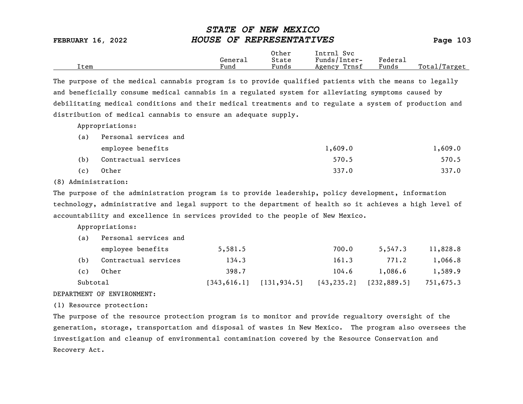|                          | ~~~~~~ ~~ ** <b>**** ******</b> |          |
|--------------------------|---------------------------------|----------|
| <b>FEBRUARY 16, 2022</b> | HOUSE OF REPRESENTATIVES        | Page 103 |
|                          | Other<br>Intrnl Svc             |          |

|      |         | ------                            |                         |         |                 |
|------|---------|-----------------------------------|-------------------------|---------|-----------------|
|      | Generai | State                             | 'nter-<br>Funds<br>ᆂᄔᄂᄂ | Federa⊥ |                 |
| Item | Fund    | $\overline{\phantom{0}}$<br>Funds | Trnsf<br>Agency         | Funds   | Total<br>Target |
|      |         |                                   |                         |         |                 |

STATE OF NEW MEXICO

The purpose of the medical cannabis program is to provide qualified patients with the means to legally and beneficially consume medical cannabis in a regulated system for alleviating symptoms caused by debilitating medical conditions and their medical treatments and to regulate a system of production and distribution of medical cannabis to ensure an adequate supply.

Appropriations:

| (a) | Personal services and |         |         |
|-----|-----------------------|---------|---------|
|     | employee benefits     | 1,609.0 | 1,609.0 |
| (b) | Contractual services  | 570.5   | 570.5   |
| (c) | Other                 | 337.0   | 337.0   |

(8) Administration:

The purpose of the administration program is to provide leadership, policy development, information technology, administrative and legal support to the department of health so it achieves a high level of accountability and excellence in services provided to the people of New Mexico.

Appropriations:

| Subtotal |                       | 1343,616.11 | [131, 934.5] | [43, 235.2] | [232, 889.5] | 751,675.3 |
|----------|-----------------------|-------------|--------------|-------------|--------------|-----------|
| (c)      | Other                 | 398.7       |              | 104.6       | 1,086.6      | 1,589.9   |
| (b)      | Contractual services  | 134.3       |              | 161.3       | 771.2        | 1,066.8   |
|          | employee benefits     | 5,581.5     |              | 700.0       | 5,547.3      | 11,828.8  |
| (a)      | Personal services and |             |              |             |              |           |

### DEPARTMENT OF ENVIRONMENT:

(1) Resource protection:

The purpose of the resource protection program is to monitor and provide regualtory oversight of the generation, storage, transportation and disposal of wastes in New Mexico. The program also oversees the investigation and cleanup of environmental contamination covered by the Resource Conservation and Recovery Act.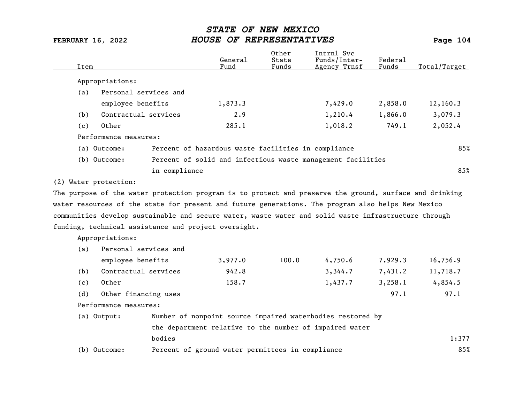| Item |                       |               | General<br>Fund                                      | Other<br>State<br>Funds | Intrnl Svc<br>Funds/Inter-<br>Agency Trnsf                                                              | Federal<br>Funds | Total/Target |
|------|-----------------------|---------------|------------------------------------------------------|-------------------------|---------------------------------------------------------------------------------------------------------|------------------|--------------|
|      | Appropriations:       |               |                                                      |                         |                                                                                                         |                  |              |
| (a)  | Personal services and |               |                                                      |                         |                                                                                                         |                  |              |
|      | employee benefits     |               | 1,873.3                                              |                         | 7,429.0                                                                                                 | 2,858.0          | 12,160.3     |
| (b)  | Contractual services  |               | 2.9                                                  |                         | 1,210.4                                                                                                 | 1,866.0          | 3,079.3      |
| (c)  | Other                 |               | 285.1                                                |                         | 1,018.2                                                                                                 | 749.1            | 2,052.4      |
|      | Performance measures: |               |                                                      |                         |                                                                                                         |                  |              |
|      | (a) Outcome:          |               | Percent of hazardous waste facilities in compliance  |                         |                                                                                                         |                  | 85%          |
|      | (b) Outcome:          |               |                                                      |                         | Percent of solid and infectious waste management facilities                                             |                  |              |
|      |                       | in compliance |                                                      |                         |                                                                                                         |                  | 85%          |
|      | (2) Water protection: |               |                                                      |                         |                                                                                                         |                  |              |
|      |                       |               |                                                      |                         | The purpose of the water protection program is to protect and preserve the ground, surface and drinking |                  |              |
|      |                       |               |                                                      |                         | water resources of the state for present and future generations. The program also helps New Mexico      |                  |              |
|      |                       |               |                                                      |                         | communities develop sustainable and secure water, waste water and solid waste infrastructure through    |                  |              |
|      |                       |               | funding, technical assistance and project oversight. |                         |                                                                                                         |                  |              |
|      | Appropriations:       |               |                                                      |                         |                                                                                                         |                  |              |
| (a)  | Personal services and |               |                                                      |                         |                                                                                                         |                  |              |
|      | employee benefits     |               | 3,977.0                                              | 100.0                   | 4,750.6                                                                                                 | 7,929.3          | 16,756.9     |
| (b)  | Contractual services  |               | 942.8                                                |                         | 3,344.7                                                                                                 | 7,431.2          | 11,718.7     |
| (c)  | Other                 |               | 158.7                                                |                         | 1,437.7                                                                                                 | 3,258.1          | 4,854.5      |
| (d)  | Other financing uses  |               |                                                      |                         |                                                                                                         | 97.1             | 97.1         |
|      | Performance measures: |               |                                                      |                         |                                                                                                         |                  |              |
|      | (a) Output:           |               |                                                      |                         | Number of nonpoint source impaired waterbodies restored by                                              |                  |              |
|      |                       |               |                                                      |                         | the department relative to the number of impaired water                                                 |                  |              |
|      |                       | bodies        |                                                      |                         |                                                                                                         |                  | 1:377        |
|      | (b) Outcome:          |               | Percent of ground water permittees in compliance     |                         |                                                                                                         |                  | 85%          |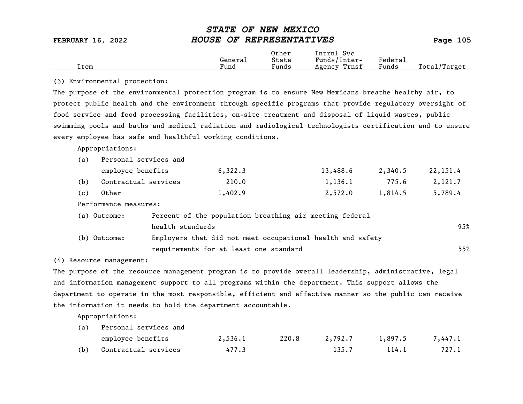|      |                      | Other                             | Intrnl<br>Sv c  |                           |                 |
|------|----------------------|-----------------------------------|-----------------|---------------------------|-----------------|
|      | Genera⊥              | State                             | Funds/Inter-    | ${}_{\rm Federa_{\perp}}$ |                 |
| Item | $\mathbf{r}$<br>Fund | $\overline{\phantom{a}}$<br>Funds | Trnsf<br>Agency | Funds                     | Total<br>Target |

### (3) Environmental protection:

The purpose of the environmental protection program is to ensure New Mexicans breathe healthy air, to protect public health and the environment through specific programs that provide regulatory oversight of food service and food processing facilities, on-site treatment and disposal of liquid wastes, public swimming pools and baths and medical radiation and radiological technologists certification and to ensure every employee has safe and healthful working conditions.

Appropriations:

| (a) | Personal services and |         |          |         |          |  |  |  |  |  |
|-----|-----------------------|---------|----------|---------|----------|--|--|--|--|--|
|     | employee benefits     | 6,322.3 | 13,488.6 | 2,340.5 | 22,151.4 |  |  |  |  |  |
| (b) | Contractual services  | 210.0   | 1,136.1  | 775.6   | 2,121.7  |  |  |  |  |  |
| (c) | Other                 | 1,402.9 | 2,572.0  | 1,814.5 | 5,789.4  |  |  |  |  |  |

Performance measures:

| (a) Outcome: | Percent of the population breathing air meeting federal    |     |
|--------------|------------------------------------------------------------|-----|
|              | health standards                                           | 95% |
| (b) Outcome: | Employers that did not meet occupational health and safety |     |
|              | requirements for at least one standard                     | 55% |

(4) Resource management:

The purpose of the resource management program is to provide overall leadership, administrative, legal and information management support to all programs within the department. This support allows the department to operate in the most responsible, efficient and effective manner so the public can receive the information it needs to hold the department accountable.

| Personal services and<br>(a) |                      |         |       |         |         |         |
|------------------------------|----------------------|---------|-------|---------|---------|---------|
|                              | employee benefits    | 2,536.1 | 220.8 | 2,792.7 | 1,897.5 | 7,447.1 |
| (b)                          | Contractual services | 477.3   |       | 135.7   | 114.1   | 727.1   |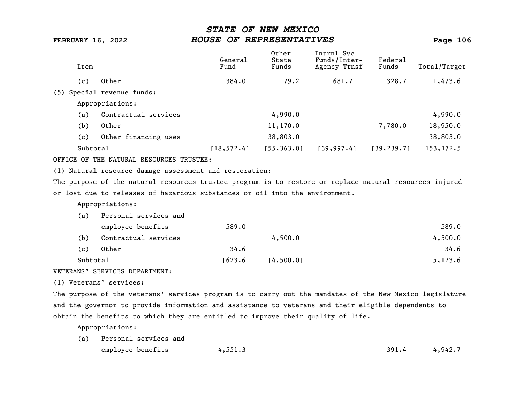| Item     |                                                                                                         | General<br>Fund | Other<br>State<br>Funds | Intrnl Svc<br>Funds/Inter-<br>Agency Trnsf | Federal<br>Funds | Total/Target |
|----------|---------------------------------------------------------------------------------------------------------|-----------------|-------------------------|--------------------------------------------|------------------|--------------|
| (c)      | Other                                                                                                   | 384.0           | 79.2                    | 681.7                                      | 328.7            | 1,473.6      |
| (5)      | Special revenue funds:                                                                                  |                 |                         |                                            |                  |              |
|          | Appropriations:                                                                                         |                 |                         |                                            |                  |              |
| (a)      | Contractual services                                                                                    |                 | 4,990.0                 |                                            |                  | 4,990.0      |
| (b)      | Other                                                                                                   |                 | 11,170.0                |                                            | 7,780.0          | 18,950.0     |
| (c)      | Other financing uses                                                                                    |                 | 38,803.0                |                                            |                  | 38,803.0     |
| Subtotal |                                                                                                         | [18, 572.4]     | [55, 363.0]             | [39, 997.4]                                | [39, 239.7]      | 153, 172.5   |
|          | OFFICE OF THE NATURAL RESOURCES TRUSTEE:                                                                |                 |                         |                                            |                  |              |
|          | (1) Natural resource damage assessment and restoration:                                                 |                 |                         |                                            |                  |              |
|          | The purpose of the natural resources trustee program is to restore or replace natural resources injured |                 |                         |                                            |                  |              |
|          | or lost due to releases of hazardous substances or oil into the environment.                            |                 |                         |                                            |                  |              |
|          | Appropriations:                                                                                         |                 |                         |                                            |                  |              |
| (a)      | Personal services and                                                                                   |                 |                         |                                            |                  |              |
|          | employee benefits                                                                                       | 589.0           |                         |                                            |                  | 589.0        |
| (b)      | Contractual services                                                                                    |                 | 4,500.0                 |                                            |                  | 4,500.0      |
| (c)      | Other                                                                                                   | 34.6            |                         |                                            |                  | 34.6         |
| Subtotal |                                                                                                         | [623.6]         | [4,500.0]               |                                            |                  | 5,123.6      |
|          |                                                                                                         |                 |                         |                                            |                  |              |

VETERANS' SERVICES DEPARTMENT:

(1) Veterans' services:

The purpose of the veterans' services program is to carry out the mandates of the New Mexico legislature and the governor to provide information and assistance to veterans and their eligible dependents to obtain the benefits to which they are entitled to improve their quality of life.

| (a) Personal services and |         |       |         |
|---------------------------|---------|-------|---------|
| employee benefits         | 4,551.3 | 391.4 | 4,942.7 |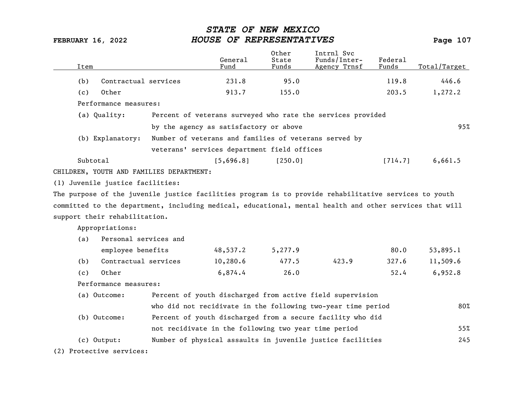| Item |                                  |                                                                                                         | General<br>Fund | Other<br>State<br>Funds | Intrnl Svc<br>Funds/Inter-<br>Agency Trnsf                   | Federal<br>Funds | Total/Target |
|------|----------------------------------|---------------------------------------------------------------------------------------------------------|-----------------|-------------------------|--------------------------------------------------------------|------------------|--------------|
| (b)  | Contractual services             |                                                                                                         | 231.8           | 95.0                    |                                                              | 119.8            | 446.6        |
| (c)  | Other                            |                                                                                                         | 913.7           | 155.0                   |                                                              | 203.5            | 1,272.2      |
|      | Performance measures:            |                                                                                                         |                 |                         |                                                              |                  |              |
|      | (a) Quality:                     |                                                                                                         |                 |                         | Percent of veterans surveyed who rate the services provided  |                  |              |
|      |                                  | by the agency as satisfactory or above                                                                  |                 |                         |                                                              |                  | 95%          |
|      |                                  |                                                                                                         |                 |                         |                                                              |                  |              |
|      | (b) Explanatory:                 | Number of veterans and families of veterans served by                                                   |                 |                         |                                                              |                  |              |
|      |                                  | veterans' services department field offices                                                             |                 |                         |                                                              |                  |              |
|      | Subtotal                         |                                                                                                         | [5,696.8]       | [250.0]                 |                                                              | [714.7]          | 6,661.5      |
|      |                                  | CHILDREN, YOUTH AND FAMILIES DEPARTMENT:                                                                |                 |                         |                                                              |                  |              |
|      | (1) Juvenile justice facilities: |                                                                                                         |                 |                         |                                                              |                  |              |
|      |                                  | The purpose of the juvenile justice facilities program is to provide rehabilitative services to youth   |                 |                         |                                                              |                  |              |
|      |                                  | committed to the department, including medical, educational, mental health and other services that will |                 |                         |                                                              |                  |              |
|      | support their rehabilitation.    |                                                                                                         |                 |                         |                                                              |                  |              |
|      | Appropriations:                  |                                                                                                         |                 |                         |                                                              |                  |              |
| (a)  | Personal services and            |                                                                                                         |                 |                         |                                                              |                  |              |
|      | employee benefits                |                                                                                                         | 48,537.2        | 5,277.9                 |                                                              | 80.0             | 53,895.1     |
| (b)  | Contractual services             |                                                                                                         | 10,280.6        | 477.5                   | 423.9                                                        | 327.6            | 11,509.6     |
| (c)  | Other                            |                                                                                                         | 6,874.4         | 26.0                    |                                                              | 52.4             | 6,952.8      |
|      | Performance measures:            |                                                                                                         |                 |                         |                                                              |                  |              |
|      | (a) Outcome:                     |                                                                                                         |                 |                         | Percent of youth discharged from active field supervision    |                  |              |
|      |                                  |                                                                                                         |                 |                         | who did not recidivate in the following two-year time period |                  | 80%          |
|      | (b) Outcome:                     |                                                                                                         |                 |                         | Percent of youth discharged from a secure facility who did   |                  |              |
|      |                                  | not recidivate in the following two year time period                                                    |                 |                         |                                                              |                  | 55%          |
|      | $(c)$ Output:                    |                                                                                                         |                 |                         | Number of physical assaults in juvenile justice facilities   |                  | 245          |
|      |                                  |                                                                                                         |                 |                         |                                                              |                  |              |
|      | (2) Protective services:         |                                                                                                         |                 |                         |                                                              |                  |              |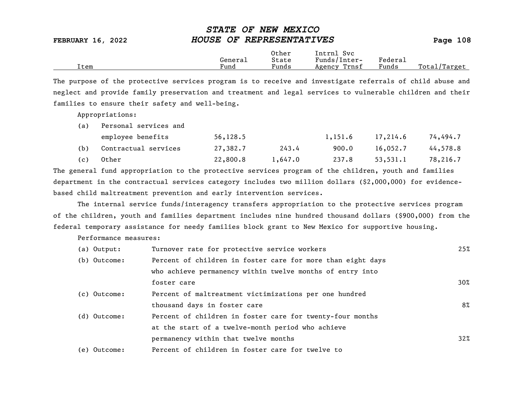|      |         | Other                             | Intrnl<br><b>Svc</b> |                                    |                  |
|------|---------|-----------------------------------|----------------------|------------------------------------|------------------|
|      | Genera⊥ | State                             | Funds/Inter-         | ${}_{\rm \texttt{Federa}_{\perp}}$ |                  |
| Item | Fund    | $\overline{\phantom{a}}$<br>Funds | Trnsf<br>Agency      | Funds                              | Total<br>'Target |

The purpose of the protective services program is to receive and investigate referrals of child abuse and neglect and provide family preservation and treatment and legal services to vulnerable children and their families to ensure their safety and well-being.

Appropriations:

| (a) | Personal services and |           |         |         |          |          |  |
|-----|-----------------------|-----------|---------|---------|----------|----------|--|
|     | employee benefits     | 56, 128.5 |         | 1,151.6 | 17,214.6 | 74,494.7 |  |
| (b) | Contractual services  | 27,382.7  | 243.4   | 900.0   | 16,052,7 | 44,578.8 |  |
| (c) | Other                 | 22,800.8  | 1,647.0 | 237.8   | 53,531.1 | 78,216.7 |  |

The general fund appropriation to the protective services program of the children, youth and families department in the contractual services category includes two million dollars (\$2,000,000) for evidencebased child maltreatment prevention and early intervention services.

The internal service funds/interagency transfers appropriation to the protective services program of the children, youth and families department includes nine hundred thousand dollars (\$900,000) from the federal temporary assistance for needy families block grant to New Mexico for supportive housing.

Performance measures:

| (a) Output:  | Turnover rate for protective service workers                | 25%    |
|--------------|-------------------------------------------------------------|--------|
| (b) Outcome: | Percent of children in foster care for more than eight days |        |
|              | who achieve permanency within twelve months of entry into   |        |
|              | foster care                                                 | $30\%$ |
| (c) Outcome: | Percent of maltreatment victimizations per one hundred      |        |
|              | thousand days in foster care                                | 8%     |
| (d) Outcome: | Percent of children in foster care for twenty-four months   |        |
|              | at the start of a twelve-month period who achieve           |        |
|              | permanency within that twelve months                        | $32\%$ |
| (e) Outcome: | Percent of children in foster care for twelve to            |        |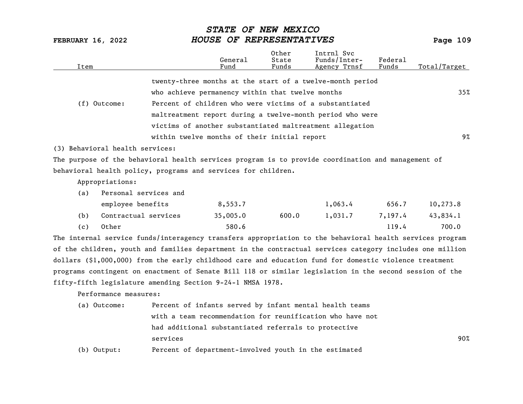| Item |                                 |                                                                                                          | General<br>Fund | Other<br>State<br>Funds | Intrnl Svc<br>Funds/Inter-<br>Agency Trnsf | Federal<br>Funds | Total/Target |  |  |
|------|---------------------------------|----------------------------------------------------------------------------------------------------------|-----------------|-------------------------|--------------------------------------------|------------------|--------------|--|--|
|      |                                 | twenty-three months at the start of a twelve-month period                                                |                 |                         |                                            |                  |              |  |  |
|      |                                 | who achieve permanency within that twelve months                                                         |                 |                         |                                            |                  | 35%          |  |  |
|      | $(f)$ Outcome:                  | Percent of children who were victims of a substantiated                                                  |                 |                         |                                            |                  |              |  |  |
|      |                                 | maltreatment report during a twelve-month period who were                                                |                 |                         |                                            |                  |              |  |  |
|      |                                 | victims of another substantiated maltreatment allegation                                                 |                 |                         |                                            |                  |              |  |  |
|      |                                 | within twelve months of their initial report                                                             |                 |                         |                                            |                  | 9%           |  |  |
|      | (3) Behavioral health services: |                                                                                                          |                 |                         |                                            |                  |              |  |  |
|      |                                 | The purpose of the behavioral health services program is to provide coordination and management of       |                 |                         |                                            |                  |              |  |  |
|      |                                 | behavioral health policy, programs and services for children.                                            |                 |                         |                                            |                  |              |  |  |
|      | Appropriations:                 |                                                                                                          |                 |                         |                                            |                  |              |  |  |
| (a)  | Personal services and           |                                                                                                          |                 |                         |                                            |                  |              |  |  |
|      | employee benefits               |                                                                                                          | 8,553.7         |                         | 1,063.4                                    | 656.7            | 10,273.8     |  |  |
| (b)  | Contractual services            |                                                                                                          | 35,005.0        | 600.0                   | 1,031.7                                    | 7,197.4          | 43,834.1     |  |  |
| (c)  | Other                           |                                                                                                          | 580.6           |                         |                                            | 119.4            | 700.0        |  |  |
|      |                                 | The internal service funds/interagency transfers appropriation to the behavioral health services program |                 |                         |                                            |                  |              |  |  |
|      |                                 | of the children, youth and families department in the contractual services category includes one million |                 |                         |                                            |                  |              |  |  |
|      |                                 | dollars (\$1,000,000) from the early childhood care and education fund for domestic violence treatment   |                 |                         |                                            |                  |              |  |  |
|      |                                 | programs contingent on enactment of Senate Bill 118 or similar legislation in the second session of the  |                 |                         |                                            |                  |              |  |  |
|      |                                 | fifty-fifth legislature amending Section 9-24-1 NMSA 1978.                                               |                 |                         |                                            |                  |              |  |  |
|      | Performance measures:           |                                                                                                          |                 |                         |                                            |                  |              |  |  |
|      | (a) Outcome:                    | Percent of infants served by infant mental health teams                                                  |                 |                         |                                            |                  |              |  |  |
|      |                                 | with a team recommendation for reunification who have not                                                |                 |                         |                                            |                  |              |  |  |
|      |                                 | had additional substantiated referrals to protective                                                     |                 |                         |                                            |                  |              |  |  |

services 90%

(b) Output: Percent of department-involved youth in the estimated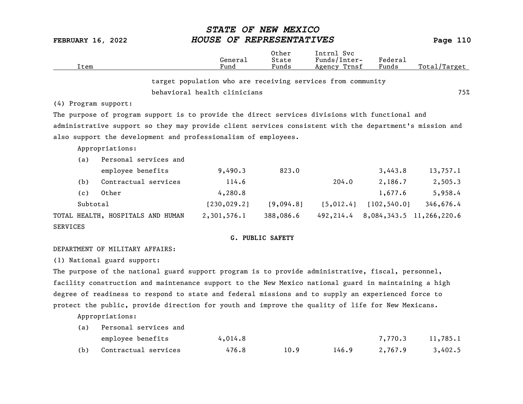| <b>FEBRUARY 16, 2022</b> |                                                                                                         | OF REPRESENTATIVES<br><i>HOUSE</i>                          | Page 110                |                                            |                  |                          |
|--------------------------|---------------------------------------------------------------------------------------------------------|-------------------------------------------------------------|-------------------------|--------------------------------------------|------------------|--------------------------|
| Item                     |                                                                                                         | General<br>Fund                                             | Other<br>State<br>Funds | Intrn1 Syc<br>Funds/Inter-<br>Agency Trnsf | Federal<br>Funds | Total/Target             |
|                          |                                                                                                         | target population who are receiving services from community |                         |                                            |                  |                          |
|                          |                                                                                                         | behavioral health clinicians                                |                         |                                            |                  | 75%                      |
| (4) Program support:     |                                                                                                         |                                                             |                         |                                            |                  |                          |
|                          | The purpose of program support is to provide the direct services divisions with functional and          |                                                             |                         |                                            |                  |                          |
|                          | administrative support so they may provide client services consistent with the department's mission and |                                                             |                         |                                            |                  |                          |
|                          | also support the development and professionalism of employees.                                          |                                                             |                         |                                            |                  |                          |
|                          | Appropriations:                                                                                         |                                                             |                         |                                            |                  |                          |
| (a)                      | Personal services and                                                                                   |                                                             |                         |                                            |                  |                          |
|                          | employee benefits                                                                                       | 9,490.3                                                     | 823.0                   |                                            | 3,443.8          | 13,757.1                 |
| (b)                      | Contractual services                                                                                    | 114.6                                                       |                         | 204.0                                      | 2,186.7          | 2,505.3                  |
| (c)                      | Other                                                                                                   | 4,280.8                                                     |                         |                                            | 1,677.6          | 5,958.4                  |
| Subtotal                 |                                                                                                         | [230, 029.2]                                                | [9,094.8]               | [5, 012.4]                                 | [102, 540.0]     | 346,676.4                |
|                          | TOTAL HEALTH, HOSPITALS AND HUMAN                                                                       | 2,301,576.1                                                 | 388,086.6               | 492,214.4                                  |                  | 8,084,343.5 11,266,220.6 |
| <b>SERVICES</b>          |                                                                                                         |                                                             |                         |                                            |                  |                          |

STATE OF NEW MEXICO

### G. PUBLIC SAFETY

### DEPARTMENT OF MILITARY AFFAIRS:

(1) National guard support:

The purpose of the national guard support program is to provide administrative, fiscal, personnel, facility construction and maintenance support to the New Mexico national guard in maintaining a high degree of readiness to respond to state and federal missions and to supply an experienced force to protect the public, provide direction for youth and improve the quality of life for New Mexicans.

Appropriations:

| (a) | Personal services and |         |      |       |         |          |
|-----|-----------------------|---------|------|-------|---------|----------|
|     | employee benefits     | 4,014.8 |      |       | 7,770.3 | 11,785.1 |
| (b) | Contractual services  | 476.8   | 10.9 | 146.9 | 2,767.9 | 3,402.5  |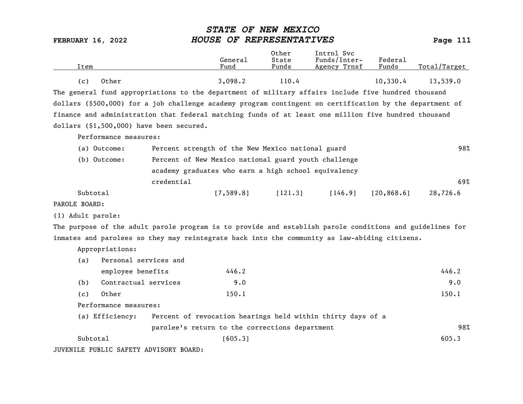| <b>FEBRUARY 16, 2022</b>                                                                                 |                                                      | <i><b>STATE</b></i><br>HOUSE OF REPRESENTATIVES | OF NEW MEXICO           |                                                             |                  | Page 111     |
|----------------------------------------------------------------------------------------------------------|------------------------------------------------------|-------------------------------------------------|-------------------------|-------------------------------------------------------------|------------------|--------------|
| Item                                                                                                     |                                                      | General<br>Fund                                 | Other<br>State<br>Funds | Intrnl Svc<br>Funds/Inter-<br>Agency Trnsf                  | Federal<br>Funds | Total/Target |
| Other<br>(c)                                                                                             |                                                      | 3,098.2                                         | 110.4                   |                                                             | 10,330.4         | 13,539.0     |
| The general fund appropriations to the department of military affairs include five hundred thousand      |                                                      |                                                 |                         |                                                             |                  |              |
| dollars (\$500,000) for a job challenge academy program contingent on certification by the department of |                                                      |                                                 |                         |                                                             |                  |              |
| finance and administration that federal matching funds of at least one million five hundred thousand     |                                                      |                                                 |                         |                                                             |                  |              |
| dollars (\$1,500,000) have been secured.                                                                 |                                                      |                                                 |                         |                                                             |                  |              |
| Performance measures:                                                                                    |                                                      |                                                 |                         |                                                             |                  |              |
| (a) Outcome:                                                                                             | Percent strength of the New Mexico national guard    |                                                 |                         |                                                             |                  | 98%          |
| (b) Outcome:                                                                                             | Percent of New Mexico national guard youth challenge |                                                 |                         |                                                             |                  |              |
|                                                                                                          | academy graduates who earn a high school equivalency |                                                 |                         |                                                             |                  |              |
|                                                                                                          | credential                                           |                                                 |                         |                                                             |                  | 69%          |
| Subtotal                                                                                                 |                                                      | [7, 589.8]                                      | [121.3]                 | [146.9]                                                     | [20, 868.6]      | 28,726.6     |
| PAROLE BOARD:                                                                                            |                                                      |                                                 |                         |                                                             |                  |              |
| (1) Adult parole:                                                                                        |                                                      |                                                 |                         |                                                             |                  |              |
| The purpose of the adult parole program is to provide and establish parole conditions and guidelines for |                                                      |                                                 |                         |                                                             |                  |              |
| inmates and parolees so they may reintegrate back into the community as law-abiding citizens.            |                                                      |                                                 |                         |                                                             |                  |              |
| Appropriations:                                                                                          |                                                      |                                                 |                         |                                                             |                  |              |
| Personal services and<br>(a)                                                                             |                                                      |                                                 |                         |                                                             |                  |              |
| employee benefits                                                                                        |                                                      | 446.2                                           |                         |                                                             |                  | 446.2        |
| Contractual services<br>(b)                                                                              |                                                      | 9.0                                             |                         |                                                             |                  | 9.0          |
| Other<br>(c)                                                                                             |                                                      | 150.1                                           |                         |                                                             |                  | 150.1        |
| Performance measures:                                                                                    |                                                      |                                                 |                         |                                                             |                  |              |
| (a) Efficiency:                                                                                          |                                                      |                                                 |                         | Percent of revocation hearings held within thirty days of a |                  |              |
|                                                                                                          | parolee's return to the corrections department       |                                                 |                         |                                                             |                  | 98%          |
| Subtotal                                                                                                 |                                                      | [605.3]                                         |                         |                                                             |                  | 605.3        |
| JUVENILE PUBLIC SAFETY ADVISORY BOARD:                                                                   |                                                      |                                                 |                         |                                                             |                  |              |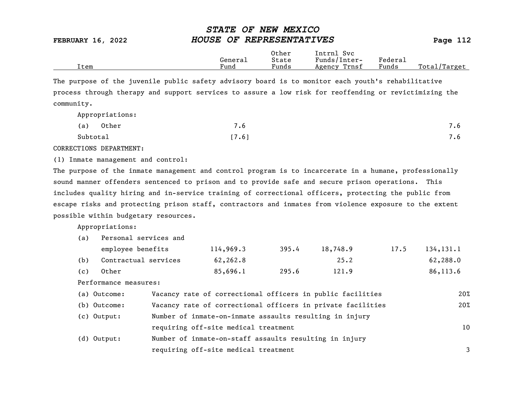|      |         | Other                 | Intrnl<br>Svc.  |                                    |                  |
|------|---------|-----------------------|-----------------|------------------------------------|------------------|
|      | General | State                 | Funds/Inter-    | ${}_{\rm \texttt{Federa}_{\perp}}$ |                  |
| Item | Fund    | $\mathbf{r}$<br>Funds | Trnsf<br>Agency | Funds                              | Total<br>Target/ |

The purpose of the juvenile public safety advisory board is to monitor each youth's rehabilitative process through therapy and support services to assure a low risk for reoffending or revictimizing the community.

Appropriations:

| (a)      | Other | $\overline{\phantom{0}}$<br>. ხ | 7.6 |
|----------|-------|---------------------------------|-----|
| Subtotal |       | [7.6]                           | 7.6 |

CORRECTIONS DEPARTMENT:

(1) Inmate management and control:

The purpose of the inmate management and control program is to incarcerate in a humane, professionally sound manner offenders sentenced to prison and to provide safe and secure prison operations. This includes quality hiring and in-service training of correctional officers, protecting the public from escape risks and protecting prison staff, contractors and inmates from violence exposure to the extent possible within budgetary resources.

Appropriations:

| (a) | Personal services and                                                      |                                                             |                                                         |       |          |      |            |
|-----|----------------------------------------------------------------------------|-------------------------------------------------------------|---------------------------------------------------------|-------|----------|------|------------|
|     | employee benefits                                                          |                                                             | 114,969.3                                               | 395.4 | 18,748.9 | 17.5 | 134, 131.1 |
| (b) | Contractual services                                                       |                                                             | 62,262.8                                                |       | 25.2     |      | 62,288.0   |
| (c) | Other                                                                      |                                                             | 85,696.1                                                | 295.6 | 121.9    |      | 86,113.6   |
|     | Performance measures:                                                      |                                                             |                                                         |       |          |      |            |
|     | Vacancy rate of correctional officers in public facilities<br>(a) Outcome: |                                                             |                                                         |       |          | 20%  |            |
|     | (b) Outcome:                                                               | Vacancy rate of correctional officers in private facilities |                                                         |       |          | 20%  |            |
|     | $(c)$ Output:                                                              |                                                             | Number of inmate-on-inmate assaults resulting in injury |       |          |      |            |
|     |                                                                            |                                                             | requiring off-site medical treatment                    |       |          |      | 10         |
| (d) | Output:                                                                    |                                                             | Number of inmate-on-staff assaults resulting in injury  |       |          |      |            |
|     |                                                                            |                                                             | requiring off-site medical treatment                    |       |          |      | 3          |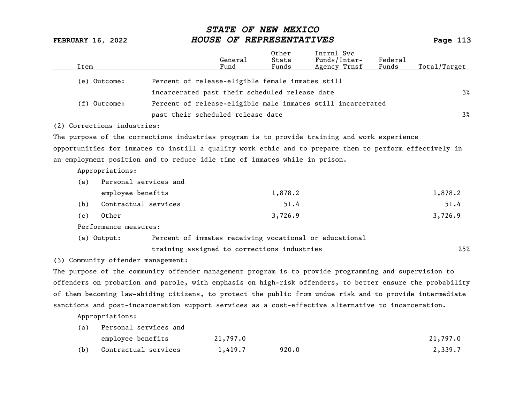| Item |                                    |                                                                                                           | General<br>Fund | Other<br>State<br>Funds | Intrnl Svc<br>Funds/Inter-<br>Agency Trnsf | Federal<br>Funds | Total/Target |
|------|------------------------------------|-----------------------------------------------------------------------------------------------------------|-----------------|-------------------------|--------------------------------------------|------------------|--------------|
|      | (e) Outcome:                       | Percent of release-eligible female inmates still                                                          |                 |                         |                                            |                  |              |
|      |                                    | incarcerated past their scheduled release date                                                            |                 |                         |                                            |                  | $3\%$        |
|      | (f) Outcome:                       | Percent of release-eligible male inmates still incarcerated                                               |                 |                         |                                            |                  |              |
|      |                                    | past their scheduled release date                                                                         |                 |                         |                                            |                  | $3\%$        |
|      | (2) Corrections industries:        |                                                                                                           |                 |                         |                                            |                  |              |
|      |                                    | The purpose of the corrections industries program is to provide training and work experience              |                 |                         |                                            |                  |              |
|      |                                    | opportunities for inmates to instill a quality work ethic and to prepare them to perform effectively in   |                 |                         |                                            |                  |              |
|      |                                    | an employment position and to reduce idle time of inmates while in prison.                                |                 |                         |                                            |                  |              |
|      | Appropriations:                    |                                                                                                           |                 |                         |                                            |                  |              |
| (a)  | Personal services and              |                                                                                                           |                 |                         |                                            |                  |              |
|      | employee benefits                  |                                                                                                           |                 | 1,878.2                 |                                            |                  | 1,878.2      |
| (b)  | Contractual services               |                                                                                                           |                 | 51.4                    |                                            |                  | 51.4         |
| (c)  | Other                              |                                                                                                           |                 | 3,726.9                 |                                            |                  | 3,726.9      |
|      | Performance measures:              |                                                                                                           |                 |                         |                                            |                  |              |
|      | (a) Output:                        | Percent of inmates receiving vocational or educational                                                    |                 |                         |                                            |                  |              |
|      |                                    | training assigned to corrections industries                                                               |                 |                         |                                            |                  | 25%          |
|      | (3) Community offender management: |                                                                                                           |                 |                         |                                            |                  |              |
|      |                                    | The purpose of the community offender management program is to provide programming and supervision to     |                 |                         |                                            |                  |              |
|      |                                    | offenders on probation and parole, with emphasis on high-risk offenders, to better ensure the probability |                 |                         |                                            |                  |              |
|      |                                    | of them becoming law-abiding citizens, to protect the public from undue risk and to provide intermediate  |                 |                         |                                            |                  |              |
|      |                                    | sanctions and post-incarceration support services as a cost-effective alternative to incarceration.       |                 |                         |                                            |                  |              |
|      | Appropriations:                    |                                                                                                           |                 |                         |                                            |                  |              |
| (a)  | Personal services and              |                                                                                                           |                 |                         |                                            |                  |              |
|      | employee benefits                  |                                                                                                           | 21,797.0        |                         |                                            |                  | 21,797.0     |

(b) Contractual services 1,419.7 920.0 2,339.7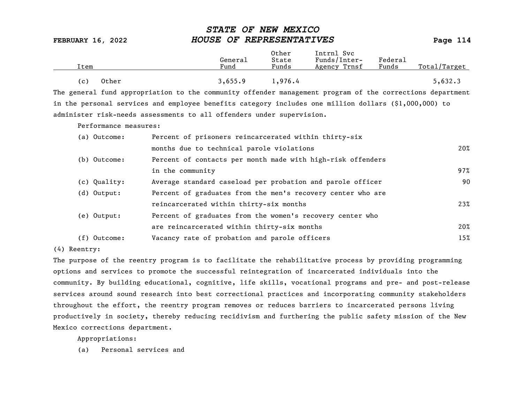| Item           | General<br>Fund | Other<br>State<br>Funds | Intrnl Svc<br>Funds/Inter-<br>Agency Trnsf | Federal<br>Funds | Total/Target |
|----------------|-----------------|-------------------------|--------------------------------------------|------------------|--------------|
| Other<br>( c ) | 3,655.9         | 4.976ء                  |                                            |                  | 5,632.3      |

The general fund appropriation to the community offender management program of the corrections department in the personal services and employee benefits category includes one million dollars (\$1,000,000) to administer risk-needs assessments to all offenders under supervision.

Performance measures:

| (a) Outcome:   | Percent of prisoners reincarcerated within thirty-six       |     |
|----------------|-------------------------------------------------------------|-----|
|                | months due to technical parole violations                   | 20% |
| (b) Outcome:   | Percent of contacts per month made with high-risk offenders |     |
|                | in the community                                            | 97% |
| (c) Quality:   | Average standard caseload per probation and parole officer  | 90  |
| $(d)$ Output:  | Percent of graduates from the men's recovery center who are |     |
|                | reincarcerated within thirty-six months                     | 23% |
| (e) Output:    | Percent of graduates from the women's recovery center who   |     |
|                | are reincarcerated within thirty-six months                 | 20% |
| $(f)$ Outcome: | Vacancy rate of probation and parole officers               | 15% |

(4) Reentry:

The purpose of the reentry program is to facilitate the rehabilitative process by providing programming options and services to promote the successful reintegration of incarcerated individuals into the community. By building educational, cognitive, life skills, vocational programs and pre- and post-release services around sound research into best correctional practices and incorporating community stakeholders throughout the effort, the reentry program removes or reduces barriers to incarcerated persons living productively in society, thereby reducing recidivism and furthering the public safety mission of the New Mexico corrections department.

Appropriations: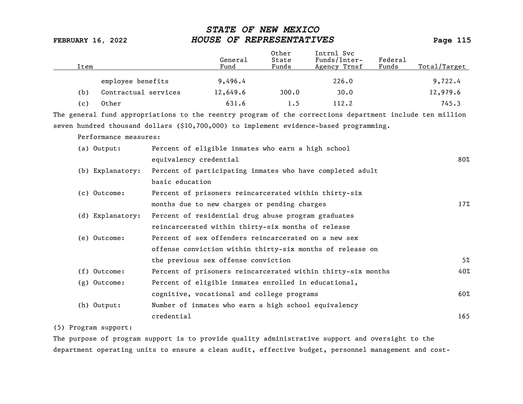| Item |                       |                        | General<br>Fund                                      | Other<br>State<br>Funds | Intrnl Svc<br>Funds/Inter-<br>Agency Trnsf                                                               | Federal<br>Funds | Total/Target |
|------|-----------------------|------------------------|------------------------------------------------------|-------------------------|----------------------------------------------------------------------------------------------------------|------------------|--------------|
|      | employee benefits     |                        | 9,496.4                                              |                         | 226.0                                                                                                    |                  | 9,722.4      |
| (b)  | Contractual services  |                        | 12,649.6                                             | 300.0                   | 30.0                                                                                                     |                  | 12,979.6     |
| (c)  | Other                 |                        | 631.6                                                | 1.5                     | 112.2                                                                                                    |                  | 745.3        |
|      |                       |                        |                                                      |                         | The general fund appropriations to the reentry program of the corrections department include ten million |                  |              |
|      |                       |                        |                                                      |                         | seven hundred thousand dollars (\$10,700,000) to implement evidence-based programming.                   |                  |              |
|      | Performance measures: |                        |                                                      |                         |                                                                                                          |                  |              |
|      | (a) Output:           |                        | Percent of eligible inmates who earn a high school   |                         |                                                                                                          |                  |              |
|      |                       | equivalency credential |                                                      |                         |                                                                                                          |                  | $80\%$       |
|      | (b) Explanatory:      |                        |                                                      |                         | Percent of participating inmates who have completed adult                                                |                  |              |
|      |                       | basic education        |                                                      |                         |                                                                                                          |                  |              |
|      | (c) Outcome:          |                        |                                                      |                         | Percent of prisoners reincarcerated within thirty-six                                                    |                  |              |
|      |                       |                        | months due to new charges or pending charges         |                         |                                                                                                          |                  | 17%          |
|      | (d) Explanatory:      |                        | Percent of residential drug abuse program graduates  |                         |                                                                                                          |                  |              |
|      |                       |                        | reincarcerated within thirty-six months of release   |                         |                                                                                                          |                  |              |
|      | (e) Outcome:          |                        | Percent of sex offenders reincarcerated on a new sex |                         |                                                                                                          |                  |              |
|      |                       |                        |                                                      |                         | offense conviction within thirty-six months of release on                                                |                  |              |
|      |                       |                        | the previous sex offense conviction                  |                         |                                                                                                          |                  | 5%           |
|      | $(f)$ Outcome:        |                        |                                                      |                         | Percent of prisoners reincarcerated within thirty-six months                                             |                  | 40%          |
|      | (g) Outcome:          |                        | Percent of eligible inmates enrolled in educational, |                         |                                                                                                          |                  |              |
|      |                       |                        | cognitive, vocational and college programs           |                         |                                                                                                          |                  | 60%          |
|      | (h) Output:           |                        | Number of inmates who earn a high school equivalency |                         |                                                                                                          |                  |              |
|      |                       | credential             |                                                      |                         |                                                                                                          |                  | 165          |

## (5) Program support:

The purpose of program support is to provide quality administrative support and oversight to the department operating units to ensure a clean audit, effective budget, personnel management and cost-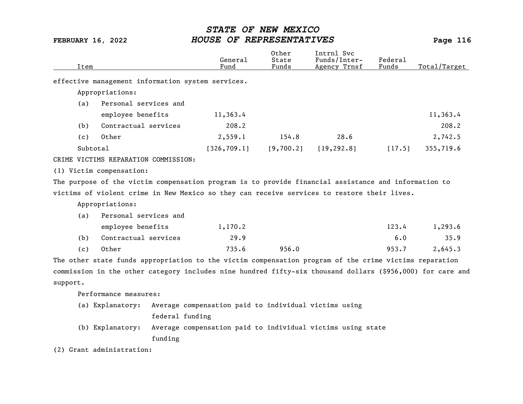| Item     |                                      | General<br>Fund                                                                                            | Other<br>State<br>Funds | Intrnl Svc<br>Funds/Inter-<br>Agency Trnsf | Federal<br>Funds | Total/Target |
|----------|--------------------------------------|------------------------------------------------------------------------------------------------------------|-------------------------|--------------------------------------------|------------------|--------------|
|          |                                      | effective management information system services.                                                          |                         |                                            |                  |              |
|          | Appropriations:                      |                                                                                                            |                         |                                            |                  |              |
| (a)      | Personal services and                |                                                                                                            |                         |                                            |                  |              |
|          | employee benefits                    | 11,363.4                                                                                                   |                         |                                            |                  | 11,363.4     |
| (b)      | Contractual services                 | 208.2                                                                                                      |                         |                                            |                  | 208.2        |
| (c)      | Other                                | 2,559.1                                                                                                    | 154.8                   | 28.6                                       |                  | 2,742.5      |
|          | Subtotal                             | [326, 709.1]                                                                                               | [9,700.2]               | [19, 292.8]                                | [17.5]           | 355,719.6    |
|          | CRIME VICTIMS REPARATION COMMISSION: |                                                                                                            |                         |                                            |                  |              |
|          | (1) Victim compensation:             |                                                                                                            |                         |                                            |                  |              |
|          |                                      | The purpose of the victim compensation program is to provide financial assistance and information to       |                         |                                            |                  |              |
|          |                                      | victims of violent crime in New Mexico so they can receive services to restore their lives.                |                         |                                            |                  |              |
|          | Appropriations:                      |                                                                                                            |                         |                                            |                  |              |
| (a)      | Personal services and                |                                                                                                            |                         |                                            |                  |              |
|          | employee benefits                    | 1,170.2                                                                                                    |                         |                                            | 123.4            | 1,293.6      |
| (b)      | Contractual services                 | 29.9                                                                                                       |                         |                                            | 6.0              | 35.9         |
| (c)      | Other                                | 735.6                                                                                                      | 956.0                   |                                            | 953.7            | 2,645.3      |
|          |                                      | The other state funds appropriation to the victim compensation program of the crime victims reparation     |                         |                                            |                  |              |
|          |                                      | commission in the other category includes nine hundred fifty-six thousand dollars (\$956,000) for care and |                         |                                            |                  |              |
| support. |                                      |                                                                                                            |                         |                                            |                  |              |
|          | Performance measures:                |                                                                                                            |                         |                                            |                  |              |
|          | (a) Explanatory:                     | Average compensation paid to individual victims using                                                      |                         |                                            |                  |              |
|          |                                      | federal funding                                                                                            |                         |                                            |                  |              |
|          | (b) Explanatory:                     | Average compensation paid to individual victims using state                                                |                         |                                            |                  |              |
|          | funding                              |                                                                                                            |                         |                                            |                  |              |

(2) Grant administration: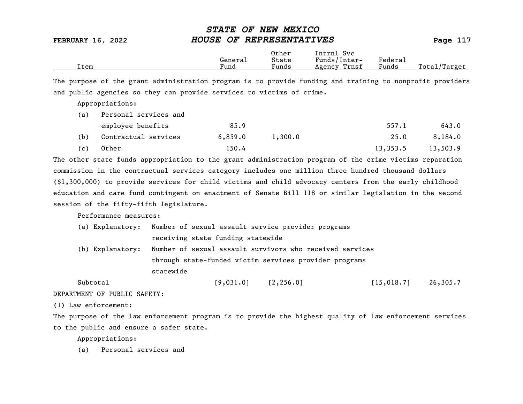|      |         | Other                             | Intrnl<br><b>Svc</b> |                   |                  |
|------|---------|-----------------------------------|----------------------|-------------------|------------------|
|      | General | State                             | Funds/Inter-         | ${}_{\rm Federa}$ |                  |
| Item | Fund    | $\overline{\phantom{0}}$<br>Funds | Trnsf<br>Agency      | Funds             | Total<br>'Target |
|      |         |                                   |                      |                   |                  |

The purpose of the grant administration program is to provide funding and training to nonprofit providers and public agencies so they can provide services to victims of crime.

Appropriations:

| (a) | Personal services and |         |         |          |          |
|-----|-----------------------|---------|---------|----------|----------|
|     | employee benefits     | 85.9    |         | 557.1    | 643.0    |
| (b) | Contractual services  | 6,859.0 | 1,300,0 | 25.0     | 8,184.0  |
| (c) | Other                 | 150.4   |         | 13,353.5 | 13,503.9 |

The other state funds appropriation to the grant administration program of the crime victims reparation commission in the contractual services category includes one million three hundred thousand dollars (\$1,300,000) to provide services for child victims and child advocacy centers from the early childhood education and care fund contingent on enactment of Senate Bill 118 or similar legislation in the second session of the fifty-fifth legislature.

Performance measures:

| (a) Explanatory: | Number of sexual assault service provider programs     |                                                          |          |  |  |
|------------------|--------------------------------------------------------|----------------------------------------------------------|----------|--|--|
|                  | receiving state funding statewide                      |                                                          |          |  |  |
| (b) Explanatory: |                                                        | Number of sexual assault survivors who received services |          |  |  |
|                  | through state-funded victim services provider programs |                                                          |          |  |  |
|                  | statewide                                              |                                                          |          |  |  |
| Subtotal         | [9,031.0]<br>[2, 256.0]                                | [15, 018.7]                                              | 26,305.7 |  |  |

DEPARTMENT OF PUBLIC SAFETY:

(1) Law enforcement:

The purpose of the law enforcement program is to provide the highest quality of law enforcement services to the public and ensure a safer state.

Appropriations: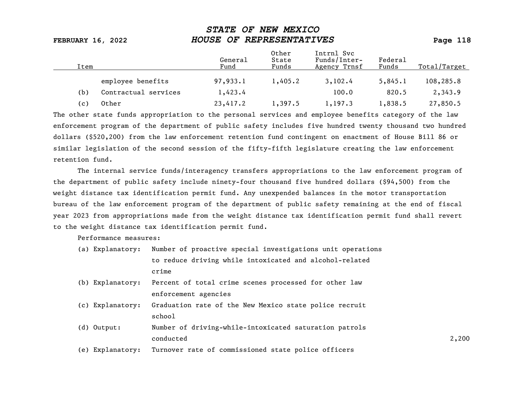| Item  |                      | General<br>Fund | Other<br>State<br>Funds | Intrnl Svc<br>Funds/Inter-<br>Agency Trnsf | Federal<br>Funds | Total/Target |
|-------|----------------------|-----------------|-------------------------|--------------------------------------------|------------------|--------------|
|       | employee benefits    | 97,933.1        | 1,405.2                 | 3,102.4                                    | 5,845.1          | 108,285.8    |
| (b)   | Contractual services | 1,423.4         |                         | 100.0                                      | 820.5            | 2,343.9      |
| ( c ) | Other                | 23,417.2        | 1,397.5                 | 1, 197.3                                   | 1,838.5          | 27,850.5     |

The other state funds appropriation to the personal services and employee benefits category of the law enforcement program of the department of public safety includes five hundred twenty thousand two hundred dollars (\$520,200) from the law enforcement retention fund contingent on enactment of House Bill 86 or similar legislation of the second session of the fifty-fifth legislature creating the law enforcement retention fund.

The internal service funds/interagency transfers appropriations to the law enforcement program of the department of public safety include ninety-four thousand five hundred dollars (\$94,500) from the weight distance tax identification permit fund. Any unexpended balances in the motor transportation bureau of the law enforcement program of the department of public safety remaining at the end of fiscal year 2023 from appropriations made from the weight distance tax identification permit fund shall revert to the weight distance tax identification permit fund.

Performance measures:

|  | (a) Explanatory: Number of proactive special investigations unit operations |
|--|-----------------------------------------------------------------------------|
|  | to reduce driving while intoxicated and alcohol-related                     |
|  | crime                                                                       |

- (b) Explanatory: Percent of total crime scenes processed for other law enforcement agencies
- (c) Explanatory: Graduation rate of the New Mexico state police recruit school and the set of the set of the set of the set of the set of the set of the set of the set of the set of the set of the set of the set of the set of the set of the set of the set of the set of the set of the set of th
- (d) Output: Number of driving-while-intoxicated saturation patrols conducted 2,200
- (e) Explanatory: Turnover rate of commissioned state police officers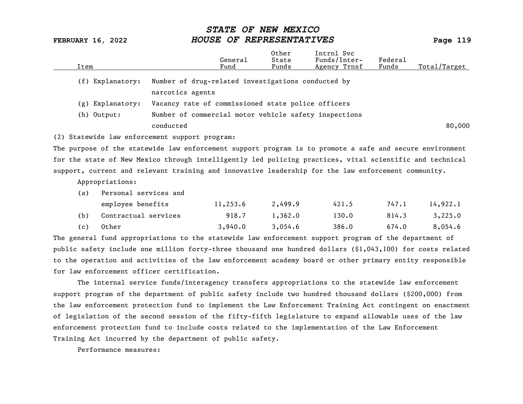|      |                       |                                                                                                            | General  | Other<br>State | Intrnl Svc<br>Funds/Inter- | Federal |              |
|------|-----------------------|------------------------------------------------------------------------------------------------------------|----------|----------------|----------------------------|---------|--------------|
| Item |                       |                                                                                                            | Fund     | Funds          | Agency Trnsf               | Funds   | Total/Target |
|      | (f) Explanatory:      | Number of drug-related investigations conducted by                                                         |          |                |                            |         |              |
|      |                       | narcotics agents                                                                                           |          |                |                            |         |              |
|      | (g) Explanatory:      | Vacancy rate of commissioned state police officers                                                         |          |                |                            |         |              |
|      | (h) Output:           | Number of commercial motor vehicle safety inspections                                                      |          |                |                            |         |              |
|      |                       | conducted                                                                                                  |          |                |                            |         | 80,000       |
|      |                       | (2) Statewide law enforcement support program:                                                             |          |                |                            |         |              |
|      |                       | The purpose of the statewide law enforcement support program is to promote a safe and secure environment   |          |                |                            |         |              |
|      |                       | for the state of New Mexico through intelligently led policing practices, vital scientific and technical   |          |                |                            |         |              |
|      |                       | support, current and relevant training and innovative leadership for the law enforcement community.        |          |                |                            |         |              |
|      | Appropriations:       |                                                                                                            |          |                |                            |         |              |
| (a)  | Personal services and |                                                                                                            |          |                |                            |         |              |
|      | employee benefits     |                                                                                                            | 11,253.6 | 2,499.9        | 421.5                      | 747.1   | 14,922.1     |
| (b)  | Contractual services  |                                                                                                            | 918.7    | 1,362.0        | 130.0                      | 814.3   | 3,225.0      |
| (c)  | Other                 |                                                                                                            | 3,940.0  | 3,054.6        | 386.0                      | 674.0   | 8,054.6      |
|      |                       | The general fund appropriations to the statewide law enforcement support program of the department of      |          |                |                            |         |              |
|      |                       | public safety include one million forty-three thousand one hundred dollars (\$1,043,100) for costs related |          |                |                            |         |              |
|      |                       | to the operation and activities of the law enforcement academy board or other primary entity responsible   |          |                |                            |         |              |
|      |                       | for law enforcement officer certification.                                                                 |          |                |                            |         |              |
|      |                       | The internal service funds/interagency transfers annronriations to the statewide law enforcement           |          |                |                            |         |              |

The internal service funds/interagency transfers appropriations to the statewide law enforcement support program of the department of public safety include two hundred thousand dollars (\$200,000) from the law enforcement protection fund to implement the Law Enforcement Training Act contingent on enactment of legislation of the second session of the fifty-fifth legislature to expand allowable uses of the law enforcement protection fund to include costs related to the implementation of the Law Enforcement Training Act incurred by the department of public safety.

Performance measures: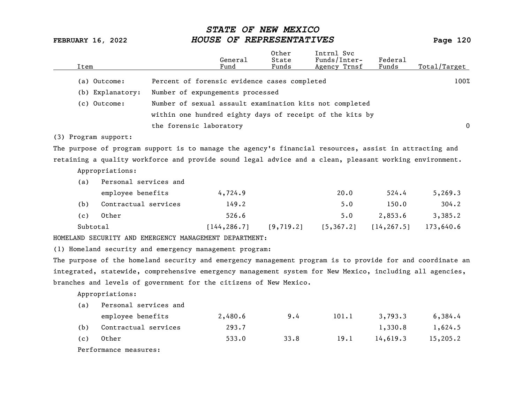| Item |                       |                         | General<br>Fund                                                                                           | Other<br>State<br>Funds | Intrnl Svc<br>Funds/Inter-<br>Agency Trnsf | Federal<br>Funds | Total/Target |
|------|-----------------------|-------------------------|-----------------------------------------------------------------------------------------------------------|-------------------------|--------------------------------------------|------------------|--------------|
|      |                       |                         |                                                                                                           |                         |                                            |                  |              |
|      | (a) Outcome:          |                         | Percent of forensic evidence cases completed                                                              |                         |                                            |                  | 100%         |
|      | (b) Explanatory:      |                         | Number of expungements processed                                                                          |                         |                                            |                  |              |
|      | (c) Outcome:          |                         | Number of sexual assault examination kits not completed                                                   |                         |                                            |                  |              |
|      |                       |                         | within one hundred eighty days of receipt of the kits by                                                  |                         |                                            |                  |              |
|      |                       | the forensic laboratory |                                                                                                           |                         |                                            |                  | $\mathbf{0}$ |
|      | (3) Program support:  |                         |                                                                                                           |                         |                                            |                  |              |
|      |                       |                         | The purpose of program support is to manage the agency's financial resources, assist in attracting and    |                         |                                            |                  |              |
|      |                       |                         | retaining a quality workforce and provide sound legal advice and a clean, pleasant working environment.   |                         |                                            |                  |              |
|      | Appropriations:       |                         |                                                                                                           |                         |                                            |                  |              |
| (a)  | Personal services and |                         |                                                                                                           |                         |                                            |                  |              |
|      | employee benefits     |                         | 4,724.9                                                                                                   |                         | 20.0                                       | 524.4            | 5, 269.3     |
| (b)  | Contractual services  |                         | 149.2                                                                                                     |                         | 5.0                                        | 150.0            | 304.2        |
| (c)  | Other                 |                         | 526.6                                                                                                     |                         | 5.0                                        | 2,853.6          | 3,385.2      |
|      | Subtotal              |                         | [144, 286.7]                                                                                              | [9, 719.2]              | [5, 367.2]                                 | [14, 267.5]      | 173,640.6    |
|      |                       |                         | HOMELAND SECURITY AND EMERGENCY MANAGEMENT DEPARTMENT:                                                    |                         |                                            |                  |              |
|      |                       |                         | (1) Homeland security and emergency management program:                                                   |                         |                                            |                  |              |
|      |                       |                         | The purpose of the homeland security and emergency management program is to provide for and coordinate an |                         |                                            |                  |              |
|      |                       |                         | integrated, statewide, comprehensive emergency management system for New Mexico, including all agencies,  |                         |                                            |                  |              |
|      |                       |                         | branches and levels of government for the citizens of New Mexico.                                         |                         |                                            |                  |              |
|      | Appropriations:       |                         |                                                                                                           |                         |                                            |                  |              |
| (a)  | Personal services and |                         |                                                                                                           |                         |                                            |                  |              |
|      | employee benefits     |                         | 2,480.6                                                                                                   | 9.4                     | 101.1                                      | 3,793.3          | 6,384.4      |
| (b)  | Contractual services  |                         | 293.7                                                                                                     |                         |                                            | 1,330.8          | 1,624.5      |
| (c)  | Other                 |                         | 533.0                                                                                                     | 33.8                    | 19.1                                       | 14,619.3         | 15,205.2     |
|      | Performance measures: |                         |                                                                                                           |                         |                                            |                  |              |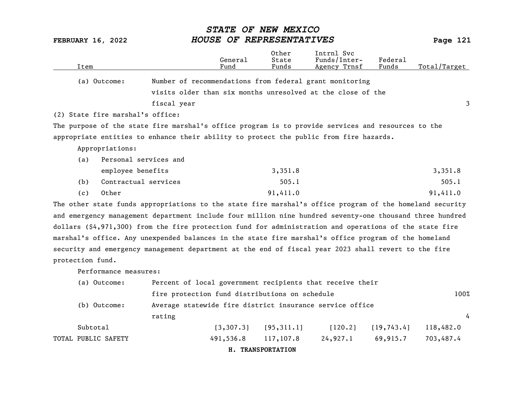| Item                             | General<br>Fund                                                                                          | 0ther<br>State<br>Funds | Intrnl Svc<br>Funds/Inter-<br>Agency Trnsf | Federal<br>Funds | Total/Target |
|----------------------------------|----------------------------------------------------------------------------------------------------------|-------------------------|--------------------------------------------|------------------|--------------|
| (a) Outcome:                     | Number of recommendations from federal grant monitoring                                                  |                         |                                            |                  |              |
|                                  | visits older than six months unresolved at the close of the                                              |                         |                                            |                  |              |
|                                  | fiscal year                                                                                              |                         |                                            |                  | 3            |
| (2) State fire marshal's office: |                                                                                                          |                         |                                            |                  |              |
|                                  | The purpose of the state fire marshal's office program is to provide services and resources to the       |                         |                                            |                  |              |
|                                  | appropriate entities to enhance their ability to protect the public from fire hazards.                   |                         |                                            |                  |              |
| Appropriations:                  |                                                                                                          |                         |                                            |                  |              |
| (a)                              | Personal services and                                                                                    |                         |                                            |                  |              |
|                                  | employee benefits                                                                                        | 3,351.8                 |                                            |                  | 3,351.8      |
| (b)                              | Contractual services                                                                                     | 505.1                   |                                            |                  | 505.1        |
| Other<br>(c)                     |                                                                                                          | 91,411.0                |                                            |                  | 91,411.0     |
|                                  | The other state funds appropriations to the state fire marshal's office program of the homeland security |                         |                                            |                  |              |
|                                  | and emergency management department include four million nine hundred seventy-one thousand three hundred |                         |                                            |                  |              |
|                                  | dollars (\$4,971,300) from the fire protection fund for administration and operations of the state fire  |                         |                                            |                  |              |
|                                  | marshal's office. Any unexpended balances in the state fire marshal's office program of the homeland     |                         |                                            |                  |              |
|                                  | security and emergency management department at the end of fiscal year 2023 shall revert to the fire     |                         |                                            |                  |              |
| protection fund.                 |                                                                                                          |                         |                                            |                  |              |
| Performance measures:            |                                                                                                          |                         |                                            |                  |              |
| (a) Outcome:                     | Percent of local government recipients that receive their                                                |                         |                                            |                  |              |
|                                  | fire protection fund distributions on schedule                                                           |                         |                                            |                  | 100%         |
| (b) Outcome:                     | Average statewide fire district insurance service office                                                 |                         |                                            |                  |              |
|                                  | rating                                                                                                   |                         |                                            |                  | 4            |
| Subtotal                         | [3, 307.3]                                                                                               | [95, 311.1]             | [120.2]                                    | [19, 743.4]      | 118,482.0    |
| TOTAL PUBLIC SAFETY              | 491,536.8                                                                                                | 117,107.8               | 24,927.1                                   | 69,915.7         | 703,487.4    |
|                                  |                                                                                                          | H. TRANSPORTATION       |                                            |                  |              |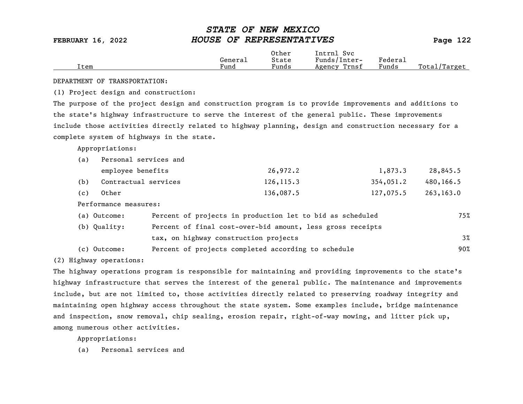|      |         | Other | Intrnl<br>Svc   |         |                   |
|------|---------|-------|-----------------|---------|-------------------|
|      | Generai | State | Funds/Inter-    | Federa⊥ |                   |
| Item | Fund    | Funds | Trnsf<br>Agency | Funds   | Total<br>' Target |

DEPARTMENT OF TRANSPORTATION:

(1) Project design and construction:

The purpose of the project design and construction program is to provide improvements and additions to the state's highway infrastructure to serve the interest of the general public. These improvements include those activities directly related to highway planning, design and construction necessary for a complete system of highways in the state.

Appropriations:

| (a) | Personal services and |            |           |           |
|-----|-----------------------|------------|-----------|-----------|
|     | employee benefits     | 26,972.2   | 1,873.3   | 28,845.5  |
| (b) | Contractual services  | 126, 115.3 | 354,051.2 | 480,166.5 |
| (c) | Other                 | 136,087.5  | 127,075.5 | 263,163.0 |

Performance measures:

| (a) Outcome: | Percent of projects in production let to bid as scheduled  | 75%   |
|--------------|------------------------------------------------------------|-------|
| (b) Quality: | Percent of final cost-over-bid amount, less gross receipts |       |
|              | tax, on highway construction projects                      | $3\%$ |
| (c) Outcome: | Percent of projects completed according to schedule        | 90%   |

(2) Highway operations:

The highway operations program is responsible for maintaining and providing improvements to the state's highway infrastructure that serves the interest of the general public. The maintenance and improvements include, but are not limited to, those activities directly related to preserving roadway integrity and maintaining open highway access throughout the state system. Some examples include, bridge maintenance and inspection, snow removal, chip sealing, erosion repair, right-of-way mowing, and litter pick up, among numerous other activities.

Appropriations: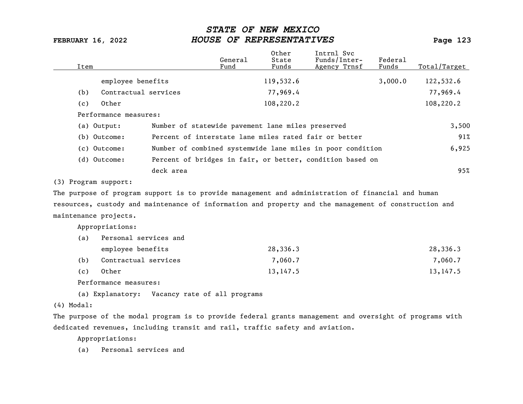| Item                                                                                                    |                                                       | General<br>Fund | Other<br>State<br>Funds | Intrnl Svc<br>Funds/Inter-<br>Agency Trnsf                 | Federal<br>Funds | Total/Target |
|---------------------------------------------------------------------------------------------------------|-------------------------------------------------------|-----------------|-------------------------|------------------------------------------------------------|------------------|--------------|
| employee benefits                                                                                       |                                                       |                 | 119,532.6               |                                                            | 3,000.0          | 122,532.6    |
| Contractual services<br>(b)                                                                             |                                                       |                 | 77,969.4                |                                                            |                  | 77,969.4     |
| Other<br>(c)                                                                                            |                                                       |                 | 108,220.2               |                                                            |                  | 108,220.2    |
| Performance measures:                                                                                   |                                                       |                 |                         |                                                            |                  |              |
| (a) Output:                                                                                             | Number of statewide pavement lane miles preserved     |                 |                         |                                                            |                  | 3,500        |
| (b) Outcome:                                                                                            | Percent of interstate lane miles rated fair or better |                 |                         |                                                            |                  | 91%          |
| (c) Outcome:                                                                                            |                                                       |                 |                         | Number of combined systemwide lane miles in poor condition |                  | 6,925        |
| (d) Outcome:                                                                                            |                                                       |                 |                         | Percent of bridges in fair, or better, condition based on  |                  |              |
|                                                                                                         | deck area                                             |                 |                         |                                                            |                  | 95%          |
| (3) Program support:                                                                                    |                                                       |                 |                         |                                                            |                  |              |
| The purpose of program support is to provide management and administration of financial and human       |                                                       |                 |                         |                                                            |                  |              |
| resources, custody and maintenance of information and property and the management of construction and   |                                                       |                 |                         |                                                            |                  |              |
| maintenance projects.                                                                                   |                                                       |                 |                         |                                                            |                  |              |
| Appropriations:                                                                                         |                                                       |                 |                         |                                                            |                  |              |
| Personal services and<br>(a)                                                                            |                                                       |                 |                         |                                                            |                  |              |
| employee benefits                                                                                       |                                                       |                 | 28,336.3                |                                                            |                  | 28,336.3     |
| Contractual services<br>(b)                                                                             |                                                       |                 | 7,060.7                 |                                                            |                  | 7,060.7      |
| Other<br>(c)                                                                                            |                                                       |                 | 13, 147.5               |                                                            |                  | 13, 147.5    |
| Performance measures:                                                                                   |                                                       |                 |                         |                                                            |                  |              |
| (a) Explanatory:                                                                                        | Vacancy rate of all programs                          |                 |                         |                                                            |                  |              |
| $(4)$ Modal:                                                                                            |                                                       |                 |                         |                                                            |                  |              |
| The purpose of the modal program is to provide federal grants management and oversight of programs with |                                                       |                 |                         |                                                            |                  |              |
| dedicated revenues, including transit and rail, traffic safety and aviation.                            |                                                       |                 |                         |                                                            |                  |              |

Appropriations: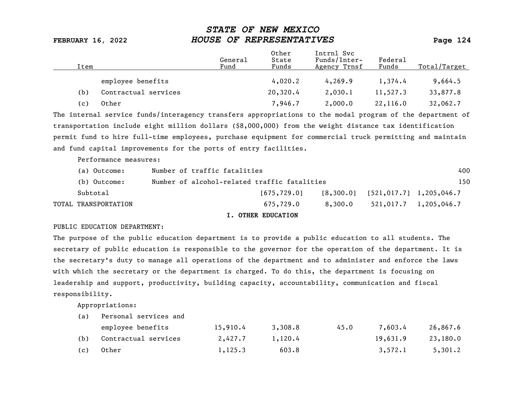| Item |                      | General<br>Fund | Other<br>State<br>Funds | Intrnl Svc<br>Funds/Inter-<br>Agency Trnsf | Federal<br>Funds | Total/Target |
|------|----------------------|-----------------|-------------------------|--------------------------------------------|------------------|--------------|
|      | employee benefits    |                 | 4,020.2                 | 4, 269.9                                   | 1,374.4          | 9,664.5      |
| (b)  | Contractual services |                 | 20,320.4                | 2,030.1                                    | 11,527.3         | 33,877.8     |
| (c)  | Other                |                 | 7,946.7                 | 2,000.0                                    | 22,116.0         | 32,062.7     |
|      |                      |                 |                         |                                            |                  |              |

The internal service funds/interagency transfers appropriations to the modal program of the department of transportation include eight million dollars (\$8,000,000) from the weight distance tax identification permit fund to hire full-time employees, purchase equipment for commercial truck permitting and maintain and fund capital improvements for the ports of entry facilities.

Performance measures:

| (a) Outcome:         | Number of traffic fatalities                 |               |         |                                       | 400                     |  |
|----------------------|----------------------------------------------|---------------|---------|---------------------------------------|-------------------------|--|
| (b) Outcome:         | Number of alcohol-related traffic fatalities |               |         |                                       | 150                     |  |
| Subtotal             |                                              | [675, 729, 0] |         | $[8,300.0]$ $[521,017.7]$ 1,205,046.7 |                         |  |
| TOTAL TRANSPORTATION |                                              | 675.729.0     | 8,300.0 |                                       | $521,017.7$ 1,205,046.7 |  |
|                      |                                              |               |         |                                       |                         |  |

### I. OTHER EDUCATION

### PUBLIC EDUCATION DEPARTMENT:

The purpose of the public education department is to provide a public education to all students. The secretary of public education is responsible to the governor for the operation of the department. It is the secretary's duty to manage all operations of the department and to administer and enforce the laws with which the secretary or the department is charged. To do this, the department is focusing on leadership and support, productivity, building capacity, accountability, communication and fiscal responsibility.

Appropriations:

|     | employee benefits        | 15,910.4 | 3,308.8 | 45.0 | 7.603.4  | 26,867.6 |
|-----|--------------------------|----------|---------|------|----------|----------|
|     | (b) Contractual services | 2,427.7  | 1,120.4 |      | 19,631.9 | 23,180.0 |
| (c) | Other                    | 1,125.3  | 603.8   |      | 3,572.1  | 5,301.2  |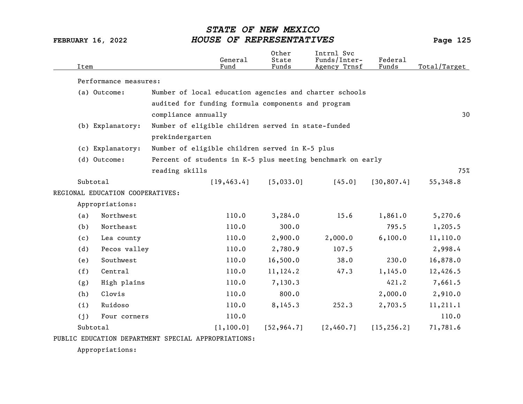| Item     |                                  |                                                    | General<br>Fund                                    | Other<br>State<br>Funds | Intrnl Svc<br>Funds/Inter-<br>Agency Trnsf                 | Federal<br>Funds | Total/Target |
|----------|----------------------------------|----------------------------------------------------|----------------------------------------------------|-------------------------|------------------------------------------------------------|------------------|--------------|
|          | Performance measures:            |                                                    |                                                    |                         |                                                            |                  |              |
|          | (a) Outcome:                     |                                                    |                                                    |                         | Number of local education agencies and charter schools     |                  |              |
|          |                                  |                                                    | audited for funding formula components and program |                         |                                                            |                  |              |
|          |                                  | compliance annually                                |                                                    |                         |                                                            |                  | 30           |
|          | (b) Explanatory:                 | Number of eligible children served in state-funded |                                                    |                         |                                                            |                  |              |
|          |                                  | prekindergarten                                    |                                                    |                         |                                                            |                  |              |
|          | (c) Explanatory:                 | Number of eligible children served in K-5 plus     |                                                    |                         |                                                            |                  |              |
|          | (d) Outcome:                     |                                                    |                                                    |                         | Percent of students in K-5 plus meeting benchmark on early |                  |              |
|          |                                  | reading skills                                     |                                                    |                         |                                                            |                  | 75%          |
| Subtotal |                                  |                                                    | [19, 463.4]                                        | [5,033.0]               | [45.0]                                                     | [30, 807.4]      | 55,348.8     |
|          | REGIONAL EDUCATION COOPERATIVES: |                                                    |                                                    |                         |                                                            |                  |              |
|          | Appropriations:                  |                                                    |                                                    |                         |                                                            |                  |              |
| (a)      | Northwest                        |                                                    | 110.0                                              | 3,284.0                 | 15.6                                                       | 1,861.0          | 5,270.6      |
| (b)      | Northeast                        |                                                    | 110.0                                              | 300.0                   |                                                            | 795.5            | 1,205.5      |
| (c)      | Lea county                       |                                                    | 110.0                                              | 2,900.0                 | 2,000.0                                                    | 6,100.0          | 11,110.0     |
| (d)      | Pecos valley                     |                                                    | 110.0                                              | 2,780.9                 | 107.5                                                      |                  | 2,998.4      |
| (e)      | Southwest                        |                                                    | 110.0                                              | 16,500.0                | 38.0                                                       | 230.0            | 16,878.0     |
| (f)      | Central                          |                                                    | 110.0                                              | 11,124.2                | 47.3                                                       | 1,145.0          | 12,426.5     |
| (g)      | High plains                      |                                                    | 110.0                                              | 7,130.3                 |                                                            | 421.2            | 7,661.5      |
| (h)      | Clovis                           |                                                    | 110.0                                              | 800.0                   |                                                            | 2,000.0          | 2,910.0      |
| (i)      | Ruidoso                          |                                                    | 110.0                                              | 8,145.3                 | 252.3                                                      | 2,703.5          | 11, 211.1    |
| (j)      | Four corners                     |                                                    | 110.0                                              |                         |                                                            |                  | 110.0        |
| Subtotal |                                  |                                                    | [1, 100.0]                                         | [52, 964.7]             | [2,460.7]                                                  | [15, 256.2]      | 71,781.6     |
|          |                                  |                                                    |                                                    |                         |                                                            |                  |              |

PUBLIC EDUCATION DEPARTMENT SPECIAL APPROPRIATIONS:

Appropriations: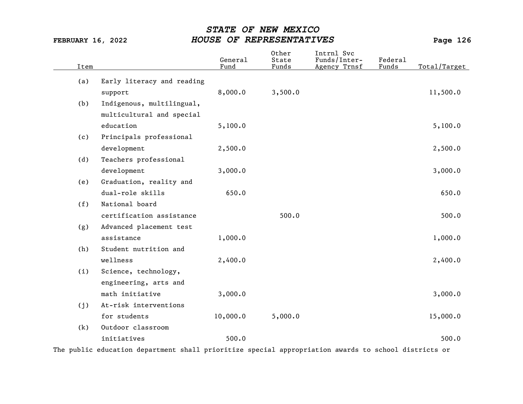| Item |                           | General<br>Fund            | Other<br>State<br>Funds | Intrnl Svc<br>Funds/Inter-<br>Agency Trnsf | <b>Federal</b><br>Funds | Total/Target |
|------|---------------------------|----------------------------|-------------------------|--------------------------------------------|-------------------------|--------------|
|      |                           |                            |                         |                                            |                         |              |
|      | support                   | 8,000.0                    | 3,500.0                 |                                            |                         | 11,500.0     |
| (b)  | Indigenous, multilingual, |                            |                         |                                            |                         |              |
|      | multicultural and special |                            |                         |                                            |                         |              |
|      | education                 | 5,100.0                    |                         |                                            |                         | 5,100.0      |
| (c)  | Principals professional   |                            |                         |                                            |                         |              |
|      | development               | 2,500.0                    |                         |                                            |                         | 2,500.0      |
| (d)  | Teachers professional     |                            |                         |                                            |                         |              |
|      | development               | 3,000.0                    |                         |                                            |                         | 3,000.0      |
| (e)  | Graduation, reality and   |                            |                         |                                            |                         |              |
|      | dual-role skills          | 650.0                      |                         |                                            |                         | 650.0        |
| (f)  | National board            |                            |                         |                                            |                         |              |
|      | certification assistance  |                            | 500.0                   |                                            |                         | 500.0        |
| (g)  | Advanced placement test   |                            |                         |                                            |                         |              |
|      | assistance                | 1,000.0                    |                         |                                            |                         | 1,000.0      |
| (h)  | Student nutrition and     |                            |                         |                                            |                         |              |
|      | wellness                  | 2,400.0                    |                         |                                            |                         | 2,400.0      |
| (i)  | Science, technology,      |                            |                         |                                            |                         |              |
|      | engineering, arts and     |                            |                         |                                            |                         |              |
|      | math initiative           | 3,000.0                    |                         |                                            |                         | 3,000.0      |
| (j)  | At-risk interventions     |                            |                         |                                            |                         |              |
|      | for students              | 10,000.0                   | 5,000.0                 |                                            |                         | 15,000.0     |
| (k)  | Outdoor classroom         |                            |                         |                                            |                         |              |
|      | initiatives               | 500.0                      |                         |                                            |                         | 500.0        |
|      | (a)                       | Early literacy and reading |                         |                                            |                         |              |

The public education department shall prioritize special appropriation awards to school districts or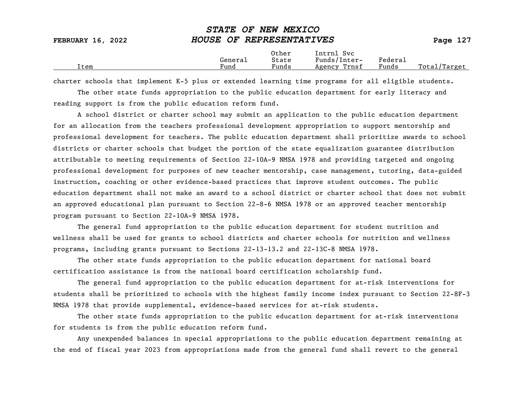| <b>FEBRUARY 16, 2022</b> | HOUSE OF REPRESENTATIVES |                |                            |         | Page 127     |
|--------------------------|--------------------------|----------------|----------------------------|---------|--------------|
|                          | General                  | Other<br>State | Intrnl Svc<br>Funds/Inter- | Federal |              |
| Ítem                     | Fund                     | Funds          | Agency Trnsf               | Funds   | Total/Target |

STATE OF NEW MEXICO

charter schools that implement K-5 plus or extended learning time programs for all eligible students.

The other state funds appropriation to the public education department for early literacy and reading support is from the public education reform fund.

A school district or charter school may submit an application to the public education department for an allocation from the teachers professional development appropriation to support mentorship and professional development for teachers. The public education department shall prioritize awards to school districts or charter schools that budget the portion of the state equalization guarantee distribution attributable to meeting requirements of Section 22-10A-9 NMSA 1978 and providing targeted and ongoing professional development for purposes of new teacher mentorship, case management, tutoring, data-guided instruction, coaching or other evidence-based practices that improve student outcomes. The public education department shall not make an award to a school district or charter school that does not submit an approved educational plan pursuant to Section 22-8-6 NMSA 1978 or an approved teacher mentorship program pursuant to Section 22-10A-9 NMSA 1978.

The general fund appropriation to the public education department for student nutrition and wellness shall be used for grants to school districts and charter schools for nutrition and wellness programs, including grants pursuant to Sections 22-13-13.2 and 22-13C-8 NMSA 1978.

The other state funds appropriation to the public education department for national board certification assistance is from the national board certification scholarship fund.

The general fund appropriation to the public education department for at-risk interventions for students shall be prioritized to schools with the highest family income index pursuant to Section 22-8F-3 NMSA 1978 that provide supplemental, evidence-based services for at-risk students.

The other state funds appropriation to the public education department for at-risk interventions for students is from the public education reform fund.

Any unexpended balances in special appropriations to the public education department remaining at the end of fiscal year 2023 from appropriations made from the general fund shall revert to the general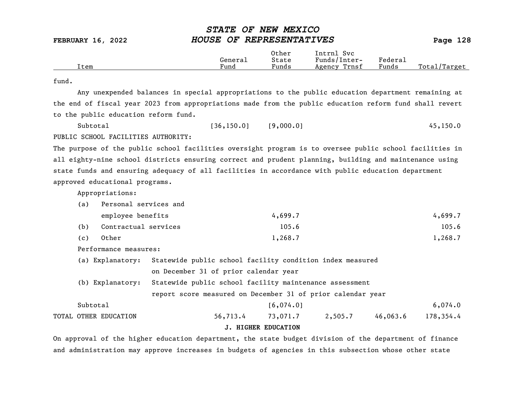|      |         | Other                  | Intrnl<br>Sv c  |                                    |                  |
|------|---------|------------------------|-----------------|------------------------------------|------------------|
|      | General | State                  | Funds/Inter-    | ${}_{\rm \texttt{Federa}_{\perp}}$ |                  |
| Item | Fund    | $\sim$ $\sim$<br>Funds | Trnsf<br>Agency | Funds                              | Total<br>'Target |

### fund.

Any unexpended balances in special appropriations to the public education department remaining at the end of fiscal year 2023 from appropriations made from the public education reform fund shall revert to the public education reform fund.

| Subtotal                            | [36, 150.0] | [9,000.0] | 45, 150.0 |
|-------------------------------------|-------------|-----------|-----------|
| PUBLIC SCHOOL FACILITIES AUTHORITY: |             |           |           |

The purpose of the public school facilities oversight program is to oversee public school facilities in all eighty-nine school districts ensuring correct and prudent planning, building and maintenance using state funds and ensuring adequacy of all facilities in accordance with public education department approved educational programs.

Appropriations:

| (a) Personal services and |
|---------------------------|
|---------------------------|

|     | employee benefits    | 4,699.7 | 4,699.7 |
|-----|----------------------|---------|---------|
| (b) | Contractual services | 105.6   | 105.6   |
| (c) | Other                | 1,268.7 | 1,268.7 |

- Performance measures:
- (a) Explanatory: Statewide public school facility condition index measured on December 31 of prior calendar year
- (b) Explanatory: Statewide public school facility maintenance assessment report score measured on December 31 of prior calendar year
- Subtotal 6,074.0 TOTAL OTHER EDUCATION 56,713.4 73,071.7 2,505.7 46,063.6 178,354.4

### J. HIGHER EDUCATION

On approval of the higher education department, the state budget division of the department of finance and administration may approve increases in budgets of agencies in this subsection whose other state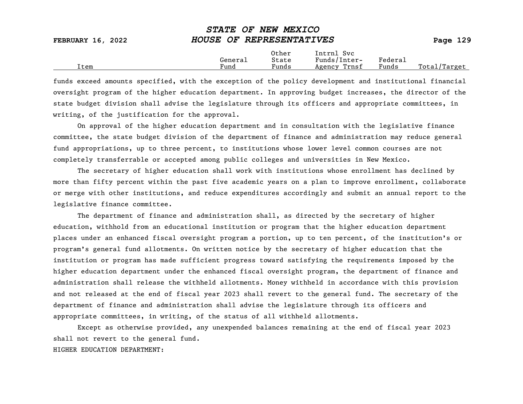| <b>FEBRUARY 16, 2022</b> | HOUSE OF REPRESENTATIVES |                |                            |         | Page $129$   |
|--------------------------|--------------------------|----------------|----------------------------|---------|--------------|
|                          | General                  | Other<br>State | Intrnl Svc<br>Funds/Inter- | Federal |              |
| Item                     | Fund                     | Funds          | Agency Trnsf               | Funds   | Total/Target |

STATE OF NEW MEXICO

funds exceed amounts specified, with the exception of the policy development and institutional financial oversight program of the higher education department. In approving budget increases, the director of the state budget division shall advise the legislature through its officers and appropriate committees, in writing, of the justification for the approval.

On approval of the higher education department and in consultation with the legislative finance committee, the state budget division of the department of finance and administration may reduce general fund appropriations, up to three percent, to institutions whose lower level common courses are not completely transferrable or accepted among public colleges and universities in New Mexico.

The secretary of higher education shall work with institutions whose enrollment has declined by more than fifty percent within the past five academic years on a plan to improve enrollment, collaborate or merge with other institutions, and reduce expenditures accordingly and submit an annual report to the legislative finance committee.

The department of finance and administration shall, as directed by the secretary of higher education, withhold from an educational institution or program that the higher education department places under an enhanced fiscal oversight program a portion, up to ten percent, of the institution's or program's general fund allotments. On written notice by the secretary of higher education that the institution or program has made sufficient progress toward satisfying the requirements imposed by the higher education department under the enhanced fiscal oversight program, the department of finance and administration shall release the withheld allotments. Money withheld in accordance with this provision and not released at the end of fiscal year 2023 shall revert to the general fund. The secretary of the department of finance and administration shall advise the legislature through its officers and appropriate committees, in writing, of the status of all withheld allotments.

Except as otherwise provided, any unexpended balances remaining at the end of fiscal year 2023 shall not revert to the general fund.

### HIGHER EDUCATION DEPARTMENT: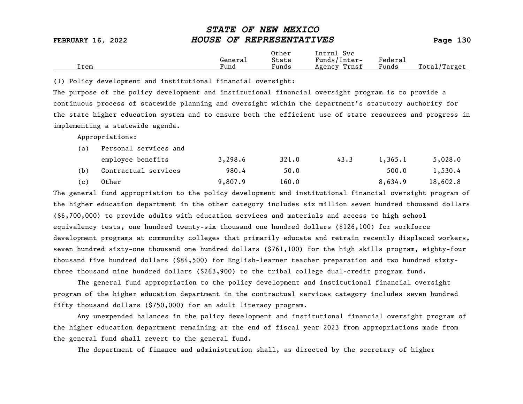|      |         | Other | Intrnl<br>Svc   |         |                             |
|------|---------|-------|-----------------|---------|-----------------------------|
|      | General | State | Funds/Inter-    | Federau |                             |
| Item | Fund    | Funds | Trnsf<br>Agency | Funds   | Total,<br>' <i>'</i> Target |

(1) Policy development and institutional financial oversight:

The purpose of the policy development and institutional financial oversight program is to provide a continuous process of statewide planning and oversight within the department's statutory authority for the state higher education system and to ensure both the efficient use of state resources and progress in implementing a statewide agenda.

Appropriations:

| (a) | Personal services and |         |       |      |         |          |  |  |  |
|-----|-----------------------|---------|-------|------|---------|----------|--|--|--|
|     | employee benefits     | 3,298.6 | 321.0 | 43.3 | 1,365.1 | 5,028.0  |  |  |  |
| (b) | Contractual services  | 980.4   | 50.0  |      | 500.0   | 1,530.4  |  |  |  |
| (c) | Other                 | 9,807.9 | 160.0 |      | 8,634.9 | 18,602.8 |  |  |  |

The general fund appropriation to the policy development and institutional financial oversight program of the higher education department in the other category includes six million seven hundred thousand dollars (\$6,700,000) to provide adults with education services and materials and access to high school equivalency tests, one hundred twenty-six thousand one hundred dollars (\$126,100) for workforce development programs at community colleges that primarily educate and retrain recently displaced workers, seven hundred sixty-one thousand one hundred dollars (\$761,100) for the high skills program, eighty-four thousand five hundred dollars (\$84,500) for English-learner teacher preparation and two hundred sixtythree thousand nine hundred dollars (\$263,900) to the tribal college dual-credit program fund.

The general fund appropriation to the policy development and institutional financial oversight program of the higher education department in the contractual services category includes seven hundred fifty thousand dollars (\$750,000) for an adult literacy program.

Any unexpended balances in the policy development and institutional financial oversight program of the higher education department remaining at the end of fiscal year 2023 from appropriations made from the general fund shall revert to the general fund.

The department of finance and administration shall, as directed by the secretary of higher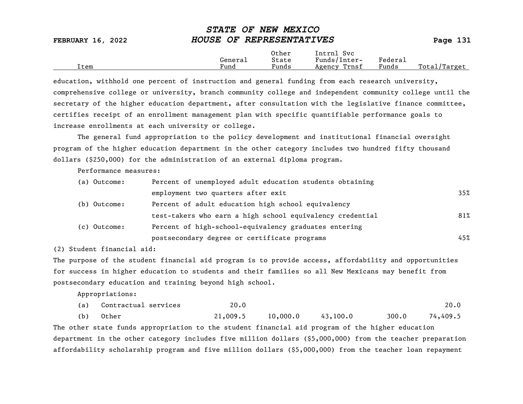| FEBRUARY 16, 2022 | HOUSE OF REPRESENTATIVES |                |                            |         | Page 131     |
|-------------------|--------------------------|----------------|----------------------------|---------|--------------|
|                   | General                  | Other<br>State | Intrnl Svc<br>Funds/Inter- | Federal |              |
| item              | Fund                     | Funds          | Agency Trnsf               | Funds   | Total/Target |

STATE OF NEW MEXICO

education, withhold one percent of instruction and general funding from each research university, comprehensive college or university, branch community college and independent community college until the secretary of the higher education department, after consultation with the legislative finance committee, certifies receipt of an enrollment management plan with specific quantifiable performance goals to increase enrollments at each university or college.

The general fund appropriation to the policy development and institutional financial oversight program of the higher education department in the other category includes two hundred fifty thousand dollars (\$250,000) for the administration of an external diploma program.

Performance measures:

| (a) Outcome: | Percent of unemployed adult education students obtaining  |     |
|--------------|-----------------------------------------------------------|-----|
|              | employment two quarters after exit                        | 35% |
| (b) Outcome: | Percent of adult education high school equivalency        |     |
|              | test-takers who earn a high school equivalency credential | 81% |
| (c) Outcome: | Percent of high-school-equivalency graduates entering     |     |
|              | postsecondary degree or certificate programs              | 45% |

(2) Student financial aid:

The purpose of the student financial aid program is to provide access, affordability and opportunities for success in higher education to students and their families so all New Mexicans may benefit from postsecondary education and training beyond high school.

Appropriations:

| (a) | Contractual services | 20.0     |                                      |          |       | 20.0     |
|-----|----------------------|----------|--------------------------------------|----------|-------|----------|
| (b) | Other                | 21,009.5 | $10\boldsymbol{.}000\boldsymbol{.}0$ | 43,100.0 | 300.0 | 74,409.5 |

The other state funds appropriation to the student financial aid program of the higher education department in the other category includes five million dollars (\$5,000,000) from the teacher preparation affordability scholarship program and five million dollars (\$5,000,000) from the teacher loan repayment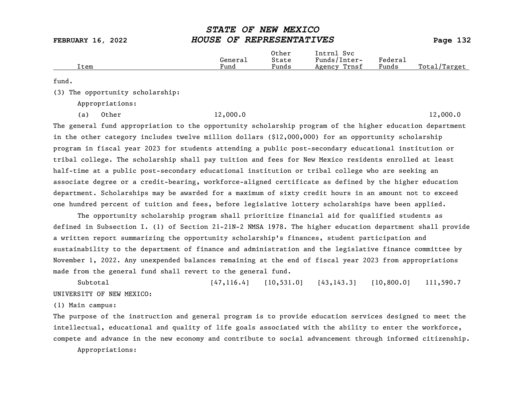|      |         | Other | Intrnl<br>Svc   |         |                  |
|------|---------|-------|-----------------|---------|------------------|
|      | General | State | Funds/Inter-    | Federa⊥ |                  |
| Item | Fund    | Funds | Trnsf<br>Agency | Funds   | Total<br>'Target |
|      |         |       |                 |         |                  |

fund.

(3) The opportunity scholarship:

Appropriations:

(a) Other 12,000.0 12,000.0

The general fund appropriation to the opportunity scholarship program of the higher education department in the other category includes twelve million dollars (\$12,000,000) for an opportunity scholarship program in fiscal year 2023 for students attending a public post-secondary educational institution or tribal college. The scholarship shall pay tuition and fees for New Mexico residents enrolled at least half-time at a public post-secondary educational institution or tribal college who are seeking an associate degree or a credit-bearing, workforce-aligned certificate as defined by the higher education department. Scholarships may be awarded for a maximum of sixty credit hours in an amount not to exceed one hundred percent of tuition and fees, before legislative lottery scholarships have been applied.

The opportunity scholarship program shall prioritize financial aid for qualified students as defined in Subsection I. (1) of Section 21-21N-2 NMSA 1978. The higher education department shall provide a written report summarizing the opportunity scholarship's finances, student participation and sustainability to the department of finance and administration and the legislative finance committee by November 1, 2022. Any unexpended balances remaining at the end of fiscal year 2023 from appropriations made from the general fund shall revert to the general fund.

Subtotal [47,116.4] [10,531.0] [43,143.3] [10,800.0] 111,590.7 UNIVERSITY OF NEW MEXICO:

(1) Main campus:

The purpose of the instruction and general program is to provide education services designed to meet the intellectual, educational and quality of life goals associated with the ability to enter the workforce, compete and advance in the new economy and contribute to social advancement through informed citizenship.

Appropriations: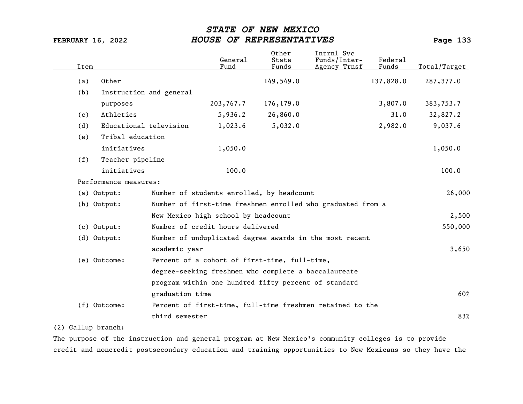| Item |                         |                 | General<br>Fund                                      | Other<br>State<br>Funds | Intrnl Svc<br>Funds/Inter-<br>Agency Trnsf                  | Federal<br>Funds | Total/Target |
|------|-------------------------|-----------------|------------------------------------------------------|-------------------------|-------------------------------------------------------------|------------------|--------------|
| (a)  | Other                   |                 |                                                      | 149,549.0               |                                                             | 137,828.0        | 287,377.0    |
| (b)  | Instruction and general |                 |                                                      |                         |                                                             |                  |              |
|      | purposes                |                 | 203,767.7                                            | 176,179.0               |                                                             | 3,807.0          | 383,753.7    |
| (c)  | Athletics               |                 | 5,936.2                                              | 26,860.0                |                                                             | 31.0             | 32,827.2     |
| (d)  | Educational television  |                 | 1,023.6                                              | 5,032.0                 |                                                             | 2,982.0          | 9,037.6      |
| (e)  | Tribal education        |                 |                                                      |                         |                                                             |                  |              |
|      | initiatives             |                 | 1,050.0                                              |                         |                                                             |                  | 1,050.0      |
| (f)  | Teacher pipeline        |                 |                                                      |                         |                                                             |                  |              |
|      | initiatives             |                 | 100.0                                                |                         |                                                             |                  | 100.0        |
|      | Performance measures:   |                 |                                                      |                         |                                                             |                  |              |
|      | (a) Output:             |                 | Number of students enrolled, by headcount            |                         |                                                             |                  | 26,000       |
|      | (b) Output:             |                 |                                                      |                         | Number of first-time freshmen enrolled who graduated from a |                  |              |
|      |                         |                 | New Mexico high school by headcount                  |                         |                                                             |                  | 2,500        |
|      | $(c)$ Output:           |                 | Number of credit hours delivered                     |                         |                                                             |                  | 550,000      |
|      | $(d)$ Output:           |                 |                                                      |                         | Number of unduplicated degree awards in the most recent     |                  |              |
|      |                         | academic year   |                                                      |                         |                                                             |                  | 3,650        |
|      | (e) Outcome:            |                 | Percent of a cohort of first-time, full-time,        |                         |                                                             |                  |              |
|      |                         |                 | degree-seeking freshmen who complete a baccalaureate |                         |                                                             |                  |              |
|      |                         |                 | program within one hundred fifty percent of standard |                         |                                                             |                  |              |
|      |                         | graduation time |                                                      |                         |                                                             |                  | 60%          |
|      | (f) Outcome:            |                 |                                                      |                         | Percent of first-time, full-time freshmen retained to the   |                  |              |
|      |                         | third semester  |                                                      |                         |                                                             |                  | 83%          |

## (2) Gallup branch:

The purpose of the instruction and general program at New Mexico's community colleges is to provide credit and noncredit postsecondary education and training opportunities to New Mexicans so they have the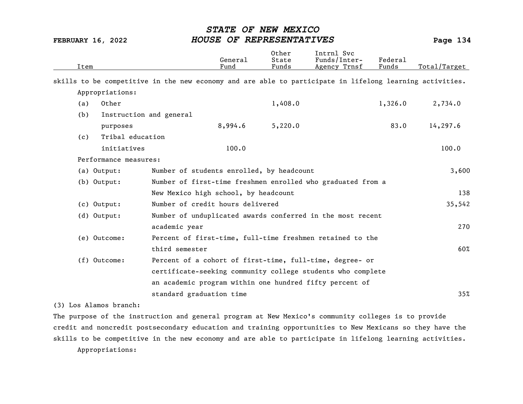| Item |                         |                                           | General<br>Fund | Other<br>State<br>Funds | Intrnl Svc<br>Funds/Inter-<br>Agency Trnsf                                                               | Federa1<br>Funds | Total/Target |
|------|-------------------------|-------------------------------------------|-----------------|-------------------------|----------------------------------------------------------------------------------------------------------|------------------|--------------|
|      |                         |                                           |                 |                         | skills to be competitive in the new economy and are able to participate in lifelong learning activities. |                  |              |
|      | Appropriations:         |                                           |                 |                         |                                                                                                          |                  |              |
| (a)  | Other                   |                                           |                 | 1,408.0                 |                                                                                                          | 1,326.0          | 2,734.0      |
| (b)  | Instruction and general |                                           |                 |                         |                                                                                                          |                  |              |
|      | purposes                |                                           | 8,994.6         | 5,220.0                 |                                                                                                          | 83.0             | 14,297.6     |
| (c)  | Tribal education        |                                           |                 |                         |                                                                                                          |                  |              |
|      | initiatives             |                                           | 100.0           |                         |                                                                                                          |                  | 100.0        |
|      | Performance measures:   |                                           |                 |                         |                                                                                                          |                  |              |
|      | (a) Output:             | Number of students enrolled, by headcount |                 |                         |                                                                                                          |                  | 3,600        |
|      | $(b)$ Output:           |                                           |                 |                         | Number of first-time freshmen enrolled who graduated from a                                              |                  |              |
|      |                         | New Mexico high school, by headcount      |                 |                         |                                                                                                          |                  | 138          |
|      | $(c)$ Output:           | Number of credit hours delivered          |                 |                         |                                                                                                          |                  | 35,542       |
|      | (d) Output:             |                                           |                 |                         | Number of unduplicated awards conferred in the most recent                                               |                  |              |
|      |                         | academic year                             |                 |                         |                                                                                                          |                  | 270          |
|      | (e) Outcome:            |                                           |                 |                         | Percent of first-time, full-time freshmen retained to the                                                |                  |              |
|      |                         | third semester                            |                 |                         |                                                                                                          |                  | 60%          |
|      | (f) Outcome:            |                                           |                 |                         | Percent of a cohort of first-time, full-time, degree- or                                                 |                  |              |
|      |                         |                                           |                 |                         | certificate-seeking community college students who complete                                              |                  |              |
|      |                         |                                           |                 |                         | an academic program within one hundred fifty percent of                                                  |                  |              |
|      |                         | standard graduation time                  |                 |                         |                                                                                                          |                  | 35%          |

(3) Los Alamos branch:

The purpose of the instruction and general program at New Mexico's community colleges is to provide credit and noncredit postsecondary education and training opportunities to New Mexicans so they have the skills to be competitive in the new economy and are able to participate in lifelong learning activities. Appropriations: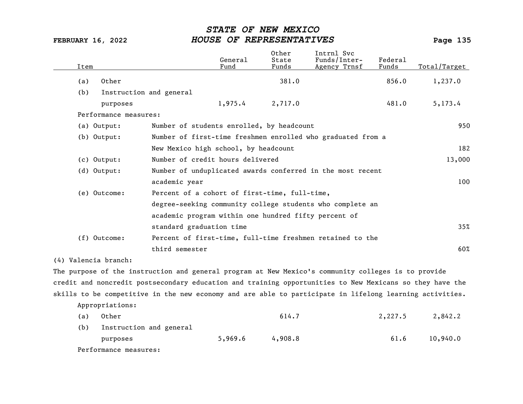| Item |                         |                                                      | General<br>Fund | Other<br>State<br>Funds | Intrnl Svc<br>Funds/Inter-<br>Agency Trnsf                  | Federal<br>Funds | Total/Target |
|------|-------------------------|------------------------------------------------------|-----------------|-------------------------|-------------------------------------------------------------|------------------|--------------|
| (a)  | Other                   |                                                      |                 | 381.0                   |                                                             | 856.0            | 1,237.0      |
| (b)  | Instruction and general |                                                      |                 |                         |                                                             |                  |              |
|      | purposes                |                                                      | 1,975.4         | 2,717.0                 |                                                             | 481.0            | 5,173.4      |
|      | Performance measures:   |                                                      |                 |                         |                                                             |                  |              |
|      | (a) Output:             | Number of students enrolled, by headcount            |                 |                         |                                                             |                  | 950          |
|      | (b) Output:             |                                                      |                 |                         | Number of first-time freshmen enrolled who graduated from a |                  |              |
|      |                         | New Mexico high school, by headcount                 |                 |                         |                                                             |                  | 182          |
|      | (c) Output:             | Number of credit hours delivered                     |                 |                         |                                                             |                  | 13,000       |
|      | (d) Output:             |                                                      |                 |                         | Number of unduplicated awards conferred in the most recent  |                  |              |
|      |                         | academic year                                        |                 |                         |                                                             |                  | 100          |
|      | (e) Outcome:            | Percent of a cohort of first-time, full-time,        |                 |                         |                                                             |                  |              |
|      |                         |                                                      |                 |                         | degree-seeking community college students who complete an   |                  |              |
|      |                         | academic program within one hundred fifty percent of |                 |                         |                                                             |                  |              |
|      |                         | standard graduation time                             |                 |                         |                                                             |                  | 35%          |
|      | $(f)$ Outcome:          |                                                      |                 |                         | Percent of first-time, full-time freshmen retained to the   |                  |              |
|      |                         | third semester                                       |                 |                         |                                                             |                  | 60%          |
|      |                         |                                                      |                 |                         |                                                             |                  |              |

(4) Valencia branch:

The purpose of the instruction and general program at New Mexico's community colleges is to provide credit and noncredit postsecondary education and training opportunities to New Mexicans so they have the skills to be competitive in the new economy and are able to participate in lifelong learning activities.

Appropriations:

| (a) | Other                   |         | 614.7   | 2,227.5 | 2,842.2  |
|-----|-------------------------|---------|---------|---------|----------|
| (b) | Instruction and general |         |         |         |          |
|     | purposes                | 5,969.6 | 4,908.8 | 61.6    | 10,940.0 |
|     | Performance measures:   |         |         |         |          |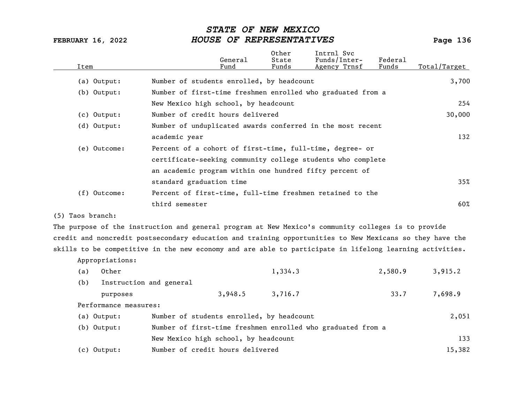| Item           | General<br>Fund                                             | Other<br>State<br>Funds | Intrnl Svc<br>Funds/Inter-<br>Agency Trnsf | Federal<br>Funds | Total/Target |
|----------------|-------------------------------------------------------------|-------------------------|--------------------------------------------|------------------|--------------|
| (a) Output:    | Number of students enrolled, by headcount                   |                         |                                            |                  | 3,700        |
| $(b)$ Output:  | Number of first-time freshmen enrolled who graduated from a |                         |                                            |                  |              |
|                | New Mexico high school, by headcount                        |                         |                                            |                  | 254          |
| $(c)$ Output:  | Number of credit hours delivered                            |                         |                                            |                  | 30,000       |
| (d) Output:    | Number of unduplicated awards conferred in the most recent  |                         |                                            |                  |              |
|                | academic year                                               |                         |                                            |                  | 132          |
| (e) Outcome:   | Percent of a cohort of first-time, full-time, degree- or    |                         |                                            |                  |              |
|                | certificate-seeking community college students who complete |                         |                                            |                  |              |
|                | an academic program within one hundred fifty percent of     |                         |                                            |                  |              |
|                | standard graduation time                                    |                         |                                            |                  | $35\%$       |
| $(f)$ Outcome: | Percent of first-time, full-time freshmen retained to the   |                         |                                            |                  |              |
|                | third semester                                              |                         |                                            |                  | 60%          |
|                |                                                             |                         |                                            |                  |              |

(5) Taos branch:

The purpose of the instruction and general program at New Mexico's community colleges is to provide credit and noncredit postsecondary education and training opportunities to New Mexicans so they have the skills to be competitive in the new economy and are able to participate in lifelong learning activities.

| Appropriations:       |                                                             |         |         |         |
|-----------------------|-------------------------------------------------------------|---------|---------|---------|
| Other<br>(a)          |                                                             | 1,334.3 | 2,580.9 | 3,915.2 |
| (b)                   | Instruction and general                                     |         |         |         |
| purposes              | 3,948.5                                                     | 3,716.7 | 33.7    | 7,698.9 |
| Performance measures: |                                                             |         |         |         |
| (a) Output:           | Number of students enrolled, by headcount                   |         |         | 2,051   |
| $(b)$ Output:         | Number of first-time freshmen enrolled who graduated from a |         |         |         |
|                       | New Mexico high school, by headcount                        |         |         | 133     |
| $(c)$ Output:         | Number of credit hours delivered                            |         |         | 15,382  |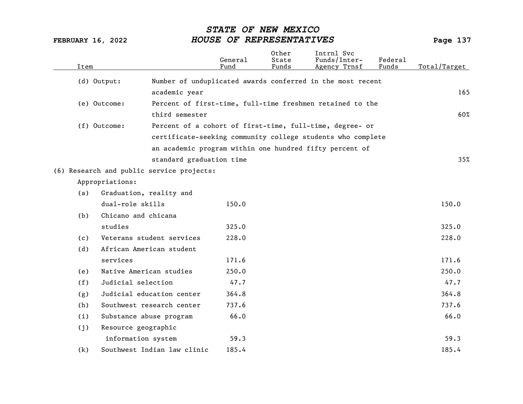| Item |                                           | General<br>Fund                                             | 0ther<br>State<br>Funds | Intrnl Svc<br>Funds/Inter-<br>Agency Trnsf | Federal<br>Funds | Total/Target |
|------|-------------------------------------------|-------------------------------------------------------------|-------------------------|--------------------------------------------|------------------|--------------|
|      | (d) Output:                               | Number of unduplicated awards conferred in the most recent  |                         |                                            |                  |              |
|      | academic year                             |                                                             |                         |                                            |                  | 165          |
|      | (e) Outcome:                              | Percent of first-time, full-time freshmen retained to the   |                         |                                            |                  |              |
|      | third semester                            |                                                             |                         |                                            |                  | 60%          |
|      | (f) Outcome:                              | Percent of a cohort of first-time, full-time, degree- or    |                         |                                            |                  |              |
|      |                                           | certificate-seeking community college students who complete |                         |                                            |                  |              |
|      |                                           | an academic program within one hundred fifty percent of     |                         |                                            |                  |              |
|      |                                           | standard graduation time                                    |                         |                                            |                  | 35%          |
|      | (6) Research and public service projects: |                                                             |                         |                                            |                  |              |
|      | Appropriations:                           |                                                             |                         |                                            |                  |              |
| (a)  | Graduation, reality and                   |                                                             |                         |                                            |                  |              |
|      | dual-role skills                          | 150.0                                                       |                         |                                            |                  | 150.0        |
| (b)  | Chicano and chicana                       |                                                             |                         |                                            |                  |              |
|      | studies                                   | 325.0                                                       |                         |                                            |                  | 325.0        |
| (c)  | Veterans student services                 | 228.0                                                       |                         |                                            |                  | 228.0        |
| (d)  | African American student                  |                                                             |                         |                                            |                  |              |
|      | services                                  | 171.6                                                       |                         |                                            |                  | 171.6        |
| (e)  | Native American studies                   | 250.0                                                       |                         |                                            |                  | 250.0        |
| (f)  | Judicial selection                        | 47.7                                                        |                         |                                            |                  | 47.7         |
| (g)  | Judicial education center                 | 364.8                                                       |                         |                                            |                  | 364.8        |
| (h)  | Southwest research center                 | 737.6                                                       |                         |                                            |                  | 737.6        |
| (i)  | Substance abuse program                   | 66.0                                                        |                         |                                            |                  | 66.0         |
| (j)  | Resource geographic                       |                                                             |                         |                                            |                  |              |
|      | information system                        | 59.3                                                        |                         |                                            |                  | 59.3         |
| (k)  | Southwest Indian law clinic               | 185.4                                                       |                         |                                            |                  | 185.4        |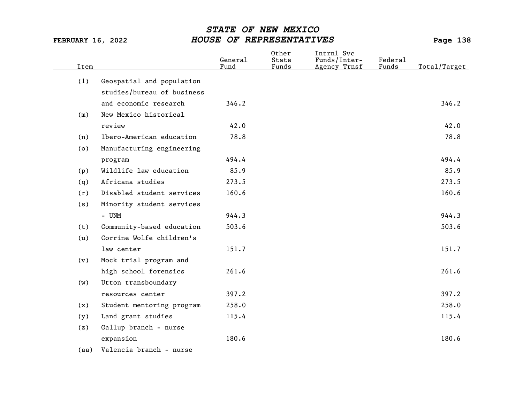| Item |                            | General<br>Fund | Other<br>State<br>Funds | Intrnl Svc<br>Funds/Inter-<br>Agency Trnsf | Federal<br>Funds | Total/Target |
|------|----------------------------|-----------------|-------------------------|--------------------------------------------|------------------|--------------|
| (1)  | Geospatial and population  |                 |                         |                                            |                  |              |
|      | studies/bureau of business |                 |                         |                                            |                  |              |
|      | and economic research      | 346.2           |                         |                                            |                  | 346.2        |
| (m)  | New Mexico historical      |                 |                         |                                            |                  |              |
|      | review                     | 42.0            |                         |                                            |                  | 42.0         |
| (n)  | Ibero-American education   | 78.8            |                         |                                            |                  | 78.8         |
| (0)  | Manufacturing engineering  |                 |                         |                                            |                  |              |
|      | program                    | 494.4           |                         |                                            |                  | 494.4        |
| (p)  | Wildlife law education     | 85.9            |                         |                                            |                  | 85.9         |
| (q)  | Africana studies           | 273.5           |                         |                                            |                  | 273.5        |
| (r)  | Disabled student services  | 160.6           |                         |                                            |                  | 160.6        |
| (s)  | Minority student services  |                 |                         |                                            |                  |              |
|      | - UNM                      | 944.3           |                         |                                            |                  | 944.3        |
| (t)  | Community-based education  | 503.6           |                         |                                            |                  | 503.6        |
| (u)  | Corrine Wolfe children's   |                 |                         |                                            |                  |              |
|      | law center                 | 151.7           |                         |                                            |                  | 151.7        |
| (v)  | Mock trial program and     |                 |                         |                                            |                  |              |
|      | high school forensics      | 261.6           |                         |                                            |                  | 261.6        |
| (w)  | Utton transboundary        |                 |                         |                                            |                  |              |
|      | resources center           | 397.2           |                         |                                            |                  | 397.2        |
| (x)  | Student mentoring program  | 258.0           |                         |                                            |                  | 258.0        |
| (y)  | Land grant studies         | 115.4           |                         |                                            |                  | 115.4        |
| (z)  | Gallup branch - nurse      |                 |                         |                                            |                  |              |
|      | expansion                  | 180.6           |                         |                                            |                  | 180.6        |
| (aa) | Valencia branch - nurse    |                 |                         |                                            |                  |              |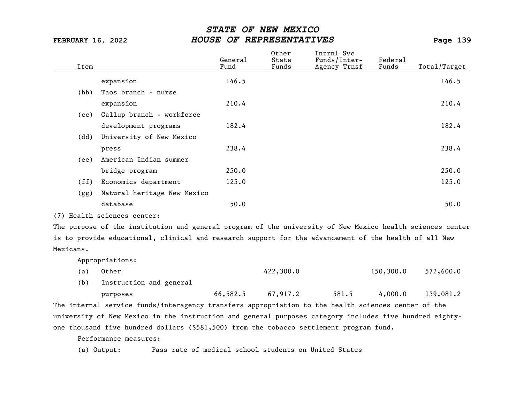| Item |                             | General<br>Fund | Other<br>State<br>Funds | Intrnl Svc<br>Funds/Inter-<br>Agency Trnsf | Federal<br>Funds | Total/Target |
|------|-----------------------------|-----------------|-------------------------|--------------------------------------------|------------------|--------------|
|      | expansion                   | 146.5           |                         |                                            |                  | 146.5        |
| (bb) | Taos branch - nurse         |                 |                         |                                            |                  |              |
|      |                             |                 |                         |                                            |                  |              |
|      | expansion                   | 210.4           |                         |                                            |                  | 210.4        |
| (cc) | Gallup branch - workforce   |                 |                         |                                            |                  |              |
|      | development programs        | 182.4           |                         |                                            |                  | 182.4        |
| (dd) | University of New Mexico    |                 |                         |                                            |                  |              |
|      | press                       | 238.4           |                         |                                            |                  | 238.4        |
| (ee) | American Indian summer      |                 |                         |                                            |                  |              |
|      | bridge program              | 250.0           |                         |                                            |                  | 250.0        |
| (ff) | Economics department        | 125.0           |                         |                                            |                  | 125.0        |
| (gg) | Natural heritage New Mexico |                 |                         |                                            |                  |              |
|      | database                    | 50.0            |                         |                                            |                  | 50.0         |
|      | (7) Health sciences center: |                 |                         |                                            |                  |              |

The purpose of the institution and general program of the university of New Mexico health sciences center is to provide educational, clinical and research support for the advancement of the health of all New Mexicans.

Appropriations:

| (a) Other | 422,300.0 | 150,300.0 | 572,600.0 |
|-----------|-----------|-----------|-----------|
|-----------|-----------|-----------|-----------|

(b) Instruction and general

purposes 66,582.5 67,917.2 581.5 4,000.0 139,081.2

The internal service funds/interagency transfers appropriation to the health sciences center of the university of New Mexico in the instruction and general purposes category includes five hundred eightyone thousand five hundred dollars (\$581,500) from the tobacco settlement program fund.

Performance measures:

(a) Output: Pass rate of medical school students on United States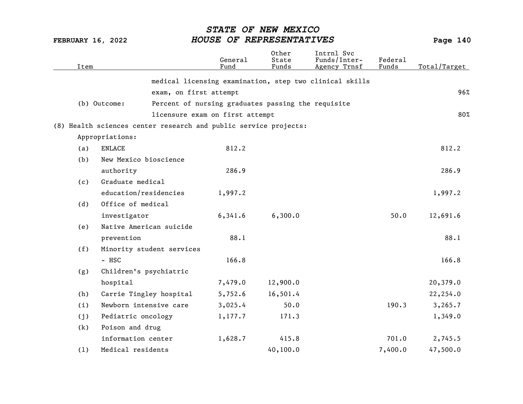| Item |                                                                  | General<br>Fund                                    | Other<br>State<br>Funds | Intrnl Svc<br>Funds/Inter-<br>Agency Trnsf              | Federal<br>Funds | Total/Target |
|------|------------------------------------------------------------------|----------------------------------------------------|-------------------------|---------------------------------------------------------|------------------|--------------|
|      |                                                                  |                                                    |                         | medical licensing examination, step two clinical skills |                  |              |
|      | exam, on first attempt                                           |                                                    |                         |                                                         |                  | 96%          |
|      | (b) Outcome:                                                     | Percent of nursing graduates passing the requisite |                         |                                                         |                  |              |
|      |                                                                  | licensure exam on first attempt                    |                         |                                                         |                  | 80%          |
|      | (8) Health sciences center research and public service projects: |                                                    |                         |                                                         |                  |              |
|      | Appropriations:                                                  |                                                    |                         |                                                         |                  |              |
| (a)  | ENLACE                                                           | 812.2                                              |                         |                                                         |                  | 812.2        |
| (b)  | New Mexico bioscience                                            |                                                    |                         |                                                         |                  |              |
|      | authority                                                        | 286.9                                              |                         |                                                         |                  | 286.9        |
| (c)  | Graduate medical                                                 |                                                    |                         |                                                         |                  |              |
|      | education/residencies                                            | 1,997.2                                            |                         |                                                         |                  | 1,997.2      |
| (d)  | Office of medical                                                |                                                    |                         |                                                         |                  |              |
|      | investigator                                                     | 6,341.6                                            | 6,300.0                 |                                                         | 50.0             | 12,691.6     |
| (e)  | Native American suicide                                          |                                                    |                         |                                                         |                  |              |
|      | prevention                                                       | 88.1                                               |                         |                                                         |                  | 88.1         |
| (f)  | Minority student services                                        |                                                    |                         |                                                         |                  |              |
|      | - HSC                                                            | 166.8                                              |                         |                                                         |                  | 166.8        |
| (g)  | Children's psychiatric                                           |                                                    |                         |                                                         |                  |              |
|      | hospital                                                         | 7,479.0                                            | 12,900.0                |                                                         |                  | 20,379.0     |
| (h)  | Carrie Tingley hospital                                          | 5,752.6                                            | 16,501.4                |                                                         |                  | 22,254.0     |
| (i)  | Newborn intensive care                                           | 3,025.4                                            | 50.0                    |                                                         | 190.3            | 3, 265.7     |
| (j)  | Pediatric oncology                                               | 1,177.7                                            | 171.3                   |                                                         |                  | 1,349.0      |
| (k)  | Poison and drug                                                  |                                                    |                         |                                                         |                  |              |
|      | information center                                               | 1,628.7                                            | 415.8                   |                                                         | 701.0            | 2,745.5      |
| (1)  | Medical residents                                                |                                                    | 40, 100.0               |                                                         | 7,400.0          | 47,500.0     |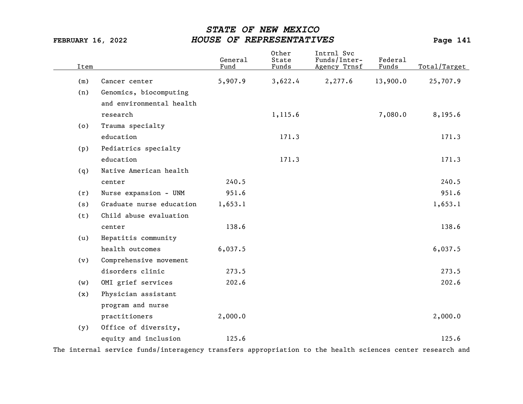| Item |                          | General<br>Fund | Other<br>State<br>Funds | Intrnl Svc<br>Funds/Inter-<br>Agency Trnsf | Federal<br>Funds | Total/Target |
|------|--------------------------|-----------------|-------------------------|--------------------------------------------|------------------|--------------|
| (m)  | Cancer center            | 5,907.9         | 3,622.4                 | 2,277.6                                    | 13,900.0         | 25,707.9     |
| (n)  | Genomics, biocomputing   |                 |                         |                                            |                  |              |
|      | and environmental health |                 |                         |                                            |                  |              |
|      | research                 |                 | 1,115.6                 |                                            | 7,080.0          | 8,195.6      |
| (o)  | Trauma specialty         |                 |                         |                                            |                  |              |
|      | education                |                 | 171.3                   |                                            |                  | 171.3        |
| (p)  | Pediatrics specialty     |                 |                         |                                            |                  |              |
|      | education                |                 | 171.3                   |                                            |                  | 171.3        |
| (q)  | Native American health   |                 |                         |                                            |                  |              |
|      | center                   | 240.5           |                         |                                            |                  | 240.5        |
| (r)  | Nurse expansion - UNM    | 951.6           |                         |                                            |                  | 951.6        |
| (s)  | Graduate nurse education | 1,653.1         |                         |                                            |                  | 1,653.1      |
| (t)  | Child abuse evaluation   |                 |                         |                                            |                  |              |
|      | center                   | 138.6           |                         |                                            |                  | 138.6        |
| (u)  | Hepatitis community      |                 |                         |                                            |                  |              |
|      | health outcomes          | 6,037.5         |                         |                                            |                  | 6,037.5      |
| (v)  | Comprehensive movement   |                 |                         |                                            |                  |              |
|      | disorders clinic         | 273.5           |                         |                                            |                  | 273.5        |
| (w)  | OMI grief services       | 202.6           |                         |                                            |                  | 202.6        |
| (x)  | Physician assistant      |                 |                         |                                            |                  |              |
|      | program and nurse        |                 |                         |                                            |                  |              |
|      | practitioners            | 2,000.0         |                         |                                            |                  | 2,000.0      |
| (y)  | Office of diversity,     |                 |                         |                                            |                  |              |
|      | equity and inclusion     | 125.6           |                         |                                            |                  | 125.6        |

The internal service funds/interagency transfers appropriation to the health sciences center research and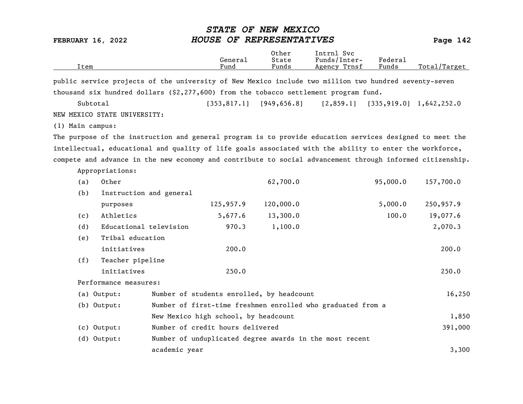| <b>FEBRUARY 16, 2022</b>                                                                                  |                                           | HOUSE OF REPRESENTATIVES | Page 142                |                                                             |                  |                            |
|-----------------------------------------------------------------------------------------------------------|-------------------------------------------|--------------------------|-------------------------|-------------------------------------------------------------|------------------|----------------------------|
| Item                                                                                                      |                                           | General<br>Fund          | 0ther<br>State<br>Funds | Intrnl Svc<br>Funds/Inter-<br>Agency Trnsf                  | Federal<br>Funds | Total/Target               |
| public service projects of the university of New Mexico include two million two hundred seventy-seven     |                                           |                          |                         |                                                             |                  |                            |
| thousand six hundred dollars $(§2, 277, 600)$ from the tobacco settlement program fund.                   |                                           |                          |                         |                                                             |                  |                            |
| Subtotal                                                                                                  |                                           | [353, 817.1]             | [949, 656.8]            | [2,859.1]                                                   |                  | $[335, 919.0]$ 1,642,252.0 |
| NEW MEXICO STATE UNIVERSITY:                                                                              |                                           |                          |                         |                                                             |                  |                            |
| (1) Main campus:                                                                                          |                                           |                          |                         |                                                             |                  |                            |
| The purpose of the instruction and general program is to provide education services designed to meet the  |                                           |                          |                         |                                                             |                  |                            |
| intellectual, educational and quality of life goals associated with the ability to enter the workforce,   |                                           |                          |                         |                                                             |                  |                            |
| compete and advance in the new economy and contribute to social advancement through informed citizenship. |                                           |                          |                         |                                                             |                  |                            |
| Appropriations:                                                                                           |                                           |                          |                         |                                                             |                  |                            |
| Other<br>(a)                                                                                              |                                           |                          | 62,700.0                |                                                             | 95,000.0         | 157,700.0                  |
| (b)<br>Instruction and general                                                                            |                                           |                          |                         |                                                             |                  |                            |
| purposes                                                                                                  |                                           | 125,957.9                | 120,000.0               |                                                             | 5,000.0          | 250,957.9                  |
| Athletics<br>(c)                                                                                          |                                           | 5,677.6                  | 13,300.0                |                                                             | 100.0            | 19,077.6                   |
| Educational television<br>(d)                                                                             |                                           | 970.3                    | 1,100.0                 |                                                             |                  | 2,070.3                    |
| Tribal education<br>(e)                                                                                   |                                           |                          |                         |                                                             |                  |                            |
| initiatives                                                                                               |                                           | 200.0                    |                         |                                                             |                  | 200.0                      |
| (f)<br>Teacher pipeline                                                                                   |                                           |                          |                         |                                                             |                  |                            |
| initiatives                                                                                               |                                           | 250.0                    |                         |                                                             |                  | 250.0                      |
| Performance measures:                                                                                     |                                           |                          |                         |                                                             |                  |                            |
| (a) Output:                                                                                               | Number of students enrolled, by headcount |                          |                         |                                                             |                  | 16,250                     |
| (b) Output:                                                                                               |                                           |                          |                         | Number of first-time freshmen enrolled who graduated from a |                  |                            |
|                                                                                                           | New Mexico high school, by headcount      |                          |                         |                                                             |                  | 1,850                      |
| (c) Output:                                                                                               | Number of credit hours delivered          |                          |                         |                                                             |                  | 391,000                    |
| (d) Output:                                                                                               |                                           |                          |                         | Number of unduplicated degree awards in the most recent     |                  |                            |
|                                                                                                           | academic year                             |                          |                         |                                                             |                  | 3,300                      |

STATE OF NEW MEXICO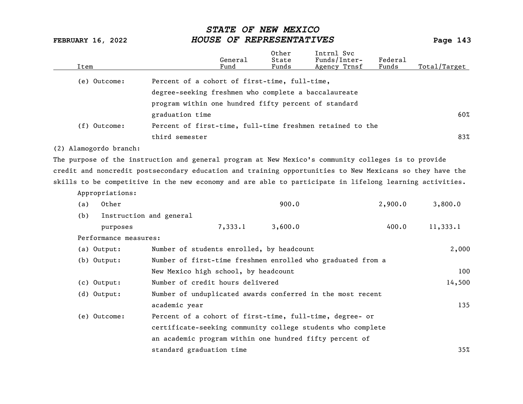| Item |                        |                                                                                                          | General<br>Fund | Other<br>State<br>Funds | Intrnl Svc<br>Funds/Inter-<br>Agency Trnsf | Federal<br>Funds | Total/Target |
|------|------------------------|----------------------------------------------------------------------------------------------------------|-----------------|-------------------------|--------------------------------------------|------------------|--------------|
|      | (e) Outcome:           | Percent of a cohort of first-time, full-time,                                                            |                 |                         |                                            |                  |              |
|      |                        | degree-seeking freshmen who complete a baccalaureate                                                     |                 |                         |                                            |                  |              |
|      |                        | program within one hundred fifty percent of standard                                                     |                 |                         |                                            |                  |              |
|      |                        | graduation time                                                                                          |                 |                         |                                            |                  | 60%          |
|      | (f) Outcome:           | Percent of first-time, full-time freshmen retained to the                                                |                 |                         |                                            |                  |              |
|      |                        | third semester                                                                                           |                 |                         |                                            |                  | 83%          |
|      | (2) Alamogordo branch: |                                                                                                          |                 |                         |                                            |                  |              |
|      |                        | The purpose of the instruction and general program at New Mexico's community colleges is to provide      |                 |                         |                                            |                  |              |
|      |                        | credit and noncredit postsecondary education and training opportunities to New Mexicans so they have the |                 |                         |                                            |                  |              |
|      |                        | skills to be competitive in the new economy and are able to participate in lifelong learning activities. |                 |                         |                                            |                  |              |
|      | Appropriations:        |                                                                                                          |                 |                         |                                            |                  |              |
| (a)  | Other                  |                                                                                                          |                 | 900.0                   |                                            | 2,900.0          | 3,800.0      |
| (b)  |                        | Instruction and general                                                                                  |                 |                         |                                            |                  |              |
|      | purposes               |                                                                                                          | 7,333.1         | 3,600.0                 |                                            | 400.0            | 11,333.1     |
|      | Performance measures:  |                                                                                                          |                 |                         |                                            |                  |              |
|      | (a) Output:            | Number of students enrolled, by headcount                                                                |                 |                         |                                            |                  | 2,000        |
|      | $(b)$ Output:          | Number of first-time freshmen enrolled who graduated from a                                              |                 |                         |                                            |                  |              |
|      |                        | New Mexico high school, by headcount                                                                     |                 |                         |                                            |                  | 100          |
|      | (c) Output:            | Number of credit hours delivered                                                                         |                 |                         |                                            |                  | 14,500       |
|      | (d) Output:            | Number of unduplicated awards conferred in the most recent                                               |                 |                         |                                            |                  |              |
|      |                        | academic year                                                                                            |                 |                         |                                            |                  | 135          |
|      | (e) Outcome:           | Percent of a cohort of first-time, full-time, degree- or                                                 |                 |                         |                                            |                  |              |
|      |                        | certificate-seeking community college students who complete                                              |                 |                         |                                            |                  |              |
|      |                        | an academic program within one hundred fifty percent of                                                  |                 |                         |                                            |                  |              |
|      |                        | standard graduation time                                                                                 |                 |                         |                                            |                  | 35%          |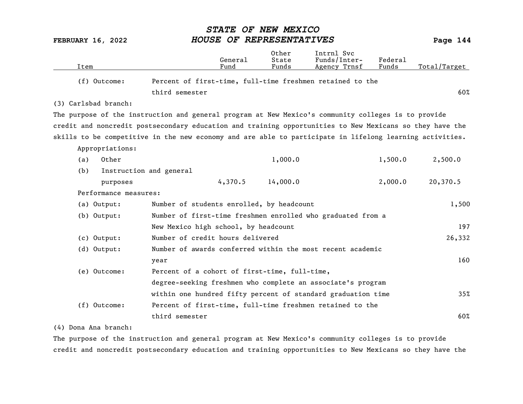|                                                                                                          | <i><b>STATE</b></i>                                          |                 | OF NEW MEXICO            |                                            |                  |              |
|----------------------------------------------------------------------------------------------------------|--------------------------------------------------------------|-----------------|--------------------------|--------------------------------------------|------------------|--------------|
| <b>FEBRUARY 16, 2022</b>                                                                                 |                                                              |                 | HOUSE OF REPRESENTATIVES |                                            |                  | Page 144     |
| Item                                                                                                     |                                                              | General<br>Fund | Other<br>State<br>Funds  | Intrnl Svc<br>Funds/Inter-<br>Agency Trnsf | Federal<br>Funds | Total/Target |
| (f) Outcome:                                                                                             | Percent of first-time, full-time freshmen retained to the    |                 |                          |                                            |                  |              |
|                                                                                                          | third semester                                               |                 |                          |                                            |                  | 60%          |
| (3) Carlsbad branch:                                                                                     |                                                              |                 |                          |                                            |                  |              |
| The purpose of the instruction and general program at New Mexico's community colleges is to provide      |                                                              |                 |                          |                                            |                  |              |
| credit and noncredit postsecondary education and training opportunities to New Mexicans so they have the |                                                              |                 |                          |                                            |                  |              |
| skills to be competitive in the new economy and are able to participate in lifelong learning activities. |                                                              |                 |                          |                                            |                  |              |
| Appropriations:                                                                                          |                                                              |                 |                          |                                            |                  |              |
| Other<br>(a)                                                                                             |                                                              |                 | 1,000.0                  |                                            | 1,500.0          | 2,500.0      |
| (b)                                                                                                      | Instruction and general                                      |                 |                          |                                            |                  |              |
| purposes                                                                                                 |                                                              | 4,370.5         | 14,000.0                 |                                            | 2,000.0          | 20,370.5     |
| Performance measures:                                                                                    |                                                              |                 |                          |                                            |                  |              |
| (a) Output:                                                                                              | Number of students enrolled, by headcount                    |                 |                          |                                            |                  | 1,500        |
| (b) Output:                                                                                              | Number of first-time freshmen enrolled who graduated from a  |                 |                          |                                            |                  |              |
|                                                                                                          | New Mexico high school, by headcount                         |                 |                          |                                            |                  | 197          |
| $(c)$ Output:                                                                                            | Number of credit hours delivered                             |                 |                          |                                            |                  | 26,332       |
| $(d)$ Output:                                                                                            | Number of awards conferred within the most recent academic   |                 |                          |                                            |                  |              |
|                                                                                                          | year                                                         |                 |                          |                                            |                  | 160          |
| (e) Outcome:                                                                                             | Percent of a cohort of first-time, full-time,                |                 |                          |                                            |                  |              |
|                                                                                                          | degree-seeking freshmen who complete an associate's program  |                 |                          |                                            |                  |              |
|                                                                                                          | within one hundred fifty percent of standard graduation time |                 |                          |                                            |                  | 35%          |
| (f) Outcome:                                                                                             | Percent of first-time, full-time freshmen retained to the    |                 |                          |                                            |                  |              |
|                                                                                                          | third semester                                               |                 |                          |                                            |                  | 60%          |

## (4) Dona Ana branch:

The purpose of the instruction and general program at New Mexico's community colleges is to provide credit and noncredit postsecondary education and training opportunities to New Mexicans so they have the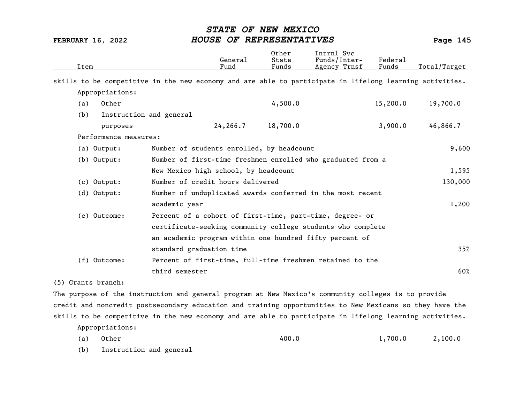| Item                  |                                                                                                          | General<br>Fund | Other<br>State<br>Funds | Intrnl Svc<br>Funds/Inter-<br>Agency Trnsf                  | Federal<br>Funds | Total/Target |
|-----------------------|----------------------------------------------------------------------------------------------------------|-----------------|-------------------------|-------------------------------------------------------------|------------------|--------------|
|                       | skills to be competitive in the new economy and are able to participate in lifelong learning activities. |                 |                         |                                                             |                  |              |
| Appropriations:       |                                                                                                          |                 |                         |                                                             |                  |              |
| Other<br>(a)          |                                                                                                          |                 | 4,500.0                 |                                                             | 15,200.0         | 19,700.0     |
| (b)                   | Instruction and general                                                                                  |                 |                         |                                                             |                  |              |
| purposes              |                                                                                                          | 24,266.7        | 18,700.0                |                                                             | 3,900.0          | 46,866.7     |
| Performance measures: |                                                                                                          |                 |                         |                                                             |                  |              |
| (a) Output:           | Number of students enrolled, by headcount                                                                |                 |                         |                                                             |                  | 9,600        |
| $(b)$ Output:         |                                                                                                          |                 |                         | Number of first-time freshmen enrolled who graduated from a |                  |              |
|                       | New Mexico high school, by headcount                                                                     |                 |                         |                                                             |                  | 1,595        |
| $(c)$ Output:         | Number of credit hours delivered                                                                         |                 |                         |                                                             |                  | 130,000      |
| $(d)$ Output:         |                                                                                                          |                 |                         | Number of unduplicated awards conferred in the most recent  |                  |              |
|                       | academic year                                                                                            |                 |                         |                                                             |                  | 1,200        |
| (e) Outcome:          |                                                                                                          |                 |                         | Percent of a cohort of first-time, part-time, degree- or    |                  |              |
|                       |                                                                                                          |                 |                         | certificate-seeking community college students who complete |                  |              |
|                       |                                                                                                          |                 |                         | an academic program within one hundred fifty percent of     |                  |              |
|                       | standard graduation time                                                                                 |                 |                         |                                                             |                  | 35%          |
| (f) Outcome:          |                                                                                                          |                 |                         | Percent of first-time, full-time freshmen retained to the   |                  |              |
|                       | third semester                                                                                           |                 |                         |                                                             |                  | 60%          |
| (5) Grants branch:    |                                                                                                          |                 |                         |                                                             |                  |              |
|                       | The purpose of the instruction and general program at New Mexico's community colleges is to provide      |                 |                         |                                                             |                  |              |

credit and noncredit postsecondary education and training opportunities to New Mexicans so they have the skills to be competitive in the new economy and are able to participate in lifelong learning activities. Appropriations:

- (a) Other 400.0 1,700.0 2,100.0
- (b) Instruction and general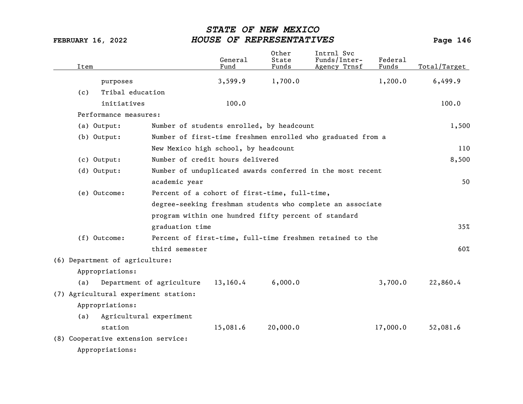| Item |                                      |                                                      | General<br>Fund | Other<br>State<br>Funds | Intrnl Svc<br>Funds/Inter-<br>Agency Trnsf                  | Federal<br>Funds | Total/Target |
|------|--------------------------------------|------------------------------------------------------|-----------------|-------------------------|-------------------------------------------------------------|------------------|--------------|
|      | purposes                             |                                                      | 3,599.9         | 1,700.0                 |                                                             | 1,200.0          | 6,499.9      |
| (c)  | Tribal education                     |                                                      |                 |                         |                                                             |                  |              |
|      | initiatives                          |                                                      | 100.0           |                         |                                                             |                  | 100.0        |
|      | Performance measures:                |                                                      |                 |                         |                                                             |                  |              |
|      | (a) Output:                          | Number of students enrolled, by headcount            |                 |                         |                                                             |                  | 1,500        |
|      | $(b)$ Output:                        |                                                      |                 |                         | Number of first-time freshmen enrolled who graduated from a |                  |              |
|      |                                      | New Mexico high school, by headcount                 |                 |                         |                                                             |                  | 110          |
|      | (c) Output:                          | Number of credit hours delivered                     |                 |                         |                                                             |                  | 8,500        |
|      | $(d)$ Output:                        |                                                      |                 |                         | Number of unduplicated awards conferred in the most recent  |                  |              |
|      |                                      | academic year                                        |                 |                         |                                                             |                  | 50           |
|      | (e) Outcome:                         | Percent of a cohort of first-time, full-time,        |                 |                         |                                                             |                  |              |
|      |                                      |                                                      |                 |                         | degree-seeking freshman students who complete an associate  |                  |              |
|      |                                      | program within one hundred fifty percent of standard |                 |                         |                                                             |                  |              |
|      |                                      | graduation time                                      |                 |                         |                                                             |                  | 35%          |
|      | (f) Outcome:                         |                                                      |                 |                         | Percent of first-time, full-time freshmen retained to the   |                  |              |
|      |                                      | third semester                                       |                 |                         |                                                             |                  | 60%          |
|      | (6) Department of agriculture:       |                                                      |                 |                         |                                                             |                  |              |
|      | Appropriations:                      |                                                      |                 |                         |                                                             |                  |              |
| (a)  |                                      | Department of agriculture                            | 13,160.4        | 6,000.0                 |                                                             | 3,700.0          | 22,860.4     |
|      | (7) Agricultural experiment station: |                                                      |                 |                         |                                                             |                  |              |
|      | Appropriations:                      |                                                      |                 |                         |                                                             |                  |              |
| (a)  | Agricultural experiment              |                                                      |                 |                         |                                                             |                  |              |
|      | station                              |                                                      | 15,081.6        | 20,000.0                |                                                             | 17,000.0         | 52,081.6     |
|      | (8) Cooperative extension service:   |                                                      |                 |                         |                                                             |                  |              |
|      | Appropriations:                      |                                                      |                 |                         |                                                             |                  |              |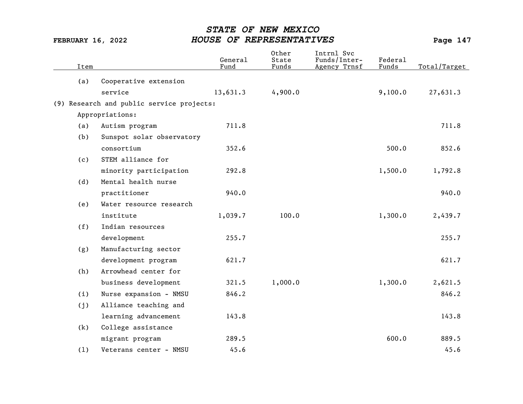| Item |                                           | General<br>Fund | Other<br>State<br>Funds | Intrnl Svc<br>Funds/Inter-<br>Agency Trnsf | Federal<br>Funds | Total/Target |
|------|-------------------------------------------|-----------------|-------------------------|--------------------------------------------|------------------|--------------|
| (a)  | Cooperative extension                     |                 |                         |                                            |                  |              |
|      | service                                   | 13,631.3        | 4,900.0                 |                                            | 9,100.0          | 27,631.3     |
|      | (9) Research and public service projects: |                 |                         |                                            |                  |              |
|      | Appropriations:                           |                 |                         |                                            |                  |              |
| (a)  | Autism program                            | 711.8           |                         |                                            |                  | 711.8        |
| (b)  | Sunspot solar observatory                 |                 |                         |                                            |                  |              |
|      | consortium                                | 352.6           |                         |                                            | 500.0            | 852.6        |
| (c)  | STEM alliance for                         |                 |                         |                                            |                  |              |
|      | minority participation                    | 292.8           |                         |                                            | 1,500.0          | 1,792.8      |
| (d)  | Mental health nurse                       |                 |                         |                                            |                  |              |
|      | practitioner                              | 940.0           |                         |                                            |                  | 940.0        |
| (e)  | Water resource research                   |                 |                         |                                            |                  |              |
|      | institute                                 | 1,039.7         | 100.0                   |                                            | 1,300.0          | 2,439.7      |
| (f)  | Indian resources                          |                 |                         |                                            |                  |              |
|      |                                           | 255.7           |                         |                                            |                  | 255.7        |
|      | development                               |                 |                         |                                            |                  |              |
| (g)  | Manufacturing sector                      |                 |                         |                                            |                  |              |
|      | development program                       | 621.7           |                         |                                            |                  | 621.7        |
| (h)  | Arrowhead center for                      |                 |                         |                                            |                  |              |
|      | business development                      | 321.5           | 1,000.0                 |                                            | 1,300.0          | 2,621.5      |
| (i)  | Nurse expansion - NMSU                    | 846.2           |                         |                                            |                  | 846.2        |
| (j)  | Alliance teaching and                     |                 |                         |                                            |                  |              |
|      | learning advancement                      | 143.8           |                         |                                            |                  | 143.8        |
| (k)  | College assistance                        |                 |                         |                                            |                  |              |
|      | migrant program                           | 289.5           |                         |                                            | 600.0            | 889.5        |
| (1)  | Veterans center - NMSU                    | 45.6            |                         |                                            |                  | 45.6         |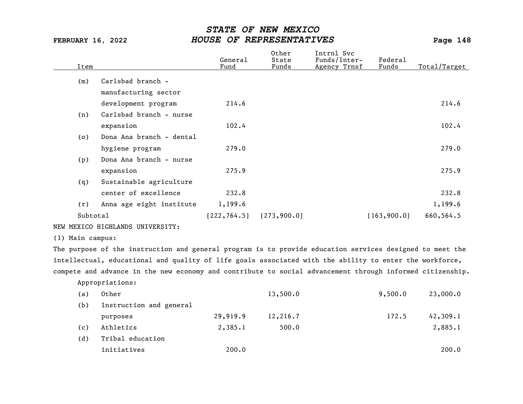| Item     |                          | General<br>Fund | Other<br>State<br>Funds | Intrnl Svc<br>Funds/Inter-<br>Agency Trnsf | Federal<br>Funds | Total/Target |
|----------|--------------------------|-----------------|-------------------------|--------------------------------------------|------------------|--------------|
| (m)      | Carlsbad branch -        |                 |                         |                                            |                  |              |
|          | manufacturing sector     |                 |                         |                                            |                  |              |
|          | development program      | 214.6           |                         |                                            |                  | 214.6        |
| (n)      | Carlsbad branch - nurse  |                 |                         |                                            |                  |              |
|          | expansion                | 102.4           |                         |                                            |                  | 102.4        |
| (0)      | Dona Ana branch - dental |                 |                         |                                            |                  |              |
|          | hygiene program          | 279.0           |                         |                                            |                  | 279.0        |
| (p)      | Dona Ana branch - nurse  |                 |                         |                                            |                  |              |
|          | expansion                | 275.9           |                         |                                            |                  | 275.9        |
| (q)      | Sustainable agriculture  |                 |                         |                                            |                  |              |
|          | center of excellence     | 232.8           |                         |                                            |                  | 232.8        |
| (r)      | Anna age eight institute | 1,199.6         |                         |                                            |                  | 1,199.6      |
| Subtotal |                          | [222, 764.5]    | [273, 900.0]            |                                            | [163, 900.0]     | 660,564.5    |

NEW MEXICO HIGHLANDS UNIVERSITY:

(1) Main campus:

The purpose of the instruction and general program is to provide education services designed to meet the intellectual, educational and quality of life goals associated with the ability to enter the workforce, compete and advance in the new economy and contribute to social advancement through informed citizenship.

Appropriations:

| (a) | Other                   |          | 13,500.0 | 9,500.0 | 23,000.0 |
|-----|-------------------------|----------|----------|---------|----------|
| (b) | Instruction and general |          |          |         |          |
|     | purposes                | 29,919.9 | 12,216.7 | 172.5   | 42,309.1 |
| (c) | Athletics               | 2,385.1  | 500.0    |         | 2,885.1  |
| (d) | Tribal education        |          |          |         |          |
|     | initiatives             | 200.0    |          |         | 200.0    |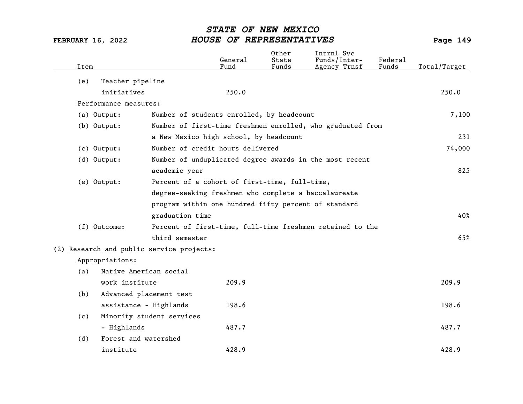| Item |                                           |                           | General<br>Fund                                      | Other<br>State<br>Funds | Intrnl Svc<br>Funds/Inter-<br>Agency Trnsf                 | Federal<br>Funds | Total/Target |
|------|-------------------------------------------|---------------------------|------------------------------------------------------|-------------------------|------------------------------------------------------------|------------------|--------------|
| (e)  | Teacher pipeline                          |                           |                                                      |                         |                                                            |                  |              |
|      | initiatives                               |                           | 250.0                                                |                         |                                                            |                  | 250.0        |
|      | Performance measures:                     |                           |                                                      |                         |                                                            |                  |              |
|      | (a) Output:                               |                           | Number of students enrolled, by headcount            |                         |                                                            |                  | 7,100        |
|      | (b) Output:                               |                           |                                                      |                         | Number of first-time freshmen enrolled, who graduated from |                  |              |
|      |                                           |                           | a New Mexico high school, by headcount               |                         |                                                            |                  | 231          |
|      | (c) Output:                               |                           | Number of credit hours delivered                     |                         |                                                            |                  | 74,000       |
|      | (d) Output:                               |                           |                                                      |                         | Number of unduplicated degree awards in the most recent    |                  |              |
|      |                                           | academic year             |                                                      |                         |                                                            |                  | 825          |
|      | (e) Output:                               |                           | Percent of a cohort of first-time, full-time,        |                         |                                                            |                  |              |
|      |                                           |                           | degree-seeking freshmen who complete a baccalaureate |                         |                                                            |                  |              |
|      |                                           |                           | program within one hundred fifty percent of standard |                         |                                                            |                  |              |
|      |                                           | graduation time           |                                                      |                         |                                                            |                  | 40%          |
|      | (f) Outcome:                              |                           |                                                      |                         | Percent of first-time, full-time freshmen retained to the  |                  |              |
|      |                                           | third semester            |                                                      |                         |                                                            |                  | 65%          |
|      | (2) Research and public service projects: |                           |                                                      |                         |                                                            |                  |              |
|      | Appropriations:                           |                           |                                                      |                         |                                                            |                  |              |
| (a)  | Native American social                    |                           |                                                      |                         |                                                            |                  |              |
|      | work institute                            |                           | 209.9                                                |                         |                                                            |                  | 209.9        |
| (b)  | Advanced placement test                   |                           |                                                      |                         |                                                            |                  |              |
|      | assistance - Highlands                    |                           | 198.6                                                |                         |                                                            |                  | 198.6        |
| (c)  |                                           | Minority student services |                                                      |                         |                                                            |                  |              |
|      | - Highlands                               |                           | 487.7                                                |                         |                                                            |                  | 487.7        |
| (d)  | Forest and watershed                      |                           |                                                      |                         |                                                            |                  |              |
|      | institute                                 |                           | 428.9                                                |                         |                                                            |                  | 428.9        |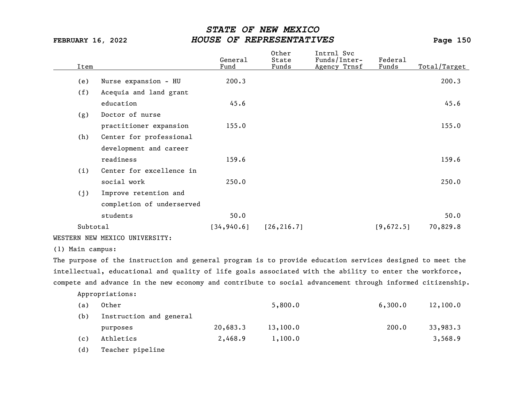| Item             |                                                                                                           | General<br>Fund | Other<br>State<br>Funds | Intrnl Svc<br>Funds/Inter-<br>Agency Trnsf | Federal<br>Funds | Total/Target |
|------------------|-----------------------------------------------------------------------------------------------------------|-----------------|-------------------------|--------------------------------------------|------------------|--------------|
| (e)              | Nurse expansion - HU                                                                                      | 200.3           |                         |                                            |                  | 200.3        |
| (f)              | Acequia and land grant                                                                                    |                 |                         |                                            |                  |              |
|                  | education                                                                                                 | 45.6            |                         |                                            |                  | 45.6         |
| (g)              | Doctor of nurse                                                                                           |                 |                         |                                            |                  |              |
|                  | practitioner expansion                                                                                    | 155.0           |                         |                                            |                  | 155.0        |
| (h)              | Center for professional                                                                                   |                 |                         |                                            |                  |              |
|                  | development and career                                                                                    |                 |                         |                                            |                  |              |
|                  | readiness                                                                                                 | 159.6           |                         |                                            |                  | 159.6        |
| (i)              | Center for excellence in                                                                                  |                 |                         |                                            |                  |              |
|                  | social work                                                                                               | 250.0           |                         |                                            |                  | 250.0        |
| (j)              | Improve retention and                                                                                     |                 |                         |                                            |                  |              |
|                  | completion of underserved                                                                                 |                 |                         |                                            |                  |              |
|                  | students                                                                                                  | 50.0            |                         |                                            |                  | 50.0         |
| Subtotal         |                                                                                                           | [34, 940.6]     | [26, 216.7]             |                                            | [9,672.5]        | 70,829.8     |
|                  | WESTERN NEW MEXICO UNIVERSITY:                                                                            |                 |                         |                                            |                  |              |
| (1) Main campus: |                                                                                                           |                 |                         |                                            |                  |              |
|                  | The purpose of the instruction and general program is to provide education services designed to meet the  |                 |                         |                                            |                  |              |
|                  | intellectual, educational and quality of life goals associated with the ability to enter the workforce,   |                 |                         |                                            |                  |              |
|                  | compete and advance in the new economy and contribute to social advancement through informed citizenship. |                 |                         |                                            |                  |              |
|                  | Appropriations:                                                                                           |                 |                         |                                            |                  |              |
| (a)              | Other                                                                                                     |                 | 5,800.0                 |                                            | 6,300.0          | 12,100.0     |
| (b)              | Instruction and general                                                                                   |                 |                         |                                            |                  |              |

purposes 20,683.3 13,100.0 200.0 33,983.3 (c) Athletics 2,468.9 1,100.0 3,568.9

(d) Teacher pipeline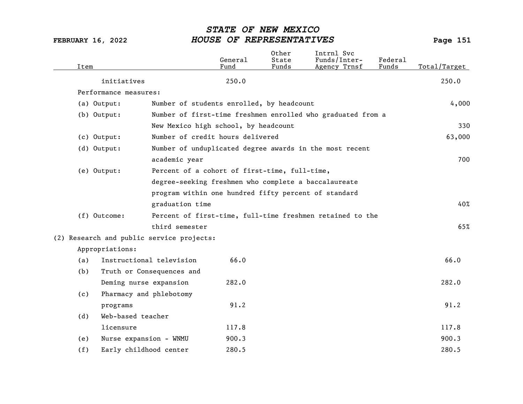| Item |                                           |                           | General<br>Fund                                      | Other<br>State<br>Funds | Intrnl Svc<br>Funds/Inter-<br>Agency Trnsf                  | Federal<br>Funds | Total/Target |
|------|-------------------------------------------|---------------------------|------------------------------------------------------|-------------------------|-------------------------------------------------------------|------------------|--------------|
|      | initiatives                               |                           | 250.0                                                |                         |                                                             |                  | 250.0        |
|      | Performance measures:                     |                           |                                                      |                         |                                                             |                  |              |
|      | (a) Output:                               |                           | Number of students enrolled, by headcount            |                         |                                                             |                  | 4,000        |
|      | (b) Output:                               |                           |                                                      |                         | Number of first-time freshmen enrolled who graduated from a |                  |              |
|      |                                           |                           | New Mexico high school, by headcount                 |                         |                                                             |                  | 330          |
|      | (c) Output:                               |                           | Number of credit hours delivered                     |                         |                                                             |                  | 63,000       |
|      | (d) Output:                               |                           |                                                      |                         | Number of unduplicated degree awards in the most recent     |                  |              |
|      |                                           | academic year             |                                                      |                         |                                                             |                  | 700          |
|      | (e) Output:                               |                           | Percent of a cohort of first-time, full-time,        |                         |                                                             |                  |              |
|      |                                           |                           | degree-seeking freshmen who complete a baccalaureate |                         |                                                             |                  |              |
|      |                                           |                           | program within one hundred fifty percent of standard |                         |                                                             |                  |              |
|      |                                           | graduation time           |                                                      |                         |                                                             |                  | 40%          |
|      | (f) Outcome:                              |                           |                                                      |                         | Percent of first-time, full-time freshmen retained to the   |                  |              |
|      |                                           | third semester            |                                                      |                         |                                                             |                  | 65%          |
|      | (2) Research and public service projects: |                           |                                                      |                         |                                                             |                  |              |
|      | Appropriations:                           |                           |                                                      |                         |                                                             |                  |              |
| (a)  |                                           | Instructional television  | 66.0                                                 |                         |                                                             |                  | 66.0         |
| (b)  |                                           | Truth or Consequences and |                                                      |                         |                                                             |                  |              |
|      | Deming nurse expansion                    |                           | 282.0                                                |                         |                                                             |                  | 282.0        |
| (c)  | Pharmacy and phlebotomy                   |                           |                                                      |                         |                                                             |                  |              |
|      | programs                                  |                           | 91.2                                                 |                         |                                                             |                  | 91.2         |
| (d)  | Web-based teacher                         |                           |                                                      |                         |                                                             |                  |              |
|      | licensure                                 |                           | 117.8                                                |                         |                                                             |                  | 117.8        |
| (e)  | Nurse expansion - WNMU                    |                           | 900.3                                                |                         |                                                             |                  | 900.3        |
| (f)  | Early childhood center                    |                           | 280.5                                                |                         |                                                             |                  | 280.5        |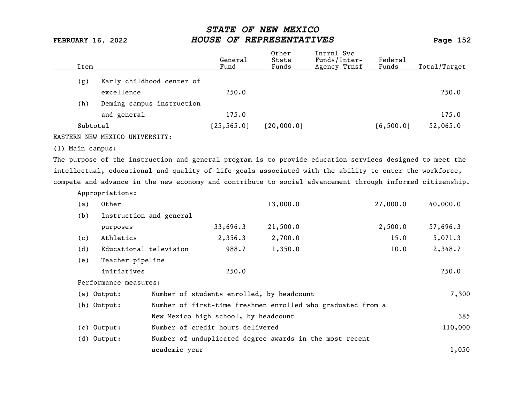| Item     |                                 | General<br>Fund | Other<br>State<br>Funds | Intrnl Svc<br>Funds/Inter-<br>Agency Trnsf | Federal<br>Funds | Total/Target |
|----------|---------------------------------|-----------------|-------------------------|--------------------------------------------|------------------|--------------|
| (g)      | Early childhood center of       |                 |                         |                                            |                  |              |
|          | excellence                      | 250.0           |                         |                                            |                  | 250.0        |
| (h)      | Deming campus instruction       |                 |                         |                                            |                  |              |
|          | and general                     | 175.0           |                         |                                            |                  | 175.0        |
| Subtotal |                                 | [25, 565.0]     | 120,000,01              |                                            | [6, 500.0]       | 52,065.0     |
|          | Biomony worr vourage interpormu |                 |                         |                                            |                  |              |

EASTERN NEW MEXICO UNIVERSITY:

Appropriations:

(1) Main campus:

The purpose of the instruction and general program is to provide education services designed to meet the intellectual, educational and quality of life goals associated with the ability to enter the workforce, compete and advance in the new economy and contribute to social advancement through informed citizenship.

| (a) | Other                   |               |                                      | 13,000.0                                                    | 27,000.0 | 40,000.0 |
|-----|-------------------------|---------------|--------------------------------------|-------------------------------------------------------------|----------|----------|
| (b) | Instruction and general |               |                                      |                                                             |          |          |
|     | purposes                |               | 33,696.3                             | 21,500.0                                                    | 2,500.0  | 57,696.3 |
| (c) | Athletics               |               | 2,356.3                              | 2,700.0                                                     | 15.0     | 5,071.3  |
| (d) | Educational television  |               | 988.7                                | 1,350.0                                                     | 10.0     | 2,348.7  |
| (e) | Teacher pipeline        |               |                                      |                                                             |          |          |
|     | initiatives             |               | 250.0                                |                                                             |          | 250.0    |
|     | Performance measures:   |               |                                      |                                                             |          |          |
|     | (a) Output:             |               |                                      | Number of students enrolled, by headcount                   |          | 7,300    |
|     | (b) Output:             |               |                                      | Number of first-time freshmen enrolled who graduated from a |          |          |
|     |                         |               | New Mexico high school, by headcount |                                                             |          | 385      |
|     | $(c)$ Output:           |               | Number of credit hours delivered     |                                                             |          | 110,000  |
|     | $(d)$ Output:           |               |                                      | Number of unduplicated degree awards in the most recent     |          |          |
|     |                         | academic year |                                      |                                                             |          | 1,050    |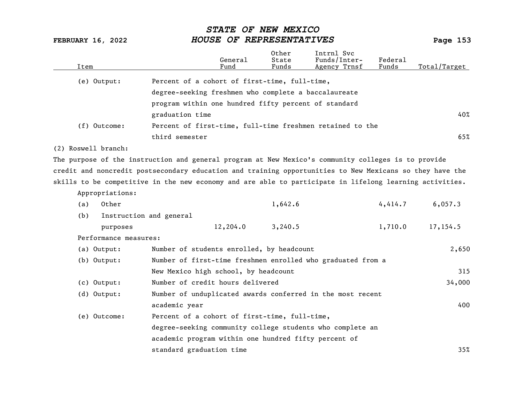| Item |                       | General<br>Fund                                                                                          | Other<br>State<br>Funds | Intrnl Svc<br>Funds/Inter-<br>Agency Trnsf | Federal<br>Funds | Total/Target |
|------|-----------------------|----------------------------------------------------------------------------------------------------------|-------------------------|--------------------------------------------|------------------|--------------|
|      | (e) Output:           | Percent of a cohort of first-time, full-time,                                                            |                         |                                            |                  |              |
|      |                       | degree-seeking freshmen who complete a baccalaureate                                                     |                         |                                            |                  |              |
|      |                       | program within one hundred fifty percent of standard                                                     |                         |                                            |                  |              |
|      |                       | graduation time                                                                                          |                         |                                            |                  | 40%          |
|      | (f) Outcome:          | Percent of first-time, full-time freshmen retained to the                                                |                         |                                            |                  |              |
|      |                       | third semester                                                                                           |                         |                                            |                  | 65%          |
|      | (2) Roswell branch:   |                                                                                                          |                         |                                            |                  |              |
|      |                       | The purpose of the instruction and general program at New Mexico's community colleges is to provide      |                         |                                            |                  |              |
|      |                       | credit and noncredit postsecondary education and training opportunities to New Mexicans so they have the |                         |                                            |                  |              |
|      |                       | skills to be competitive in the new economy and are able to participate in lifelong learning activities. |                         |                                            |                  |              |
|      | Appropriations:       |                                                                                                          |                         |                                            |                  |              |
| (a)  | Other                 |                                                                                                          | 1,642.6                 |                                            | 4,414.7          | 6,057.3      |
| (b)  |                       | Instruction and general                                                                                  |                         |                                            |                  |              |
|      | purposes              | 12,204.0                                                                                                 | 3,240.5                 |                                            | 1,710.0          | 17,154.5     |
|      | Performance measures: |                                                                                                          |                         |                                            |                  |              |
|      | (a) Output:           | Number of students enrolled, by headcount                                                                |                         |                                            |                  | 2,650        |
|      | $(b)$ Output:         | Number of first-time freshmen enrolled who graduated from a                                              |                         |                                            |                  |              |
|      |                       | New Mexico high school, by headcount                                                                     |                         |                                            |                  | 315          |
|      | $(c)$ Output:         | Number of credit hours delivered                                                                         |                         |                                            |                  | 34,000       |
|      | (d) Output:           | Number of unduplicated awards conferred in the most recent                                               |                         |                                            |                  |              |
|      |                       | academic year                                                                                            |                         |                                            |                  | 400          |
|      | (e) Outcome:          | Percent of a cohort of first-time, full-time,                                                            |                         |                                            |                  |              |
|      |                       | degree-seeking community college students who complete an                                                |                         |                                            |                  |              |
|      |                       | academic program within one hundred fifty percent of                                                     |                         |                                            |                  |              |
|      |                       | standard graduation time                                                                                 |                         |                                            |                  | 35%          |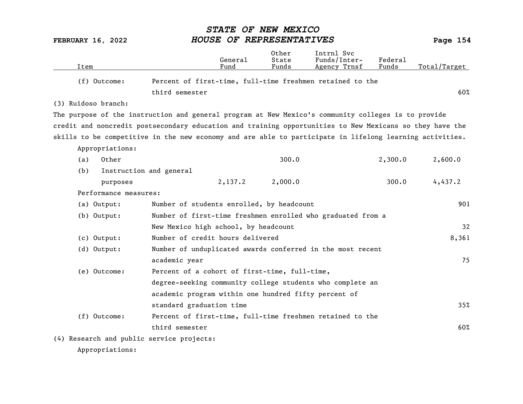|                                           |                                                                                                          | 0ther          | Intrnl Svc                   |                  |              |
|-------------------------------------------|----------------------------------------------------------------------------------------------------------|----------------|------------------------------|------------------|--------------|
| Item                                      | General<br>Fund                                                                                          | State<br>Funds | Funds/Inter-<br>Agency Trnsf | Federal<br>Funds | Total/Target |
| (f) Outcome:                              | Percent of first-time, full-time freshmen retained to the                                                |                |                              |                  |              |
|                                           | third semester                                                                                           |                |                              |                  | 60%          |
| (3) Ruidoso branch:                       |                                                                                                          |                |                              |                  |              |
|                                           | The purpose of the instruction and general program at New Mexico's community colleges is to provide      |                |                              |                  |              |
|                                           | credit and noncredit postsecondary education and training opportunities to New Mexicans so they have the |                |                              |                  |              |
|                                           | skills to be competitive in the new economy and are able to participate in lifelong learning activities. |                |                              |                  |              |
| Appropriations:                           |                                                                                                          |                |                              |                  |              |
| Other<br>(a)                              |                                                                                                          | 300.0          |                              | 2,300.0          | 2,600.0      |
| (b)                                       | Instruction and general                                                                                  |                |                              |                  |              |
| purposes                                  | 2,137.2                                                                                                  | 2,000.0        |                              | 300.0            | 4,437.2      |
| Performance measures:                     |                                                                                                          |                |                              |                  |              |
| (a) Output:                               | Number of students enrolled, by headcount                                                                |                |                              |                  | 901          |
| (b) Output:                               | Number of first-time freshmen enrolled who graduated from a                                              |                |                              |                  |              |
|                                           | New Mexico high school, by headcount                                                                     |                |                              |                  | 32           |
| (c) Output:                               | Number of credit hours delivered                                                                         |                |                              |                  | 8,361        |
| (d) Output:                               | Number of unduplicated awards conferred in the most recent                                               |                |                              |                  |              |
|                                           | academic year                                                                                            |                |                              |                  | 75           |
| (e) Outcome:                              | Percent of a cohort of first-time, full-time,                                                            |                |                              |                  |              |
|                                           | degree-seeking community college students who complete an                                                |                |                              |                  |              |
|                                           | academic program within one hundred fifty percent of                                                     |                |                              |                  |              |
|                                           | standard graduation time                                                                                 |                |                              |                  | 35%          |
| (f) Outcome:                              | Percent of first-time, full-time freshmen retained to the                                                |                |                              |                  |              |
|                                           | third semester                                                                                           |                |                              |                  | 60%          |
| (4) Research and public service projects: |                                                                                                          |                |                              |                  |              |
| Appropriations:                           |                                                                                                          |                |                              |                  |              |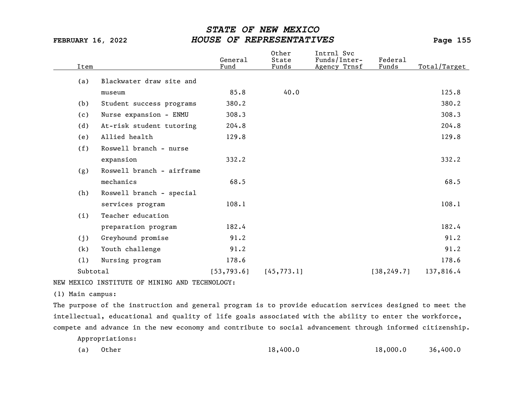| Item     |                           | General<br>Fund | Other<br>State<br>Funds | Intrnl Svc<br>Funds/Inter-<br>Agency Trnsf | Federal<br>Funds | Total/Target |
|----------|---------------------------|-----------------|-------------------------|--------------------------------------------|------------------|--------------|
| (a)      | Blackwater draw site and  |                 |                         |                                            |                  |              |
|          | museum                    | 85.8            | 40.0                    |                                            |                  | 125.8        |
| (b)      | Student success programs  | 380.2           |                         |                                            |                  | 380.2        |
| (c)      | Nurse expansion - ENMU    | 308.3           |                         |                                            |                  | 308.3        |
| (d)      | At-risk student tutoring  | 204.8           |                         |                                            |                  | 204.8        |
| (e)      | Allied health             | 129.8           |                         |                                            |                  | 129.8        |
| (f)      | Roswell branch - nurse    |                 |                         |                                            |                  |              |
|          | expansion                 | 332.2           |                         |                                            |                  | 332.2        |
| (g)      | Roswell branch - airframe |                 |                         |                                            |                  |              |
|          | mechanics                 | 68.5            |                         |                                            |                  | 68.5         |
| (h)      | Roswell branch - special  |                 |                         |                                            |                  |              |
|          | services program          | 108.1           |                         |                                            |                  | 108.1        |
| (i)      | Teacher education         |                 |                         |                                            |                  |              |
|          | preparation program       | 182.4           |                         |                                            |                  | 182.4        |
| (j)      | Greyhound promise         | 91.2            |                         |                                            |                  | 91.2         |
| (k)      | Youth challenge           | 91.2            |                         |                                            |                  | 91.2         |
| (1)      | Nursing program           | 178.6           |                         |                                            |                  | 178.6        |
| Subtotal |                           | [53, 793.6]     | [45, 773.1]             |                                            | [38, 249.7]      | 137,816.4    |
|          |                           |                 |                         |                                            |                  |              |

NEW MEXICO INSTITUTE OF MINING AND TECHNOLOGY:

(1) Main campus:

The purpose of the instruction and general program is to provide education services designed to meet the intellectual, educational and quality of life goals associated with the ability to enter the workforce, compete and advance in the new economy and contribute to social advancement through informed citizenship.

Appropriations:

| (a) Other | 18,400.0 | 18,000.0 | 36,400.0 |
|-----------|----------|----------|----------|
|-----------|----------|----------|----------|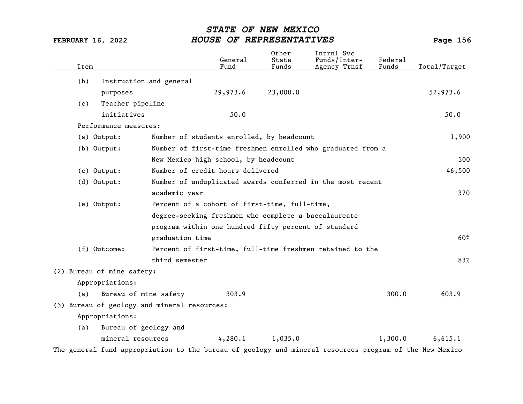| Item                                                         |                                                                             |                                                      | General<br>Fund | 0ther<br>State<br>Funds | Intrnl Svc<br>Funds/Inter-<br>Agency Trnsf                  | Federal<br>Funds | Total/Target |
|--------------------------------------------------------------|-----------------------------------------------------------------------------|------------------------------------------------------|-----------------|-------------------------|-------------------------------------------------------------|------------------|--------------|
| (b)                                                          | Instruction and general                                                     |                                                      |                 |                         |                                                             |                  |              |
|                                                              | purposes                                                                    |                                                      | 29,973.6        | 23,000.0                |                                                             |                  | 52,973.6     |
| (c)                                                          | Teacher pipeline                                                            |                                                      |                 |                         |                                                             |                  |              |
|                                                              | initiatives                                                                 |                                                      | 50.0            |                         |                                                             |                  | 50.0         |
|                                                              | Performance measures:                                                       |                                                      |                 |                         |                                                             |                  |              |
|                                                              | (a) Output:                                                                 | Number of students enrolled, by headcount            |                 |                         |                                                             |                  | 1,900        |
|                                                              | (b) Output:                                                                 |                                                      |                 |                         | Number of first-time freshmen enrolled who graduated from a |                  |              |
|                                                              |                                                                             | New Mexico high school, by headcount                 |                 |                         |                                                             |                  | 300          |
|                                                              | $(c)$ Output:                                                               | Number of credit hours delivered                     |                 |                         |                                                             |                  | 46,500       |
|                                                              | $(d)$ Output:<br>Number of unduplicated awards conferred in the most recent |                                                      |                 |                         |                                                             |                  |              |
|                                                              |                                                                             | academic year                                        |                 |                         |                                                             |                  | 370          |
| (e) Output:<br>Percent of a cohort of first-time, full-time, |                                                                             |                                                      |                 |                         |                                                             |                  |              |
|                                                              |                                                                             | degree-seeking freshmen who complete a baccalaureate |                 |                         |                                                             |                  |              |
|                                                              |                                                                             | program within one hundred fifty percent of standard |                 |                         |                                                             |                  |              |
|                                                              |                                                                             | graduation time                                      |                 |                         |                                                             |                  | 60%          |
|                                                              | (f) Outcome:                                                                |                                                      |                 |                         | Percent of first-time, full-time freshmen retained to the   |                  |              |
|                                                              |                                                                             | third semester                                       |                 |                         |                                                             |                  | 83%          |
|                                                              | (2) Bureau of mine safety:                                                  |                                                      |                 |                         |                                                             |                  |              |
|                                                              | Appropriations:                                                             |                                                      |                 |                         |                                                             |                  |              |
| (a)                                                          | Bureau of mine safety                                                       |                                                      | 303.9           |                         |                                                             | 300.0            | 603.9        |
|                                                              |                                                                             | (3) Bureau of geology and mineral resources:         |                 |                         |                                                             |                  |              |
|                                                              | Appropriations:                                                             |                                                      |                 |                         |                                                             |                  |              |
| (a)                                                          | Bureau of geology and                                                       |                                                      |                 |                         |                                                             |                  |              |
|                                                              | mineral resources                                                           |                                                      | 4,280.1         | 1,035.0                 |                                                             | 1,300.0          | 6,615.1      |

The general fund appropriation to the bureau of geology and mineral resources program of the New Mexico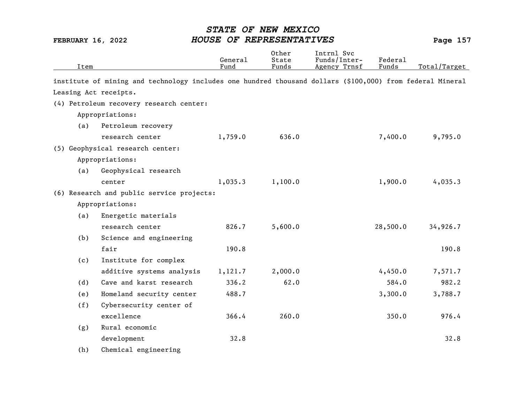| Item |     |                                                                                                           | General<br>Fund | 0ther<br>State<br>Funds | Intrnl Svc<br>Funds/Inter-<br>Federal<br>Funds<br>Agency Trnsf |          | Total/Target |  |
|------|-----|-----------------------------------------------------------------------------------------------------------|-----------------|-------------------------|----------------------------------------------------------------|----------|--------------|--|
|      |     | institute of mining and technology includes one hundred thousand dollars (\$100,000) from federal Mineral |                 |                         |                                                                |          |              |  |
|      |     | Leasing Act receipts.                                                                                     |                 |                         |                                                                |          |              |  |
|      |     | (4) Petroleum recovery research center:                                                                   |                 |                         |                                                                |          |              |  |
|      |     | Appropriations:                                                                                           |                 |                         |                                                                |          |              |  |
|      | (a) | Petroleum recovery                                                                                        |                 |                         |                                                                |          |              |  |
|      |     | research center                                                                                           | 1,759.0         | 636.0                   |                                                                | 7,400.0  | 9,795.0      |  |
|      |     | (5) Geophysical research center:                                                                          |                 |                         |                                                                |          |              |  |
|      |     | Appropriations:                                                                                           |                 |                         |                                                                |          |              |  |
|      | (a) | Geophysical research                                                                                      |                 |                         |                                                                |          |              |  |
|      |     | center                                                                                                    | 1,035.3         | 1,100.0                 |                                                                | 1,900.0  | 4,035.3      |  |
|      |     | (6) Research and public service projects:                                                                 |                 |                         |                                                                |          |              |  |
|      |     | Appropriations:                                                                                           |                 |                         |                                                                |          |              |  |
|      | (a) | Energetic materials                                                                                       |                 |                         |                                                                |          |              |  |
|      |     | research center                                                                                           | 826.7           | 5,600.0                 |                                                                | 28,500.0 | 34,926.7     |  |
|      | (b) | Science and engineering                                                                                   |                 |                         |                                                                |          |              |  |
|      |     | fair                                                                                                      | 190.8           |                         |                                                                |          | 190.8        |  |
|      | (c) | Institute for complex                                                                                     |                 |                         |                                                                |          |              |  |
|      |     | additive systems analysis                                                                                 | 1,121.7         | 2,000.0                 |                                                                | 4,450.0  | 7,571.7      |  |
|      | (d) | Cave and karst research                                                                                   | 336.2           | 62.0                    |                                                                | 584.0    | 982.2        |  |
|      | (e) | Homeland security center                                                                                  | 488.7           |                         |                                                                | 3,300.0  | 3,788.7      |  |
|      | (f) | Cybersecurity center of                                                                                   |                 |                         |                                                                |          |              |  |
|      |     | excellence                                                                                                | 366.4           | 260.0                   |                                                                | 350.0    | 976.4        |  |
|      | (g) | Rural economic                                                                                            |                 |                         |                                                                |          |              |  |
|      |     | development                                                                                               | 32.8            |                         |                                                                |          | 32.8         |  |
|      | (h) | Chemical engineering                                                                                      |                 |                         |                                                                |          |              |  |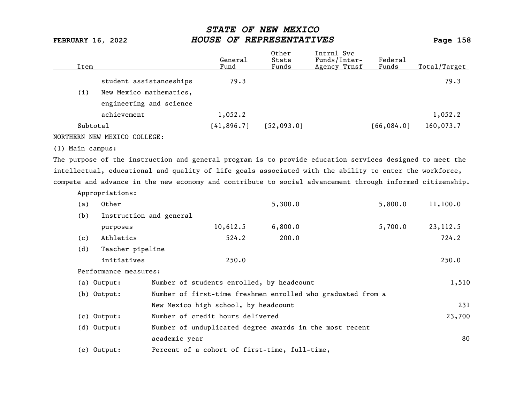| Item     |                         | General<br>Fund | Other<br>State<br>Funds | Intrnl Svc<br>Funds/Inter-<br>Agency Trnsf | Federal<br>Funds | Total/Target |
|----------|-------------------------|-----------------|-------------------------|--------------------------------------------|------------------|--------------|
|          | student assistanceships | 79.3            |                         |                                            |                  | 79.3         |
| (i)      | New Mexico mathematics, |                 |                         |                                            |                  |              |
|          | engineering and science |                 |                         |                                            |                  |              |
|          | achievement             | 1,052.2         |                         |                                            |                  | 1,052.2      |
| Subtotal |                         | [41,896.7]      | [52, 093.0]             |                                            | [66, 084.0]      | 160,073.7    |
|          |                         |                 |                         |                                            |                  |              |

NORTHERN NEW MEXICO COLLEGE:

(1) Main campus:

The purpose of the instruction and general program is to provide education services designed to meet the intellectual, educational and quality of life goals associated with the ability to enter the workforce, compete and advance in the new economy and contribute to social advancement through informed citizenship.

|     | Appropriations:         |                                                             |         |         |          |
|-----|-------------------------|-------------------------------------------------------------|---------|---------|----------|
| (a) | Other                   |                                                             | 5,300.0 | 5,800.0 | 11,100.0 |
| (b) | Instruction and general |                                                             |         |         |          |
|     | purposes                | 10,612.5                                                    | 6,800.0 | 5,700.0 | 23,112.5 |
| (c) | Athletics               | 524.2                                                       | 200.0   |         | 724.2    |
| (d) | Teacher pipeline        |                                                             |         |         |          |
|     | initiatives             | 250.0                                                       |         |         | 250.0    |
|     | Performance measures:   |                                                             |         |         |          |
|     | (a) Output:             | Number of students enrolled, by headcount                   |         |         | 1,510    |
|     | (b) Output:             | Number of first-time freshmen enrolled who graduated from a |         |         |          |
|     |                         | New Mexico high school, by headcount                        |         |         | 231      |
|     | $(c)$ Output:           | Number of credit hours delivered                            |         |         | 23,700   |
|     | $(d)$ Output:           | Number of unduplicated degree awards in the most recent     |         |         |          |
|     |                         | academic year                                               |         |         | 80       |
|     | (e) Output:             | Percent of a cohort of first-time, full-time,               |         |         |          |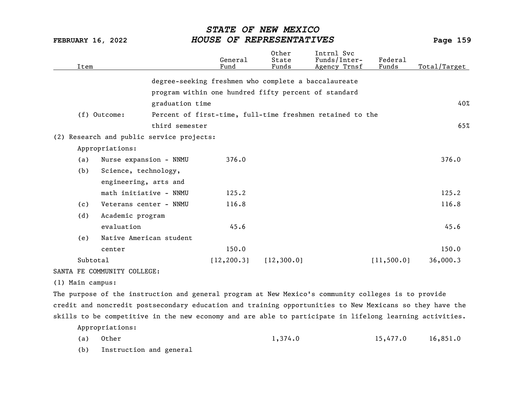| Item     |                             |                                           | General<br>Fund                                      | Other<br>State<br>Funds | Intrnl Svc<br>Funds/Inter-<br>Agency Trnsf                | Federal<br>Funds | Total/Target |
|----------|-----------------------------|-------------------------------------------|------------------------------------------------------|-------------------------|-----------------------------------------------------------|------------------|--------------|
|          |                             |                                           | degree-seeking freshmen who complete a baccalaureate |                         |                                                           |                  |              |
|          |                             |                                           | program within one hundred fifty percent of standard |                         |                                                           |                  |              |
|          |                             | graduation time                           |                                                      |                         |                                                           |                  | 40%          |
|          | (f) Outcome:                |                                           |                                                      |                         | Percent of first-time, full-time freshmen retained to the |                  |              |
|          |                             | third semester                            |                                                      |                         |                                                           |                  | 65%          |
|          |                             | (2) Research and public service projects: |                                                      |                         |                                                           |                  |              |
|          | Appropriations:             |                                           |                                                      |                         |                                                           |                  |              |
| (a)      | Nurse expansion - NNMU      |                                           | 376.0                                                |                         |                                                           |                  | 376.0        |
| (b)      | Science, technology,        |                                           |                                                      |                         |                                                           |                  |              |
|          | engineering, arts and       |                                           |                                                      |                         |                                                           |                  |              |
|          | math initiative - NNMU      |                                           | 125.2                                                |                         |                                                           |                  | 125.2        |
| (c)      | Veterans center - NNMU      |                                           | 116.8                                                |                         |                                                           |                  | 116.8        |
| (d)      | Academic program            |                                           |                                                      |                         |                                                           |                  |              |
|          | evaluation                  |                                           | 45.6                                                 |                         |                                                           |                  | 45.6         |
| (e)      | Native American student     |                                           |                                                      |                         |                                                           |                  |              |
|          | center                      |                                           | 150.0                                                |                         |                                                           |                  | 150.0        |
| Subtotal |                             |                                           | [12, 200.3]                                          | [12, 300.0]             |                                                           | [11, 500.0]      | 36,000.3     |
|          | SANTA FE COMMUNITY COLLEGE: |                                           |                                                      |                         |                                                           |                  |              |
|          |                             |                                           |                                                      |                         |                                                           |                  |              |

(1) Main campus:

The purpose of the instruction and general program at New Mexico's community colleges is to provide credit and noncredit postsecondary education and training opportunities to New Mexicans so they have the skills to be competitive in the new economy and are able to participate in lifelong learning activities. Appropriations:

(a) Other 1,374.0 15,477.0 16,851.0

(b) Instruction and general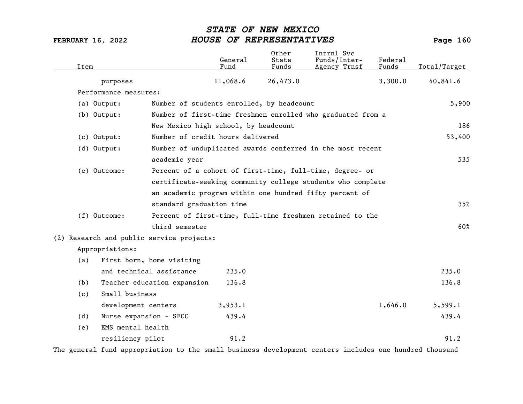| Item |                        |                                                          | General<br>Fund | Other<br>State<br>Funds | Intrnl Svc<br>Funds/Inter-<br>Agency Trnsf                  | Federal<br>Funds | Total/Target |
|------|------------------------|----------------------------------------------------------|-----------------|-------------------------|-------------------------------------------------------------|------------------|--------------|
|      | purposes               |                                                          | 11,068.6        | 26,473.0                |                                                             | 3,300.0          | 40,841.6     |
|      | Performance measures:  |                                                          |                 |                         |                                                             |                  |              |
|      | (a) Output:            | Number of students enrolled, by headcount                |                 |                         |                                                             |                  | 5,900        |
|      | (b) Output:            |                                                          |                 |                         | Number of first-time freshmen enrolled who graduated from a |                  |              |
|      |                        | New Mexico high school, by headcount                     |                 |                         |                                                             |                  | 186          |
|      | $(c)$ Output:          | Number of credit hours delivered                         |                 |                         |                                                             |                  | 53,400       |
|      | (d) Output:            |                                                          |                 |                         | Number of unduplicated awards conferred in the most recent  |                  |              |
|      |                        | academic year                                            |                 |                         |                                                             |                  | 535          |
|      | (e) Outcome:           | Percent of a cohort of first-time, full-time, degree- or |                 |                         |                                                             |                  |              |
|      |                        |                                                          |                 |                         | certificate-seeking community college students who complete |                  |              |
|      |                        |                                                          |                 |                         | an academic program within one hundred fifty percent of     |                  |              |
|      |                        | standard graduation time                                 |                 |                         |                                                             |                  | 35%          |
|      | (f) Outcome:           |                                                          |                 |                         | Percent of first-time, full-time freshmen retained to the   |                  |              |
|      |                        | third semester                                           |                 |                         |                                                             |                  | 60%          |
|      |                        | (2) Research and public service projects:                |                 |                         |                                                             |                  |              |
|      | Appropriations:        |                                                          |                 |                         |                                                             |                  |              |
| (a)  |                        | First born, home visiting                                |                 |                         |                                                             |                  |              |
|      |                        | and technical assistance                                 | 235.0           |                         |                                                             |                  | 235.0        |
| (b)  |                        | Teacher education expansion                              | 136.8           |                         |                                                             |                  | 136.8        |
| (c)  | Small business         |                                                          |                 |                         |                                                             |                  |              |
|      | development centers    |                                                          | 3,953.1         |                         |                                                             | 1,646.0          | 5,599.1      |
| (d)  | Nurse expansion - SFCC |                                                          | 439.4           |                         |                                                             |                  | 439.4        |
| (e)  | EMS mental health      |                                                          |                 |                         |                                                             |                  |              |
|      | resiliency pilot       |                                                          | 91.2            |                         |                                                             |                  | 91.2         |

The general fund appropriation to the small business development centers includes one hundred thousand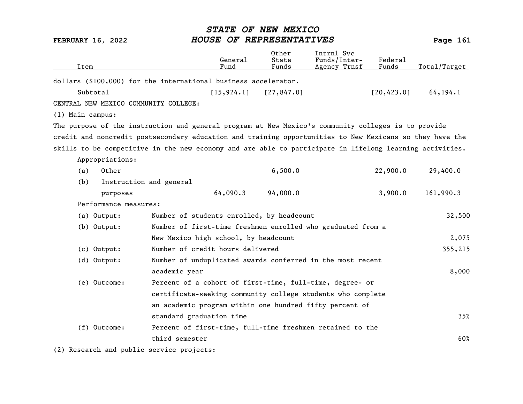| Item             |                       |                                                                                                          | General<br>Fund | 0ther<br>State<br>Funds | Intrnl Svc<br>Funds/Inter-<br>Agency Trnsf | Federal<br>Funds | Total/Target |
|------------------|-----------------------|----------------------------------------------------------------------------------------------------------|-----------------|-------------------------|--------------------------------------------|------------------|--------------|
|                  |                       | dollars (\$100,000) for the international business accelerator.                                          |                 |                         |                                            |                  |              |
|                  | Subtotal              |                                                                                                          | [15, 924.1]     | [27, 847.0]             |                                            | [20, 423.0]      | 64, 194.1    |
|                  |                       | CENTRAL NEW MEXICO COMMUNITY COLLEGE:                                                                    |                 |                         |                                            |                  |              |
| (1) Main campus: |                       |                                                                                                          |                 |                         |                                            |                  |              |
|                  |                       | The purpose of the instruction and general program at New Mexico's community colleges is to provide      |                 |                         |                                            |                  |              |
|                  |                       | credit and noncredit postsecondary education and training opportunities to New Mexicans so they have the |                 |                         |                                            |                  |              |
|                  |                       | skills to be competitive in the new economy and are able to participate in lifelong learning activities. |                 |                         |                                            |                  |              |
|                  | Appropriations:       |                                                                                                          |                 |                         |                                            |                  |              |
| (a)              | Other                 |                                                                                                          |                 | 6,500.0                 |                                            | 22,900.0         | 29,400.0     |
| (b)              |                       | Instruction and general                                                                                  |                 |                         |                                            |                  |              |
|                  | purposes              |                                                                                                          | 64,090.3        | 94,000.0                |                                            | 3,900.0          | 161,990.3    |
|                  | Performance measures: |                                                                                                          |                 |                         |                                            |                  |              |
|                  | (a) Output:           | Number of students enrolled, by headcount                                                                |                 |                         |                                            |                  | 32,500       |
|                  | (b) Output:           | Number of first-time freshmen enrolled who graduated from a                                              |                 |                         |                                            |                  |              |
|                  |                       | New Mexico high school, by headcount                                                                     |                 |                         |                                            |                  | 2,075        |
|                  | $(c)$ Output:         | Number of credit hours delivered                                                                         |                 |                         |                                            |                  | 355,215      |
|                  | (d) Output:           | Number of unduplicated awards conferred in the most recent                                               |                 |                         |                                            |                  |              |
|                  |                       | academic year                                                                                            |                 |                         |                                            |                  | 8,000        |
|                  | (e) Outcome:          | Percent of a cohort of first-time, full-time, degree- or                                                 |                 |                         |                                            |                  |              |
|                  |                       | certificate-seeking community college students who complete                                              |                 |                         |                                            |                  |              |
|                  |                       | an academic program within one hundred fifty percent of                                                  |                 |                         |                                            |                  |              |
|                  |                       | standard graduation time                                                                                 |                 |                         |                                            |                  | 35%          |
|                  | $(f)$ Outcome:        | Percent of first-time, full-time freshmen retained to the                                                |                 |                         |                                            |                  |              |
|                  |                       | third semester                                                                                           |                 |                         |                                            |                  | 60%          |

(2) Research and public service projects: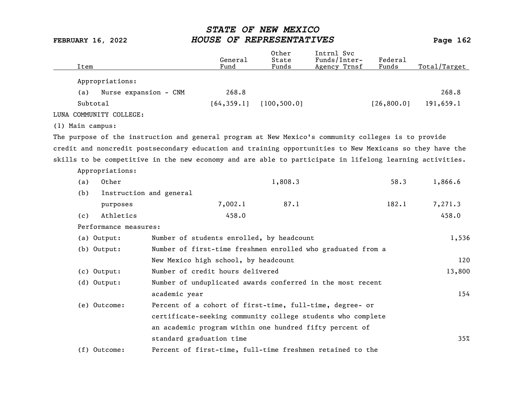| Item                    |                                                                                                          | General<br>Fund                           | Other<br>State<br>Funds | Intrnl Svc<br>Funds/Inter-<br>Agency Trnsf                  | Federal<br>Funds | Total/Target |
|-------------------------|----------------------------------------------------------------------------------------------------------|-------------------------------------------|-------------------------|-------------------------------------------------------------|------------------|--------------|
| Appropriations:         |                                                                                                          |                                           |                         |                                                             |                  |              |
| (a)                     | Nurse expansion - CNM                                                                                    | 268.8                                     |                         |                                                             |                  | 268.8        |
| Subtotal                |                                                                                                          | [64, 359.1]                               | [100, 500.0]            |                                                             | [26, 800.0]      | 191,659.1    |
| LUNA COMMUNITY COLLEGE: |                                                                                                          |                                           |                         |                                                             |                  |              |
| (1) Main campus:        |                                                                                                          |                                           |                         |                                                             |                  |              |
|                         | The purpose of the instruction and general program at New Mexico's community colleges is to provide      |                                           |                         |                                                             |                  |              |
|                         | credit and noncredit postsecondary education and training opportunities to New Mexicans so they have the |                                           |                         |                                                             |                  |              |
|                         | skills to be competitive in the new economy and are able to participate in lifelong learning activities. |                                           |                         |                                                             |                  |              |
| Appropriations:         |                                                                                                          |                                           |                         |                                                             |                  |              |
| Other<br>(a)            |                                                                                                          |                                           | 1,808.3                 |                                                             | 58.3             | 1,866.6      |
| (b)                     | Instruction and general                                                                                  |                                           |                         |                                                             |                  |              |
|                         | purposes                                                                                                 | 7,002.1                                   | 87.1                    |                                                             | 182.1            | 7,271.3      |
| (c)                     | Athletics                                                                                                | 458.0                                     |                         |                                                             |                  | 458.0        |
|                         | Performance measures:                                                                                    |                                           |                         |                                                             |                  |              |
| (a) Output:             |                                                                                                          | Number of students enrolled, by headcount |                         |                                                             |                  | 1,536        |
| $(b)$ Output:           |                                                                                                          |                                           |                         | Number of first-time freshmen enrolled who graduated from a |                  |              |
|                         |                                                                                                          | New Mexico high school, by headcount      |                         |                                                             |                  | 120          |
| $(c)$ Output:           |                                                                                                          | Number of credit hours delivered          |                         |                                                             |                  | 13,800       |
| (d) Output:             |                                                                                                          |                                           |                         | Number of unduplicated awards conferred in the most recent  |                  |              |
|                         | academic year                                                                                            |                                           |                         |                                                             |                  | 154          |
| (e) Outcome:            |                                                                                                          |                                           |                         | Percent of a cohort of first-time, full-time, degree- or    |                  |              |
|                         | certificate-seeking community college students who complete                                              |                                           |                         |                                                             |                  |              |
|                         |                                                                                                          |                                           |                         | an academic program within one hundred fifty percent of     |                  |              |
|                         | standard graduation time                                                                                 |                                           |                         |                                                             |                  | 35%          |
| $(f)$ Outcome:          |                                                                                                          |                                           |                         | Percent of first-time, full-time freshmen retained to the   |                  |              |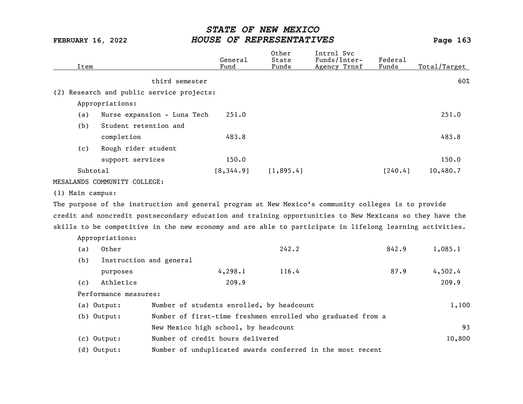| Item             |                              |                                           | General<br>Fund | Other<br>State<br>Funds | Intrnl Svc<br>Funds/Inter-<br>Agency Trnsf                                                               | Federal<br>Funds | Total/Target |
|------------------|------------------------------|-------------------------------------------|-----------------|-------------------------|----------------------------------------------------------------------------------------------------------|------------------|--------------|
|                  |                              | third semester                            |                 |                         |                                                                                                          |                  | 60%          |
|                  |                              | (2) Research and public service projects: |                 |                         |                                                                                                          |                  |              |
|                  | Appropriations:              |                                           |                 |                         |                                                                                                          |                  |              |
| (a)              |                              | Nurse expansion - Luna Tech               | 251.0           |                         |                                                                                                          |                  | 251.0        |
| (b)              | Student retention and        |                                           |                 |                         |                                                                                                          |                  |              |
|                  | completion                   |                                           | 483.8           |                         |                                                                                                          |                  | 483.8        |
| (c)              | Rough rider student          |                                           |                 |                         |                                                                                                          |                  |              |
|                  | support services             |                                           | 150.0           |                         |                                                                                                          |                  | 150.0        |
|                  | Subtotal                     |                                           | [8, 344.9]      | [1, 895.4]              |                                                                                                          | [240.4]          | 10,480.7     |
|                  | MESALANDS COMMUNITY COLLEGE: |                                           |                 |                         |                                                                                                          |                  |              |
| (1) Main campus: |                              |                                           |                 |                         |                                                                                                          |                  |              |
|                  |                              |                                           |                 |                         | The purpose of the instruction and general program at New Mexico's community colleges is to provide      |                  |              |
|                  |                              |                                           |                 |                         | credit and noncredit postsecondary education and training opportunities to New Mexicans so they have the |                  |              |
|                  |                              |                                           |                 |                         | skills to be competitive in the new economy and are able to participate in lifelong learning activities. |                  |              |
|                  | Appropriations:              |                                           |                 |                         |                                                                                                          |                  |              |
| (a)              | Other                        |                                           |                 | 242.2                   |                                                                                                          | 842.9            | 1,085.1      |
| (b)              | Instruction and general      |                                           |                 |                         |                                                                                                          |                  |              |
|                  | purposes                     |                                           | 4, 298.1        | 116.4                   |                                                                                                          | 87.9             | 4,502.4      |
| (c)              | Athletics                    |                                           | 209.9           |                         |                                                                                                          |                  | 209.9        |
|                  | Performance measures:        |                                           |                 |                         |                                                                                                          |                  |              |
|                  | (a) Output:                  | Number of students enrolled, by headcount |                 |                         |                                                                                                          |                  | 1,100        |
|                  | $(b)$ Output:                |                                           |                 |                         | Number of first-time freshmen enrolled who graduated from a                                              |                  |              |
|                  |                              | New Mexico high school, by headcount      |                 |                         |                                                                                                          |                  | 93           |
|                  | (c) Output:                  | Number of credit hours delivered          |                 |                         |                                                                                                          |                  | 10,800       |
|                  | $(d)$ Output:                |                                           |                 |                         | Number of unduplicated awards conferred in the most recent                                               |                  |              |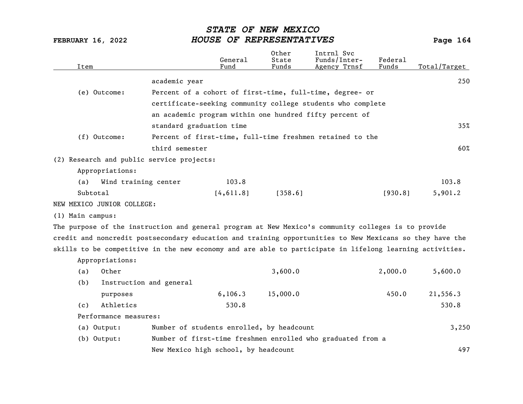| Item                       |                                                                                                          | General<br>Fund                           | Other<br>State<br>Funds | Intrnl Svc<br>Funds/Inter-<br>Agency Trnsf                  | Federal<br>Funds | Total/Target |
|----------------------------|----------------------------------------------------------------------------------------------------------|-------------------------------------------|-------------------------|-------------------------------------------------------------|------------------|--------------|
|                            | academic year                                                                                            |                                           |                         |                                                             |                  | 250          |
| (e) Outcome:               |                                                                                                          |                                           |                         | Percent of a cohort of first-time, full-time, degree- or    |                  |              |
|                            |                                                                                                          |                                           |                         | certificate-seeking community college students who complete |                  |              |
|                            |                                                                                                          |                                           |                         | an academic program within one hundred fifty percent of     |                  |              |
|                            | standard graduation time                                                                                 |                                           |                         |                                                             |                  | 35%          |
| (f) Outcome:               |                                                                                                          |                                           |                         | Percent of first-time, full-time freshmen retained to the   |                  |              |
|                            | third semester                                                                                           |                                           |                         |                                                             |                  | 60%          |
|                            |                                                                                                          |                                           |                         |                                                             |                  |              |
|                            | (2) Research and public service projects:                                                                |                                           |                         |                                                             |                  |              |
| Appropriations:            |                                                                                                          |                                           |                         |                                                             |                  |              |
| (a)                        | Wind training center                                                                                     | 103.8                                     |                         |                                                             |                  | 103.8        |
| Subtotal                   |                                                                                                          | [4, 611.8]                                | [358.6]                 |                                                             | [930.8]          | 5,901.2      |
| NEW MEXICO JUNIOR COLLEGE: |                                                                                                          |                                           |                         |                                                             |                  |              |
| (1) Main campus:           |                                                                                                          |                                           |                         |                                                             |                  |              |
|                            | The purpose of the instruction and general program at New Mexico's community colleges is to provide      |                                           |                         |                                                             |                  |              |
|                            | credit and noncredit postsecondary education and training opportunities to New Mexicans so they have the |                                           |                         |                                                             |                  |              |
|                            | skills to be competitive in the new economy and are able to participate in lifelong learning activities. |                                           |                         |                                                             |                  |              |
| Appropriations:            |                                                                                                          |                                           |                         |                                                             |                  |              |
| Other<br>(a)               |                                                                                                          |                                           | 3,600.0                 |                                                             | 2,000.0          | 5,600.0      |
| (b)                        | Instruction and general                                                                                  |                                           |                         |                                                             |                  |              |
|                            | purposes                                                                                                 | 6, 106.3                                  | 15,000.0                |                                                             | 450.0            | 21,556.3     |
| (c)                        | Athletics                                                                                                | 530.8                                     |                         |                                                             |                  | 530.8        |
|                            | Performance measures:                                                                                    |                                           |                         |                                                             |                  |              |
| (a) Output:                |                                                                                                          | Number of students enrolled, by headcount |                         |                                                             |                  | 3,250        |
| (b) Output:                |                                                                                                          |                                           |                         | Number of first-time freshmen enrolled who graduated from a |                  |              |
|                            |                                                                                                          | New Mexico high school, by headcount      |                         |                                                             |                  | 497          |
|                            |                                                                                                          |                                           |                         |                                                             |                  |              |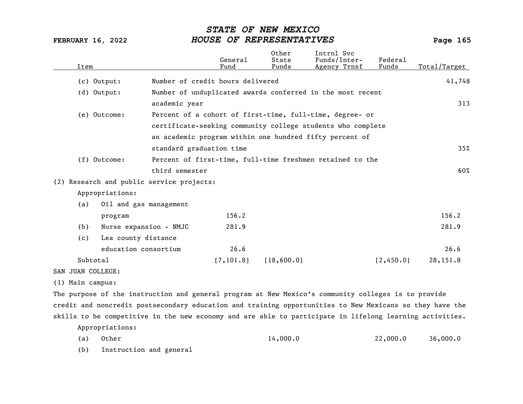| Item              |                        |                                           | General<br>Fund                  | Other<br>State<br>Funds | Intrnl Svc<br>Funds/Inter-<br>Agency Trnsf                                                               | Federal<br>Funds | Total/Target |
|-------------------|------------------------|-------------------------------------------|----------------------------------|-------------------------|----------------------------------------------------------------------------------------------------------|------------------|--------------|
|                   | $(c)$ Output:          |                                           | Number of credit hours delivered |                         |                                                                                                          |                  | 41,748       |
|                   | $(d)$ Output:          |                                           |                                  |                         | Number of unduplicated awards conferred in the most recent                                               |                  |              |
|                   |                        | academic year                             |                                  |                         |                                                                                                          |                  | 313          |
|                   | (e) Outcome:           |                                           |                                  |                         | Percent of a cohort of first-time, full-time, degree- or                                                 |                  |              |
|                   |                        |                                           |                                  |                         | certificate-seeking community college students who complete                                              |                  |              |
|                   |                        |                                           |                                  |                         | an academic program within one hundred fifty percent of                                                  |                  |              |
|                   |                        | standard graduation time                  |                                  |                         |                                                                                                          |                  | 35%          |
|                   | (f) Outcome:           |                                           |                                  |                         | Percent of first-time, full-time freshmen retained to the                                                |                  |              |
|                   |                        | third semester                            |                                  |                         |                                                                                                          |                  | 60%          |
|                   |                        | (2) Research and public service projects: |                                  |                         |                                                                                                          |                  |              |
|                   | Appropriations:        |                                           |                                  |                         |                                                                                                          |                  |              |
| (a)               | Oil and gas management |                                           |                                  |                         |                                                                                                          |                  |              |
|                   | program                |                                           | 156.2                            |                         |                                                                                                          |                  | 156.2        |
| (b)               | Nurse expansion - NMJC |                                           | 281.9                            |                         |                                                                                                          |                  | 281.9        |
| (c)               | Lea county distance    |                                           |                                  |                         |                                                                                                          |                  |              |
|                   | education consortium   |                                           | 26.6                             |                         |                                                                                                          |                  | 26.6         |
|                   | Subtotal               |                                           | [7, 101.8]                       | [18,600.0]              |                                                                                                          | [2,450.0]        | 28,151.8     |
| SAN JUAN COLLEGE: |                        |                                           |                                  |                         |                                                                                                          |                  |              |
| (1) Main campus:  |                        |                                           |                                  |                         |                                                                                                          |                  |              |
|                   |                        |                                           |                                  |                         | The purpose of the instruction and general program at New Mexico's community colleges is to provide      |                  |              |
|                   |                        |                                           |                                  |                         | credit and noncredit postsecondary education and training opportunities to New Mexicans so they have the |                  |              |
|                   |                        |                                           |                                  |                         | skills to be competitive in the new economy and are able to participate in lifelong learning activities. |                  |              |
|                   | Appropriations:        |                                           |                                  |                         |                                                                                                          |                  |              |
| (a)               | Other                  |                                           |                                  | 14,000.0                |                                                                                                          | 22,000.0         | 36,000.0     |

(b) Instruction and general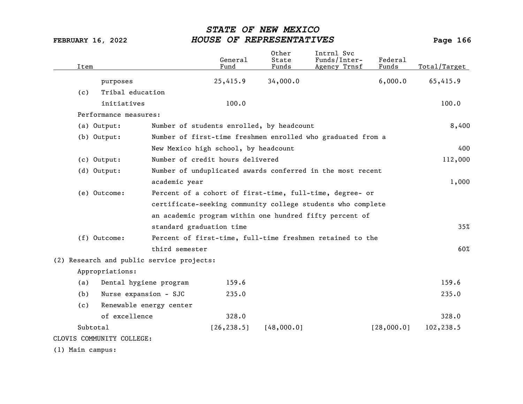| Item             |                                           |                          | General<br>Fund                           | Other<br>State<br>Funds | Intrnl Svc<br>Funds/Inter-<br>Agency Trnsf                  | Federal<br>Funds | Total/Target |
|------------------|-------------------------------------------|--------------------------|-------------------------------------------|-------------------------|-------------------------------------------------------------|------------------|--------------|
|                  | purposes                                  |                          | 25,415.9                                  | 34,000.0                |                                                             | 6,000.0          | 65,415.9     |
| (c)              | Tribal education                          |                          |                                           |                         |                                                             |                  |              |
|                  | initiatives                               |                          | 100.0                                     |                         |                                                             |                  | 100.0        |
|                  | Performance measures:                     |                          |                                           |                         |                                                             |                  |              |
|                  | (a) Output:                               |                          | Number of students enrolled, by headcount |                         |                                                             |                  | 8,400        |
|                  | $(b)$ Output:                             |                          |                                           |                         | Number of first-time freshmen enrolled who graduated from a |                  |              |
|                  |                                           |                          | New Mexico high school, by headcount      |                         |                                                             |                  | 400          |
|                  | (c) Output:                               |                          | Number of credit hours delivered          |                         |                                                             |                  | 112,000      |
|                  | $(d)$ Output:                             |                          |                                           |                         | Number of unduplicated awards conferred in the most recent  |                  |              |
|                  |                                           | academic year            |                                           |                         |                                                             |                  | 1,000        |
|                  | (e) Outcome:                              |                          |                                           |                         | Percent of a cohort of first-time, full-time, degree- or    |                  |              |
|                  |                                           |                          |                                           |                         | certificate-seeking community college students who complete |                  |              |
|                  |                                           |                          |                                           |                         | an academic program within one hundred fifty percent of     |                  |              |
|                  |                                           | standard graduation time |                                           |                         |                                                             |                  | 35%          |
|                  | (f) Outcome:                              |                          |                                           |                         | Percent of first-time, full-time freshmen retained to the   |                  |              |
|                  |                                           | third semester           |                                           |                         |                                                             |                  | 60%          |
|                  | (2) Research and public service projects: |                          |                                           |                         |                                                             |                  |              |
|                  | Appropriations:                           |                          |                                           |                         |                                                             |                  |              |
| (a)              | Dental hygiene program                    |                          | 159.6                                     |                         |                                                             |                  | 159.6        |
| (b)              | Nurse expansion - SJC                     |                          | 235.0                                     |                         |                                                             |                  | 235.0        |
| (c)              | Renewable energy center                   |                          |                                           |                         |                                                             |                  |              |
|                  | of excellence                             |                          | 328.0                                     |                         |                                                             |                  | 328.0        |
|                  | Subtotal                                  |                          | [26, 238.5]                               | [48,000.0]              |                                                             | [28,000.0]       | 102,238.5    |
|                  | CLOVIS COMMUNITY COLLEGE:                 |                          |                                           |                         |                                                             |                  |              |
| (1) Main campus: |                                           |                          |                                           |                         |                                                             |                  |              |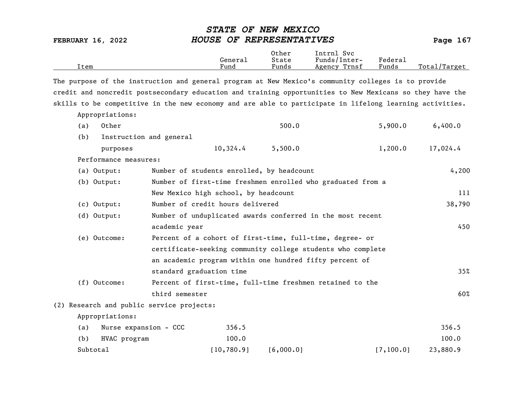| Item                                                                                                     |                                           | General<br>Fund | Other<br>State<br>Funds | Intrnl Svc<br>Funds/Inter-<br>Agency Trnsf                  | Federal<br>Funds | Total/Target |
|----------------------------------------------------------------------------------------------------------|-------------------------------------------|-----------------|-------------------------|-------------------------------------------------------------|------------------|--------------|
| The purpose of the instruction and general program at New Mexico's community colleges is to provide      |                                           |                 |                         |                                                             |                  |              |
| credit and noncredit postsecondary education and training opportunities to New Mexicans so they have the |                                           |                 |                         |                                                             |                  |              |
| skills to be competitive in the new economy and are able to participate in lifelong learning activities. |                                           |                 |                         |                                                             |                  |              |
| Appropriations:                                                                                          |                                           |                 |                         |                                                             |                  |              |
| Other<br>(a)                                                                                             |                                           |                 | 500.0                   |                                                             | 5,900.0          | 6,400.0      |
| (b)                                                                                                      | Instruction and general                   |                 |                         |                                                             |                  |              |
| purposes                                                                                                 |                                           | 10,324.4        | 5,500.0                 |                                                             | 1,200.0          | 17,024.4     |
| Performance measures:                                                                                    |                                           |                 |                         |                                                             |                  |              |
| (a) Output:                                                                                              | Number of students enrolled, by headcount |                 |                         |                                                             |                  | 4,200        |
| (b) Output:                                                                                              |                                           |                 |                         | Number of first-time freshmen enrolled who graduated from a |                  |              |
|                                                                                                          | New Mexico high school, by headcount      |                 |                         |                                                             |                  | 111          |
| (c) Output:                                                                                              | Number of credit hours delivered          |                 |                         |                                                             |                  | 38,790       |
| (d) Output:                                                                                              |                                           |                 |                         | Number of unduplicated awards conferred in the most recent  |                  |              |
|                                                                                                          | academic year                             |                 |                         |                                                             |                  | 450          |
| (e) Outcome:                                                                                             |                                           |                 |                         | Percent of a cohort of first-time, full-time, degree- or    |                  |              |
|                                                                                                          |                                           |                 |                         | certificate-seeking community college students who complete |                  |              |
|                                                                                                          |                                           |                 |                         | an academic program within one hundred fifty percent of     |                  |              |
|                                                                                                          | standard graduation time                  |                 |                         |                                                             |                  | 35%          |
| (f) Outcome:                                                                                             |                                           |                 |                         | Percent of first-time, full-time freshmen retained to the   |                  |              |
|                                                                                                          | third semester                            |                 |                         |                                                             |                  | 60%          |
| (2) Research and public service projects:                                                                |                                           |                 |                         |                                                             |                  |              |
| Appropriations:                                                                                          |                                           |                 |                         |                                                             |                  |              |
| (a)                                                                                                      | Nurse expansion - CCC                     | 356.5           |                         |                                                             |                  | 356.5        |
| (b)<br>HVAC program                                                                                      |                                           | 100.0           |                         |                                                             |                  | 100.0        |
| Subtotal                                                                                                 |                                           | [10, 780.9]     | [6,000.0]               |                                                             | [7, 100.0]       | 23,880.9     |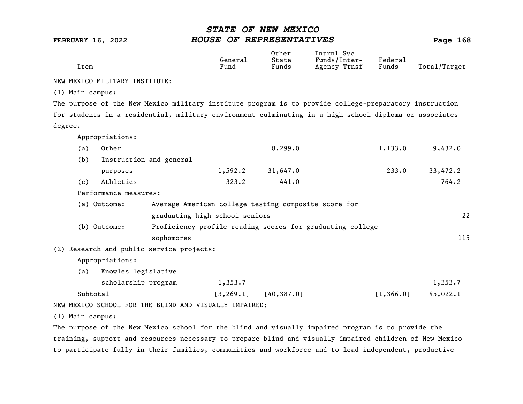|      |         | Other | Intrnl<br>Svc   |        |                  |
|------|---------|-------|-----------------|--------|------------------|
|      | General | State | Funds/Inter-    | Federa |                  |
| Item | Fund    | Funds | Trnsf<br>Agency | Funds  | Total<br>'Target |
|      |         |       |                 |        |                  |

NEW MEXICO MILITARY INSTITUTE:

(1) Main campus:

The purpose of the New Mexico military institute program is to provide college-preparatory instruction for students in a residential, military environment culminating in a high school diploma or associates degree.

Appropriations:

| (a) | Other                   |         | 8,299.0  | 1,133.0 | 9,432.0  |
|-----|-------------------------|---------|----------|---------|----------|
| (b) | Instruction and general |         |          |         |          |
|     | purposes                | 1,592.2 | 31,647.0 | 233.0   | 33,472.2 |
| (c) | Athletics               | 323.2   | 441.0    |         | 764.2    |
|     | Performance measures:   |         |          |         |          |

| (a) Outcome: | Average American college testing composite score for      |     |
|--------------|-----------------------------------------------------------|-----|
|              | graduating high school seniors                            | 22  |
| (b) Outcome: | Proficiency profile reading scores for graduating college |     |
|              | sophomores                                                | 115 |

(2) Research and public service projects:

Appropriations:

(a) Knowles legislative

| scholarship program | 1,353.7 |                            |            | 1,353.7  |
|---------------------|---------|----------------------------|------------|----------|
| Subtotal            |         | $[3, 269.1]$ $[40, 387.0]$ | [1, 366.0] | 45,022.1 |

NEW MEXICO SCHOOL FOR THE BLIND AND VISUALLY IMPAIRED:

(1) Main campus:

The purpose of the New Mexico school for the blind and visually impaired program is to provide the training, support and resources necessary to prepare blind and visually impaired children of New Mexico to participate fully in their families, communities and workforce and to lead independent, productive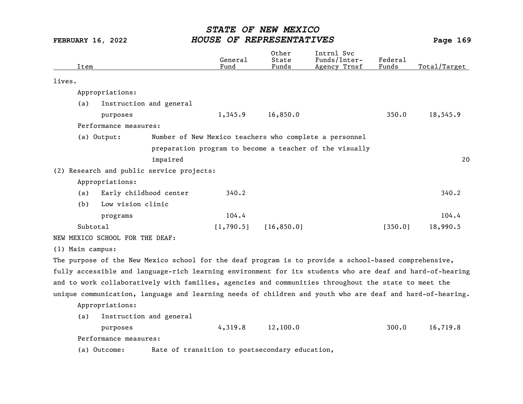| Item                                                                                                      |                         | General<br>Fund                                | Other<br>State<br>Funds | Intrnl Svc<br>Funds/Inter-<br>Agency Trnsf              | Federal<br>Funds | Total/Target |
|-----------------------------------------------------------------------------------------------------------|-------------------------|------------------------------------------------|-------------------------|---------------------------------------------------------|------------------|--------------|
| lives.                                                                                                    |                         |                                                |                         |                                                         |                  |              |
| Appropriations:                                                                                           |                         |                                                |                         |                                                         |                  |              |
| (a)                                                                                                       | Instruction and general |                                                |                         |                                                         |                  |              |
| purposes                                                                                                  |                         | 1,345.9                                        | 16,850.0                |                                                         | 350.0            | 18,545.9     |
| Performance measures:                                                                                     |                         |                                                |                         |                                                         |                  |              |
| (a) Output:                                                                                               |                         |                                                |                         | Number of New Mexico teachers who complete a personnel  |                  |              |
|                                                                                                           |                         |                                                |                         | preparation program to become a teacher of the visually |                  |              |
|                                                                                                           | impaired                |                                                |                         |                                                         |                  | 20           |
| (2) Research and public service projects:                                                                 |                         |                                                |                         |                                                         |                  |              |
| Appropriations:                                                                                           |                         |                                                |                         |                                                         |                  |              |
| (a)                                                                                                       | Early childhood center  | 340.2                                          |                         |                                                         |                  | 340.2        |
| (b)<br>Low vision clinic                                                                                  |                         |                                                |                         |                                                         |                  |              |
| programs                                                                                                  |                         | 104.4                                          |                         |                                                         |                  | 104.4        |
| Subtotal                                                                                                  |                         | [1,790.5]                                      | [16, 850.0]             |                                                         | [350.0]          | 18,990.5     |
| NEW MEXICO SCHOOL FOR THE DEAF:                                                                           |                         |                                                |                         |                                                         |                  |              |
| (1) Main campus:                                                                                          |                         |                                                |                         |                                                         |                  |              |
| The purpose of the New Mexico school for the deaf program is to provide a school-based comprehensive,     |                         |                                                |                         |                                                         |                  |              |
| fully accessible and language-rich learning environment for its students who are deaf and hard-of-hearing |                         |                                                |                         |                                                         |                  |              |
| and to work collaboratively with families, agencies and communities throughout the state to meet the      |                         |                                                |                         |                                                         |                  |              |
| unique communication, language and learning needs of children and youth who are deaf and hard-of-hearing. |                         |                                                |                         |                                                         |                  |              |
| Appropriations:                                                                                           |                         |                                                |                         |                                                         |                  |              |
| (a)                                                                                                       | Instruction and general |                                                |                         |                                                         |                  |              |
| purposes                                                                                                  |                         | 4,319.8                                        | 12,100.0                |                                                         | 300.0            | 16,719.8     |
| Performance measures:                                                                                     |                         |                                                |                         |                                                         |                  |              |
| (a) Outcome:                                                                                              |                         | Rate of transition to postsecondary education, |                         |                                                         |                  |              |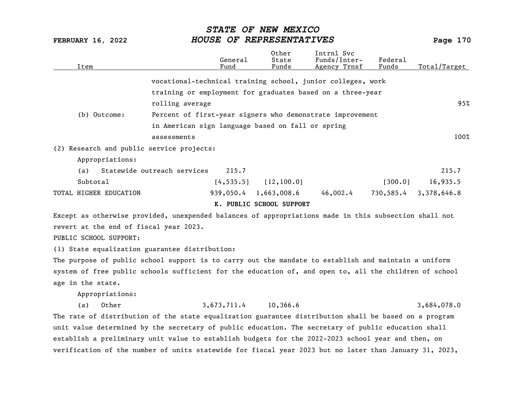| Item                                           | General<br>Fund                                                                                        | Other<br>State<br>Funds  | Intrnl Svc<br>Funds/Inter-<br>Agency Trnsf | Federal<br>Funds | Total/Target |
|------------------------------------------------|--------------------------------------------------------------------------------------------------------|--------------------------|--------------------------------------------|------------------|--------------|
|                                                | vocational-technical training school, junior colleges, work                                            |                          |                                            |                  |              |
|                                                | training or employment for graduates based on a three-year                                             |                          |                                            |                  |              |
|                                                | rolling average                                                                                        |                          |                                            |                  | 95%          |
| (b) Outcome:                                   | Percent of first-year signers who demonstrate improvement                                              |                          |                                            |                  |              |
|                                                | in American sign language based on fall or spring                                                      |                          |                                            |                  |              |
|                                                | assessments                                                                                            |                          |                                            |                  | 100%         |
| (2) Research and public service projects:      |                                                                                                        |                          |                                            |                  |              |
| Appropriations:                                |                                                                                                        |                          |                                            |                  |              |
| (a)                                            | Statewide outreach services<br>215.7                                                                   |                          |                                            |                  | 215.7        |
| Subtotal                                       | [4, 535.5]                                                                                             | [12, 100.0]              |                                            | [300.0]          | 16,935.5     |
| TOTAL HIGHER EDUCATION                         |                                                                                                        | 939,050.4 1,663,008.6    | 46,002.4                                   | 730,585.4        | 3,378,646.8  |
|                                                |                                                                                                        | K. PUBLIC SCHOOL SUPPORT |                                            |                  |              |
|                                                | Except as otherwise provided, unexpended balances of appropriations made in this subsection shall not  |                          |                                            |                  |              |
| revert at the end of fiscal year 2023.         |                                                                                                        |                          |                                            |                  |              |
| PUBLIC SCHOOL SUPPORT:                         |                                                                                                        |                          |                                            |                  |              |
| (1) State equalization guarantee distribution: |                                                                                                        |                          |                                            |                  |              |
|                                                | The purpose of public school support is to carry out the mandate to establish and maintain a uniform   |                          |                                            |                  |              |
|                                                | system of free public schools sufficient for the education of, and open to, all the children of school |                          |                                            |                  |              |
| age in the state.                              |                                                                                                        |                          |                                            |                  |              |
| Appropriations:                                |                                                                                                        |                          |                                            |                  |              |
| Other<br>(a)                                   | 3,673,711.4                                                                                            | 10,366.6                 |                                            |                  | 3,684,078.0  |

The rate of distribution of the state equalization guarantee distribution shall be based on a program unit value determined by the secretary of public education. The secretary of public education shall establish a preliminary unit value to establish budgets for the 2022-2023 school year and then, on verification of the number of units statewide for fiscal year 2023 but no later than January 31, 2023,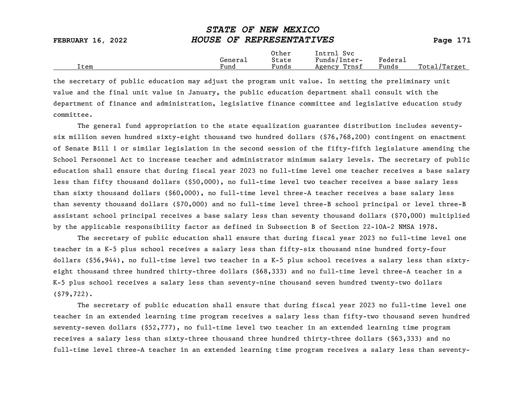|                          | ~~~~~~ ~~ **~** ******   |                |                            |         |  |
|--------------------------|--------------------------|----------------|----------------------------|---------|--|
| <b>FEBRUARY 16, 2022</b> | HOUSE OF REPRESENTATIVES |                |                            |         |  |
|                          | General                  | Other<br>State | Intrnl Svc<br>Funds/Inter- | Federal |  |

Item Fund Funds Agency Trnsf Funds Total/Target

STATE OF NEW MEXICO

the secretary of public education may adjust the program unit value. In setting the preliminary unit value and the final unit value in January, the public education department shall consult with the department of finance and administration, legislative finance committee and legislative education study committee.

The general fund appropriation to the state equalization guarantee distribution includes seventysix million seven hundred sixty-eight thousand two hundred dollars (\$76,768,200) contingent on enactment of Senate Bill 1 or similar legislation in the second session of the fifty-fifth legislature amending the School Personnel Act to increase teacher and administrator minimum salary levels. The secretary of public education shall ensure that during fiscal year 2023 no full-time level one teacher receives a base salary less than fifty thousand dollars (\$50,000), no full-time level two teacher receives a base salary less than sixty thousand dollars (\$60,000), no full-time level three-A teacher receives a base salary less than seventy thousand dollars (\$70,000) and no full-time level three-B school principal or level three-B assistant school principal receives a base salary less than seventy thousand dollars (\$70,000) multiplied by the applicable responsibility factor as defined in Subsection B of Section 22-10A-2 NMSA 1978.

The secretary of public education shall ensure that during fiscal year 2023 no full-time level one teacher in a K-5 plus school receives a salary less than fifty-six thousand nine hundred forty-four dollars (\$56,944), no full-time level two teacher in a K-5 plus school receives a salary less than sixtyeight thousand three hundred thirty-three dollars (\$68,333) and no full-time level three-A teacher in a K-5 plus school receives a salary less than seventy-nine thousand seven hundred twenty-two dollars (\$79,722).

The secretary of public education shall ensure that during fiscal year 2023 no full-time level one teacher in an extended learning time program receives a salary less than fifty-two thousand seven hundred seventy-seven dollars (\$52,777), no full-time level two teacher in an extended learning time program receives a salary less than sixty-three thousand three hundred thirty-three dollars (\$63,333) and no full-time level three-A teacher in an extended learning time program receives a salary less than seventy-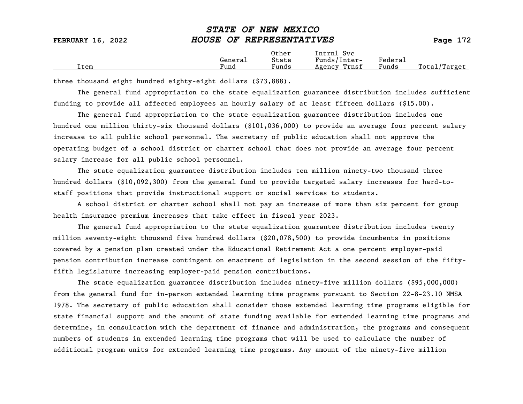| <b>FEBRUARY 16, 2022</b> | HOUSE OF REPRESENTATIVES |                         | Page 172                                   |                  |              |
|--------------------------|--------------------------|-------------------------|--------------------------------------------|------------------|--------------|
| [tem                     | General<br>Fund          | Other<br>State<br>Funds | Intrnl Svc<br>Funds/Inter-<br>Agency Trnsf | Federal<br>Funds | Total/Target |

three thousand eight hundred eighty-eight dollars (\$73,888).

The general fund appropriation to the state equalization guarantee distribution includes sufficient funding to provide all affected employees an hourly salary of at least fifteen dollars (\$15.00).

The general fund appropriation to the state equalization guarantee distribution includes one hundred one million thirty-six thousand dollars (\$101,036,000) to provide an average four percent salary increase to all public school personnel. The secretary of public education shall not approve the operating budget of a school district or charter school that does not provide an average four percent salary increase for all public school personnel.

The state equalization guarantee distribution includes ten million ninety-two thousand three hundred dollars (\$10,092,300) from the general fund to provide targeted salary increases for hard-tostaff positions that provide instructional support or social services to students.

A school district or charter school shall not pay an increase of more than six percent for group health insurance premium increases that take effect in fiscal year 2023.

The general fund appropriation to the state equalization guarantee distribution includes twenty million seventy-eight thousand five hundred dollars (\$20,078,500) to provide incumbents in positions covered by a pension plan created under the Educational Retirement Act a one percent employer-paid pension contribution increase contingent on enactment of legislation in the second session of the fiftyfifth legislature increasing employer-paid pension contributions.

The state equalization guarantee distribution includes ninety-five million dollars (\$95,000,000) from the general fund for in-person extended learning time programs pursuant to Section 22-8-23.10 NMSA 1978. The secretary of public education shall consider those extended learning time programs eligible for state financial support and the amount of state funding available for extended learning time programs and determine, in consultation with the department of finance and administration, the programs and consequent numbers of students in extended learning time programs that will be used to calculate the number of additional program units for extended learning time programs. Any amount of the ninety-five million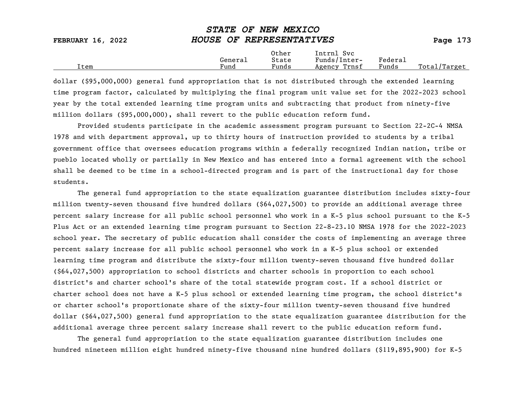| <b>FEBRUARY 16, 2022</b> | HOUSE OF REPRESENTATIVES |                |                            |         | Page $173$   |
|--------------------------|--------------------------|----------------|----------------------------|---------|--------------|
|                          | General                  | Other<br>State | Intrnl Svc<br>Funds/Inter- | Federal |              |
| [tem                     | Fund                     | Funds          | Agency Trnsf               | Funds   | Total/Target |

dollar (\$95,000,000) general fund appropriation that is not distributed through the extended learning time program factor, calculated by multiplying the final program unit value set for the 2022-2023 school year by the total extended learning time program units and subtracting that product from ninety-five million dollars (\$95,000,000), shall revert to the public education reform fund.

Provided students participate in the academic assessment program pursuant to Section 22-2C-4 NMSA 1978 and with department approval, up to thirty hours of instruction provided to students by a tribal government office that oversees education programs within a federally recognized Indian nation, tribe or pueblo located wholly or partially in New Mexico and has entered into a formal agreement with the school shall be deemed to be time in a school-directed program and is part of the instructional day for those students.

The general fund appropriation to the state equalization guarantee distribution includes sixty-four million twenty-seven thousand five hundred dollars (\$64,027,500) to provide an additional average three percent salary increase for all public school personnel who work in a K-5 plus school pursuant to the K-5 Plus Act or an extended learning time program pursuant to Section 22-8-23.10 NMSA 1978 for the 2022-2023 school year. The secretary of public education shall consider the costs of implementing an average three percent salary increase for all public school personnel who work in a K-5 plus school or extended learning time program and distribute the sixty-four million twenty-seven thousand five hundred dollar (\$64,027,500) appropriation to school districts and charter schools in proportion to each school district's and charter school's share of the total statewide program cost. If a school district or charter school does not have a K-5 plus school or extended learning time program, the school district's or charter school's proportionate share of the sixty-four million twenty-seven thousand five hundred dollar (\$64,027,500) general fund appropriation to the state equalization guarantee distribution for the additional average three percent salary increase shall revert to the public education reform fund.

The general fund appropriation to the state equalization guarantee distribution includes one hundred nineteen million eight hundred ninety-five thousand nine hundred dollars (\$119,895,900) for K-5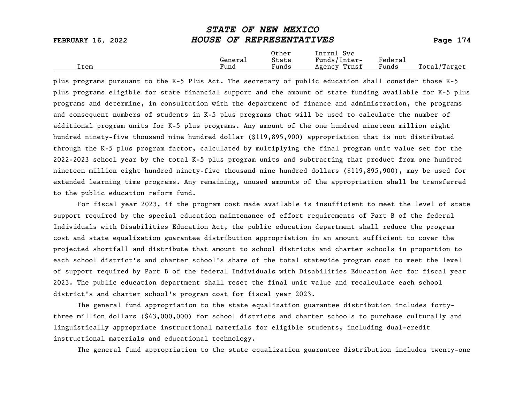| <b>FEBRUARY 16, 2022</b> | HOUSE OF REPRESENTATIVES |                |                            |         | Page $174$   |  |
|--------------------------|--------------------------|----------------|----------------------------|---------|--------------|--|
|                          | General                  | Other<br>State | Intrnl Svc<br>Funds/Inter- | Federal |              |  |
| [tem                     | Fund                     | Funds          | Agency Trnsf               | Funds   | Total/Target |  |

plus programs pursuant to the K-5 Plus Act. The secretary of public education shall consider those K-5 plus programs eligible for state financial support and the amount of state funding available for K-5 plus programs and determine, in consultation with the department of finance and administration, the programs and consequent numbers of students in K-5 plus programs that will be used to calculate the number of additional program units for K-5 plus programs. Any amount of the one hundred nineteen million eight hundred ninety-five thousand nine hundred dollar (\$119,895,900) appropriation that is not distributed through the K-5 plus program factor, calculated by multiplying the final program unit value set for the 2022-2023 school year by the total K-5 plus program units and subtracting that product from one hundred nineteen million eight hundred ninety-five thousand nine hundred dollars (\$119,895,900), may be used for extended learning time programs. Any remaining, unused amounts of the appropriation shall be transferred to the public education reform fund.

For fiscal year 2023, if the program cost made available is insufficient to meet the level of state support required by the special education maintenance of effort requirements of Part B of the federal Individuals with Disabilities Education Act, the public education department shall reduce the program cost and state equalization guarantee distribution appropriation in an amount sufficient to cover the projected shortfall and distribute that amount to school districts and charter schools in proportion to each school district's and charter school's share of the total statewide program cost to meet the level of support required by Part B of the federal Individuals with Disabilities Education Act for fiscal year 2023. The public education department shall reset the final unit value and recalculate each school district's and charter school's program cost for fiscal year 2023.

The general fund appropriation to the state equalization guarantee distribution includes fortythree million dollars (\$43,000,000) for school districts and charter schools to purchase culturally and linguistically appropriate instructional materials for eligible students, including dual-credit instructional materials and educational technology.

The general fund appropriation to the state equalization guarantee distribution includes twenty-one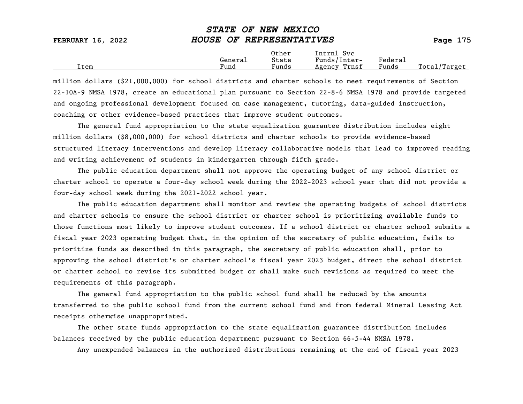|                          | ~~~~~~ ~~ ** <b>**** ******</b> |                |                            |         |  |
|--------------------------|---------------------------------|----------------|----------------------------|---------|--|
| <b>FEBRUARY 16, 2022</b> | HOUSE OF REPRESENTATIVES        |                |                            |         |  |
|                          | General                         | Other<br>State | Intrnl Svc<br>Funds/Inter- | Federal |  |

Item Fund Funds Agency Trnsf Funds Total/Target

STATE OF NEW MEXICO

| million dollars (\$21,000,000) for school districts and charter schools to meet requirements of Section  |
|----------------------------------------------------------------------------------------------------------|
| 22-10A-9 NMSA 1978, create an educational plan pursuant to Section 22-8-6 NMSA 1978 and provide targeted |
| and ongoing professional development focused on case management, tutoring, data-guided instruction,      |
| coaching or other evidence-based practices that improve student outcomes.                                |

The general fund appropriation to the state equalization guarantee distribution includes eight million dollars (\$8,000,000) for school districts and charter schools to provide evidence-based structured literacy interventions and develop literacy collaborative models that lead to improved reading and writing achievement of students in kindergarten through fifth grade.

The public education department shall not approve the operating budget of any school district or charter school to operate a four-day school week during the 2022-2023 school year that did not provide a four-day school week during the 2021-2022 school year.

The public education department shall monitor and review the operating budgets of school districts and charter schools to ensure the school district or charter school is prioritizing available funds to those functions most likely to improve student outcomes. If a school district or charter school submits a fiscal year 2023 operating budget that, in the opinion of the secretary of public education, fails to prioritize funds as described in this paragraph, the secretary of public education shall, prior to approving the school district's or charter school's fiscal year 2023 budget, direct the school district or charter school to revise its submitted budget or shall make such revisions as required to meet the requirements of this paragraph.

The general fund appropriation to the public school fund shall be reduced by the amounts transferred to the public school fund from the current school fund and from federal Mineral Leasing Act receipts otherwise unappropriated.

The other state funds appropriation to the state equalization guarantee distribution includes balances received by the public education department pursuant to Section 66-5-44 NMSA 1978.

Any unexpended balances in the authorized distributions remaining at the end of fiscal year 2023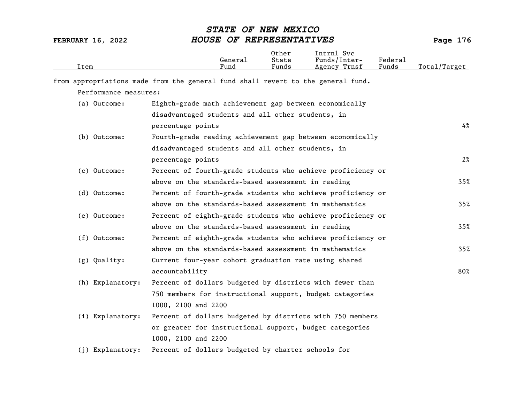| Item |                       |                                                                                  | General<br>Fund | Other<br>State<br>Funds | Intrnl Svc<br>Funds/Inter-<br>Agency Trnsf | Federal<br>Funds | Total/Target |
|------|-----------------------|----------------------------------------------------------------------------------|-----------------|-------------------------|--------------------------------------------|------------------|--------------|
|      |                       | from appropriations made from the general fund shall revert to the general fund. |                 |                         |                                            |                  |              |
|      | Performance measures: |                                                                                  |                 |                         |                                            |                  |              |
|      | (a) Outcome:          | Eighth-grade math achievement gap between economically                           |                 |                         |                                            |                  |              |
|      |                       | disadvantaged students and all other students, in                                |                 |                         |                                            |                  |              |
|      |                       | percentage points                                                                |                 |                         |                                            |                  | 4%           |
|      | (b) Outcome:          | Fourth-grade reading achievement gap between economically                        |                 |                         |                                            |                  |              |
|      |                       | disadvantaged students and all other students, in                                |                 |                         |                                            |                  |              |
|      |                       | percentage points                                                                |                 |                         |                                            |                  | $2\%$        |
|      | (c) Outcome:          | Percent of fourth-grade students who achieve proficiency or                      |                 |                         |                                            |                  |              |
|      |                       | above on the standards-based assessment in reading                               |                 |                         |                                            |                  | 35%          |
|      | (d) Outcome:          | Percent of fourth-grade students who achieve proficiency or                      |                 |                         |                                            |                  |              |
|      |                       | above on the standards-based assessment in mathematics                           |                 |                         |                                            |                  | 35%          |
|      | (e) Outcome:          | Percent of eighth-grade students who achieve proficiency or                      |                 |                         |                                            |                  |              |
|      |                       | above on the standards-based assessment in reading                               |                 |                         |                                            |                  | 35%          |
|      | (f) Outcome:          | Percent of eighth-grade students who achieve proficiency or                      |                 |                         |                                            |                  |              |
|      |                       | above on the standards-based assessment in mathematics                           |                 |                         |                                            |                  | 35%          |
|      | (g) Quality:          | Current four-year cohort graduation rate using shared                            |                 |                         |                                            |                  |              |
|      |                       | accountability                                                                   |                 |                         |                                            |                  | 80%          |
|      | (h) Explanatory:      | Percent of dollars budgeted by districts with fewer than                         |                 |                         |                                            |                  |              |
|      |                       | 750 members for instructional support, budget categories                         |                 |                         |                                            |                  |              |
|      |                       | 1000, 2100 and 2200                                                              |                 |                         |                                            |                  |              |
|      | (i) Explanatory:      | Percent of dollars budgeted by districts with 750 members                        |                 |                         |                                            |                  |              |
|      |                       | or greater for instructional support, budget categories                          |                 |                         |                                            |                  |              |
|      |                       | 1000, 2100 and 2200                                                              |                 |                         |                                            |                  |              |
|      | (j) Explanatory:      | Percent of dollars budgeted by charter schools for                               |                 |                         |                                            |                  |              |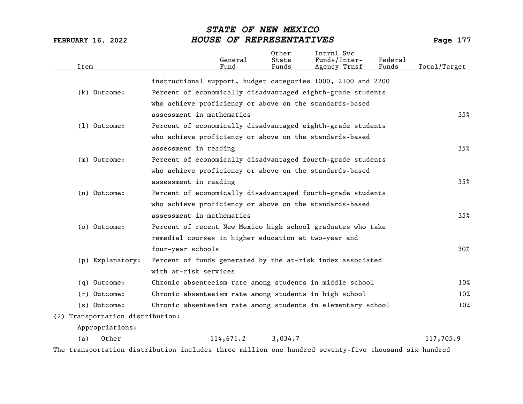| Item                             | General<br>Fund                                              | Other<br>State<br>Funds | Intrnl Svc<br>Funds/Inter-<br>Agency Trnsf | Federal<br>Funds | Total/Target |
|----------------------------------|--------------------------------------------------------------|-------------------------|--------------------------------------------|------------------|--------------|
|                                  | instructional support, budget categories 1000, 2100 and 2200 |                         |                                            |                  |              |
| (k) Outcome:                     | Percent of economically disadvantaged eighth-grade students  |                         |                                            |                  |              |
|                                  | who achieve proficiency or above on the standards-based      |                         |                                            |                  |              |
|                                  | assessment in mathematics                                    |                         |                                            |                  | 35%          |
| $(1)$ Outcome:                   | Percent of economically disadvantaged eighth-grade students  |                         |                                            |                  |              |
|                                  | who achieve proficiency or above on the standards-based      |                         |                                            |                  |              |
|                                  | assessment in reading                                        |                         |                                            |                  | 35%          |
| (m) Outcome:                     | Percent of economically disadvantaged fourth-grade students  |                         |                                            |                  |              |
|                                  | who achieve proficiency or above on the standards-based      |                         |                                            |                  |              |
|                                  | assessment in reading                                        |                         |                                            |                  | 35%          |
| (n) Outcome:                     | Percent of economically disadvantaged fourth-grade students  |                         |                                            |                  |              |
|                                  | who achieve proficiency or above on the standards-based      |                         |                                            |                  |              |
|                                  | assessment in mathematics                                    |                         |                                            |                  | 35%          |
| (o) Outcome:                     | Percent of recent New Mexico high school graduates who take  |                         |                                            |                  |              |
|                                  | remedial courses in higher education at two-year and         |                         |                                            |                  |              |
|                                  | four-year schools                                            |                         |                                            |                  | 30%          |
| (p) Explanatory:                 | Percent of funds generated by the at-risk index associated   |                         |                                            |                  |              |
|                                  | with at-risk services                                        |                         |                                            |                  |              |
| (q) Outcome:                     | Chronic absenteeism rate among students in middle school     |                         |                                            |                  | 10%          |
| $(r)$ Outcome:                   | Chronic absenteeism rate among students in high school       |                         |                                            |                  | 10%          |
| (s) Outcome:                     | Chronic absenteeism rate among students in elementary school |                         |                                            |                  | 10%          |
| (2) Transportation distribution: |                                                              |                         |                                            |                  |              |
| Appropriations:                  |                                                              |                         |                                            |                  |              |
| (a)<br>Other                     | 114,671.2                                                    | 3,034.7                 |                                            |                  | 117,705.9    |
|                                  |                                                              |                         |                                            |                  |              |

The transportation distribution includes three million one hundred seventy-five thousand six hundred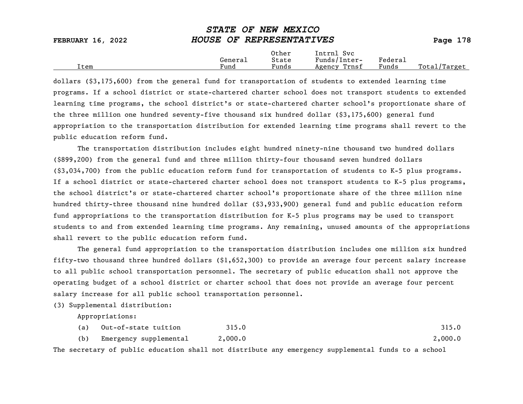| <b>FEBRUARY 16, 2022</b> | HOUSE OF REPRESENTATIVES |                |                            |         | Page 178     |
|--------------------------|--------------------------|----------------|----------------------------|---------|--------------|
|                          | General                  | Other<br>State | Intrnl Svc<br>Funds/Inter- | Federal |              |
| Item                     | Fund                     | Funds          | Agency Trnsf               | Funds   | Total/Target |

dollars (\$3,175,600) from the general fund for transportation of students to extended learning time programs. If a school district or state-chartered charter school does not transport students to extended learning time programs, the school district's or state-chartered charter school's proportionate share of the three million one hundred seventy-five thousand six hundred dollar (\$3,175,600) general fund appropriation to the transportation distribution for extended learning time programs shall revert to the public education reform fund.

The transportation distribution includes eight hundred ninety-nine thousand two hundred dollars (\$899,200) from the general fund and three million thirty-four thousand seven hundred dollars (\$3,034,700) from the public education reform fund for transportation of students to K-5 plus programs. If a school district or state-chartered charter school does not transport students to K-5 plus programs, the school district's or state-chartered charter school's proportionate share of the three million nine hundred thirty-three thousand nine hundred dollar (\$3,933,900) general fund and public education reform fund appropriations to the transportation distribution for K-5 plus programs may be used to transport students to and from extended learning time programs. Any remaining, unused amounts of the appropriations shall revert to the public education reform fund.

The general fund appropriation to the transportation distribution includes one million six hundred fifty-two thousand three hundred dollars (\$1,652,300) to provide an average four percent salary increase to all public school transportation personnel. The secretary of public education shall not approve the operating budget of a school district or charter school that does not provide an average four percent salary increase for all public school transportation personnel.

(3) Supplemental distribution:

Appropriations:

|     | (a) Out-of-state tuition | 315.0   | 315.0   |
|-----|--------------------------|---------|---------|
| (b) | Emergency supplemental   | 2,000.0 | 2,000.0 |

The secretary of public education shall not distribute any emergency supplemental funds to a school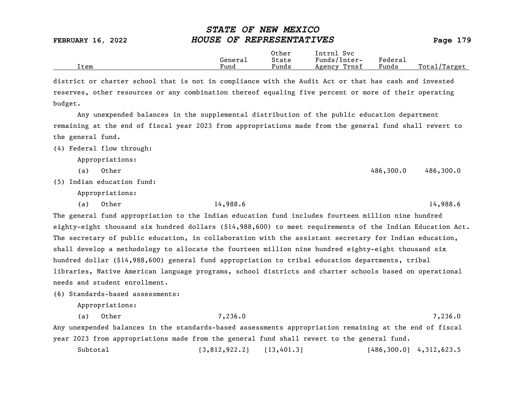|                          | <b>STATE OF NEW MEXICO</b> |            |
|--------------------------|----------------------------|------------|
| <b>FEBRUARY 16, 2022</b> | HOUSE OF REPRESENTATIVES   | Page $179$ |

|      |         | Other                 | Intrnl<br>Sv c  |                     |                   |
|------|---------|-----------------------|-----------------|---------------------|-------------------|
|      | Generai | State                 | Funds/Inter-    | Federa <sub>1</sub> |                   |
| Item | Fund    | $\mathbf{r}$<br>Funds | Trnsf<br>Agency | Funds               | Total,<br>'Target |

district or charter school that is not in compliance with the Audit Act or that has cash and invested reserves, other resources or any combination thereof equaling five percent or more of their operating budget.

Any unexpended balances in the supplemental distribution of the public education department remaining at the end of fiscal year 2023 from appropriations made from the general fund shall revert to the general fund.

(4) Federal flow through:

Appropriations:

(a) Other 486,300.0 486,300.0 486,300.0

(5) Indian education fund:

Appropriations:

(a) Other 14,988.6 14,988.6

The general fund appropriation to the Indian education fund includes fourteen million nine hundred eighty-eight thousand six hundred dollars (\$14,988,600) to meet requirements of the Indian Education Act. The secretary of public education, in collaboration with the assistant secretary for Indian education, shall develop a methodology to allocate the fourteen million nine hundred eighty-eight thousand six hundred dollar (\$14,988,600) general fund appropriation to tribal education departments, tribal libraries, Native American language programs, school districts and charter schools based on operational needs and student enrollment.

(6) Standards-based assessments:

Appropriations:

(a) Other 7,236.0 7,236.0 Any unexpended balances in the standards-based assessments appropriation remaining at the end of fiscal year 2023 from appropriations made from the general fund shall revert to the general fund.

Subtotal [3,812,922.2] [13,401.3] [486,300.0] 4,312,623.5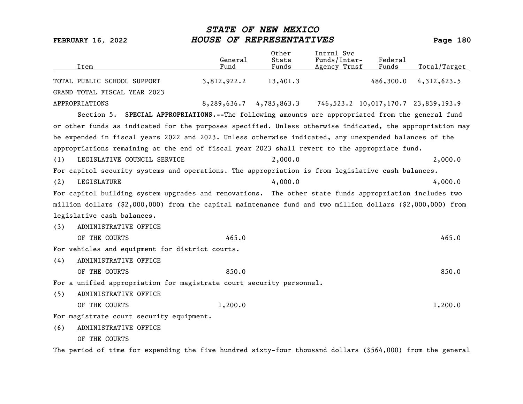| Item                                                                                                       | General<br>Fund | Other<br>State<br>Funds | Intrnl Svc<br>Funds/Inter-<br>Agency Trnsf                            | Federal<br>Funds | Total/Target |
|------------------------------------------------------------------------------------------------------------|-----------------|-------------------------|-----------------------------------------------------------------------|------------------|--------------|
| TOTAL PUBLIC SCHOOL SUPPORT                                                                                | 3,812,922.2     | 13,401.3                |                                                                       | 486,300.0        | 4,312,623.5  |
| GRAND TOTAL FISCAL YEAR 2023                                                                               |                 |                         |                                                                       |                  |              |
| APPROPRIATIONS                                                                                             |                 |                         | $8,289,636.7$ $4,785,863.3$ $746,523.2$ $10,017,170.7$ $23,839,193.9$ |                  |              |
| Section 5. SPECIAL APPROPRIATIONS.--The following amounts are appropriated from the general fund           |                 |                         |                                                                       |                  |              |
| or other funds as indicated for the purposes specified. Unless otherwise indicated, the appropriation may  |                 |                         |                                                                       |                  |              |
| be expended in fiscal years 2022 and 2023. Unless otherwise indicated, any unexpended balances of the      |                 |                         |                                                                       |                  |              |
| appropriations remaining at the end of fiscal year 2023 shall revert to the appropriate fund.              |                 |                         |                                                                       |                  |              |
| LEGISLATIVE COUNCIL SERVICE<br>(1)                                                                         |                 | 2,000.0                 |                                                                       |                  | 2,000.0      |
| For capitol security systems and operations. The appropriation is from legislative cash balances.          |                 |                         |                                                                       |                  |              |
| LEGISLATURE<br>(2)                                                                                         |                 | 4,000.0                 |                                                                       |                  | 4,000.0      |
| For capitol building system upgrades and renovations. The other state funds appropriation includes two     |                 |                         |                                                                       |                  |              |
| million dollars (\$2,000,000) from the capital maintenance fund and two million dollars (\$2,000,000) from |                 |                         |                                                                       |                  |              |
| legislative cash balances.                                                                                 |                 |                         |                                                                       |                  |              |
| ADMINISTRATIVE OFFICE<br>(3)                                                                               |                 |                         |                                                                       |                  |              |
| OF THE COURTS                                                                                              | 465.0           |                         |                                                                       |                  | 465.0        |
| For vehicles and equipment for district courts.                                                            |                 |                         |                                                                       |                  |              |
| ADMINISTRATIVE OFFICE<br>(4)                                                                               |                 |                         |                                                                       |                  |              |
| OF THE COURTS                                                                                              | 850.0           |                         |                                                                       |                  | 850.0        |
| For a unified appropriation for magistrate court security personnel.                                       |                 |                         |                                                                       |                  |              |
| ADMINISTRATIVE OFFICE<br>(5)                                                                               |                 |                         |                                                                       |                  |              |
| OF THE COURTS                                                                                              | 1,200.0         |                         |                                                                       |                  | 1,200.0      |
| For magistrate court security equipment.                                                                   |                 |                         |                                                                       |                  |              |
| ADMINISTRATIVE OFFICE<br>(6)                                                                               |                 |                         |                                                                       |                  |              |
| OF THE COURTS                                                                                              |                 |                         |                                                                       |                  |              |

The period of time for expending the five hundred sixty-four thousand dollars (\$564,000) from the general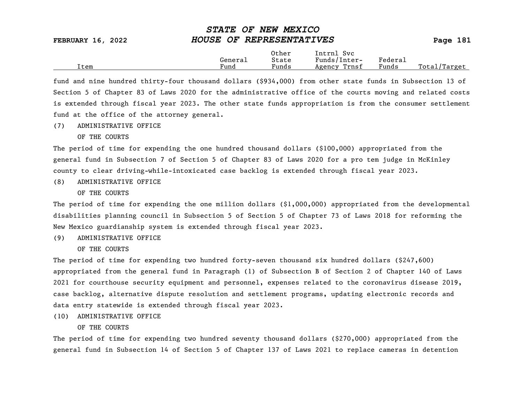|      |         | Other | Intrnl<br>Svc   |                                    |                 |
|------|---------|-------|-----------------|------------------------------------|-----------------|
|      | General | State | Funds/Inter-    | ${}_{\rm \texttt{Federa}_{\perp}}$ |                 |
| Item | Fund    | Funds | Trnsf<br>Agency | Funds                              | Total<br>Target |

fund and nine hundred thirty-four thousand dollars (\$934,000) from other state funds in Subsection 13 of Section 5 of Chapter 83 of Laws 2020 for the administrative office of the courts moving and related costs is extended through fiscal year 2023. The other state funds appropriation is from the consumer settlement fund at the office of the attorney general.

- (7) ADMINISTRATIVE OFFICE
	- OF THE COURTS

The period of time for expending the one hundred thousand dollars (\$100,000) appropriated from the general fund in Subsection 7 of Section 5 of Chapter 83 of Laws 2020 for a pro tem judge in McKinley county to clear driving-while-intoxicated case backlog is extended through fiscal year 2023.

(8) ADMINISTRATIVE OFFICE

OF THE COURTS

The period of time for expending the one million dollars (\$1,000,000) appropriated from the developmental disabilities planning council in Subsection 5 of Section 5 of Chapter 73 of Laws 2018 for reforming the New Mexico guardianship system is extended through fiscal year 2023.

(9) ADMINISTRATIVE OFFICE

OF THE COURTS

The period of time for expending two hundred forty-seven thousand six hundred dollars (\$247,600) appropriated from the general fund in Paragraph (1) of Subsection B of Section 2 of Chapter 140 of Laws 2021 for courthouse security equipment and personnel, expenses related to the coronavirus disease 2019, case backlog, alternative dispute resolution and settlement programs, updating electronic records and data entry statewide is extended through fiscal year 2023.

(10) ADMINISTRATIVE OFFICE

#### OF THE COURTS

The period of time for expending two hundred seventy thousand dollars (\$270,000) appropriated from the general fund in Subsection 14 of Section 5 of Chapter 137 of Laws 2021 to replace cameras in detention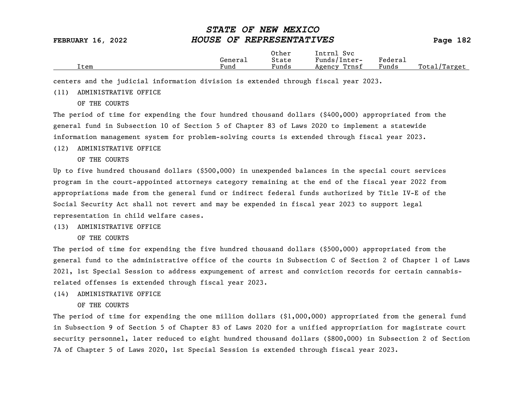|      |         | Other | Intrnl<br>Svc   |                                    |                  |
|------|---------|-------|-----------------|------------------------------------|------------------|
|      | General | State | Funds/Inter-    | ${}_{\rm \texttt{Federa}_{\perp}}$ |                  |
| Item | Fund    | Funds | Trnsf<br>Agency | Funds                              | Total<br>Target/ |

centers and the judicial information division is extended through fiscal year 2023.

### (11) ADMINISTRATIVE OFFICE

OF THE COURTS

The period of time for expending the four hundred thousand dollars (\$400,000) appropriated from the general fund in Subsection 10 of Section 5 of Chapter 83 of Laws 2020 to implement a statewide information management system for problem-solving courts is extended through fiscal year 2023.

#### (12) ADMINISTRATIVE OFFICE

OF THE COURTS

Up to five hundred thousand dollars (\$500,000) in unexpended balances in the special court services program in the court-appointed attorneys category remaining at the end of the fiscal year 2022 from appropriations made from the general fund or indirect federal funds authorized by Title IV-E of the Social Security Act shall not revert and may be expended in fiscal year 2023 to support legal representation in child welfare cases.

#### (13) ADMINISTRATIVE OFFICE

OF THE COURTS

The period of time for expending the five hundred thousand dollars (\$500,000) appropriated from the general fund to the administrative office of the courts in Subsection C of Section 2 of Chapter 1 of Laws 2021, 1st Special Session to address expungement of arrest and conviction records for certain cannabisrelated offenses is extended through fiscal year 2023.

#### (14) ADMINISTRATIVE OFFICE

OF THE COURTS

The period of time for expending the one million dollars (\$1,000,000) appropriated from the general fund in Subsection 9 of Section 5 of Chapter 83 of Laws 2020 for a unified appropriation for magistrate court security personnel, later reduced to eight hundred thousand dollars (\$800,000) in Subsection 2 of Section 7A of Chapter 5 of Laws 2020, 1st Special Session is extended through fiscal year 2023.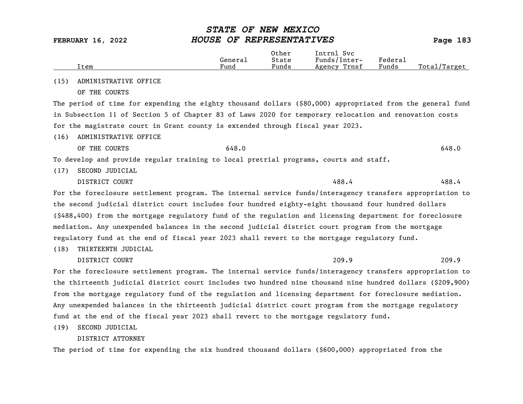|      | Item                                                                                                                                                                                                                                                                                                                                       | General<br>Fund | Other<br>State<br>Funds | Intrnl Svc<br>Funds/Inter-<br>Agency Trnsf | Federal<br>Funds | Total/Target |
|------|--------------------------------------------------------------------------------------------------------------------------------------------------------------------------------------------------------------------------------------------------------------------------------------------------------------------------------------------|-----------------|-------------------------|--------------------------------------------|------------------|--------------|
| (15) | ADMINISTRATIVE OFFICE                                                                                                                                                                                                                                                                                                                      |                 |                         |                                            |                  |              |
|      | OF THE COURTS                                                                                                                                                                                                                                                                                                                              |                 |                         |                                            |                  |              |
|      | The period of time for expending the eighty thousand dollars (\$80,000) appropriated from the general fund                                                                                                                                                                                                                                 |                 |                         |                                            |                  |              |
|      | in Subsection 11 of Section 5 of Chapter 83 of Laws 2020 for temporary relocation and renovation costs                                                                                                                                                                                                                                     |                 |                         |                                            |                  |              |
|      | for the magistrate court in Grant county is extended through fiscal year 2023.                                                                                                                                                                                                                                                             |                 |                         |                                            |                  |              |
|      | $(17)$ $\ldots$ $\ldots$ $\ldots$ $\ldots$ $\ldots$ $\ldots$ $\ldots$ $\ldots$ $\ldots$ $\ldots$ $\ldots$ $\ldots$ $\ldots$ $\ldots$ $\ldots$ $\ldots$ $\ldots$ $\ldots$ $\ldots$ $\ldots$ $\ldots$ $\ldots$ $\ldots$ $\ldots$ $\ldots$ $\ldots$ $\ldots$ $\ldots$ $\ldots$ $\ldots$ $\ldots$ $\ldots$ $\ldots$ $\ldots$ $\ldots$ $\ldots$ |                 |                         |                                            |                  |              |

(16) ADMINISTRATIVE OFFICE

OF THE COURTS  $648.0$ 

To develop and provide regular training to local pretrial programs, courts and staff.

(17) SECOND JUDICIAL

DISTRICT COURT 488.4

For the foreclosure settlement program. The internal service funds/interagency transfers appropriation to the second judicial district court includes four hundred eighty-eight thousand four hundred dollars (\$488,400) from the mortgage regulatory fund of the regulation and licensing department for foreclosure mediation. Any unexpended balances in the second judicial district court program from the mortgage regulatory fund at the end of fiscal year 2023 shall revert to the mortgage regulatory fund.

(18) THIRTEENTH JUDICIAL

DISTRICT COURT 209.9

For the foreclosure settlement program. The internal service funds/interagency transfers appropriation to the thirteenth judicial district court includes two hundred nine thousand nine hundred dollars (\$209,900) from the mortgage regulatory fund of the regulation and licensing department for foreclosure mediation. Any unexpended balances in the thirteenth judicial district court program from the mortgage regulatory fund at the end of the fiscal year 2023 shall revert to the mortgage regulatory fund.

(19) SECOND JUDICIAL

### DISTRICT ATTORNEY

The period of time for expending the six hundred thousand dollars (\$600,000) appropriated from the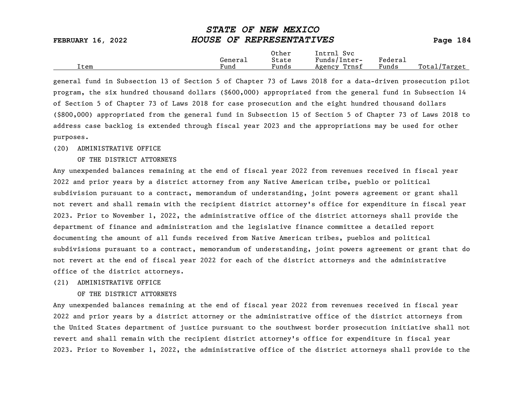| <b>FEBRUARY 16, 2022</b> | HOUSE OF REPRESENTATIVES |                |                            |         | Page 184 |
|--------------------------|--------------------------|----------------|----------------------------|---------|----------|
|                          | General                  | Other<br>State | Intrnl Svc<br>Funds/Inter- | Federal |          |

Item Fund Funds Agency Trnsf Funds Total/Target

STATE OF NEW MEXICO

general fund in Subsection 13 of Section 5 of Chapter 73 of Laws 2018 for a data-driven prosecution pilot program, the six hundred thousand dollars (\$600,000) appropriated from the general fund in Subsection 14 of Section 5 of Chapter 73 of Laws 2018 for case prosecution and the eight hundred thousand dollars (\$800,000) appropriated from the general fund in Subsection 15 of Section 5 of Chapter 73 of Laws 2018 to address case backlog is extended through fiscal year 2023 and the appropriations may be used for other purposes.

#### (20) ADMINISTRATIVE OFFICE

#### OF THE DISTRICT ATTORNEYS

Any unexpended balances remaining at the end of fiscal year 2022 from revenues received in fiscal year 2022 and prior years by a district attorney from any Native American tribe, pueblo or political subdivision pursuant to a contract, memorandum of understanding, joint powers agreement or grant shall not revert and shall remain with the recipient district attorney's office for expenditure in fiscal year 2023. Prior to November 1, 2022, the administrative office of the district attorneys shall provide the department of finance and administration and the legislative finance committee a detailed report documenting the amount of all funds received from Native American tribes, pueblos and political subdivisions pursuant to a contract, memorandum of understanding, joint powers agreement or grant that do not revert at the end of fiscal year 2022 for each of the district attorneys and the administrative office of the district attorneys.

#### (21) ADMINISTRATIVE OFFICE

#### OF THE DISTRICT ATTORNEYS

Any unexpended balances remaining at the end of fiscal year 2022 from revenues received in fiscal year 2022 and prior years by a district attorney or the administrative office of the district attorneys from the United States department of justice pursuant to the southwest border prosecution initiative shall not revert and shall remain with the recipient district attorney's office for expenditure in fiscal year 2023. Prior to November 1, 2022, the administrative office of the district attorneys shall provide to the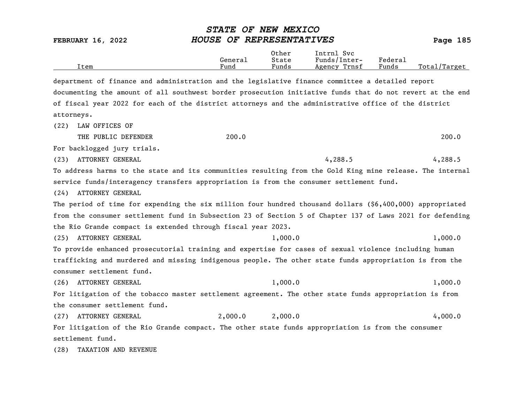Other Intrnl Svc<br>General State Funds/Inter General State Funds/Inter- Federal Total/Target department of finance and administration and the legislative finance committee a detailed report documenting the amount of all southwest border prosecution initiative funds that do not revert at the end of fiscal year 2022 for each of the district attorneys and the administrative office of the district attorneys. (22) LAW OFFICES OF THE PUBLIC DEFENDER 200.0 200.0 200.0 200.0 200.0 200.0 200.0 200.0 200.0 200.0 200.0 200.0 200.0 200.0 200.0 200.0 200.0 200.0 200.0 200.0 200.0 200.0 200.0 200.0 200.0 200.0 200.0 200.0 200.0 200.0 200.0 200.0 201 201 20 For backlogged jury trials. (23) ATTORNEY GENERAL 4,288.5 4,288.5 4,288.5 To address harms to the state and its communities resulting from the Gold King mine release. The internal service funds/interagency transfers appropriation is from the consumer settlement fund. (24) ATTORNEY GENERAL The period of time for expending the six million four hundred thousand dollars (\$6,400,000) appropriated from the consumer settlement fund in Subsection 23 of Section 5 of Chapter 137 of Laws 2021 for defending the Rio Grande compact is extended through fiscal year 2023. (25) ATTORNEY GENERAL 1,000.0 1,000.0 1,000.0 To provide enhanced prosecutorial training and expertise for cases of sexual violence including human trafficking and murdered and missing indigenous people. The other state funds appropriation is from the consumer settlement fund. (26) ATTORNEY GENERAL 1,000.0 1,000.0 1,000.0 For litigation of the tobacco master settlement agreement. The other state funds appropriation is from the consumer settlement fund. (27) ATTORNEY GENERAL 2,000.0 2,000.0 4,000.0 For litigation of the Rio Grande compact. The other state funds appropriation is from the consumer settlement fund. (28) TAXATION AND REVENUE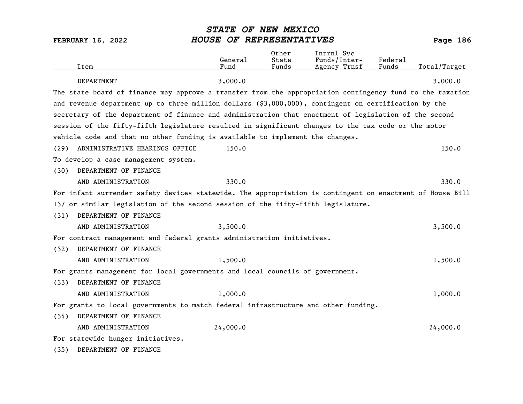| Item                                                                                                      | General<br>Fund | Other<br>State<br>Funds | Intrnl Svc<br>Funds/Inter-<br>Agency Trnsf | Federal<br>Funds | Total/Target |
|-----------------------------------------------------------------------------------------------------------|-----------------|-------------------------|--------------------------------------------|------------------|--------------|
| <b>DEPARTMENT</b>                                                                                         | 3,000.0         |                         |                                            |                  | 3,000.0      |
| The state board of finance may approve a transfer from the appropriation contingency fund to the taxation |                 |                         |                                            |                  |              |
| and revenue department up to three million dollars (\$3,000,000), contingent on certification by the      |                 |                         |                                            |                  |              |
| secretary of the department of finance and administration that enactment of legislation of the second     |                 |                         |                                            |                  |              |
| session of the fifty-fifth legislature resulted in significant changes to the tax code or the motor       |                 |                         |                                            |                  |              |
| vehicle code and that no other funding is available to implement the changes.                             |                 |                         |                                            |                  |              |
| ADMINISTRATIVE HEARINGS OFFICE<br>(29)                                                                    | 150.0           |                         |                                            |                  | 150.0        |
| To develop a case management system.                                                                      |                 |                         |                                            |                  |              |
| DEPARTMENT OF FINANCE<br>(30)                                                                             |                 |                         |                                            |                  |              |
| AND ADMINISTRATION                                                                                        | 330.0           |                         |                                            |                  | 330.0        |
| For infant surrender safety devices statewide. The appropriation is contingent on enactment of House Bill |                 |                         |                                            |                  |              |
| 137 or similar legislation of the second session of the fifty-fifth legislature.                          |                 |                         |                                            |                  |              |
| DEPARTMENT OF FINANCE<br>(31)                                                                             |                 |                         |                                            |                  |              |
| AND ADMINISTRATION                                                                                        | 3,500.0         |                         |                                            |                  | 3,500.0      |
| For contract management and federal grants administration initiatives.                                    |                 |                         |                                            |                  |              |
| DEPARTMENT OF FINANCE<br>(32)                                                                             |                 |                         |                                            |                  |              |
| AND ADMINISTRATION                                                                                        | 1,500.0         |                         |                                            |                  | 1,500.0      |
| For grants management for local governments and local councils of government.                             |                 |                         |                                            |                  |              |
| DEPARTMENT OF FINANCE<br>(33)                                                                             |                 |                         |                                            |                  |              |
| AND ADMINISTRATION                                                                                        | 1,000.0         |                         |                                            |                  | 1,000.0      |
| For grants to local governments to match federal infrastructure and other funding.                        |                 |                         |                                            |                  |              |
| DEPARTMENT OF FINANCE<br>(34)                                                                             |                 |                         |                                            |                  |              |
| AND ADMINISTRATION                                                                                        | 24,000.0        |                         |                                            |                  | 24,000.0     |
| For statewide hunger initiatives.                                                                         |                 |                         |                                            |                  |              |
| DEPARTMENT OF FINANCE<br>(35)                                                                             |                 |                         |                                            |                  |              |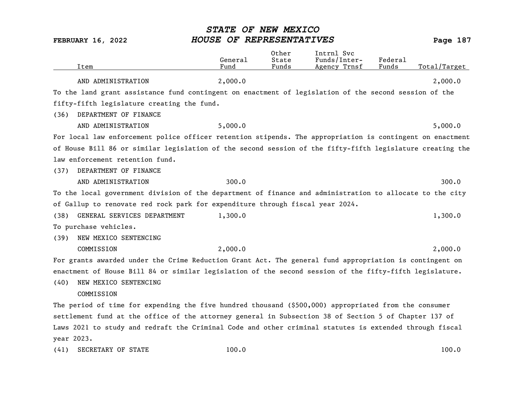| Item                                                                                                      | General<br>Fund | 0ther<br>State<br>Funds | Intrnl Svc<br>Funds/Inter-<br>Agency Trnsf | Federal<br>Funds | Total/Target |
|-----------------------------------------------------------------------------------------------------------|-----------------|-------------------------|--------------------------------------------|------------------|--------------|
| AND ADMINISTRATION                                                                                        | 2,000.0         |                         |                                            |                  | 2,000.0      |
| To the land grant assistance fund contingent on enactment of legislation of the second session of the     |                 |                         |                                            |                  |              |
| fifty-fifth legislature creating the fund.                                                                |                 |                         |                                            |                  |              |
| DEPARTMENT OF FINANCE<br>(36)                                                                             |                 |                         |                                            |                  |              |
| AND ADMINISTRATION                                                                                        | 5,000.0         |                         |                                            |                  | 5,000.0      |
| For local law enforcement police officer retention stipends. The appropriation is contingent on enactment |                 |                         |                                            |                  |              |
| of House Bill 86 or similar legislation of the second session of the fifty-fifth legislature creating the |                 |                         |                                            |                  |              |
| law enforcement retention fund.                                                                           |                 |                         |                                            |                  |              |
| DEPARTMENT OF FINANCE<br>(37)                                                                             |                 |                         |                                            |                  |              |
| AND ADMINISTRATION                                                                                        | 300.0           |                         |                                            |                  | 300.0        |
| To the local government division of the department of finance and administration to allocate to the city  |                 |                         |                                            |                  |              |
| of Gallup to renovate red rock park for expenditure through fiscal year 2024.                             |                 |                         |                                            |                  |              |
| (38)<br>GENERAL SERVICES DEPARTMENT                                                                       | 1,300.0         |                         |                                            |                  | 1,300.0      |
| To purchase vehicles.                                                                                     |                 |                         |                                            |                  |              |
| NEW MEXICO SENTENCING<br>(39)                                                                             |                 |                         |                                            |                  |              |
| COMMISSION                                                                                                | 2,000.0         |                         |                                            |                  | 2,000.0      |
| For grants awarded under the Crime Reduction Grant Act. The general fund appropriation is contingent on   |                 |                         |                                            |                  |              |
| enactment of House Bill 84 or similar legislation of the second session of the fifty-fifth legislature.   |                 |                         |                                            |                  |              |
| NEW MEXICO SENTENCING<br>(40)                                                                             |                 |                         |                                            |                  |              |
| COMMISSION                                                                                                |                 |                         |                                            |                  |              |
| The period of time for expending the five hundred thousand (\$500,000) appropriated from the consumer     |                 |                         |                                            |                  |              |
| settlement fund at the office of the attorney general in Subsection 38 of Section 5 of Chapter 137 of     |                 |                         |                                            |                  |              |
| Laws 2021 to study and redraft the Criminal Code and other criminal statutes is extended through fiscal   |                 |                         |                                            |                  |              |
| year 2023.                                                                                                |                 |                         |                                            |                  |              |
| SECRETARY OF STATE<br>(41)                                                                                | 100.0           |                         |                                            |                  | 100.0        |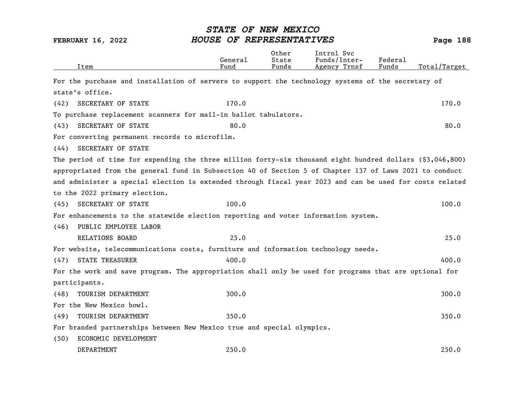|      | Item                                                                                                      | General<br>Fund | Other<br>State<br>Funds | Intrnl Svc<br>Funds/Inter-<br>Agency Trnsf | Federal<br>Funds | Total/Target |
|------|-----------------------------------------------------------------------------------------------------------|-----------------|-------------------------|--------------------------------------------|------------------|--------------|
|      | For the purchase and installation of servers to support the technology systems of the secretary of        |                 |                         |                                            |                  |              |
|      | state's office.                                                                                           |                 |                         |                                            |                  |              |
| (42) | SECRETARY OF STATE                                                                                        | 170.0           |                         |                                            |                  | 170.0        |
|      | To purchase replacement scanners for mail-in ballot tabulators.                                           |                 |                         |                                            |                  |              |
| (43) | SECRETARY OF STATE                                                                                        | 80.0            |                         |                                            |                  | 80.0         |
|      | For converting permanent records to microfilm.                                                            |                 |                         |                                            |                  |              |
| (44) | SECRETARY OF STATE                                                                                        |                 |                         |                                            |                  |              |
|      | The period of time for expending the three million forty-six thousand eight hundred dollars (\$3,046,800) |                 |                         |                                            |                  |              |
|      | appropriated from the general fund in Subsection 40 of Section 5 of Chapter 137 of Laws 2021 to conduct   |                 |                         |                                            |                  |              |
|      | and administer a special election is extended through fiscal year 2023 and can be used for costs related  |                 |                         |                                            |                  |              |
|      | to the 2022 primary election.                                                                             |                 |                         |                                            |                  |              |
| (45) | SECRETARY OF STATE                                                                                        | 100.0           |                         |                                            |                  | 100.0        |
|      | For enhancements to the statewide election reporting and voter information system.                        |                 |                         |                                            |                  |              |
| (46) | PUBLIC EMPLOYEE LABOR                                                                                     |                 |                         |                                            |                  |              |
|      | RELATIONS BOARD                                                                                           | 25.0            |                         |                                            |                  | 25.0         |
|      | For website, telecommunications costs, furniture and information technology needs.                        |                 |                         |                                            |                  |              |
| (47) | <b>STATE TREASURER</b>                                                                                    | 400.0           |                         |                                            |                  | 400.0        |
|      | For the work and save program. The appropriation shall only be used for programs that are optional for    |                 |                         |                                            |                  |              |
|      | participants.                                                                                             |                 |                         |                                            |                  |              |
| (48) | TOURISM DEPARTMENT                                                                                        | 300.0           |                         |                                            |                  | 300.0        |
|      | For the New Mexico bowl.                                                                                  |                 |                         |                                            |                  |              |
| (49) | TOURISM DEPARTMENT                                                                                        | 350.0           |                         |                                            |                  | 350.0        |
|      | For branded partnerships between New Mexico true and special olympics.                                    |                 |                         |                                            |                  |              |
| (50) | ECONOMIC DEVELOPMENT                                                                                      |                 |                         |                                            |                  |              |
|      | DEPARTMENT                                                                                                | 250.0           |                         |                                            |                  | 250.0        |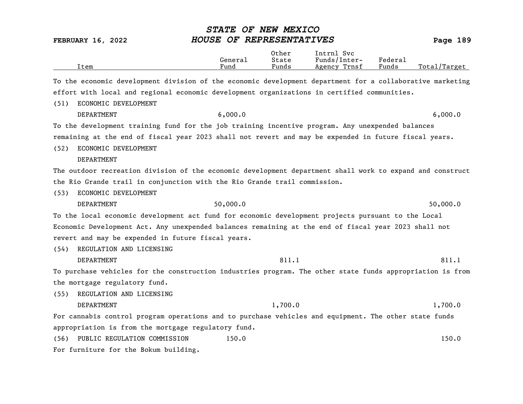|                                                                                                           | STATE OF NEW MEXICO<br>HOUSE OF REPRESENTATIVES |                         |                                            |                  |                          |
|-----------------------------------------------------------------------------------------------------------|-------------------------------------------------|-------------------------|--------------------------------------------|------------------|--------------------------|
| <b>FEBRUARY 16, 2022</b><br>Item                                                                          | General<br>Fund                                 | Other<br>State<br>Funds | Intrnl Svc<br>Funds/Inter-<br>Agency Trnsf | Federal<br>Funds | Page 189<br>Total/Target |
| To the economic development division of the economic development department for a collaborative marketing |                                                 |                         |                                            |                  |                          |
| effort with local and regional economic development organizations in certified communities.               |                                                 |                         |                                            |                  |                          |
| ECONOMIC DEVELOPMENT<br>(51)                                                                              |                                                 |                         |                                            |                  |                          |
| DEPARTMENT                                                                                                | 6,000.0                                         |                         |                                            |                  | 6,000.0                  |
| To the development training fund for the job training incentive program. Any unexpended balances          |                                                 |                         |                                            |                  |                          |
| remaining at the end of fiscal year 2023 shall not revert and may be expended in future fiscal years.     |                                                 |                         |                                            |                  |                          |
| ECONOMIC DEVELOPMENT<br>(52)                                                                              |                                                 |                         |                                            |                  |                          |
| DEPARTMENT                                                                                                |                                                 |                         |                                            |                  |                          |
| The outdoor recreation division of the economic development department shall work to expand and construct |                                                 |                         |                                            |                  |                          |
| the Rio Grande trail in conjunction with the Rio Grande trail commission.                                 |                                                 |                         |                                            |                  |                          |
| ECONOMIC DEVELOPMENT<br>(53)                                                                              |                                                 |                         |                                            |                  |                          |
| <b>DEPARTMENT</b>                                                                                         | 50,000.0                                        |                         |                                            |                  | 50,000.0                 |
| To the local economic development act fund for economic development projects pursuant to the Local        |                                                 |                         |                                            |                  |                          |
| Economic Development Act. Any unexpended balances remaining at the end of fiscal year 2023 shall not      |                                                 |                         |                                            |                  |                          |
| revert and may be expended in future fiscal years.                                                        |                                                 |                         |                                            |                  |                          |
| REGULATION AND LICENSING<br>(54)                                                                          |                                                 |                         |                                            |                  |                          |
| DEPARTMENT                                                                                                |                                                 | 811.1                   |                                            |                  | 811.1                    |
| To purchase vehicles for the construction industries program. The other state funds appropriation is from |                                                 |                         |                                            |                  |                          |
| the mortgage regulatory fund.                                                                             |                                                 |                         |                                            |                  |                          |
| REGULATION AND LICENSING<br>(55)                                                                          |                                                 |                         |                                            |                  |                          |
| DEPARTMENT                                                                                                |                                                 | 1,700.0                 |                                            |                  | 1,700.0                  |
| For cannabis control program operations and to purchase vehicles and equipment. The other state funds     |                                                 |                         |                                            |                  |                          |
| appropriation is from the mortgage regulatory fund.                                                       |                                                 |                         |                                            |                  |                          |
| PUBLIC REGULATION COMMISSION<br>(56)                                                                      | 150.0                                           |                         |                                            |                  | 150.0                    |
| For furniture for the Bokum building.                                                                     |                                                 |                         |                                            |                  |                          |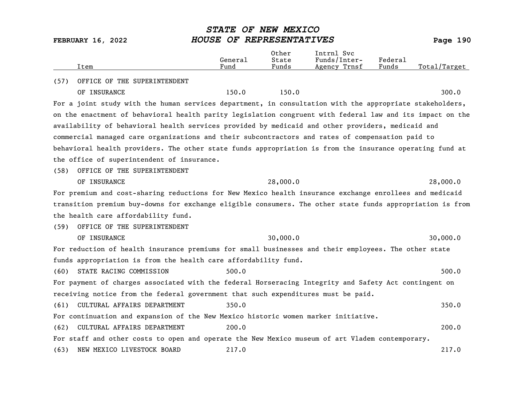| Item                                                                                                      | General<br>Fund | Other<br>State<br>Funds | Intrnl Svc<br>Funds/Inter-<br>Agency Trnsf | Federal<br>Funds | Total/Target |
|-----------------------------------------------------------------------------------------------------------|-----------------|-------------------------|--------------------------------------------|------------------|--------------|
| OFFICE OF THE SUPERINTENDENT<br>(57)                                                                      |                 |                         |                                            |                  |              |
| OF INSURANCE                                                                                              | 150.0           | 150.0                   |                                            |                  | 300.0        |
| For a joint study with the human services department, in consultation with the appropriate stakeholders,  |                 |                         |                                            |                  |              |
| on the enactment of behavioral health parity legislation congruent with federal law and its impact on the |                 |                         |                                            |                  |              |
| availability of behavioral health services provided by medicaid and other providers, medicaid and         |                 |                         |                                            |                  |              |
| commercial managed care organizations and their subcontractors and rates of compensation paid to          |                 |                         |                                            |                  |              |
| behavioral health providers. The other state funds appropriation is from the insurance operating fund at  |                 |                         |                                            |                  |              |
| the office of superintendent of insurance.                                                                |                 |                         |                                            |                  |              |
| OFFICE OF THE SUPERINTENDENT<br>(58)                                                                      |                 |                         |                                            |                  |              |
| OF INSURANCE                                                                                              |                 | 28,000.0                |                                            |                  | 28,000.0     |
| For premium and cost-sharing reductions for New Mexico health insurance exchange enrollees and medicaid   |                 |                         |                                            |                  |              |
| transition premium buy-downs for exchange eligible consumers. The other state funds appropriation is from |                 |                         |                                            |                  |              |
| the health care affordability fund.                                                                       |                 |                         |                                            |                  |              |
| OFFICE OF THE SUPERINTENDENT<br>(59)                                                                      |                 |                         |                                            |                  |              |
| OF INSURANCE                                                                                              |                 | 30,000.0                |                                            |                  | 30,000.0     |
| For reduction of health insurance premiums for small businesses and their employees. The other state      |                 |                         |                                            |                  |              |
| funds appropriation is from the health care affordability fund.                                           |                 |                         |                                            |                  |              |
| (60)<br>STATE RACING COMMISSION                                                                           | 500.0           |                         |                                            |                  | 500.0        |
| For payment of charges associated with the federal Horseracing Integrity and Safety Act contingent on     |                 |                         |                                            |                  |              |
| receiving notice from the federal government that such expenditures must be paid.                         |                 |                         |                                            |                  |              |
| CULTURAL AFFAIRS DEPARTMENT<br>(61)                                                                       | 350.0           |                         |                                            |                  | 350.0        |
| For continuation and expansion of the New Mexico historic women marker initiative.                        |                 |                         |                                            |                  |              |
| (62)<br>CULTURAL AFFAIRS DEPARTMENT                                                                       | 200.0           |                         |                                            |                  | 200.0        |
| For staff and other costs to open and operate the New Mexico museum of art Vladem contemporary.           |                 |                         |                                            |                  |              |
| NEW MEXICO LIVESTOCK BOARD<br>(63)                                                                        | 217.0           |                         |                                            |                  | 217.0        |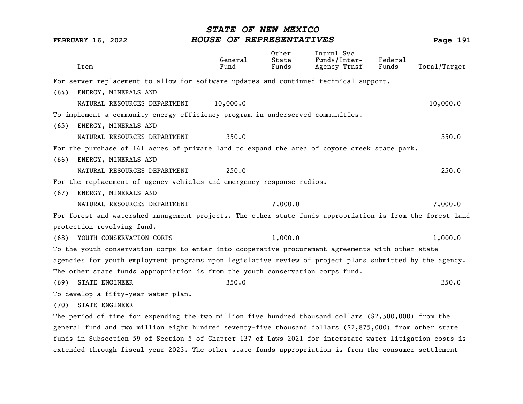|      | Item                                                                                                      | General<br>Fund | Other<br>State<br>Funds | Intrnl Svc<br>Funds/Inter-<br>Agency Trnsf | Federal<br>Funds | Total/Target |
|------|-----------------------------------------------------------------------------------------------------------|-----------------|-------------------------|--------------------------------------------|------------------|--------------|
|      | For server replacement to allow for software updates and continued technical support.                     |                 |                         |                                            |                  |              |
| (64) | ENERGY, MINERALS AND                                                                                      |                 |                         |                                            |                  |              |
|      | NATURAL RESOURCES DEPARTMENT                                                                              | 10,000.0        |                         |                                            |                  | 10,000.0     |
|      | To implement a community energy efficiency program in underserved communities.                            |                 |                         |                                            |                  |              |
| (65) | ENERGY, MINERALS AND                                                                                      |                 |                         |                                            |                  |              |
|      | NATURAL RESOURCES DEPARTMENT                                                                              | 350.0           |                         |                                            |                  | 350.0        |
|      | For the purchase of 141 acres of private land to expand the area of coyote creek state park.              |                 |                         |                                            |                  |              |
| (66) | ENERGY, MINERALS AND                                                                                      |                 |                         |                                            |                  |              |
|      | NATURAL RESOURCES DEPARTMENT                                                                              | 250.0           |                         |                                            |                  | 250.0        |
|      | For the replacement of agency vehicles and emergency response radios.                                     |                 |                         |                                            |                  |              |
| (67) | ENERGY, MINERALS AND                                                                                      |                 |                         |                                            |                  |              |
|      | NATURAL RESOURCES DEPARTMENT                                                                              |                 | 7,000.0                 |                                            |                  | 7,000.0      |
|      | For forest and watershed management projects. The other state funds appropriation is from the forest land |                 |                         |                                            |                  |              |
|      | protection revolving fund.                                                                                |                 |                         |                                            |                  |              |
| (68) | YOUTH CONSERVATION CORPS                                                                                  |                 | 1,000.0                 |                                            |                  | 1,000.0      |
|      | To the youth conservation corps to enter into cooperative procurement agreements with other state         |                 |                         |                                            |                  |              |
|      | agencies for youth employment programs upon legislative review of project plans submitted by the agency.  |                 |                         |                                            |                  |              |
|      | The other state funds appropriation is from the youth conservation corps fund.                            |                 |                         |                                            |                  |              |
| (69) | <b>STATE ENGINEER</b>                                                                                     | 350.0           |                         |                                            |                  | 350.0        |
|      | To develop a fifty-year water plan.                                                                       |                 |                         |                                            |                  |              |
| (70) | <b>STATE ENGINEER</b>                                                                                     |                 |                         |                                            |                  |              |
|      | The period of time for expending the two million five hundred thousand dollars $(2,500,000)$ from the     |                 |                         |                                            |                  |              |
|      | general fund and two million eight hundred seventy-five thousand dollars (\$2,875,000) from other state   |                 |                         |                                            |                  |              |
|      | funds in Subsection 59 of Section 5 of Chapter 137 of Laws 2021 for interstate water litigation costs is  |                 |                         |                                            |                  |              |
|      | extended through fiscal year 2023. The other state funds appropriation is from the consumer settlement    |                 |                         |                                            |                  |              |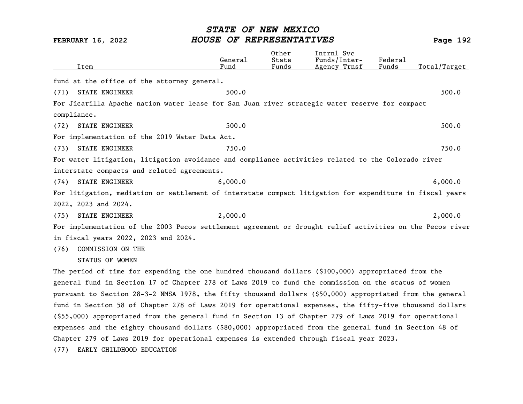| Item                                                                                                      | General<br>Fund | Other<br>State<br>Funds | Intrnl Svc<br>Funds/Inter-<br>Agency Trnsf | Federal<br>Funds | Total/Target |
|-----------------------------------------------------------------------------------------------------------|-----------------|-------------------------|--------------------------------------------|------------------|--------------|
|                                                                                                           |                 |                         |                                            |                  |              |
| fund at the office of the attorney general.                                                               |                 |                         |                                            |                  |              |
| <b>STATE ENGINEER</b><br>(71)                                                                             | 500.0           |                         |                                            |                  | 500.0        |
| For Jicarilla Apache nation water lease for San Juan river strategic water reserve for compact            |                 |                         |                                            |                  |              |
| compliance.                                                                                               |                 |                         |                                            |                  |              |
| <b>STATE ENGINEER</b><br>(72)                                                                             | 500.0           |                         |                                            |                  | 500.0        |
| For implementation of the 2019 Water Data Act.                                                            |                 |                         |                                            |                  |              |
| STATE ENGINEER<br>(73)                                                                                    | 750.0           |                         |                                            |                  | 750.0        |
| For water litigation, litigation avoidance and compliance activities related to the Colorado river        |                 |                         |                                            |                  |              |
| interstate compacts and related agreements.                                                               |                 |                         |                                            |                  |              |
| STATE ENGINEER<br>(74)                                                                                    | 6,000.0         |                         |                                            |                  | 6,000.0      |
| For litigation, mediation or settlement of interstate compact litigation for expenditure in fiscal years  |                 |                         |                                            |                  |              |
| 2022, 2023 and 2024.                                                                                      |                 |                         |                                            |                  |              |
| STATE ENGINEER<br>(75)                                                                                    | 2,000.0         |                         |                                            |                  | 2,000.0      |
| For implementation of the 2003 Pecos settlement agreement or drought relief activities on the Pecos river |                 |                         |                                            |                  |              |
| in fiscal years 2022, 2023 and 2024.                                                                      |                 |                         |                                            |                  |              |
| COMMISSION ON THE<br>(76)                                                                                 |                 |                         |                                            |                  |              |
| STATUS OF WOMEN                                                                                           |                 |                         |                                            |                  |              |
| The period of time for expending the one hundred thousand dollars (\$100,000) appropriated from the       |                 |                         |                                            |                  |              |
| general fund in Section 17 of Chapter 278 of Laws 2019 to fund the commission on the status of women      |                 |                         |                                            |                  |              |
| pursuant to Section 28-3-2 NMSA 1978, the fifty thousand dollars (\$50,000) appropriated from the general |                 |                         |                                            |                  |              |
| fund in Section 58 of Chapter 278 of Laws 2019 for operational expenses, the fifty-five thousand dollars  |                 |                         |                                            |                  |              |
| (\$55,000) appropriated from the general fund in Section 13 of Chapter 279 of Laws 2019 for operational   |                 |                         |                                            |                  |              |
| expenses and the eighty thousand dollars (\$80,000) appropriated from the general fund in Section 48 of   |                 |                         |                                            |                  |              |
| Chapter 279 of Laws 2019 for operational expenses is extended through fiscal year 2023.                   |                 |                         |                                            |                  |              |
| EARLY CHILDHOOD EDUCATION<br>(77)                                                                         |                 |                         |                                            |                  |              |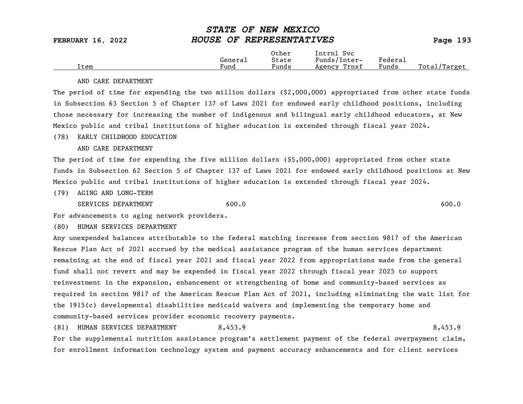|      |                      | Other                             | Intrnl<br>Sv c  |                           |                  |
|------|----------------------|-----------------------------------|-----------------|---------------------------|------------------|
|      | Genera⊥              | State                             | Funds/Inter-    | ${}_{\rm Federa_{\perp}}$ |                  |
| Item | $\mathbf{r}$<br>Fund | $\overline{\phantom{a}}$<br>Funds | Trnsf<br>Agency | Funds                     | Total<br>Target/ |

#### AND CARE DEPARTMENT

The period of time for expending the two million dollars (\$2,000,000) appropriated from other state funds in Subsection 63 Section 5 of Chapter 137 of Laws 2021 for endowed early childhood positions, including those necessary for increasing the number of indigenous and bilingual early childhood educators, at New Mexico public and tribal institutions of higher education is extended through fiscal year 2024.

#### (78) EARLY CHILDHOOD EDUCATION

AND CARE DEPARTMENT

The period of time for expending the five million dollars (\$5,000,000) appropriated from other state funds in Subsection 62 Section 5 of Chapter 137 of Laws 2021 for endowed early childhood positions at New Mexico public and tribal institutions of higher education is extended through fiscal year 2024.

(79) AGING AND LONG-TERM

SERVICES DEPARTMENT 600.0 600.0 600.0 600.0 600.0 600.0 600.0 600.0 600.0 600.0 600.0 600.0 600.0 600.0 600.0 600.0 600.0 600.0 600.0 600.0 600.0 600.0 600.0 600.0 600.0 600.0 600.0 600.0 600.0 600.0 600.0 600.0 600.0 600.

For advancements to aging network providers.

(80) HUMAN SERVICES DEPARTMENT

Any unexpended balances attributable to the federal matching increase from section 9817 of the American Rescue Plan Act of 2021 accrued by the medical assistance program of the human services department remaining at the end of fiscal year 2021 and fiscal year 2022 from appropriations made from the general fund shall not revert and may be expended in fiscal year 2022 through fiscal year 2025 to support reinvestment in the expansion, enhancement or strengthening of home and community-based services as required in section 9817 of the American Rescue Plan Act of 2021, including eliminating the wait list for the 1915(c) developmental disabilities medicaid waivers and implementing the temporary home and community-based services provider economic recovery payments.

(81) HUMAN SERVICES DEPARTMENT 8,453.9 8,453.9

For the supplemental nutrition assistance program's settlement payment of the federal overpayment claim, for enrollment information technology system and payment accuracy enhancements and for client services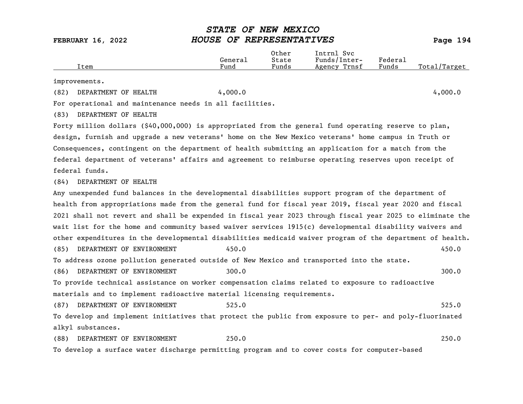| Item                                                                                                      | General<br>Fund | Other<br>State<br>Funds | Intrnl Svc<br>Funds/Inter-<br>Agency Trnsf | Federal<br>Funds | Total/Target |
|-----------------------------------------------------------------------------------------------------------|-----------------|-------------------------|--------------------------------------------|------------------|--------------|
| improvements.                                                                                             |                 |                         |                                            |                  |              |
| DEPARTMENT OF HEALTH<br>(82)                                                                              | 4,000.0         |                         |                                            |                  | 4,000.0      |
| For operational and maintenance needs in all facilities.                                                  |                 |                         |                                            |                  |              |
| DEPARTMENT OF HEALTH<br>(83)                                                                              |                 |                         |                                            |                  |              |
| Forty million dollars $($ \$40,000,000) is appropriated from the general fund operating reserve to plan,  |                 |                         |                                            |                  |              |
| design, furnish and upgrade a new veterans' home on the New Mexico veterans' home campus in Truth or      |                 |                         |                                            |                  |              |
| Consequences, contingent on the department of health submitting an application for a match from the       |                 |                         |                                            |                  |              |
| federal department of veterans' affairs and agreement to reimburse operating reserves upon receipt of     |                 |                         |                                            |                  |              |
| federal funds.                                                                                            |                 |                         |                                            |                  |              |
| DEPARTMENT OF HEALTH<br>(84)                                                                              |                 |                         |                                            |                  |              |
| Any unexpended fund balances in the developmental disabilities support program of the department of       |                 |                         |                                            |                  |              |
| health from appropriations made from the general fund for fiscal year 2019, fiscal year 2020 and fiscal   |                 |                         |                                            |                  |              |
| 2021 shall not revert and shall be expended in fiscal year 2023 through fiscal year 2025 to eliminate the |                 |                         |                                            |                  |              |
| wait list for the home and community based waiver services 1915(c) developmental disability waivers and   |                 |                         |                                            |                  |              |
| other expenditures in the developmental disabilities medicaid waiver program of the department of health. |                 |                         |                                            |                  |              |
| DEPARTMENT OF ENVIRONMENT<br>(85)                                                                         | 450.0           |                         |                                            |                  | 450.0        |
| To address ozone pollution generated outside of New Mexico and transported into the state.                |                 |                         |                                            |                  |              |
| DEPARTMENT OF ENVIRONMENT<br>(86)                                                                         | 300.0           |                         |                                            |                  | 300.0        |
| To provide technical assistance on worker compensation claims related to exposure to radioactive          |                 |                         |                                            |                  |              |
| materials and to implement radioactive material licensing requirements.                                   |                 |                         |                                            |                  |              |
| DEPARTMENT OF ENVIRONMENT<br>(87)                                                                         | 525.0           |                         |                                            |                  | 525.0        |
| To develop and implement initiatives that protect the public from exposure to per- and poly-fluorinated   |                 |                         |                                            |                  |              |
| alkyl substances.                                                                                         |                 |                         |                                            |                  |              |
| DEPARTMENT OF ENVIRONMENT<br>(88)                                                                         | 250.0           |                         |                                            |                  | 250.0        |
| To develop a surface water discharge permitting program and to cover costs for computer-based             |                 |                         |                                            |                  |              |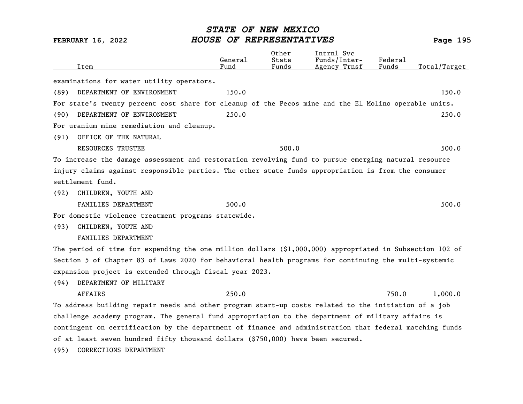|      | Item                                                                                                      | General<br>Fund | Other<br>State<br>Funds | Intrnl Svc<br>Funds/Inter-<br>Agency Trnsf | Federal<br>Funds | Total/Target |
|------|-----------------------------------------------------------------------------------------------------------|-----------------|-------------------------|--------------------------------------------|------------------|--------------|
|      | examinations for water utility operators.                                                                 |                 |                         |                                            |                  |              |
| (89) | DEPARTMENT OF ENVIRONMENT                                                                                 | 150.0           |                         |                                            |                  | 150.0        |
|      | For state's twenty percent cost share for cleanup of the Pecos mine and the El Molino operable units.     |                 |                         |                                            |                  |              |
| (90) | DEPARTMENT OF ENVIRONMENT                                                                                 | 250.0           |                         |                                            |                  | 250.0        |
|      | For uranium mine remediation and cleanup.                                                                 |                 |                         |                                            |                  |              |
| (91) | OFFICE OF THE NATURAL                                                                                     |                 |                         |                                            |                  |              |
|      | <b>RESOURCES TRUSTEE</b>                                                                                  |                 | 500.0                   |                                            |                  | 500.0        |
|      | To increase the damage assessment and restoration revolving fund to pursue emerging natural resource      |                 |                         |                                            |                  |              |
|      | injury claims against responsible parties. The other state funds appropriation is from the consumer       |                 |                         |                                            |                  |              |
|      | settlement fund.                                                                                          |                 |                         |                                            |                  |              |
| (92) | CHILDREN, YOUTH AND                                                                                       |                 |                         |                                            |                  |              |
|      | FAMILIES DEPARTMENT                                                                                       | 500.0           |                         |                                            |                  | 500.0        |
|      | For domestic violence treatment programs statewide.                                                       |                 |                         |                                            |                  |              |
| (93) | CHILDREN, YOUTH AND                                                                                       |                 |                         |                                            |                  |              |
|      | FAMILIES DEPARTMENT                                                                                       |                 |                         |                                            |                  |              |
|      | The period of time for expending the one million dollars $(§1,000,000)$ appropriated in Subsection 102 of |                 |                         |                                            |                  |              |
|      | Section 5 of Chapter 83 of Laws 2020 for behavioral health programs for continuing the multi-systemic     |                 |                         |                                            |                  |              |
|      | expansion project is extended through fiscal year 2023.                                                   |                 |                         |                                            |                  |              |
| (94) | DEPARTMENT OF MILITARY                                                                                    |                 |                         |                                            |                  |              |
|      | <b>AFFAIRS</b>                                                                                            | 250.0           |                         |                                            | 750.0            | 1,000.0      |
|      | To address building repair needs and other program start-up costs related to the initiation of a job      |                 |                         |                                            |                  |              |
|      | challenge academy program. The general fund appropriation to the department of military affairs is        |                 |                         |                                            |                  |              |
|      | contingent on certification by the department of finance and administration that federal matching funds   |                 |                         |                                            |                  |              |
|      | of at least seven hundred fifty thousand dollars (\$750,000) have been secured.                           |                 |                         |                                            |                  |              |
| (95) | CORRECTIONS DEPARTMENT                                                                                    |                 |                         |                                            |                  |              |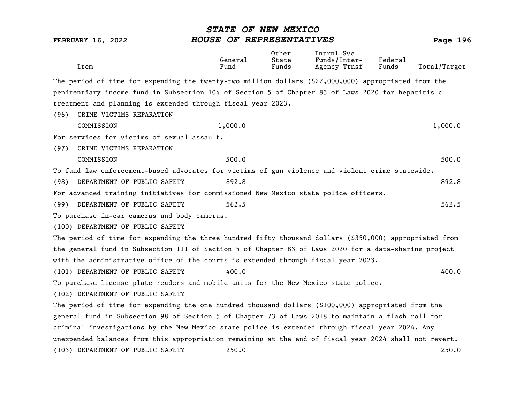FEBRUARY 16, 2022 HOUSE OF REPRESENTATIVES Page 196 Other Intrnl Svc<br>General State Funds/Inter General State Funds/Inter- Federal Total/Target The period of time for expending the twenty-two million dollars (\$22,000,000) appropriated from the penitentiary income fund in Subsection 104 of Section 5 of Chapter 83 of Laws 2020 for hepatitis c treatment and planning is extended through fiscal year 2023. (96) CRIME VICTIMS REPARATION COMMISSION 1,000.0 1,000.0 For services for victims of sexual assault. (97) CRIME VICTIMS REPARATION COMMISSION 500.0 500.0 To fund law enforcement-based advocates for victims of gun violence and violent crime statewide. (98) DEPARTMENT OF PUBLIC SAFETY 892.8 892.8 For advanced training initiatives for commissioned New Mexico state police officers. (99) DEPARTMENT OF PUBLIC SAFETY 562.5 562.5 562.5 To purchase in-car cameras and body cameras. (100) DEPARTMENT OF PUBLIC SAFETY The period of time for expending the three hundred fifty thousand dollars (\$350,000) appropriated from the general fund in Subsection 111 of Section 5 of Chapter 83 of Laws 2020 for a data-sharing project with the administrative office of the courts is extended through fiscal year 2023. (101) DEPARTMENT OF PUBLIC SAFETY  $400.0$ To purchase license plate readers and mobile units for the New Mexico state police. (102) DEPARTMENT OF PUBLIC SAFETY The period of time for expending the one hundred thousand dollars (\$100,000) appropriated from the general fund in Subsection 98 of Section 5 of Chapter 73 of Laws 2018 to maintain a flash roll for criminal investigations by the New Mexico state police is extended through fiscal year 2024. Any unexpended balances from this appropriation remaining at the end of fiscal year 2024 shall not revert. (103) DEPARTMENT OF PUBLIC SAFETY 250.0 250.0

STATE OF NEW MEXICO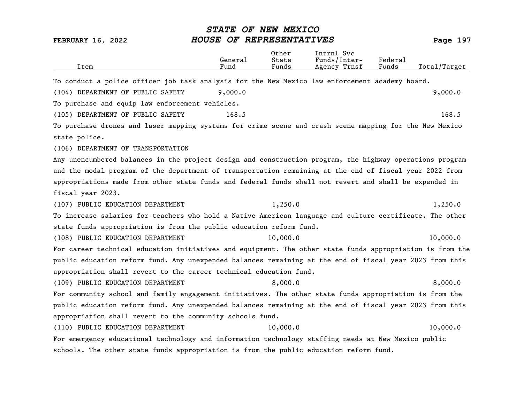| Item                                                                                                      | General<br>Fund | Other<br>State<br>Funds | Intrnl Svc<br>Funds/Inter-<br>Agency Trnsf | Federal<br>Funds | Total/Target |
|-----------------------------------------------------------------------------------------------------------|-----------------|-------------------------|--------------------------------------------|------------------|--------------|
| To conduct a police officer job task analysis for the New Mexico law enforcement academy board.           |                 |                         |                                            |                  |              |
| (104) DEPARTMENT OF PUBLIC SAFETY                                                                         | 9,000.0         |                         |                                            |                  | 9,000.0      |
| To purchase and equip law enforcement vehicles.                                                           |                 |                         |                                            |                  |              |
| (105) DEPARTMENT OF PUBLIC SAFETY                                                                         | 168.5           |                         |                                            |                  | 168.5        |
| To purchase drones and laser mapping systems for crime scene and crash scene mapping for the New Mexico   |                 |                         |                                            |                  |              |
| state police.                                                                                             |                 |                         |                                            |                  |              |
| (106) DEPARTMENT OF TRANSPORTATION                                                                        |                 |                         |                                            |                  |              |
| Any unencumbered balances in the project design and construction program, the highway operations program  |                 |                         |                                            |                  |              |
| and the modal program of the department of transportation remaining at the end of fiscal year 2022 from   |                 |                         |                                            |                  |              |
| appropriations made from other state funds and federal funds shall not revert and shall be expended in    |                 |                         |                                            |                  |              |
| fiscal year 2023.                                                                                         |                 |                         |                                            |                  |              |
| (107) PUBLIC EDUCATION DEPARTMENT                                                                         |                 | 1,250.0                 |                                            |                  | 1,250.0      |
| To increase salaries for teachers who hold a Native American language and culture certificate. The other  |                 |                         |                                            |                  |              |
| state funds appropriation is from the public education reform fund.                                       |                 |                         |                                            |                  |              |
| (108) PUBLIC EDUCATION DEPARTMENT                                                                         |                 | 10,000.0                |                                            |                  | 10,000.0     |
| For career technical education initiatives and equipment. The other state funds appropriation is from the |                 |                         |                                            |                  |              |
| public education reform fund. Any unexpended balances remaining at the end of fiscal year 2023 from this  |                 |                         |                                            |                  |              |
| appropriation shall revert to the career technical education fund.                                        |                 |                         |                                            |                  |              |
| (109) PUBLIC EDUCATION DEPARTMENT                                                                         |                 | 8,000.0                 |                                            |                  | 8,000.0      |
| For community school and family engagement initiatives. The other state funds appropriation is from the   |                 |                         |                                            |                  |              |
| public education reform fund. Any unexpended balances remaining at the end of fiscal year 2023 from this  |                 |                         |                                            |                  |              |
| appropriation shall revert to the community schools fund.                                                 |                 |                         |                                            |                  |              |
| (110) PUBLIC EDUCATION DEPARTMENT                                                                         |                 | 10,000.0                |                                            |                  | 10,000.0     |
| For emergency educational technology and information technology staffing needs at New Mexico public       |                 |                         |                                            |                  |              |
| schools. The other state funds appropriation is from the public education reform fund.                    |                 |                         |                                            |                  |              |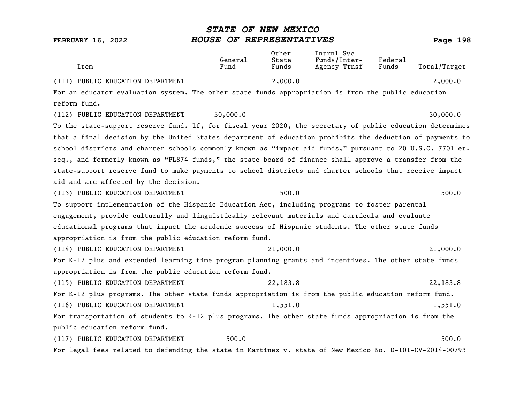| Item                                                                                                      | General<br>Fund | Other<br>State<br>Funds | Intrnl Svc<br>Funds/Inter-<br>Agency Trnsf | Federal<br>Funds | Total/Target |
|-----------------------------------------------------------------------------------------------------------|-----------------|-------------------------|--------------------------------------------|------------------|--------------|
| (111) PUBLIC EDUCATION DEPARTMENT                                                                         |                 | 2,000.0                 |                                            |                  | 2,000.0      |
| For an educator evaluation system. The other state funds appropriation is from the public education       |                 |                         |                                            |                  |              |
| reform fund.                                                                                              |                 |                         |                                            |                  |              |
| (112) PUBLIC EDUCATION DEPARTMENT                                                                         | 30,000.0        |                         |                                            |                  | 30,000.0     |
| To the state-support reserve fund. If, for fiscal year 2020, the secretary of public education determines |                 |                         |                                            |                  |              |
| that a final decision by the United States department of education prohibits the deduction of payments to |                 |                         |                                            |                  |              |
| school districts and charter schools commonly known as "impact aid funds," pursuant to 20 U.S.C. 7701 et. |                 |                         |                                            |                  |              |
| seq., and formerly known as "PL874 funds," the state board of finance shall approve a transfer from the   |                 |                         |                                            |                  |              |
| state-support reserve fund to make payments to school districts and charter schools that receive impact   |                 |                         |                                            |                  |              |
| aid and are affected by the decision.                                                                     |                 |                         |                                            |                  |              |
| (113) PUBLIC EDUCATION DEPARTMENT                                                                         |                 | 500.0                   |                                            |                  | 500.0        |
| To support implementation of the Hispanic Education Act, including programs to foster parental            |                 |                         |                                            |                  |              |
| engagement, provide culturally and linguistically relevant materials and curricula and evaluate           |                 |                         |                                            |                  |              |
| educational programs that impact the academic success of Hispanic students. The other state funds         |                 |                         |                                            |                  |              |
| appropriation is from the public education reform fund.                                                   |                 |                         |                                            |                  |              |
| (114) PUBLIC EDUCATION DEPARTMENT                                                                         |                 | 21,000.0                |                                            |                  | 21,000.0     |
| For K-12 plus and extended learning time program planning grants and incentives. The other state funds    |                 |                         |                                            |                  |              |
| appropriation is from the public education reform fund.                                                   |                 |                         |                                            |                  |              |
| (115) PUBLIC EDUCATION DEPARTMENT                                                                         |                 | 22,183.8                |                                            |                  | 22,183.8     |
| For K-12 plus programs. The other state funds appropriation is from the public education reform fund.     |                 |                         |                                            |                  |              |
| (116) PUBLIC EDUCATION DEPARTMENT                                                                         |                 | 1,551.0                 |                                            |                  | 1,551.0      |
| For transportation of students to K-12 plus programs. The other state funds appropriation is from the     |                 |                         |                                            |                  |              |
| public education reform fund.                                                                             |                 |                         |                                            |                  |              |
| (117) PUBLIC EDUCATION DEPARTMENT                                                                         | 500.0           |                         |                                            |                  | 500.0        |
| For legal fees related to defending the state in Martinez v. state of New Mexico No. D-101-CV-2014-00793  |                 |                         |                                            |                  |              |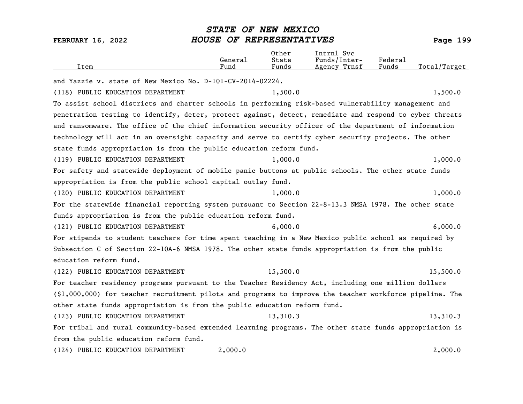| Item                                                                                                     | General<br>Fund | Other<br>State<br>Funds | Intrnl Svc<br>Funds/Inter-<br>Agency Trnsf | Federal<br>Funds | Total/Target |
|----------------------------------------------------------------------------------------------------------|-----------------|-------------------------|--------------------------------------------|------------------|--------------|
| and Yazzie v. state of New Mexico No. D-101-CV-2014-02224.                                               |                 |                         |                                            |                  |              |
| (118) PUBLIC EDUCATION DEPARTMENT                                                                        |                 | 1,500.0                 |                                            |                  | 1,500.0      |
| To assist school districts and charter schools in performing risk-based vulnerability management and     |                 |                         |                                            |                  |              |
| penetration testing to identify, deter, protect against, detect, remediate and respond to cyber threats  |                 |                         |                                            |                  |              |
| and ransomware. The office of the chief information security officer of the department of information    |                 |                         |                                            |                  |              |
| technology will act in an oversight capacity and serve to certify cyber security projects. The other     |                 |                         |                                            |                  |              |
| state funds appropriation is from the public education reform fund.                                      |                 |                         |                                            |                  |              |
| (119) PUBLIC EDUCATION DEPARTMENT                                                                        |                 | 1,000.0                 |                                            |                  | 1,000.0      |
| For safety and statewide deployment of mobile panic buttons at public schools. The other state funds     |                 |                         |                                            |                  |              |
| appropriation is from the public school capital outlay fund.                                             |                 |                         |                                            |                  |              |
| (120) PUBLIC EDUCATION DEPARTMENT                                                                        |                 | 1,000.0                 |                                            |                  | 1,000.0      |
| For the statewide financial reporting system pursuant to Section 22-8-13.3 NMSA 1978. The other state    |                 |                         |                                            |                  |              |
| funds appropriation is from the public education reform fund.                                            |                 |                         |                                            |                  |              |
| (121) PUBLIC EDUCATION DEPARTMENT                                                                        |                 | 6,000.0                 |                                            |                  | 6,000.0      |
| For stipends to student teachers for time spent teaching in a New Mexico public school as required by    |                 |                         |                                            |                  |              |
| Subsection C of Section 22-10A-6 NMSA 1978. The other state funds appropriation is from the public       |                 |                         |                                            |                  |              |
| education reform fund.                                                                                   |                 |                         |                                            |                  |              |
| (122) PUBLIC EDUCATION DEPARTMENT                                                                        |                 | 15,500.0                |                                            |                  | 15,500.0     |
| For teacher residency programs pursuant to the Teacher Residency Act, including one million dollars      |                 |                         |                                            |                  |              |
| (\$1,000,000) for teacher recruitment pilots and programs to improve the teacher workforce pipeline. The |                 |                         |                                            |                  |              |
| other state funds appropriation is from the public education reform fund.                                |                 |                         |                                            |                  |              |
| (123) PUBLIC EDUCATION DEPARTMENT                                                                        |                 | 13,310.3                |                                            |                  | 13,310.3     |
| For tribal and rural community-based extended learning programs. The other state funds appropriation is  |                 |                         |                                            |                  |              |
| from the public education reform fund.                                                                   |                 |                         |                                            |                  |              |
| (124) PUBLIC EDUCATION DEPARTMENT                                                                        | 2,000.0         |                         |                                            |                  | 2,000.0      |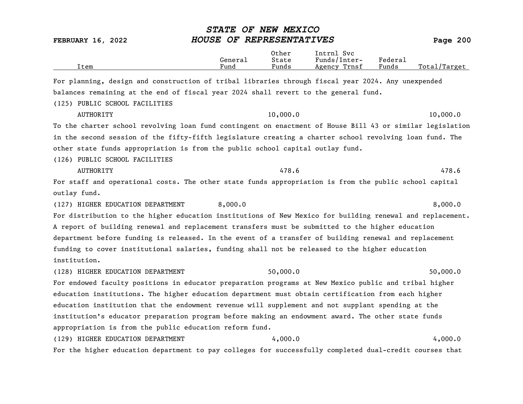| <b>FEBRUARY 16, 2022</b>                                                                                  | STATE OF NEW MEXICO<br>HOUSE OF REPRESENTATIVES |                         |                                            |                  | Page 200     |
|-----------------------------------------------------------------------------------------------------------|-------------------------------------------------|-------------------------|--------------------------------------------|------------------|--------------|
| Item                                                                                                      | General<br>Fund                                 | Other<br>State<br>Funds | Intrnl Svc<br>Funds/Inter-<br>Agency Trnsf | Federal<br>Funds | Total/Target |
| For planning, design and construction of tribal libraries through fiscal year 2024. Any unexpended        |                                                 |                         |                                            |                  |              |
| balances remaining at the end of fiscal year 2024 shall revert to the general fund.                       |                                                 |                         |                                            |                  |              |
| (125) PUBLIC SCHOOL FACILITIES                                                                            |                                                 |                         |                                            |                  |              |
| <b>AUTHORITY</b>                                                                                          |                                                 | 10,000.0                |                                            |                  | 10,000.0     |
| To the charter school revolving loan fund contingent on enactment of House Bill 43 or similar legislation |                                                 |                         |                                            |                  |              |
| in the second session of the fifty-fifth legislature creating a charter school revolving loan fund. The   |                                                 |                         |                                            |                  |              |
| other state funds appropriation is from the public school capital outlay fund.                            |                                                 |                         |                                            |                  |              |
| (126) PUBLIC SCHOOL FACILITIES                                                                            |                                                 |                         |                                            |                  |              |
| <b>AUTHORITY</b>                                                                                          |                                                 | 478.6                   |                                            |                  | 478.6        |
| For staff and operational costs. The other state funds appropriation is from the public school capital    |                                                 |                         |                                            |                  |              |
| outlay fund.                                                                                              |                                                 |                         |                                            |                  |              |
| (127) HIGHER EDUCATION DEPARTMENT                                                                         | 8,000.0                                         |                         |                                            |                  | 8,000.0      |
| For distribution to the higher education institutions of New Mexico for building renewal and replacement. |                                                 |                         |                                            |                  |              |
| A report of building renewal and replacement transfers must be submitted to the higher education          |                                                 |                         |                                            |                  |              |
| department before funding is released. In the event of a transfer of building renewal and replacement     |                                                 |                         |                                            |                  |              |
| funding to cover institutional salaries, funding shall not be released to the higher education            |                                                 |                         |                                            |                  |              |
| institution.                                                                                              |                                                 |                         |                                            |                  |              |
| (128) HIGHER EDUCATION DEPARTMENT                                                                         |                                                 | 50,000.0                |                                            |                  | 50,000.0     |
| For endowed faculty positions in educator preparation programs at New Mexico public and tribal higher     |                                                 |                         |                                            |                  |              |
| education institutions. The higher education department must obtain certification from each higher        |                                                 |                         |                                            |                  |              |
| education institution that the endowment revenue will supplement and not supplant spending at the         |                                                 |                         |                                            |                  |              |
| institution's educator preparation program before making an endowment award. The other state funds        |                                                 |                         |                                            |                  |              |
| appropriation is from the public education reform fund.                                                   |                                                 |                         |                                            |                  |              |
| (129) HIGHER EDUCATION DEPARTMENT                                                                         |                                                 | 4,000.0                 |                                            |                  | 4,000.0      |
| For the higher education department to pay colleges for successfully completed dual-credit courses that   |                                                 |                         |                                            |                  |              |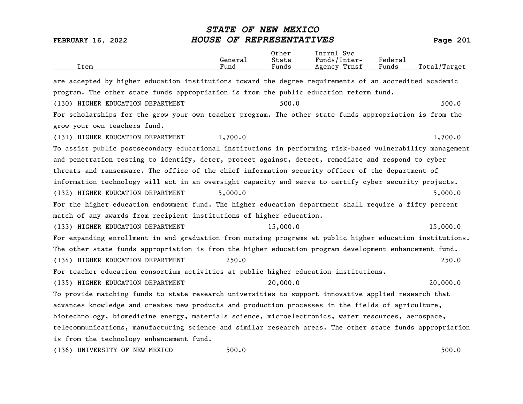| Item                                                                                                      | General<br>Fund | Other<br>State<br>Funds | Intrnl Svc<br>Funds/Inter-<br>Agency Trnsf | Federal<br>Funds | Total/Target |
|-----------------------------------------------------------------------------------------------------------|-----------------|-------------------------|--------------------------------------------|------------------|--------------|
| are accepted by higher education institutions toward the degree requirements of an accredited academic    |                 |                         |                                            |                  |              |
| program. The other state funds appropriation is from the public education reform fund.                    |                 |                         |                                            |                  |              |
| (130) HIGHER EDUCATION DEPARTMENT                                                                         |                 | 500.0                   |                                            |                  | 500.0        |
| For scholarships for the grow your own teacher program. The other state funds appropriation is from the   |                 |                         |                                            |                  |              |
| grow your own teachers fund.                                                                              |                 |                         |                                            |                  |              |
| (131) HIGHER EDUCATION DEPARTMENT                                                                         | 1,700.0         |                         |                                            |                  | 1,700.0      |
| To assist public postsecondary educational institutions in performing risk-based vulnerability management |                 |                         |                                            |                  |              |
| and penetration testing to identify, deter, protect against, detect, remediate and respond to cyber       |                 |                         |                                            |                  |              |
| threats and ransomware. The office of the chief information security officer of the department of         |                 |                         |                                            |                  |              |
| information technology will act in an oversight capacity and serve to certify cyber security projects.    |                 |                         |                                            |                  |              |
| (132) HIGHER EDUCATION DEPARTMENT                                                                         | 5,000.0         |                         |                                            |                  | 5,000.0      |
| For the higher education endowment fund. The higher education department shall require a fifty percent    |                 |                         |                                            |                  |              |
| match of any awards from recipient institutions of higher education.                                      |                 |                         |                                            |                  |              |
| (133) HIGHER EDUCATION DEPARTMENT                                                                         |                 | 15,000.0                |                                            |                  | 15,000.0     |
| For expanding enrollment in and graduation from nursing programs at public higher education institutions. |                 |                         |                                            |                  |              |
| The other state funds appropriation is from the higher education program development enhancement fund.    |                 |                         |                                            |                  |              |
| (134) HIGHER EDUCATION DEPARTMENT                                                                         | 250.0           |                         |                                            |                  | 250.0        |
| For teacher education consortium activities at public higher education institutions.                      |                 |                         |                                            |                  |              |
| (135) HIGHER EDUCATION DEPARTMENT                                                                         |                 | 20,000.0                |                                            |                  | 20,000.0     |
| To provide matching funds to state research universities to support innovative applied research that      |                 |                         |                                            |                  |              |
| advances knowledge and creates new products and production processes in the fields of agriculture,        |                 |                         |                                            |                  |              |
| biotechnology, biomedicine energy, materials science, microelectronics, water resources, aerospace,       |                 |                         |                                            |                  |              |
| telecommunications, manufacturing science and similar research areas. The other state funds appropriation |                 |                         |                                            |                  |              |
| is from the technology enhancement fund.                                                                  |                 |                         |                                            |                  |              |
| (136) UNIVERSITY OF NEW MEXICO                                                                            | 500.0           |                         |                                            |                  | 500.0        |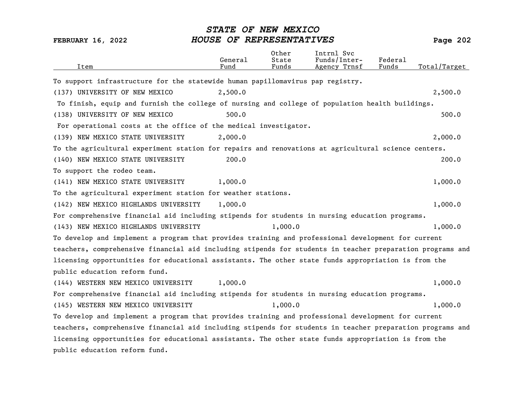| Item                                                                                                      | General<br>Fund | Other<br>State<br>Funds | Intrnl Svc<br>Funds/Inter-<br>Agency Trnsf | Federal<br>Funds | Total/Target |
|-----------------------------------------------------------------------------------------------------------|-----------------|-------------------------|--------------------------------------------|------------------|--------------|
| To support infrastructure for the statewide human papillomavirus pap registry.                            |                 |                         |                                            |                  |              |
| (137) UNIVERSITY OF NEW MEXICO                                                                            | 2,500.0         |                         |                                            |                  | 2,500.0      |
| To finish, equip and furnish the college of nursing and college of population health buildings.           |                 |                         |                                            |                  |              |
| (138) UNIVERSITY OF NEW MEXICO                                                                            | 500.0           |                         |                                            |                  | 500.0        |
| For operational costs at the office of the medical investigator.                                          |                 |                         |                                            |                  |              |
| (139) NEW MEXICO STATE UNIVERSITY                                                                         | 2,000.0         |                         |                                            |                  | 2,000.0      |
| To the agricultural experiment station for repairs and renovations at agricultural science centers.       |                 |                         |                                            |                  |              |
| (140) NEW MEXICO STATE UNIVERSITY                                                                         | 200.0           |                         |                                            |                  | 200.0        |
| To support the rodeo team.                                                                                |                 |                         |                                            |                  |              |
| (141) NEW MEXICO STATE UNIVERSITY                                                                         | 1,000.0         |                         |                                            |                  | 1,000.0      |
| To the agricultural experiment station for weather stations.                                              |                 |                         |                                            |                  |              |
| (142) NEW MEXICO HIGHLANDS UNIVERSITY                                                                     | 1,000.0         |                         |                                            |                  | 1,000.0      |
| For comprehensive financial aid including stipends for students in nursing education programs.            |                 |                         |                                            |                  |              |
| (143) NEW MEXICO HIGHLANDS UNIVERSITY                                                                     |                 | 1,000.0                 |                                            |                  | 1,000.0      |
| To develop and implement a program that provides training and professional development for current        |                 |                         |                                            |                  |              |
| teachers, comprehensive financial aid including stipends for students in teacher preparation programs and |                 |                         |                                            |                  |              |
| licensing opportunities for educational assistants. The other state funds appropriation is from the       |                 |                         |                                            |                  |              |
| public education reform fund.                                                                             |                 |                         |                                            |                  |              |
| (144) WESTERN NEW MEXICO UNIVERSITY                                                                       | 1,000.0         |                         |                                            |                  | 1,000.0      |
| For comprehensive financial aid including stipends for students in nursing education programs.            |                 |                         |                                            |                  |              |
| (145) WESTERN NEW MEXICO UNIVERSITY                                                                       |                 | 1,000.0                 |                                            |                  | 1,000.0      |
| To develop and implement a program that provides training and professional development for current        |                 |                         |                                            |                  |              |
| teachers, comprehensive financial aid including stipends for students in teacher preparation programs and |                 |                         |                                            |                  |              |
| licensing opportunities for educational assistants. The other state funds appropriation is from the       |                 |                         |                                            |                  |              |
| public education reform fund.                                                                             |                 |                         |                                            |                  |              |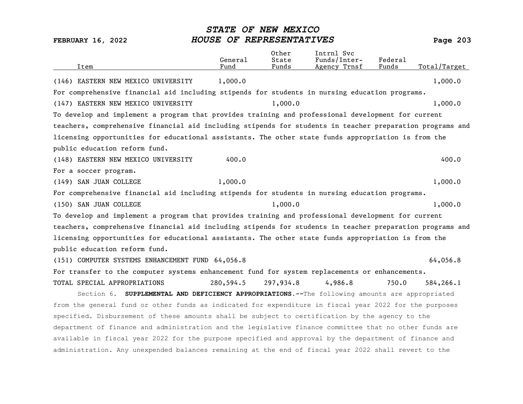| Item                                                                                                      | General<br>Fund | Other<br>State<br>Funds | Intrnl Svc<br>Funds/Inter-<br>Agency Trnsf | Federal<br>Funds | Total/Target |
|-----------------------------------------------------------------------------------------------------------|-----------------|-------------------------|--------------------------------------------|------------------|--------------|
| (146) EASTERN NEW MEXICO UNIVERSITY                                                                       | 1,000.0         |                         |                                            |                  | 1,000.0      |
| For comprehensive financial aid including stipends for students in nursing education programs.            |                 |                         |                                            |                  |              |
| (147) EASTERN NEW MEXICO UNIVERSITY                                                                       |                 | 1,000.0                 |                                            |                  | 1,000.0      |
| To develop and implement a program that provides training and professional development for current        |                 |                         |                                            |                  |              |
| teachers, comprehensive financial aid including stipends for students in teacher preparation programs and |                 |                         |                                            |                  |              |
| licensing opportunities for educational assistants. The other state funds appropriation is from the       |                 |                         |                                            |                  |              |
| public education reform fund.                                                                             |                 |                         |                                            |                  |              |
| (148) EASTERN NEW MEXICO UNIVERSITY                                                                       | 400.0           |                         |                                            |                  | 400.0        |
| For a soccer program.                                                                                     |                 |                         |                                            |                  |              |
| (149) SAN JUAN COLLEGE                                                                                    | 1,000.0         |                         |                                            |                  | 1,000.0      |
| For comprehensive financial aid including stipends for students in nursing education programs.            |                 |                         |                                            |                  |              |
| (150) SAN JUAN COLLEGE                                                                                    |                 | 1,000.0                 |                                            |                  | 1,000.0      |
| To develop and implement a program that provides training and professional development for current        |                 |                         |                                            |                  |              |
| teachers, comprehensive financial aid including stipends for students in teacher preparation programs and |                 |                         |                                            |                  |              |
| licensing opportunities for educational assistants. The other state funds appropriation is from the       |                 |                         |                                            |                  |              |
| public education reform fund.                                                                             |                 |                         |                                            |                  |              |
| (151) COMPUTER SYSTEMS ENHANCEMENT FUND 64,056.8                                                          |                 |                         |                                            |                  | 64,056.8     |
| For transfer to the computer systems enhancement fund for system replacements or enhancements.            |                 |                         |                                            |                  |              |
| TOTAL SPECIAL APPROPRIATIONS                                                                              | 280,594.5       | 297,934.8               | 4,986.8                                    | 750.0            | 584,266.1    |
| Section 6. SUPPLEMENTAL AND DEFICIENCY APPROPRIATIONS. -- The following amounts are appropriated          |                 |                         |                                            |                  |              |
| from the general fund or other funds as indicated for expenditure in fiscal year 2022 for the purposes    |                 |                         |                                            |                  |              |
| specified. Disbursement of these amounts shall be subject to certification by the agency to the           |                 |                         |                                            |                  |              |
| department of finance and administration and the legislative finance committee that no other funds are    |                 |                         |                                            |                  |              |
| available in fiscal year 2022 for the purpose specified and approval by the department of finance and     |                 |                         |                                            |                  |              |
| administration. Any unexpended balances remaining at the end of fiscal year 2022 shall revert to the      |                 |                         |                                            |                  |              |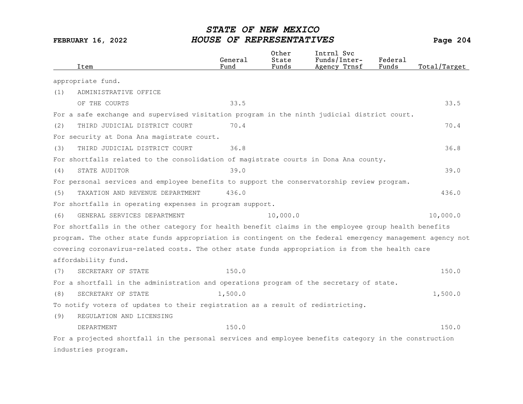| Item                                                                                                      | General<br>Fund | Other<br>State<br>Funds | Intrnl Svc<br>Funds/Inter-<br>Agency Trnsf | Federal<br>Funds | Total/Target |
|-----------------------------------------------------------------------------------------------------------|-----------------|-------------------------|--------------------------------------------|------------------|--------------|
| appropriate fund.                                                                                         |                 |                         |                                            |                  |              |
| (1)<br>ADMINISTRATIVE OFFICE                                                                              |                 |                         |                                            |                  |              |
| OF THE COURTS                                                                                             | 33.5            |                         |                                            |                  | 33.5         |
| For a safe exchange and supervised visitation program in the ninth judicial district court.               |                 |                         |                                            |                  |              |
| THIRD JUDICIAL DISTRICT COURT<br>(2)                                                                      | 70.4            |                         |                                            |                  | 70.4         |
| For security at Dona Ana magistrate court.                                                                |                 |                         |                                            |                  |              |
| THIRD JUDICIAL DISTRICT COURT<br>(3)                                                                      | 36.8            |                         |                                            |                  | 36.8         |
| For shortfalls related to the consolidation of magistrate courts in Dona Ana county.                      |                 |                         |                                            |                  |              |
| STATE AUDITOR<br>(4)                                                                                      | 39.0            |                         |                                            |                  | 39.0         |
| For personal services and employee benefits to support the conservatorship review program.                |                 |                         |                                            |                  |              |
| TAXATION AND REVENUE DEPARTMENT<br>(5)                                                                    | 436.0           |                         |                                            |                  | 436.0        |
| For shortfalls in operating expenses in program support.                                                  |                 |                         |                                            |                  |              |
| GENERAL SERVICES DEPARTMENT<br>(6)                                                                        |                 | 10,000.0                |                                            |                  | 10,000.0     |
| For shortfalls in the other category for health benefit claims in the employee group health benefits      |                 |                         |                                            |                  |              |
| program. The other state funds appropriation is contingent on the federal emergency management agency not |                 |                         |                                            |                  |              |
| covering coronavirus-related costs. The other state funds appropriation is from the health care           |                 |                         |                                            |                  |              |
| affordability fund.                                                                                       |                 |                         |                                            |                  |              |
| SECRETARY OF STATE<br>(7)                                                                                 | 150.0           |                         |                                            |                  | 150.0        |
| For a shortfall in the administration and operations program of the secretary of state.                   |                 |                         |                                            |                  |              |
| (8)<br>SECRETARY OF STATE                                                                                 | 1,500.0         |                         |                                            |                  | 1,500.0      |
| To notify voters of updates to their registration as a result of redistricting.                           |                 |                         |                                            |                  |              |
| (9)<br>REGULATION AND LICENSING                                                                           |                 |                         |                                            |                  |              |
| DEPARTMENT                                                                                                | 150.0           |                         |                                            |                  | 150.0        |
| For a projected shortfall in the personal services and employee benefits category in the construction     |                 |                         |                                            |                  |              |
| industries program.                                                                                       |                 |                         |                                            |                  |              |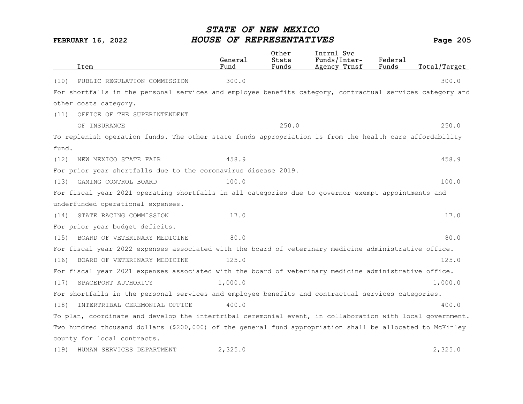|       | Item                                                                                                      | General<br>Fund | Other<br>State<br>Funds | Intrnl Svc<br>Funds/Inter-<br>Agency Trnsf | Federal<br>Funds | Total/Target |
|-------|-----------------------------------------------------------------------------------------------------------|-----------------|-------------------------|--------------------------------------------|------------------|--------------|
| (10)  | PUBLIC REGULATION COMMISSION                                                                              | 300.0           |                         |                                            |                  | 300.0        |
|       | For shortfalls in the personal services and employee benefits category, contractual services category and |                 |                         |                                            |                  |              |
|       | other costs category.                                                                                     |                 |                         |                                            |                  |              |
| (11)  | OFFICE OF THE SUPERINTENDENT                                                                              |                 |                         |                                            |                  |              |
|       | OF INSURANCE                                                                                              |                 | 250.0                   |                                            |                  | 250.0        |
|       | To replenish operation funds. The other state funds appropriation is from the health care affordability   |                 |                         |                                            |                  |              |
| fund. |                                                                                                           |                 |                         |                                            |                  |              |
| (12)  | NEW MEXICO STATE FAIR                                                                                     | 458.9           |                         |                                            |                  | 458.9        |
|       | For prior year shortfalls due to the coronavirus disease 2019.                                            |                 |                         |                                            |                  |              |
| (13)  | GAMING CONTROL BOARD                                                                                      | 100.0           |                         |                                            |                  | 100.0        |
|       | For fiscal year 2021 operating shortfalls in all categories due to governor exempt appointments and       |                 |                         |                                            |                  |              |
|       | underfunded operational expenses.                                                                         |                 |                         |                                            |                  |              |
| (14)  | STATE RACING COMMISSION                                                                                   | 17.0            |                         |                                            |                  | 17.0         |
|       | For prior year budget deficits.                                                                           |                 |                         |                                            |                  |              |
| (15)  | BOARD OF VETERINARY MEDICINE                                                                              | 80.0            |                         |                                            |                  | 80.0         |
|       | For fiscal year 2022 expenses associated with the board of veterinary medicine administrative office.     |                 |                         |                                            |                  |              |
| (16)  | BOARD OF VETERINARY MEDICINE                                                                              | 125.0           |                         |                                            |                  | 125.0        |
|       | For fiscal year 2021 expenses associated with the board of veterinary medicine administrative office.     |                 |                         |                                            |                  |              |
| (17)  | SPACEPORT AUTHORITY                                                                                       | 1,000.0         |                         |                                            |                  | 1,000.0      |
|       | For shortfalls in the personal services and employee benefits and contractual services categories.        |                 |                         |                                            |                  |              |
| (18)  | INTERTRIBAL CEREMONIAL OFFICE                                                                             | 400.0           |                         |                                            |                  | 400.0        |
|       | To plan, coordinate and develop the intertribal ceremonial event, in collaboration with local government. |                 |                         |                                            |                  |              |
|       | Two hundred thousand dollars (\$200,000) of the general fund appropriation shall be allocated to McKinley |                 |                         |                                            |                  |              |
|       | county for local contracts.                                                                               |                 |                         |                                            |                  |              |
| (19)  | HUMAN SERVICES DEPARTMENT                                                                                 | 2,325.0         |                         |                                            |                  | 2,325.0      |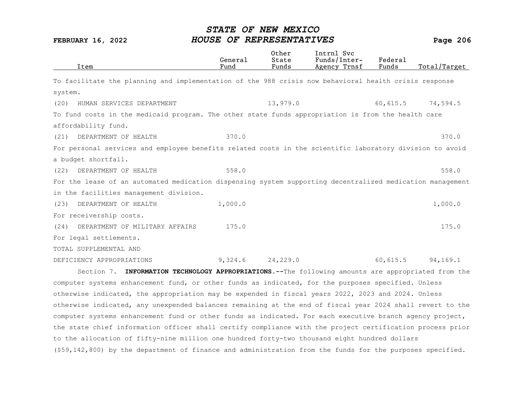| Item                      |                                                                                                           | General<br>Fund | Other<br>State<br>Funds | Intrnl Svc<br>Funds/Inter-<br>Agency Trnsf | Federal<br>Funds | Total/Target |
|---------------------------|-----------------------------------------------------------------------------------------------------------|-----------------|-------------------------|--------------------------------------------|------------------|--------------|
|                           | To facilitate the planning and implementation of the 988 crisis now behavioral health crisis response     |                 |                         |                                            |                  |              |
| system.                   |                                                                                                           |                 |                         |                                            |                  |              |
| (20)                      | HUMAN SERVICES DEPARTMENT                                                                                 |                 | 13,979.0                |                                            | 60,615.5         | 74,594.5     |
|                           | To fund costs in the medicaid program. The other state funds appropriation is from the health care        |                 |                         |                                            |                  |              |
| affordability fund.       |                                                                                                           |                 |                         |                                            |                  |              |
| (21)                      | DEPARTMENT OF HEALTH                                                                                      | 370.0           |                         |                                            |                  | 370.0        |
|                           | For personal services and employee benefits related costs in the scientific laboratory division to avoid  |                 |                         |                                            |                  |              |
| a budget shortfall.       |                                                                                                           |                 |                         |                                            |                  |              |
| (22)                      | DEPARTMENT OF HEALTH                                                                                      | 558.0           |                         |                                            |                  | 558.0        |
|                           | For the lease of an automated medication dispensing system supporting decentralized medication management |                 |                         |                                            |                  |              |
|                           | in the facilities management division.                                                                    |                 |                         |                                            |                  |              |
| (23)                      | DEPARTMENT OF HEALTH                                                                                      | 1,000.0         |                         |                                            |                  | 1,000.0      |
| For receivership costs.   |                                                                                                           |                 |                         |                                            |                  |              |
| (24)                      | DEPARTMENT OF MILITARY AFFAIRS                                                                            | 175.0           |                         |                                            |                  | 175.0        |
| For legal settlements.    |                                                                                                           |                 |                         |                                            |                  |              |
| TOTAL SUPPLEMENTAL AND    |                                                                                                           |                 |                         |                                            |                  |              |
| DEFICIENCY APPROPRIATIONS |                                                                                                           | 9,324.6         | 24,229.0                |                                            | 60,615.5         | 94,169.1     |
|                           | Section 7. INFORMATION TECHNOLOGY APPROPRIATIONS. -- The following amounts are appropriated from the      |                 |                         |                                            |                  |              |
|                           | computer systems enhancement fund, or other funds as indicated, for the purposes specified. Unless        |                 |                         |                                            |                  |              |

otherwise indicated, the appropriation may be expended in fiscal years 2022, 2023 and 2024. Unless otherwise indicated, any unexpended balances remaining at the end of fiscal year 2024 shall revert to the computer systems enhancement fund or other funds as indicated. For each executive branch agency project, the state chief information officer shall certify compliance with the project certification process prior to the allocation of fifty-nine million one hundred forty-two thousand eight hundred dollars (\$59,142,800) by the department of finance and administration from the funds for the purposes specified.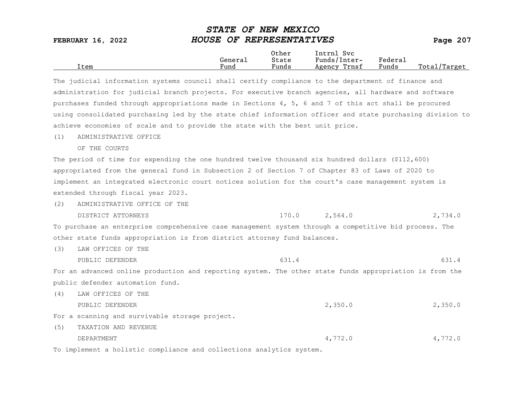| <b>FEBRUARY 16, 2022</b> | DIAID OF NEW PEAICO<br>HOUSE OF REPRESENTATIVES | Page $207$     |                            |         |              |
|--------------------------|-------------------------------------------------|----------------|----------------------------|---------|--------------|
|                          | General                                         | Other<br>State | Intrnl Svc<br>Funds/Inter- | Federal |              |
| Item                     | Fund                                            | Funds          | Agency Trnsf               | Funds   | Total/Target |

STATE OF NEW MEXICO

| The judicial information systems council shall certify compliance to the department of finance and        |
|-----------------------------------------------------------------------------------------------------------|
| administration for judicial branch projects. For executive branch agencies, all hardware and software     |
| purchases funded through appropriations made in Sections 4, 5, 6 and 7 of this act shall be procured      |
| using consolidated purchasing led by the state chief information officer and state purchasing division to |
| achieve economies of scale and to provide the state with the best unit price.                             |

(1) ADMINISTRATIVE OFFICE

OF THE COURTS

The period of time for expending the one hundred twelve thousand six hundred dollars (\$112,600) appropriated from the general fund in Subsection 2 of Section 7 of Chapter 83 of Laws of 2020 to implement an integrated electronic court notices solution for the court's case management system is extended through fiscal year 2023.

(2) ADMINISTRATIVE OFFICE OF THE DISTRICT ATTORNEYS 170.0 2,564.0 2,734.0

To purchase an enterprise comprehensive case management system through a competitive bid process. The

other state funds appropriation is from district attorney fund balances.

(3) LAW OFFICES OF THE

PUBLIC DEFENDER 631.4 631.4

For an advanced online production and reporting system. The other state funds appropriation is from the public defender automation fund.

- (4) LAW OFFICES OF THE PUBLIC DEFENDER 2,350.0 2,350.0 For a scanning and survivable storage project.
- (5) TAXATION AND REVENUE DEPARTMENT 4,772.0 4,772.0

To implement a holistic compliance and collections analytics system.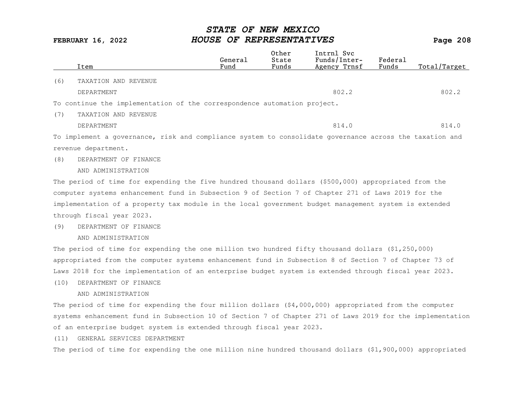|      | Item                                                                                                      | General<br>Fund | Other<br>State<br>Funds | Intrnl Svc<br>Funds/Inter-<br>Agency Trnsf | Federal<br>Funds | Total/Target |
|------|-----------------------------------------------------------------------------------------------------------|-----------------|-------------------------|--------------------------------------------|------------------|--------------|
| (6)  | TAXATION AND REVENUE                                                                                      |                 |                         |                                            |                  |              |
|      | DEPARTMENT                                                                                                |                 |                         | 802.2                                      |                  | 802.2        |
|      | To continue the implementation of the correspondence automation project.                                  |                 |                         |                                            |                  |              |
| (7)  | TAXATION AND REVENUE                                                                                      |                 |                         |                                            |                  |              |
|      | DEPARTMENT                                                                                                |                 |                         | 814.0                                      |                  | 814.0        |
|      | To implement a governance, risk and compliance system to consolidate governance across the taxation and   |                 |                         |                                            |                  |              |
|      | revenue department.                                                                                       |                 |                         |                                            |                  |              |
| (8)  | DEPARTMENT OF FINANCE                                                                                     |                 |                         |                                            |                  |              |
|      | AND ADMINISTRATION                                                                                        |                 |                         |                                            |                  |              |
|      | The period of time for expending the five hundred thousand dollars (\$500,000) appropriated from the      |                 |                         |                                            |                  |              |
|      | computer systems enhancement fund in Subsection 9 of Section 7 of Chapter 271 of Laws 2019 for the        |                 |                         |                                            |                  |              |
|      | implementation of a property tax module in the local government budget management system is extended      |                 |                         |                                            |                  |              |
|      | through fiscal year 2023.                                                                                 |                 |                         |                                            |                  |              |
| (9)  | DEPARTMENT OF FINANCE                                                                                     |                 |                         |                                            |                  |              |
|      | AND ADMINISTRATION                                                                                        |                 |                         |                                            |                  |              |
|      | The period of time for expending the one million two hundred fifty thousand dollars (\$1,250,000)         |                 |                         |                                            |                  |              |
|      | appropriated from the computer systems enhancement fund in Subsection 8 of Section 7 of Chapter 73 of     |                 |                         |                                            |                  |              |
|      | Laws 2018 for the implementation of an enterprise budget system is extended through fiscal year 2023.     |                 |                         |                                            |                  |              |
| (10) | DEPARTMENT OF FINANCE                                                                                     |                 |                         |                                            |                  |              |
|      | AND ADMINISTRATION                                                                                        |                 |                         |                                            |                  |              |
|      | The period of time for expending the four million dollars $(4,000,000)$ appropriated from the computer    |                 |                         |                                            |                  |              |
|      | systems enhancement fund in Subsection 10 of Section 7 of Chapter 271 of Laws 2019 for the implementation |                 |                         |                                            |                  |              |
|      | of an enterprise budget system is extended through fiscal year 2023.                                      |                 |                         |                                            |                  |              |
| (11) | GENERAL SERVICES DEPARTMENT                                                                               |                 |                         |                                            |                  |              |
|      | The period of time for expending the one million nine hundred thousand dollars (\$1,900,000) appropriated |                 |                         |                                            |                  |              |
|      |                                                                                                           |                 |                         |                                            |                  |              |
|      |                                                                                                           |                 |                         |                                            |                  |              |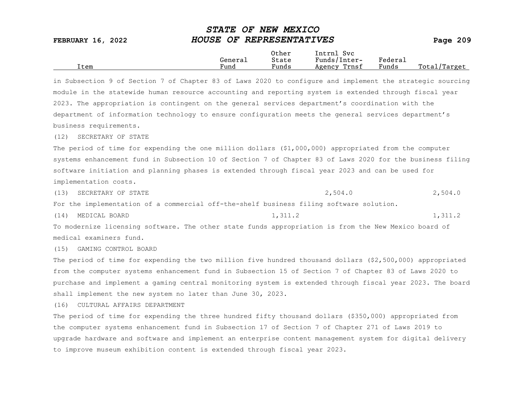|      |         | Other                 | Intrnl<br><b>Svc</b> |                             |                 |
|------|---------|-----------------------|----------------------|-----------------------------|-----------------|
|      | General | State                 | Funds/Inter-         | ${}_{\rm \texttt{Federau}}$ |                 |
| Item | Fund    | $\mathbf{r}$<br>Funds | Trnsf<br>Agency      | Funds                       | Total<br>Target |

in Subsection 9 of Section 7 of Chapter 83 of Laws 2020 to configure and implement the strategic sourcing module in the statewide human resource accounting and reporting system is extended through fiscal year 2023. The appropriation is contingent on the general services department's coordination with the department of information technology to ensure configuration meets the general services department's business requirements.

(12) SECRETARY OF STATE

The period of time for expending the one million dollars (\$1,000,000) appropriated from the computer systems enhancement fund in Subsection 10 of Section 7 of Chapter 83 of Laws 2020 for the business filing software initiation and planning phases is extended through fiscal year 2023 and can be used for implementation costs.

(13) SECRETARY OF STATE  $2,504.0$  2,504.0 2,504.0

For the implementation of a commercial off-the-shelf business filing software solution.

(14) MEDICAL BOARD 1,311.2 1,311.2 1,311.2

To modernize licensing software. The other state funds appropriation is from the New Mexico board of medical examiners fund.

(15) GAMING CONTROL BOARD

The period of time for expending the two million five hundred thousand dollars (\$2,500,000) appropriated from the computer systems enhancement fund in Subsection 15 of Section 7 of Chapter 83 of Laws 2020 to purchase and implement a gaming central monitoring system is extended through fiscal year 2023. The board shall implement the new system no later than June 30, 2023.

(16) CULTURAL AFFAIRS DEPARTMENT

The period of time for expending the three hundred fifty thousand dollars (\$350,000) appropriated from the computer systems enhancement fund in Subsection 17 of Section 7 of Chapter 271 of Laws 2019 to upgrade hardware and software and implement an enterprise content management system for digital delivery to improve museum exhibition content is extended through fiscal year 2023.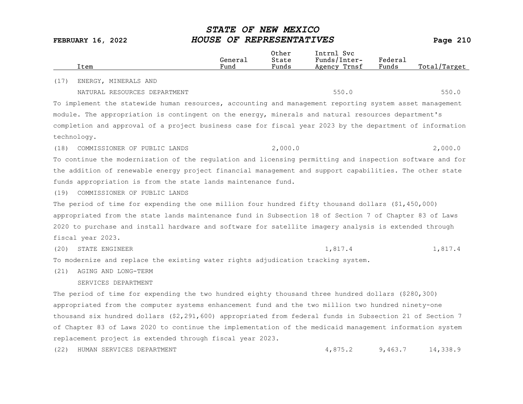|      | Item                                                                                                     | General<br>Fund | Other<br>State<br>Funds | Intrnl Svc<br>Funds/Inter-<br>Agency Trnsf | Federal<br>Funds | Total/Target |
|------|----------------------------------------------------------------------------------------------------------|-----------------|-------------------------|--------------------------------------------|------------------|--------------|
| (17) | ENERGY, MINERALS AND                                                                                     |                 |                         |                                            |                  |              |
|      | NATURAL RESOURCES DEPARTMENT                                                                             |                 |                         | 550.0                                      |                  | 550.0        |
|      | To implement the statewide human resources, accounting and management reporting system asset management  |                 |                         |                                            |                  |              |
|      | module. The appropriation is contingent on the energy, minerals and natural resources department's       |                 |                         |                                            |                  |              |
|      | completion and approval of a project business case for fiscal year 2023 by the department of information |                 |                         |                                            |                  |              |
|      | technology.                                                                                              |                 |                         |                                            |                  |              |
| (18) | COMMISSIONER OF PUBLIC LANDS                                                                             |                 | 2,000.0                 |                                            |                  | 2,000.0      |
|      | To continue the modernization of the regulation and licensing permitting and inspection software and for |                 |                         |                                            |                  |              |
|      | the addition of renewable energy project financial management and support capabilities. The other state  |                 |                         |                                            |                  |              |
|      | funds appropriation is from the state lands maintenance fund.                                            |                 |                         |                                            |                  |              |
| (19) | COMMISSIONER OF PUBLIC LANDS                                                                             |                 |                         |                                            |                  |              |
|      | The period of time for expending the one million four hundred fifty thousand dollars $($1,450,000)$      |                 |                         |                                            |                  |              |
|      | appropriated from the state lands maintenance fund in Subsection 18 of Section 7 of Chapter 83 of Laws   |                 |                         |                                            |                  |              |
|      | 2020 to purchase and install hardware and software for satellite imagery analysis is extended through    |                 |                         |                                            |                  |              |
|      | fiscal year 2023.                                                                                        |                 |                         |                                            |                  |              |
| (20) | STATE ENGINEER                                                                                           |                 |                         | 1,817.4                                    |                  | 1,817.4      |
|      | To modernize and replace the existing water rights adjudication tracking system.                         |                 |                         |                                            |                  |              |
| (21) | AGING AND LONG-TERM                                                                                      |                 |                         |                                            |                  |              |
|      | SERVICES DEPARTMENT                                                                                      |                 |                         |                                            |                  |              |
|      | The period of time for expending the two hundred eighty thousand three hundred dollars (\$280,300)       |                 |                         |                                            |                  |              |
|      | appropriated from the computer systems enhancement fund and the two million two hundred ninety-one       |                 |                         |                                            |                  |              |
|      | thousand six hundred dollars (\$2,291,600) appropriated from federal funds in Subsection 21 of Section 7 |                 |                         |                                            |                  |              |
|      | of Chapter 83 of Laws 2020 to continue the implementation of the medicaid management information system  |                 |                         |                                            |                  |              |
|      | replacement project is extended through fiscal year 2023.                                                |                 |                         |                                            |                  |              |
| (22) | HUMAN SERVICES DEPARTMENT                                                                                |                 |                         | 4,875.2                                    | 9,463.7          | 14,338.9     |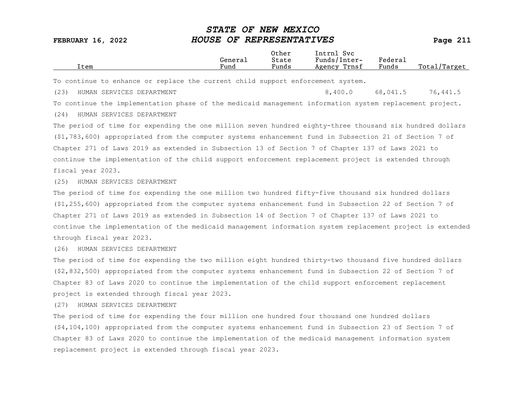| Item                                                                                                     | General<br>Fund | Other<br>State<br>Funds | Intrnl Svc<br>Funds/Inter-<br>Agency Trnsf | Federal<br>Funds | Total/Target |
|----------------------------------------------------------------------------------------------------------|-----------------|-------------------------|--------------------------------------------|------------------|--------------|
| To continue to enhance or replace the current child support enforcement system.                          |                 |                         |                                            |                  |              |
|                                                                                                          |                 |                         |                                            |                  |              |
| (23)<br>HUMAN SERVICES DEPARTMENT                                                                        |                 |                         | 8,400.0                                    | 68,041.5         | 76,441.5     |
| To continue the implementation phase of the medicaid management information system replacement project.  |                 |                         |                                            |                  |              |
| HUMAN SERVICES DEPARTMENT<br>(24)                                                                        |                 |                         |                                            |                  |              |
| The period of time for expending the one million seven hundred eighty-three thousand six hundred dollars |                 |                         |                                            |                  |              |
| (\$1,783,600) appropriated from the computer systems enhancement fund in Subsection 21 of Section 7 of   |                 |                         |                                            |                  |              |
| Chapter 271 of Laws 2019 as extended in Subsection 13 of Section 7 of Chapter 137 of Laws 2021 to        |                 |                         |                                            |                  |              |
| continue the implementation of the child support enforcement replacement project is extended through     |                 |                         |                                            |                  |              |
| fiscal year 2023.                                                                                        |                 |                         |                                            |                  |              |
| (25)<br>HUMAN SERVICES DEPARTMENT                                                                        |                 |                         |                                            |                  |              |
| The period of time for expending the one million two hundred fifty-five thousand six hundred dollars     |                 |                         |                                            |                  |              |
| $(1, 255, 600)$ appropriated from the computer systems enhancement fund in Subsection 22 of Section 7 of |                 |                         |                                            |                  |              |
| Chapter 271 of Laws 2019 as extended in Subsection 14 of Section 7 of Chapter 137 of Laws 2021 to        |                 |                         |                                            |                  |              |

continue the implementation of the medicaid management information system replacement project is extended through fiscal year 2023.

(26) HUMAN SERVICES DEPARTMENT

The period of time for expending the two million eight hundred thirty-two thousand five hundred dollars (\$2,832,500) appropriated from the computer systems enhancement fund in Subsection 22 of Section 7 of Chapter 83 of Laws 2020 to continue the implementation of the child support enforcement replacement project is extended through fiscal year 2023.

(27) HUMAN SERVICES DEPARTMENT

The period of time for expending the four million one hundred four thousand one hundred dollars (\$4,104,100) appropriated from the computer systems enhancement fund in Subsection 23 of Section 7 of Chapter 83 of Laws 2020 to continue the implementation of the medicaid management information system replacement project is extended through fiscal year 2023.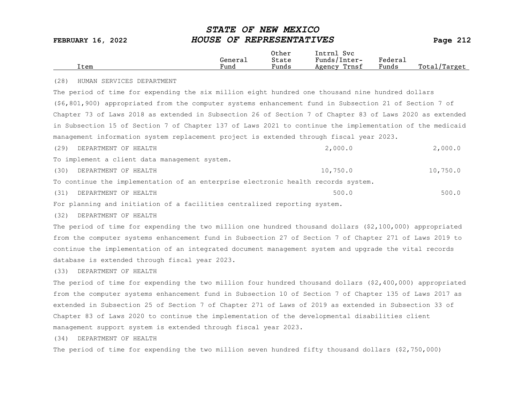| Item                                                                                                      | General<br>Fund | Other<br>State<br>Funds | Intrnl Svc<br>Funds/Inter-<br>Agency Trnsf | Federal<br>Funds | Total/Target |
|-----------------------------------------------------------------------------------------------------------|-----------------|-------------------------|--------------------------------------------|------------------|--------------|
| (28)<br>HUMAN SERVICES DEPARTMENT                                                                         |                 |                         |                                            |                  |              |
| The period of time for expending the six million eight hundred one thousand nine hundred dollars          |                 |                         |                                            |                  |              |
| (\$6,801,900) appropriated from the computer systems enhancement fund in Subsection 21 of Section 7 of    |                 |                         |                                            |                  |              |
| Chapter 73 of Laws 2018 as extended in Subsection 26 of Section 7 of Chapter 83 of Laws 2020 as extended  |                 |                         |                                            |                  |              |
| in Subsection 15 of Section 7 of Chapter 137 of Laws 2021 to continue the implementation of the medicaid  |                 |                         |                                            |                  |              |
| management information system replacement project is extended through fiscal year 2023.                   |                 |                         |                                            |                  |              |
| DEPARTMENT OF HEALTH<br>(29)                                                                              |                 |                         | 2,000.0                                    |                  | 2,000.0      |
| To implement a client data management system.                                                             |                 |                         |                                            |                  |              |
| DEPARTMENT OF HEALTH<br>(30)                                                                              |                 |                         | 10,750.0                                   |                  | 10,750.0     |
| To continue the implementation of an enterprise electronic health records system.                         |                 |                         |                                            |                  |              |
| DEPARTMENT OF HEALTH<br>(31)                                                                              |                 |                         | 500.0                                      |                  | 500.0        |
| For planning and initiation of a facilities centralized reporting system.                                 |                 |                         |                                            |                  |              |
| (32)<br>DEPARTMENT OF HEALTH                                                                              |                 |                         |                                            |                  |              |
| The period of time for expending the two million one hundred thousand dollars $(2,100,000)$ appropriated  |                 |                         |                                            |                  |              |
| from the computer systems enhancement fund in Subsection 27 of Section 7 of Chapter 271 of Laws 2019 to   |                 |                         |                                            |                  |              |
| continue the implementation of an integrated document management system and upgrade the vital records     |                 |                         |                                            |                  |              |
| database is extended through fiscal year 2023.                                                            |                 |                         |                                            |                  |              |
| (33)<br>DEPARTMENT OF HEALTH                                                                              |                 |                         |                                            |                  |              |
| The period of time for expending the two million four hundred thousand dollars (\$2,400,000) appropriated |                 |                         |                                            |                  |              |
| from the computer systems enhancement fund in Subsection 10 of Section 7 of Chapter 135 of Laws 2017 as   |                 |                         |                                            |                  |              |
| extended in Subsection 25 of Section 7 of Chapter 271 of Laws of 2019 as extended in Subsection 33 of     |                 |                         |                                            |                  |              |
| Chapter 83 of Laws 2020 to continue the implementation of the developmental disabilities client           |                 |                         |                                            |                  |              |
| management support system is extended through fiscal year 2023.                                           |                 |                         |                                            |                  |              |
| DEPARTMENT OF HEALTH<br>(34)                                                                              |                 |                         |                                            |                  |              |
| The period of time for expending the two million seven hundred fifty thousand dollars (\$2,750,000)       |                 |                         |                                            |                  |              |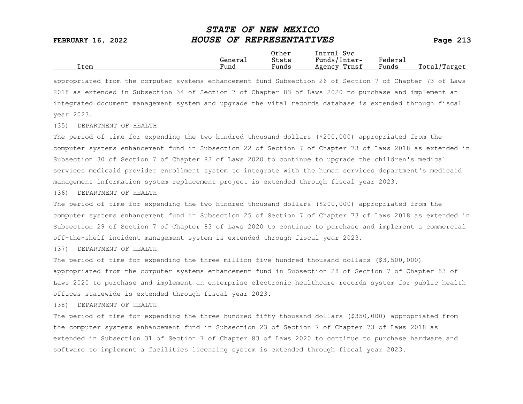|      |         | Other                 | Intrnl<br>Sv c  |                     |                   |
|------|---------|-----------------------|-----------------|---------------------|-------------------|
|      | Generai | State                 | Funds/Inter-    | Federa <sub>1</sub> |                   |
| Item | Fund    | $\mathbf{r}$<br>Funds | Trnsf<br>Agency | Funds               | Total,<br>'Target |

appropriated from the computer systems enhancement fund Subsection 26 of Section 7 of Chapter 73 of Laws 2018 as extended in Subsection 34 of Section 7 of Chapter 83 of Laws 2020 to purchase and implement an integrated document management system and upgrade the vital records database is extended through fiscal year 2023.

(35) DEPARTMENT OF HEALTH

The period of time for expending the two hundred thousand dollars (\$200,000) appropriated from the computer systems enhancement fund in Subsection 22 of Section 7 of Chapter 73 of Laws 2018 as extended in Subsection 30 of Section 7 of Chapter 83 of Laws 2020 to continue to upgrade the children's medical services medicaid provider enrollment system to integrate with the human services department's medicaid management information system replacement project is extended through fiscal year 2023.

(36) DEPARTMENT OF HEALTH

The period of time for expending the two hundred thousand dollars (\$200,000) appropriated from the computer systems enhancement fund in Subsection 25 of Section 7 of Chapter 73 of Laws 2018 as extended in Subsection 29 of Section 7 of Chapter 83 of Laws 2020 to continue to purchase and implement a commercial off-the-shelf incident management system is extended through fiscal year 2023.

(37) DEPARTMENT OF HEALTH

The period of time for expending the three million five hundred thousand dollars (\$3,500,000) appropriated from the computer systems enhancement fund in Subsection 28 of Section 7 of Chapter 83 of Laws 2020 to purchase and implement an enterprise electronic healthcare records system for public health offices statewide is extended through fiscal year 2023.

(38) DEPARTMENT OF HEALTH

The period of time for expending the three hundred fifty thousand dollars (\$350,000) appropriated from the computer systems enhancement fund in Subsection 23 of Section 7 of Chapter 73 of Laws 2018 as extended in Subsection 31 of Section 7 of Chapter 83 of Laws 2020 to continue to purchase hardware and software to implement a facilities licensing system is extended through fiscal year 2023.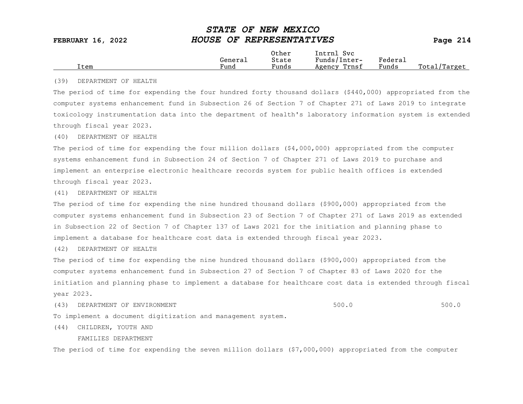|      |                      | Other                             | Intrnl<br>Sv c  |                                            |                  |
|------|----------------------|-----------------------------------|-----------------|--------------------------------------------|------------------|
|      | General              | State                             | Funds/Inter-    | ${}_{\rm Federa}$                          |                  |
| Item | $\mathbf{r}$<br>Fund | $\overline{\phantom{a}}$<br>Funds | Trnsf<br>Agency | and the state of the state of the<br>Funds | Total<br>'Target |
|      |                      |                                   |                 |                                            |                  |

#### (39) DEPARTMENT OF HEALTH

The period of time for expending the four hundred forty thousand dollars (\$440,000) appropriated from the computer systems enhancement fund in Subsection 26 of Section 7 of Chapter 271 of Laws 2019 to integrate toxicology instrumentation data into the department of health's laboratory information system is extended through fiscal year 2023.

#### (40) DEPARTMENT OF HEALTH

The period of time for expending the four million dollars (\$4,000,000) appropriated from the computer systems enhancement fund in Subsection 24 of Section 7 of Chapter 271 of Laws 2019 to purchase and implement an enterprise electronic healthcare records system for public health offices is extended through fiscal year 2023.

#### (41) DEPARTMENT OF HEALTH

The period of time for expending the nine hundred thousand dollars (\$900,000) appropriated from the computer systems enhancement fund in Subsection 23 of Section 7 of Chapter 271 of Laws 2019 as extended in Subsection 22 of Section 7 of Chapter 137 of Laws 2021 for the initiation and planning phase to implement a database for healthcare cost data is extended through fiscal year 2023.

(42) DEPARTMENT OF HEALTH

The period of time for expending the nine hundred thousand dollars (\$900,000) appropriated from the computer systems enhancement fund in Subsection 27 of Section 7 of Chapter 83 of Laws 2020 for the initiation and planning phase to implement a database for healthcare cost data is extended through fiscal year 2023.

(43) DEPARTMENT OF ENVIRONMENT (2000) SOULD SUB-SECTION AND SOULD SOULD SOULD SOULD SOULD SOULD SUB-

To implement a document digitization and management system.

(44) CHILDREN, YOUTH AND

FAMILIES DEPARTMENT

The period of time for expending the seven million dollars (\$7,000,000) appropriated from the computer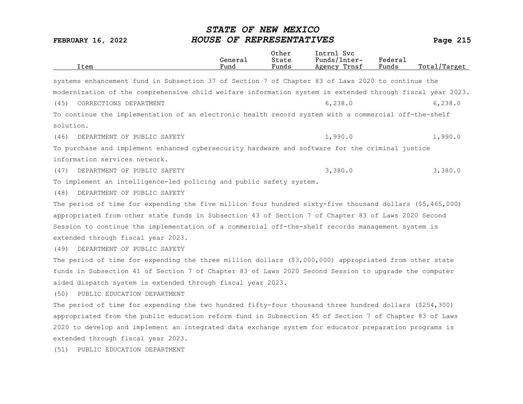| Item                                                                                                      | General<br>Fund | Other<br>State<br>Funds | Intrnl Svc<br>Funds/Inter-<br>Agency Trnsf | Federal<br>Funds | Total/Target |
|-----------------------------------------------------------------------------------------------------------|-----------------|-------------------------|--------------------------------------------|------------------|--------------|
| systems enhancement fund in Subsection 37 of Section 7 of Chapter 83 of Laws 2020 to continue the         |                 |                         |                                            |                  |              |
| modernization of the comprehensive child welfare information system is extended through fiscal year 2023. |                 |                         |                                            |                  |              |
| (45)<br>CORRECTIONS DEPARTMENT                                                                            |                 |                         | 6, 238.0                                   |                  | 6, 238.0     |
| To continue the implementation of an electronic health record system with a commercial off-the-shelf      |                 |                         |                                            |                  |              |
| solution.                                                                                                 |                 |                         |                                            |                  |              |
| (46)<br>DEPARTMENT OF PUBLIC SAFETY                                                                       |                 |                         | 1,990.0                                    |                  | 1,990.0      |
| To purchase and implement enhanced cybersecurity hardware and software for the criminal justice           |                 |                         |                                            |                  |              |
| information services network.                                                                             |                 |                         |                                            |                  |              |
| DEPARTMENT OF PUBLIC SAFETY<br>(47)                                                                       |                 |                         | 3,380.0                                    |                  | 3,380.0      |
| To implement an intelligence-led policing and public safety system.                                       |                 |                         |                                            |                  |              |
| DEPARTMENT OF PUBLIC SAFETY<br>(48)                                                                       |                 |                         |                                            |                  |              |
| The period of time for expending the five million four hundred sixty-five thousand dollars (\$5,465,000)  |                 |                         |                                            |                  |              |
| appropriated from other state funds in Subsection 43 of Section 7 of Chapter 83 of Laws 2020 Second       |                 |                         |                                            |                  |              |
| Session to continue the implementation of a commercial off-the-shelf records management system is         |                 |                         |                                            |                  |              |
| extended through fiscal year 2023.                                                                        |                 |                         |                                            |                  |              |
| DEPARTMENT OF PUBLIC SAFETY<br>(49)                                                                       |                 |                         |                                            |                  |              |
| The period of time for expending the three million dollars (\$3,000,000) appropriated from other state    |                 |                         |                                            |                  |              |
| funds in Subsection 41 of Section 7 of Chapter 83 of Laws 2020 Second Session to upgrade the computer     |                 |                         |                                            |                  |              |
| aided dispatch system is extended through fiscal year 2023.                                               |                 |                         |                                            |                  |              |
| PUBLIC EDUCATION DEPARTMENT<br>(50)                                                                       |                 |                         |                                            |                  |              |
| The period of time for expending the two hundred fifty-four thousand three hundred dollars (\$254,300)    |                 |                         |                                            |                  |              |
| appropriated from the public education reform fund in Subsection 45 of Section 7 of Chapter 83 of Laws    |                 |                         |                                            |                  |              |
| 2020 to develop and implement an integrated data exchange system for educator preparation programs is     |                 |                         |                                            |                  |              |
| extended through fiscal year 2023.                                                                        |                 |                         |                                            |                  |              |
| PUBLIC EDUCATION DEPARTMENT<br>(51)                                                                       |                 |                         |                                            |                  |              |
|                                                                                                           |                 |                         |                                            |                  |              |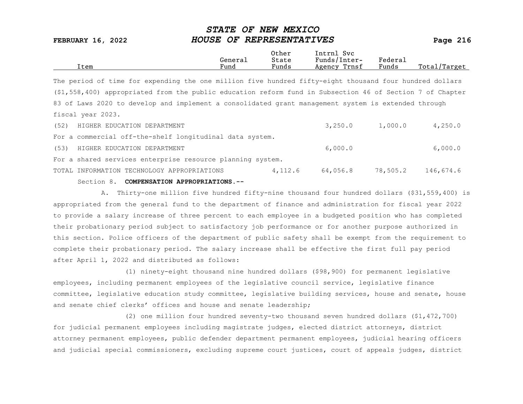|      |         | Other | Intrnl<br>Svc   |                       |                  |
|------|---------|-------|-----------------|-----------------------|------------------|
|      | General | State | Funds/Inter-    | Federa <sub>1</sub>   |                  |
| Item | Fund    | Funds | Trnsf<br>Agency | $\mathbf{r}$<br>Funds | Total<br>'Target |
|      |         |       |                 |                       |                  |

The period of time for expending the one million five hundred fifty-eight thousand four hundred dollars (\$1,558,400) appropriated from the public education reform fund in Subsection 46 of Section 7 of Chapter 83 of Laws 2020 to develop and implement a consolidated grant management system is extended through fiscal year 2023. (52) HIGHER EDUCATION DEPARTMENT 3,250.0 1,000.0 4,250.0

|      | Section 8. COMPENSATION APPROPRIATIONS.--                  |         |          |          |           |
|------|------------------------------------------------------------|---------|----------|----------|-----------|
|      | TOTAL INFORMATION TECHNOLOGY APPROPRIATIONS                | 4,112.6 | 64,056.8 | 78,505.2 | 146,674.6 |
|      | For a shared services enterprise resource planning system. |         |          |          |           |
| (53) | HIGHER EDUCATION DEPARTMENT                                |         | 6,000.0  |          | 6,000.0   |
|      | For a commercial off-the-shelf longitudinal data system.   |         |          |          |           |
|      | (52) HIGHER EDUCATION DEPARTMENT                           |         | 3.250.0  | 1,000.0  | 4,250.0   |

A. Thirty-one million five hundred fifty-nine thousand four hundred dollars (\$31,559,400) is appropriated from the general fund to the department of finance and administration for fiscal year 2022 to provide a salary increase of three percent to each employee in a budgeted position who has completed their probationary period subject to satisfactory job performance or for another purpose authorized in this section. Police officers of the department of public safety shall be exempt from the requirement to complete their probationary period. The salary increase shall be effective the first full pay period after April 1, 2022 and distributed as follows:

(1) ninety-eight thousand nine hundred dollars (\$98,900) for permanent legislative employees, including permanent employees of the legislative council service, legislative finance committee, legislative education study committee, legislative building services, house and senate, house and senate chief clerks' offices and house and senate leadership;

(2) one million four hundred seventy-two thousand seven hundred dollars (\$1,472,700) for judicial permanent employees including magistrate judges, elected district attorneys, district attorney permanent employees, public defender department permanent employees, judicial hearing officers and judicial special commissioners, excluding supreme court justices, court of appeals judges, district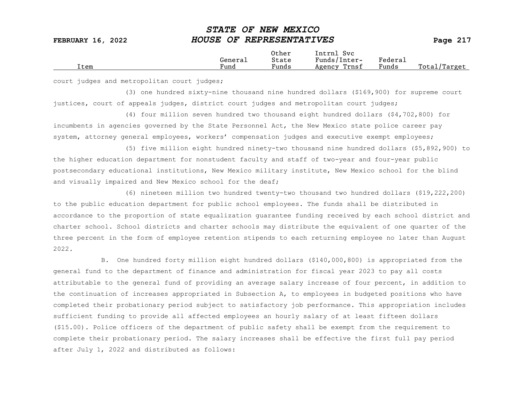|  | Item | Generai<br>Fund | Other<br>State<br>$\sim$<br>Funds | Intrnl<br><b>Svc</b><br>Funds/Inter-<br>Trnsf<br>Agency | Federau<br>Funds | Total<br>Target |
|--|------|-----------------|-----------------------------------|---------------------------------------------------------|------------------|-----------------|
|--|------|-----------------|-----------------------------------|---------------------------------------------------------|------------------|-----------------|

court judges and metropolitan court judges;

(3) one hundred sixty-nine thousand nine hundred dollars (\$169,900) for supreme court justices, court of appeals judges, district court judges and metropolitan court judges;

(4) four million seven hundred two thousand eight hundred dollars (\$4,702,800) for incumbents in agencies governed by the State Personnel Act, the New Mexico state police career pay system, attorney general employees, workers' compensation judges and executive exempt employees;

(5) five million eight hundred ninety-two thousand nine hundred dollars (\$5,892,900) to the higher education department for nonstudent faculty and staff of two-year and four-year public postsecondary educational institutions, New Mexico military institute, New Mexico school for the blind and visually impaired and New Mexico school for the deaf;

(6) nineteen million two hundred twenty-two thousand two hundred dollars (\$19,222,200) to the public education department for public school employees. The funds shall be distributed in accordance to the proportion of state equalization guarantee funding received by each school district and charter school. School districts and charter schools may distribute the equivalent of one quarter of the three percent in the form of employee retention stipends to each returning employee no later than August 2022.

B. One hundred forty million eight hundred dollars (\$140,000,800) is appropriated from the general fund to the department of finance and administration for fiscal year 2023 to pay all costs attributable to the general fund of providing an average salary increase of four percent, in addition to the continuation of increases appropriated in Subsection A, to employees in budgeted positions who have completed their probationary period subject to satisfactory job performance. This appropriation includes sufficient funding to provide all affected employees an hourly salary of at least fifteen dollars (\$15.00). Police officers of the department of public safety shall be exempt from the requirement to complete their probationary period. The salary increases shall be effective the first full pay period after July 1, 2022 and distributed as follows: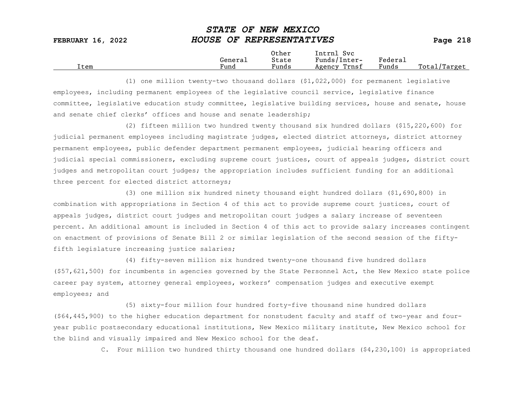|      |                      | Other                             | Intrnl<br>Sv c  |                           |                 |
|------|----------------------|-----------------------------------|-----------------|---------------------------|-----------------|
|      | Genera⊥              | State                             | Funds/Inter-    | ${}_{\rm Federa_{\perp}}$ |                 |
| Item | $\mathbf{r}$<br>Fund | $\overline{\phantom{a}}$<br>Funds | Trnsf<br>Agency | Funds                     | Total<br>Target |

(1) one million twenty-two thousand dollars (\$1,022,000) for permanent legislative employees, including permanent employees of the legislative council service, legislative finance committee, legislative education study committee, legislative building services, house and senate, house and senate chief clerks' offices and house and senate leadership;

(2) fifteen million two hundred twenty thousand six hundred dollars (\$15,220,600) for judicial permanent employees including magistrate judges, elected district attorneys, district attorney permanent employees, public defender department permanent employees, judicial hearing officers and judicial special commissioners, excluding supreme court justices, court of appeals judges, district court judges and metropolitan court judges; the appropriation includes sufficient funding for an additional three percent for elected district attorneys;

(3) one million six hundred ninety thousand eight hundred dollars (\$1,690,800) in combination with appropriations in Section 4 of this act to provide supreme court justices, court of appeals judges, district court judges and metropolitan court judges a salary increase of seventeen percent. An additional amount is included in Section 4 of this act to provide salary increases contingent on enactment of provisions of Senate Bill 2 or similar legislation of the second session of the fiftyfifth legislature increasing justice salaries;

(4) fifty-seven million six hundred twenty-one thousand five hundred dollars (\$57,621,500) for incumbents in agencies governed by the State Personnel Act, the New Mexico state police career pay system, attorney general employees, workers' compensation judges and executive exempt employees; and

(5) sixty-four million four hundred forty-five thousand nine hundred dollars (\$64,445,900) to the higher education department for nonstudent faculty and staff of two-year and fouryear public postsecondary educational institutions, New Mexico military institute, New Mexico school for the blind and visually impaired and New Mexico school for the deaf.

C. Four million two hundred thirty thousand one hundred dollars (\$4,230,100) is appropriated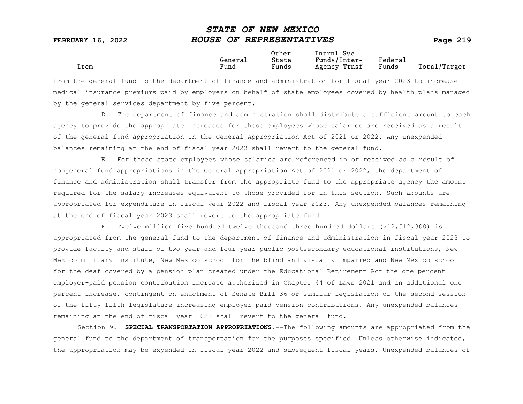|      |         | Other                 | Intrnl<br>Sv c  |                     |                   |
|------|---------|-----------------------|-----------------|---------------------|-------------------|
|      | Generai | State                 | Funds/Inter-    | Federa <sub>1</sub> |                   |
| Item | Fund    | $\mathbf{r}$<br>Funds | Trnsf<br>Agency | Funds               | Total,<br>'Target |

from the general fund to the department of finance and administration for fiscal year 2023 to increase medical insurance premiums paid by employers on behalf of state employees covered by health plans managed by the general services department by five percent.

D. The department of finance and administration shall distribute a sufficient amount to each agency to provide the appropriate increases for those employees whose salaries are received as a result of the general fund appropriation in the General Appropriation Act of 2021 or 2022. Any unexpended balances remaining at the end of fiscal year 2023 shall revert to the general fund.

E. For those state employees whose salaries are referenced in or received as a result of nongeneral fund appropriations in the General Appropriation Act of 2021 or 2022, the department of finance and administration shall transfer from the appropriate fund to the appropriate agency the amount required for the salary increases equivalent to those provided for in this section. Such amounts are appropriated for expenditure in fiscal year 2022 and fiscal year 2023. Any unexpended balances remaining at the end of fiscal year 2023 shall revert to the appropriate fund.

F. Twelve million five hundred twelve thousand three hundred dollars (\$12,512,300) is appropriated from the general fund to the department of finance and administration in fiscal year 2023 to provide faculty and staff of two-year and four-year public postsecondary educational institutions, New Mexico military institute, New Mexico school for the blind and visually impaired and New Mexico school for the deaf covered by a pension plan created under the Educational Retirement Act the one percent employer-paid pension contribution increase authorized in Chapter 44 of Laws 2021 and an additional one percent increase, contingent on enactment of Senate Bill 36 or similar legislation of the second session of the fifty-fifth legislature increasing employer paid pension contributions. Any unexpended balances remaining at the end of fiscal year 2023 shall revert to the general fund.

Section 9. SPECIAL TRANSPORTATION APPROPRIATIONS. -- The following amounts are appropriated from the general fund to the department of transportation for the purposes specified. Unless otherwise indicated, the appropriation may be expended in fiscal year 2022 and subsequent fiscal years. Unexpended balances of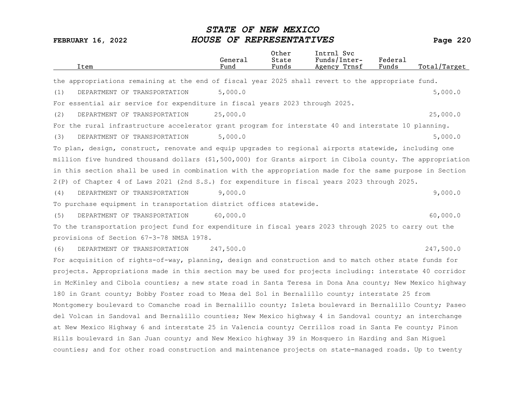| Item                                                                                                       | General<br>Fund | Other<br>State<br>Funds | Intrnl Svc<br>Funds/Inter-<br>Agency Trnsf | Federal<br>Funds | Total/Target |
|------------------------------------------------------------------------------------------------------------|-----------------|-------------------------|--------------------------------------------|------------------|--------------|
| the appropriations remaining at the end of fiscal year 2025 shall revert to the appropriate fund.          |                 |                         |                                            |                  |              |
| DEPARTMENT OF TRANSPORTATION<br>(1)                                                                        | 5,000.0         |                         |                                            |                  | 5,000.0      |
| For essential air service for expenditure in fiscal years 2023 through 2025.                               |                 |                         |                                            |                  |              |
| (2)<br>DEPARTMENT OF TRANSPORTATION                                                                        | 25,000.0        |                         |                                            |                  | 25,000.0     |
| For the rural infrastructure accelerator grant program for interstate 40 and interstate 10 planning.       |                 |                         |                                            |                  |              |
| DEPARTMENT OF TRANSPORTATION<br>(3)                                                                        | 5,000.0         |                         |                                            |                  | 5,000.0      |
| To plan, design, construct, renovate and equip upgrades to regional airports statewide, including one      |                 |                         |                                            |                  |              |
| million five hundred thousand dollars (\$1,500,000) for Grants airport in Cibola county. The appropriation |                 |                         |                                            |                  |              |
| in this section shall be used in combination with the appropriation made for the same purpose in Section   |                 |                         |                                            |                  |              |
| 2(P) of Chapter 4 of Laws 2021 (2nd S.S.) for expenditure in fiscal years 2023 through 2025.               |                 |                         |                                            |                  |              |
| DEPARTMENT OF TRANSPORTATION<br>(4)                                                                        | 9,000.0         |                         |                                            |                  | 9,000.0      |
| To purchase equipment in transportation district offices statewide.                                        |                 |                         |                                            |                  |              |
| (5)<br>DEPARTMENT OF TRANSPORTATION                                                                        | 60,000.0        |                         |                                            |                  | 60,000.0     |
| To the transportation project fund for expenditure in fiscal years 2023 through 2025 to carry out the      |                 |                         |                                            |                  |              |
| provisions of Section 67-3-78 NMSA 1978.                                                                   |                 |                         |                                            |                  |              |
| DEPARTMENT OF TRANSPORTATION<br>(6)                                                                        | 247,500.0       |                         |                                            |                  | 247,500.0    |
| For acquisition of rights-of-way, planning, design and construction and to match other state funds for     |                 |                         |                                            |                  |              |
| projects. Appropriations made in this section may be used for projects including: interstate 40 corridor   |                 |                         |                                            |                  |              |
| in McKinley and Cibola counties; a new state road in Santa Teresa in Dona Ana county; New Mexico highway   |                 |                         |                                            |                  |              |
| 180 in Grant county; Bobby Foster road to Mesa del Sol in Bernalillo county; interstate 25 from            |                 |                         |                                            |                  |              |
| Montgomery boulevard to Comanche road in Bernalillo county; Isleta boulevard in Bernalillo County; Paseo   |                 |                         |                                            |                  |              |
| del Volcan in Sandoval and Bernalillo counties; New Mexico highway 4 in Sandoval county; an interchange    |                 |                         |                                            |                  |              |
| at New Mexico Highway 6 and interstate 25 in Valencia county; Cerrillos road in Santa Fe county; Pinon     |                 |                         |                                            |                  |              |
| Hills boulevard in San Juan county; and New Mexico highway 39 in Mosquero in Harding and San Miguel        |                 |                         |                                            |                  |              |
| counties; and for other road construction and maintenance projects on state-managed roads. Up to twenty    |                 |                         |                                            |                  |              |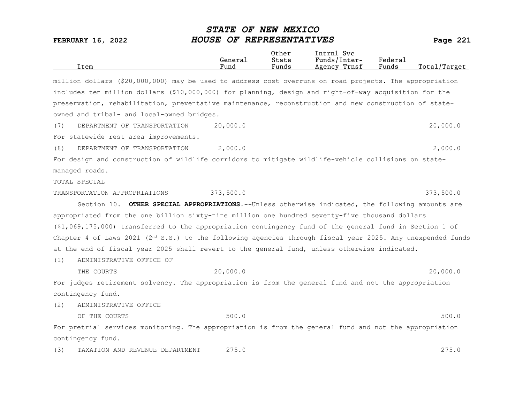| Item                                                                                                          | General<br>Fund | Other<br>State<br>Funds | Intrnl Svc<br>Funds/Inter-<br>Agency Trnsf | Federal<br>Funds | Total/Target |
|---------------------------------------------------------------------------------------------------------------|-----------------|-------------------------|--------------------------------------------|------------------|--------------|
| million dollars (\$20,000,000) may be used to address cost overruns on road projects. The appropriation       |                 |                         |                                            |                  |              |
| includes ten million dollars (\$10,000,000) for planning, design and right-of-way acquisition for the         |                 |                         |                                            |                  |              |
| preservation, rehabilitation, preventative maintenance, reconstruction and new construction of state-         |                 |                         |                                            |                  |              |
| owned and tribal- and local-owned bridges.                                                                    |                 |                         |                                            |                  |              |
| (7)<br>DEPARTMENT OF TRANSPORTATION                                                                           | 20,000.0        |                         |                                            |                  | 20,000.0     |
| For statewide rest area improvements.                                                                         |                 |                         |                                            |                  |              |
| DEPARTMENT OF TRANSPORTATION<br>(8)                                                                           | 2,000.0         |                         |                                            |                  | 2,000.0      |
| For design and construction of wildlife corridors to mitigate wildlife-vehicle collisions on state-           |                 |                         |                                            |                  |              |
| managed roads.                                                                                                |                 |                         |                                            |                  |              |
| TOTAL SPECIAL                                                                                                 |                 |                         |                                            |                  |              |
| TRANSPORTATION APPROPRIATIONS                                                                                 | 373,500.0       |                         |                                            |                  | 373,500.0    |
| Section 10. OTHER SPECIAL APPROPRIATIONS.--Unless otherwise indicated, the following amounts are              |                 |                         |                                            |                  |              |
| appropriated from the one billion sixty-nine million one hundred seventy-five thousand dollars                |                 |                         |                                            |                  |              |
| (\$1,069,175,000) transferred to the appropriation contingency fund of the general fund in Section 1 of       |                 |                         |                                            |                  |              |
| Chapter 4 of Laws 2021 ( $2nd$ S.S.) to the following agencies through fiscal year 2025. Any unexpended funds |                 |                         |                                            |                  |              |
| at the end of fiscal year 2025 shall revert to the general fund, unless otherwise indicated.                  |                 |                         |                                            |                  |              |
| ADMINISTRATIVE OFFICE OF<br>(1)                                                                               |                 |                         |                                            |                  |              |
| THE COURTS                                                                                                    | 20,000.0        |                         |                                            |                  | 20,000.0     |
| For judges retirement solvency. The appropriation is from the general fund and not the appropriation          |                 |                         |                                            |                  |              |
| contingency fund.                                                                                             |                 |                         |                                            |                  |              |
| ADMINISTRATIVE OFFICE<br>(2)                                                                                  |                 |                         |                                            |                  |              |
| OF THE COURTS                                                                                                 | 500.0           |                         |                                            |                  | 500.0        |
| For pretrial services monitoring. The appropriation is from the general fund and not the appropriation        |                 |                         |                                            |                  |              |
| contingency fund.                                                                                             |                 |                         |                                            |                  |              |
| (3)<br>TAXATION AND REVENUE DEPARTMENT                                                                        | 275.0           |                         |                                            |                  | 275.0        |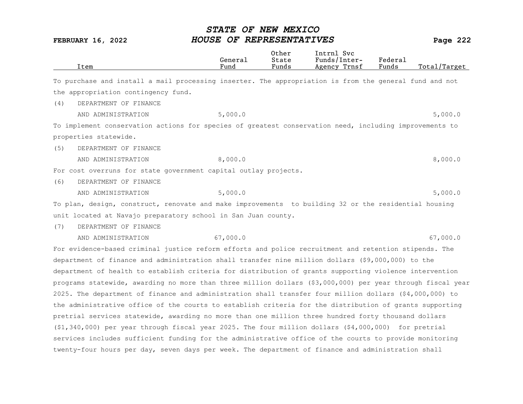|     | Item                                                                                                       | General<br>Fund | Other<br>State<br>Funds | Intrnl Svc<br>Funds/Inter-<br>Agency Trnsf | Federal<br>Funds | Total/Target |
|-----|------------------------------------------------------------------------------------------------------------|-----------------|-------------------------|--------------------------------------------|------------------|--------------|
|     | To purchase and install a mail processing inserter. The appropriation is from the general fund and not     |                 |                         |                                            |                  |              |
|     | the appropriation contingency fund.                                                                        |                 |                         |                                            |                  |              |
| (4) | DEPARTMENT OF FINANCE                                                                                      |                 |                         |                                            |                  |              |
|     | AND ADMINISTRATION                                                                                         | 5,000.0         |                         |                                            |                  | 5,000.0      |
|     | To implement conservation actions for species of greatest conservation need, including improvements to     |                 |                         |                                            |                  |              |
|     | properties statewide.                                                                                      |                 |                         |                                            |                  |              |
| (5) | DEPARTMENT OF FINANCE                                                                                      |                 |                         |                                            |                  |              |
|     | AND ADMINISTRATION                                                                                         | 8,000.0         |                         |                                            |                  | 8,000.0      |
|     | For cost overruns for state government capital outlay projects.                                            |                 |                         |                                            |                  |              |
| (6) | DEPARTMENT OF FINANCE                                                                                      |                 |                         |                                            |                  |              |
|     | AND ADMINISTRATION                                                                                         | 5,000.0         |                         |                                            |                  | 5,000.0      |
|     | To plan, design, construct, renovate and make improvements to building 32 or the residential housing       |                 |                         |                                            |                  |              |
|     | unit located at Navajo preparatory school in San Juan county.                                              |                 |                         |                                            |                  |              |
| (7) | DEPARTMENT OF FINANCE                                                                                      |                 |                         |                                            |                  |              |
|     | AND ADMINISTRATION                                                                                         | 67,000.0        |                         |                                            |                  | 67,000.0     |
|     | For evidence-based criminal justice reform efforts and police recruitment and retention stipends. The      |                 |                         |                                            |                  |              |
|     | department of finance and administration shall transfer nine million dollars (\$9,000,000) to the          |                 |                         |                                            |                  |              |
|     | department of health to establish criteria for distribution of grants supporting violence intervention     |                 |                         |                                            |                  |              |
|     | programs statewide, awarding no more than three million dollars (\$3,000,000) per year through fiscal year |                 |                         |                                            |                  |              |
|     | 2025. The department of finance and administration shall transfer four million dollars (\$4,000,000) to    |                 |                         |                                            |                  |              |
|     | the administrative office of the courts to establish criteria for the distribution of grants supporting    |                 |                         |                                            |                  |              |
|     | pretrial services statewide, awarding no more than one million three hundred forty thousand dollars        |                 |                         |                                            |                  |              |
|     | $(51, 340, 000)$ per year through fiscal year 2025. The four million dollars $(54, 000, 000)$ for pretrial |                 |                         |                                            |                  |              |
|     | services includes sufficient funding for the administrative office of the courts to provide monitoring     |                 |                         |                                            |                  |              |
|     | twenty-four hours per day, seven days per week. The department of finance and administration shall         |                 |                         |                                            |                  |              |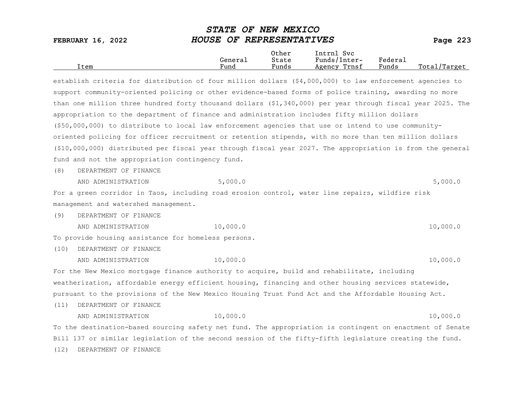| HOUSE OF REPRESENTATIVES<br><b>FEBRUARY 16, 2022</b>                                                       |                 |                         |                                            |                  |              |
|------------------------------------------------------------------------------------------------------------|-----------------|-------------------------|--------------------------------------------|------------------|--------------|
| Item                                                                                                       | General<br>Fund | Other<br>State<br>Funds | Intrnl Svc<br>Funds/Inter-<br>Agency Trnsf | Federal<br>Funds | Total/Target |
| establish criteria for distribution of four million dollars $(§4,000,000)$ to law enforcement agencies to  |                 |                         |                                            |                  |              |
| support community-oriented policing or other evidence-based forms of police training, awarding no more     |                 |                         |                                            |                  |              |
| than one million three hundred forty thousand dollars (\$1,340,000) per year through fiscal year 2025. The |                 |                         |                                            |                  |              |
| appropriation to the department of finance and administration includes fifty million dollars               |                 |                         |                                            |                  |              |

STATE OF NEW MEXICO

(\$50,000,000) to distribute to local law enforcement agencies that use or intend to use communityoriented policing for officer recruitment or retention stipends, with no more than ten million dollars (\$10,000,000) distributed per fiscal year through fiscal year 2027. The appropriation is from the general fund and not the appropriation contingency fund.

(8) DEPARTMENT OF FINANCE

AND ADMINISTRATION 5,000.0 5,000.0

For a green corridor in Taos, including road erosion control, water line repairs, wildfire risk management and watershed management.

(9) DEPARTMENT OF FINANCE

AND ADMINISTRATION 10,000.0 10.000.0 10,000 10,000.0

To provide housing assistance for homeless persons.

(10) DEPARTMENT OF FINANCE

AND ADMINISTRATION 10,000.0 10.000.0 10,000 10,000.0 For the New Mexico mortgage finance authority to acquire, build and rehabilitate, including weatherization, affordable energy efficient housing, financing and other housing services statewide, pursuant to the provisions of the New Mexico Housing Trust Fund Act and the Affordable Housing Act.

(11) DEPARTMENT OF FINANCE

AND ADMINISTRATION 10,000.0 10.000.0 10,000 10,000.0 To the destination-based sourcing safety net fund. The appropriation is contingent on enactment of Senate Bill 137 or similar legislation of the second session of the fifty-fifth legislature creating the fund. (12) DEPARTMENT OF FINANCE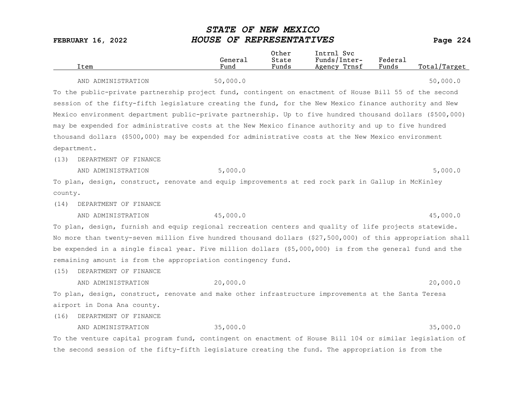|         | Item                                                                                                       | General<br>Fund | Other<br>State<br>Funds | Intrnl Svc<br>Funds/Inter-<br>Agency Trnsf | Federal<br>Funds | Total/Target |
|---------|------------------------------------------------------------------------------------------------------------|-----------------|-------------------------|--------------------------------------------|------------------|--------------|
|         | AND ADMINISTRATION                                                                                         | 50,000.0        |                         |                                            |                  | 50,000.0     |
|         | To the public-private partnership project fund, contingent on enactment of House Bill 55 of the second     |                 |                         |                                            |                  |              |
|         | session of the fifty-fifth legislature creating the fund, for the New Mexico finance authority and New     |                 |                         |                                            |                  |              |
|         | Mexico environment department public-private partnership. Up to five hundred thousand dollars (\$500,000)  |                 |                         |                                            |                  |              |
|         | may be expended for administrative costs at the New Mexico finance authority and up to five hundred        |                 |                         |                                            |                  |              |
|         | thousand dollars (\$500,000) may be expended for administrative costs at the New Mexico environment        |                 |                         |                                            |                  |              |
|         | department.                                                                                                |                 |                         |                                            |                  |              |
| (13)    | DEPARTMENT OF FINANCE                                                                                      |                 |                         |                                            |                  |              |
|         | AND ADMINISTRATION                                                                                         | 5,000.0         |                         |                                            |                  | 5,000.0      |
|         | To plan, design, construct, renovate and equip improvements at red rock park in Gallup in McKinley         |                 |                         |                                            |                  |              |
| county. |                                                                                                            |                 |                         |                                            |                  |              |
| (14)    | DEPARTMENT OF FINANCE                                                                                      |                 |                         |                                            |                  |              |
|         | AND ADMINISTRATION                                                                                         | 45,000.0        |                         |                                            |                  | 45,000.0     |
|         | To plan, design, furnish and equip regional recreation centers and quality of life projects statewide.     |                 |                         |                                            |                  |              |
|         | No more than twenty-seven million five hundred thousand dollars (\$27,500,000) of this appropriation shall |                 |                         |                                            |                  |              |
|         | be expended in a single fiscal year. Five million dollars (\$5,000,000) is from the general fund and the   |                 |                         |                                            |                  |              |
|         | remaining amount is from the appropriation contingency fund.                                               |                 |                         |                                            |                  |              |
| (15)    | DEPARTMENT OF FINANCE                                                                                      |                 |                         |                                            |                  |              |
|         | AND ADMINISTRATION                                                                                         | 20,000.0        |                         |                                            |                  | 20,000.0     |
|         | To plan, design, construct, renovate and make other infrastructure improvements at the Santa Teresa        |                 |                         |                                            |                  |              |
|         | airport in Dona Ana county.                                                                                |                 |                         |                                            |                  |              |
| (16)    | DEPARTMENT OF FINANCE                                                                                      |                 |                         |                                            |                  |              |
|         | AND ADMINISTRATION                                                                                         | 35,000.0        |                         |                                            |                  | 35,000.0     |
|         | To the venture capital program fund, contingent on enactment of House Bill 104 or similar legislation of   |                 |                         |                                            |                  |              |
|         | the second session of the fifty-fifth legislature creating the fund. The appropriation is from the         |                 |                         |                                            |                  |              |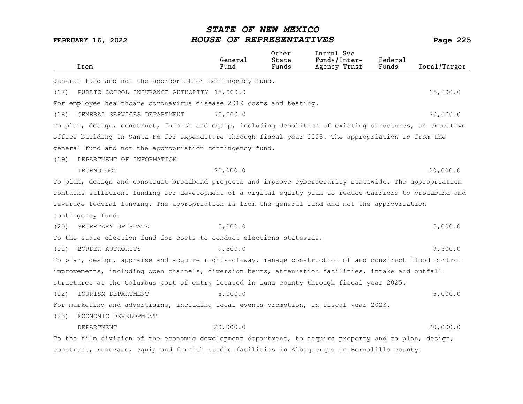|      | Item                                                                                                     | General<br>Fund | Other<br>State<br>Funds | Intrnl Svc<br>Funds/Inter-<br>Agency Trnsf | Federal<br>Funds | Total/Target |
|------|----------------------------------------------------------------------------------------------------------|-----------------|-------------------------|--------------------------------------------|------------------|--------------|
|      | general fund and not the appropriation contingency fund.                                                 |                 |                         |                                            |                  |              |
| (17) | PUBLIC SCHOOL INSURANCE AUTHORITY 15,000.0                                                               |                 |                         |                                            |                  | 15,000.0     |
|      | For employee healthcare coronavirus disease 2019 costs and testing.                                      |                 |                         |                                            |                  |              |
| (18) | GENERAL SERVICES DEPARTMENT                                                                              | 70,000.0        |                         |                                            |                  | 70,000.0     |
|      | To plan, design, construct, furnish and equip, including demolition of existing structures, an executive |                 |                         |                                            |                  |              |
|      | office building in Santa Fe for expenditure through fiscal year 2025. The appropriation is from the      |                 |                         |                                            |                  |              |
|      | general fund and not the appropriation contingency fund.                                                 |                 |                         |                                            |                  |              |
| (19) | DEPARTMENT OF INFORMATION                                                                                |                 |                         |                                            |                  |              |
|      | TECHNOLOGY                                                                                               | 20,000.0        |                         |                                            |                  | 20,000.0     |
|      | To plan, design and construct broadband projects and improve cybersecurity statewide. The appropriation  |                 |                         |                                            |                  |              |
|      | contains sufficient funding for development of a digital equity plan to reduce barriers to broadband and |                 |                         |                                            |                  |              |
|      | leverage federal funding. The appropriation is from the general fund and not the appropriation           |                 |                         |                                            |                  |              |
|      | contingency fund.                                                                                        |                 |                         |                                            |                  |              |
| (20) | SECRETARY OF STATE                                                                                       | 5,000.0         |                         |                                            |                  | 5,000.0      |
|      | To the state election fund for costs to conduct elections statewide.                                     |                 |                         |                                            |                  |              |
| (21) | BORDER AUTHORITY                                                                                         | 9,500.0         |                         |                                            |                  | 9,500.0      |
|      | To plan, design, appraise and acquire rights-of-way, manage construction of and construct flood control  |                 |                         |                                            |                  |              |
|      | improvements, including open channels, diversion berms, attenuation facilities, intake and outfall       |                 |                         |                                            |                  |              |
|      | structures at the Columbus port of entry located in Luna county through fiscal year 2025.                |                 |                         |                                            |                  |              |
| (22) | TOURISM DEPARTMENT                                                                                       | 5,000.0         |                         |                                            |                  | 5,000.0      |
|      | For marketing and advertising, including local events promotion, in fiscal year 2023.                    |                 |                         |                                            |                  |              |
| (23) | ECONOMIC DEVELOPMENT                                                                                     |                 |                         |                                            |                  |              |
|      | DEPARTMENT                                                                                               | 20,000.0        |                         |                                            |                  | 20,000.0     |
|      | To the film division of the economic development department, to acquire property and to plan, design,    |                 |                         |                                            |                  |              |
|      | construct, renovate, equip and furnish studio facilities in Albuquerque in Bernalillo county.            |                 |                         |                                            |                  |              |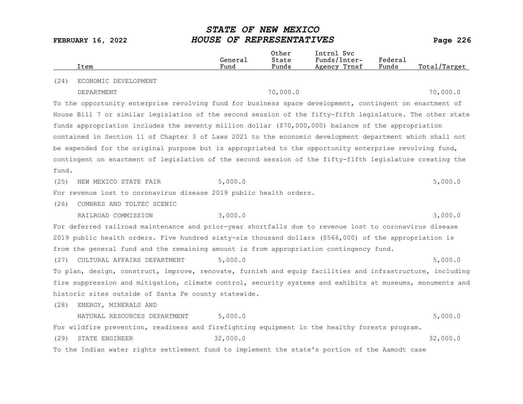|       | Item                                                                                                      | General<br>Fund | Other<br>State<br>Funds | Intrnl Svc<br>Funds/Inter-<br>Agency Trnsf | Federal<br>Funds | Total/Target |
|-------|-----------------------------------------------------------------------------------------------------------|-----------------|-------------------------|--------------------------------------------|------------------|--------------|
| (24)  | ECONOMIC DEVELOPMENT                                                                                      |                 |                         |                                            |                  |              |
|       | DEPARTMENT                                                                                                |                 | 70,000.0                |                                            |                  | 70,000.0     |
|       | To the opportunity enterprise revolving fund for business space development, contingent on enactment of   |                 |                         |                                            |                  |              |
|       | House Bill 7 or similar legislation of the second session of the fifty-fifth legislature. The other state |                 |                         |                                            |                  |              |
|       | funds appropriation includes the seventy million dollar (\$70,000,000) balance of the appropriation       |                 |                         |                                            |                  |              |
|       | contained in Section 11 of Chapter 3 of Laws 2021 to the economic development department which shall not  |                 |                         |                                            |                  |              |
|       | be expended for the original purpose but is appropriated to the opportunity enterprise revolving fund,    |                 |                         |                                            |                  |              |
|       | contingent on enactment of legislation of the second session of the fifty-fifth legislature creating the  |                 |                         |                                            |                  |              |
| fund. |                                                                                                           |                 |                         |                                            |                  |              |
| (25)  | NEW MEXICO STATE FAIR                                                                                     | 5,000.0         |                         |                                            |                  | 5,000.0      |
|       | For revenue lost to coronavirus disease 2019 public health orders.                                        |                 |                         |                                            |                  |              |
| (26)  | CUMBRES AND TOLTEC SCENIC                                                                                 |                 |                         |                                            |                  |              |
|       | RAILROAD COMMISSION                                                                                       | 3,000.0         |                         |                                            |                  | 3,000.0      |
|       | For deferred railroad maintenance and prior-year shortfalls due to revenue lost to coronavirus disease    |                 |                         |                                            |                  |              |
|       | 2019 public health orders. Five hundred sixty-six thousand dollars (\$566,000) of the appropriation is    |                 |                         |                                            |                  |              |
|       | from the general fund and the remaining amount is from appropriation contingency fund.                    |                 |                         |                                            |                  |              |
| (27)  | CULTURAL AFFAIRS DEPARTMENT                                                                               | 5,000.0         |                         |                                            |                  | 5,000.0      |
|       | To plan, design, construct, improve, renovate, furnish and equip facilities and infrastructure, including |                 |                         |                                            |                  |              |
|       | fire suppression and mitigation, climate control, security systems and exhibits at museums, monuments and |                 |                         |                                            |                  |              |
|       | historic sites outside of Santa Fe county statewide.                                                      |                 |                         |                                            |                  |              |
| (28)  | ENERGY, MINERALS AND                                                                                      |                 |                         |                                            |                  |              |
|       | NATURAL RESOURCES DEPARTMENT                                                                              | 5,000.0         |                         |                                            |                  | 5,000.0      |
|       | For wildfire prevention, readiness and firefighting equipment in the healthy forests program.             |                 |                         |                                            |                  |              |
| (29)  | STATE ENGINEER                                                                                            | 32,000.0        |                         |                                            |                  | 32,000.0     |
|       | To the Indian water rights settlement fund to implement the state's portion of the Aamodt case            |                 |                         |                                            |                  |              |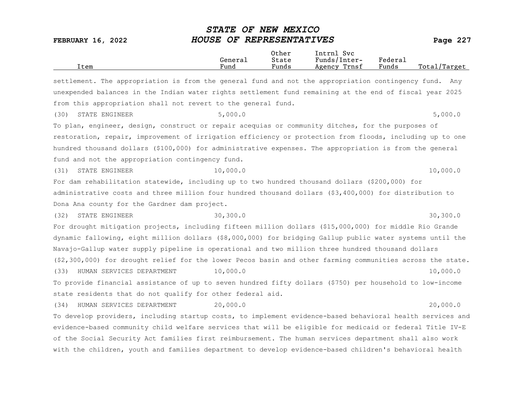| Item                                                                                                       | General<br>Fund | Other<br>State<br>Funds | Intrnl Svc<br>Funds/Inter-<br>Agency Trnsf | Federal<br>Funds | Total/Target |
|------------------------------------------------------------------------------------------------------------|-----------------|-------------------------|--------------------------------------------|------------------|--------------|
| settlement. The appropriation is from the general fund and not the appropriation contingency fund. Any     |                 |                         |                                            |                  |              |
| unexpended balances in the Indian water rights settlement fund remaining at the end of fiscal year 2025    |                 |                         |                                            |                  |              |
| from this appropriation shall not revert to the general fund.                                              |                 |                         |                                            |                  |              |
| STATE ENGINEER<br>(30)                                                                                     | 5,000.0         |                         |                                            |                  | 5,000.0      |
| To plan, engineer, design, construct or repair acequias or community ditches, for the purposes of          |                 |                         |                                            |                  |              |
| restoration, repair, improvement of irrigation efficiency or protection from floods, including up to one   |                 |                         |                                            |                  |              |
| hundred thousand dollars (\$100,000) for administrative expenses. The appropriation is from the general    |                 |                         |                                            |                  |              |
| fund and not the appropriation contingency fund.                                                           |                 |                         |                                            |                  |              |
| STATE ENGINEER<br>(31)                                                                                     | 10,000.0        |                         |                                            |                  | 10,000.0     |
| For dam rehabilitation statewide, including up to two hundred thousand dollars (\$200,000) for             |                 |                         |                                            |                  |              |
| administrative costs and three million four hundred thousand dollars (\$3,400,000) for distribution to     |                 |                         |                                            |                  |              |
| Dona Ana county for the Gardner dam project.                                                               |                 |                         |                                            |                  |              |
| (32)<br>STATE ENGINEER                                                                                     | 30, 300.0       |                         |                                            |                  | 30, 300.0    |
| For drought mitigation projects, including fifteen million dollars (\$15,000,000) for middle Rio Grande    |                 |                         |                                            |                  |              |
| dynamic fallowing, eight million dollars (\$8,000,000) for bridging Gallup public water systems until the  |                 |                         |                                            |                  |              |
| Navajo-Gallup water supply pipeline is operational and two million three hundred thousand dollars          |                 |                         |                                            |                  |              |
| (\$2,300,000) for drought relief for the lower Pecos basin and other farming communities across the state. |                 |                         |                                            |                  |              |
| HUMAN SERVICES DEPARTMENT<br>(33)                                                                          | 10,000.0        |                         |                                            |                  | 10,000.0     |
| To provide financial assistance of up to seven hundred fifty dollars (\$750) per household to low-income   |                 |                         |                                            |                  |              |
| state residents that do not qualify for other federal aid.                                                 |                 |                         |                                            |                  |              |
| HUMAN SERVICES DEPARTMENT<br>(34)                                                                          | 20,000.0        |                         |                                            |                  | 20,000.0     |
| To develop providers, including startup costs, to implement evidence-based behavioral health services and  |                 |                         |                                            |                  |              |
| evidence-based community child welfare services that will be eligible for medicaid or federal Title IV-E   |                 |                         |                                            |                  |              |
| of the Social Security Act families first reimbursement. The human services department shall also work     |                 |                         |                                            |                  |              |
| with the children, youth and families department to develop evidence-based children's behavioral health    |                 |                         |                                            |                  |              |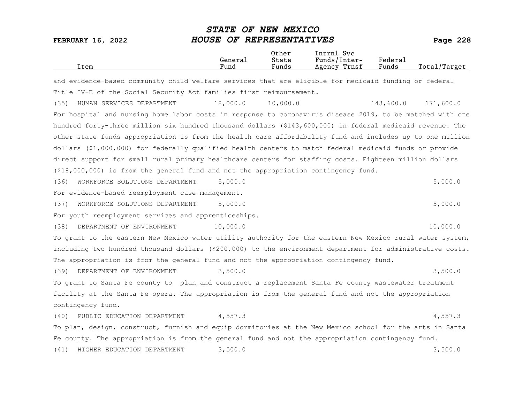| Item                                                                                                       | General<br>Fund | 0ther<br>State<br>Funds | Intrnl Svc<br>Funds/Inter-<br>Agency Trnsf | Federal<br>Funds | Total/Target |
|------------------------------------------------------------------------------------------------------------|-----------------|-------------------------|--------------------------------------------|------------------|--------------|
| and evidence-based community child welfare services that are eligible for medicaid funding or federal      |                 |                         |                                            |                  |              |
| Title IV-E of the Social Security Act families first reimbursement.                                        |                 |                         |                                            |                  |              |
| HUMAN SERVICES DEPARTMENT<br>(35)                                                                          | 18,000.0        | 10,000.0                |                                            | 143,600.0        | 171,600.0    |
| For hospital and nursing home labor costs in response to coronavirus disease 2019, to be matched with one  |                 |                         |                                            |                  |              |
| hundred forty-three million six hundred thousand dollars (\$143,600,000) in federal medicaid revenue. The  |                 |                         |                                            |                  |              |
| other state funds appropriation is from the health care affordability fund and includes up to one million  |                 |                         |                                            |                  |              |
| dollars (\$1,000,000) for federally qualified health centers to match federal medicaid funds or provide    |                 |                         |                                            |                  |              |
| direct support for small rural primary healthcare centers for staffing costs. Eighteen million dollars     |                 |                         |                                            |                  |              |
| $( $18,000,000)$ is from the general fund and not the appropriation contingency fund.                      |                 |                         |                                            |                  |              |
| WORKFORCE SOLUTIONS DEPARTMENT<br>(36)                                                                     | 5,000.0         |                         |                                            |                  | 5,000.0      |
| For evidence-based reemployment case management.                                                           |                 |                         |                                            |                  |              |
| WORKFORCE SOLUTIONS DEPARTMENT<br>(37)                                                                     | 5,000.0         |                         |                                            |                  | 5,000.0      |
| For youth reemployment services and apprenticeships.                                                       |                 |                         |                                            |                  |              |
| (38)<br>DEPARTMENT OF ENVIRONMENT                                                                          | 10,000.0        |                         |                                            |                  | 10,000.0     |
| To grant to the eastern New Mexico water utility authority for the eastern New Mexico rural water system,  |                 |                         |                                            |                  |              |
| including two hundred thousand dollars (\$200,000) to the environment department for administrative costs. |                 |                         |                                            |                  |              |
| The appropriation is from the general fund and not the appropriation contingency fund.                     |                 |                         |                                            |                  |              |
| (39)<br>DEPARTMENT OF ENVIRONMENT                                                                          | 3,500.0         |                         |                                            |                  | 3,500.0      |
| To grant to Santa Fe county to plan and construct a replacement Santa Fe county wastewater treatment       |                 |                         |                                            |                  |              |
| facility at the Santa Fe opera. The appropriation is from the general fund and not the appropriation       |                 |                         |                                            |                  |              |
| contingency fund.                                                                                          |                 |                         |                                            |                  |              |
| (40)<br>PUBLIC EDUCATION DEPARTMENT                                                                        | 4,557.3         |                         |                                            |                  | 4,557.3      |
| To plan, design, construct, furnish and equip dormitories at the New Mexico school for the arts in Santa   |                 |                         |                                            |                  |              |
| Fe county. The appropriation is from the general fund and not the appropriation contingency fund.          |                 |                         |                                            |                  |              |
| (41)<br>HIGHER EDUCATION DEPARTMENT                                                                        | 3,500.0         |                         |                                            |                  | 3,500.0      |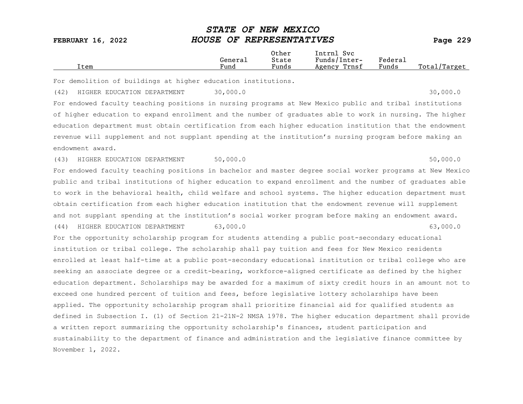|  | Item | General<br>Fund | Other<br>State<br>$\overline{\phantom{a}}$<br>Funds | Intrnl<br>Svc<br>Funds/Inter-<br>Trnsf<br>Agency | Federai<br>Funds | Total,<br>'Target |
|--|------|-----------------|-----------------------------------------------------|--------------------------------------------------|------------------|-------------------|
|--|------|-----------------|-----------------------------------------------------|--------------------------------------------------|------------------|-------------------|

For demolition of buildings at higher education institutions.

(42) HIGHER EDUCATION DEPARTMENT 30,000.0 30,000 30,000.0

For endowed faculty teaching positions in nursing programs at New Mexico public and tribal institutions of higher education to expand enrollment and the number of graduates able to work in nursing. The higher education department must obtain certification from each higher education institution that the endowment revenue will supplement and not supplant spending at the institution's nursing program before making an endowment award.

(43) HIGHER EDUCATION DEPARTMENT 50,000.0 50,000 50,000.0

For endowed faculty teaching positions in bachelor and master degree social worker programs at New Mexico public and tribal institutions of higher education to expand enrollment and the number of graduates able to work in the behavioral health, child welfare and school systems. The higher education department must obtain certification from each higher education institution that the endowment revenue will supplement and not supplant spending at the institution's social worker program before making an endowment award.

(44) HIGHER EDUCATION DEPARTMENT 63,000.0 63,000.0

For the opportunity scholarship program for students attending a public post-secondary educational institution or tribal college. The scholarship shall pay tuition and fees for New Mexico residents enrolled at least half-time at a public post-secondary educational institution or tribal college who are seeking an associate degree or a credit-bearing, workforce-aligned certificate as defined by the higher education department. Scholarships may be awarded for a maximum of sixty credit hours in an amount not to exceed one hundred percent of tuition and fees, before legislative lottery scholarships have been applied. The opportunity scholarship program shall prioritize financial aid for qualified students as defined in Subsection I. (1) of Section 21-21N-2 NMSA 1978. The higher education department shall provide a written report summarizing the opportunity scholarship's finances, student participation and sustainability to the department of finance and administration and the legislative finance committee by November 1, 2022.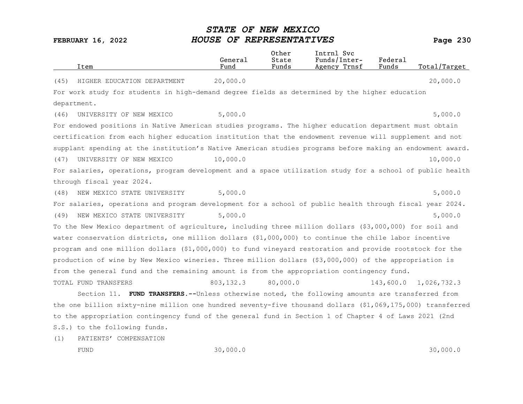|      |                                                                                                            | General    | 0ther<br>State | Intrnl Svc<br>Funds/Inter- | Federal   |              |
|------|------------------------------------------------------------------------------------------------------------|------------|----------------|----------------------------|-----------|--------------|
|      | Item                                                                                                       | Fund       | Funds          | Agency Trnsf               | Funds     | Total/Target |
| (45) | HIGHER EDUCATION DEPARTMENT                                                                                | 20,000.0   |                |                            |           | 20,000.0     |
|      | For work study for students in high-demand degree fields as determined by the higher education             |            |                |                            |           |              |
|      | department.                                                                                                |            |                |                            |           |              |
| (46) | UNIVERSITY OF NEW MEXICO                                                                                   | 5,000.0    |                |                            |           | 5,000.0      |
|      | For endowed positions in Native American studies programs. The higher education department must obtain     |            |                |                            |           |              |
|      | certification from each higher education institution that the endowment revenue will supplement and not    |            |                |                            |           |              |
|      | supplant spending at the institution's Native American studies programs before making an endowment award.  |            |                |                            |           |              |
| (47) | UNIVERSITY OF NEW MEXICO                                                                                   | 10,000.0   |                |                            |           | 10,000.0     |
|      | For salaries, operations, program development and a space utilization study for a school of public health  |            |                |                            |           |              |
|      | through fiscal year 2024.                                                                                  |            |                |                            |           |              |
| (48) | NEW MEXICO STATE UNIVERSITY                                                                                | 5,000.0    |                |                            |           | 5,000.0      |
|      | For salaries, operations and program development for a school of public health through fiscal year 2024.   |            |                |                            |           |              |
| (49) | NEW MEXICO STATE UNIVERSITY                                                                                | 5,000.0    |                |                            |           | 5,000.0      |
|      | To the New Mexico department of agriculture, including three million dollars (\$3,000,000) for soil and    |            |                |                            |           |              |
|      | water conservation districts, one million dollars (\$1,000,000) to continue the chile labor incentive      |            |                |                            |           |              |
|      | program and one million dollars (\$1,000,000) to fund vineyard restoration and provide rootstock for the   |            |                |                            |           |              |
|      | production of wine by New Mexico wineries. Three million dollars (\$3,000,000) of the appropriation is     |            |                |                            |           |              |
|      | from the general fund and the remaining amount is from the appropriation contingency fund.                 |            |                |                            |           |              |
|      | TOTAL FUND TRANSFERS                                                                                       | 803, 132.3 | 80,000.0       |                            | 143,600.0 | 1,026,732.3  |
|      | Section 11. FUND TRANSFERS.--Unless otherwise noted, the following amounts are transferred from            |            |                |                            |           |              |
|      | the one billion sixty-nine million one hundred seventy-five thousand dollars (\$1,069,175,000) transferred |            |                |                            |           |              |
|      | to the appropriation contingency fund of the general fund in Section 1 of Chapter 4 of Laws 2021 (2nd      |            |                |                            |           |              |
|      | S.S.) to the following funds.                                                                              |            |                |                            |           |              |

(1) PATIENTS' COMPENSATION

FUND 30,000.0 30,000.0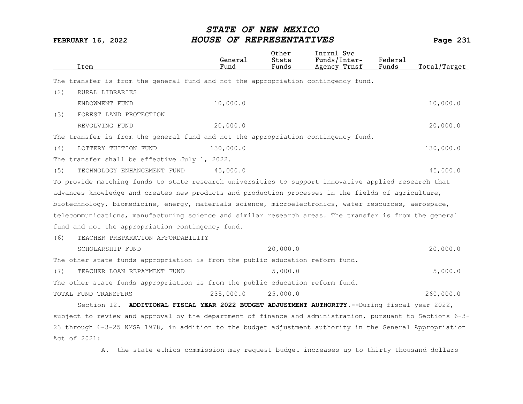| Item                                                                                                      | General<br>Fund | Other<br>State<br>Funds | Intrnl Svc<br>Funds/Inter-<br>Agency Trnsf | Federal<br>Funds | Total/Target |
|-----------------------------------------------------------------------------------------------------------|-----------------|-------------------------|--------------------------------------------|------------------|--------------|
| The transfer is from the general fund and not the appropriation contingency fund.                         |                 |                         |                                            |                  |              |
| (2)<br>RURAL LIBRARIES                                                                                    |                 |                         |                                            |                  |              |
| ENDOWMENT FUND                                                                                            | 10,000.0        |                         |                                            |                  | 10,000.0     |
| FOREST LAND PROTECTION<br>(3)                                                                             |                 |                         |                                            |                  |              |
| REVOLVING FUND                                                                                            | 20,000.0        |                         |                                            |                  | 20,000.0     |
| The transfer is from the general fund and not the appropriation contingency fund.                         |                 |                         |                                            |                  |              |
| (4)<br>LOTTERY TUITION FUND                                                                               | 130,000.0       |                         |                                            |                  | 130,000.0    |
| The transfer shall be effective July 1, 2022.                                                             |                 |                         |                                            |                  |              |
| (5)<br>TECHNOLOGY ENHANCEMENT FUND                                                                        | 45,000.0        |                         |                                            |                  | 45,000.0     |
| To provide matching funds to state research universities to support innovative applied research that      |                 |                         |                                            |                  |              |
| advances knowledge and creates new products and production processes in the fields of agriculture,        |                 |                         |                                            |                  |              |
| biotechnology, biomedicine, energy, materials science, microelectronics, water resources, aerospace,      |                 |                         |                                            |                  |              |
| telecommunications, manufacturing science and similar research areas. The transfer is from the general    |                 |                         |                                            |                  |              |
| fund and not the appropriation contingency fund.                                                          |                 |                         |                                            |                  |              |
| (6)<br>TEACHER PREPARATION AFFORDABILITY                                                                  |                 |                         |                                            |                  |              |
| SCHOLARSHIP FUND                                                                                          |                 | 20,000.0                |                                            |                  | 20,000.0     |
| The other state funds appropriation is from the public education reform fund.                             |                 |                         |                                            |                  |              |
| (7)<br>TEACHER LOAN REPAYMENT FUND                                                                        |                 | 5,000.0                 |                                            |                  | 5,000.0      |
| The other state funds appropriation is from the public education reform fund.                             |                 |                         |                                            |                  |              |
| TOTAL FUND TRANSFERS                                                                                      | 235,000.0       | 25,000.0                |                                            |                  | 260,000.0    |
| Section 12. ADDITIONAL FISCAL YEAR 2022 BUDGET ADJUSTMENT AUTHORITY.--During fiscal year 2022,            |                 |                         |                                            |                  |              |
| subject to review and approval by the department of finance and administration, pursuant to Sections 6-3- |                 |                         |                                            |                  |              |
| 23 through 6-3-25 NMSA 1978, in addition to the budget adjustment authority in the General Appropriation  |                 |                         |                                            |                  |              |
| Act of 2021:                                                                                              |                 |                         |                                            |                  |              |

A. the state ethics commission may request budget increases up to thirty thousand dollars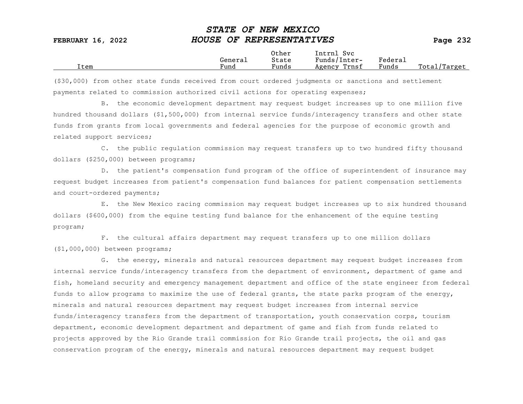|      |                      | Other                             | Intrnl<br>Sv c  |                           |                 |
|------|----------------------|-----------------------------------|-----------------|---------------------------|-----------------|
|      | Genera⊥              | State                             | Funds/Inter-    | ${}_{\rm Federa_{\perp}}$ |                 |
| Item | $\mathbf{r}$<br>Fund | $\overline{\phantom{a}}$<br>Funds | Trnsf<br>Agency | Funds                     | Total<br>Target |

(\$30,000) from other state funds received from court ordered judgments or sanctions and settlement payments related to commission authorized civil actions for operating expenses;

B. the economic development department may request budget increases up to one million five hundred thousand dollars (\$1,500,000) from internal service funds/interagency transfers and other state funds from grants from local governments and federal agencies for the purpose of economic growth and related support services;

C. the public regulation commission may request transfers up to two hundred fifty thousand dollars (\$250,000) between programs;

D. the patient's compensation fund program of the office of superintendent of insurance may request budget increases from patient's compensation fund balances for patient compensation settlements and court-ordered payments;

E. the New Mexico racing commission may request budget increases up to six hundred thousand dollars (\$600,000) from the equine testing fund balance for the enhancement of the equine testing program;

F. the cultural affairs department may request transfers up to one million dollars (\$1,000,000) between programs;

G. the energy, minerals and natural resources department may request budget increases from internal service funds/interagency transfers from the department of environment, department of game and fish, homeland security and emergency management department and office of the state engineer from federal funds to allow programs to maximize the use of federal grants, the state parks program of the energy, minerals and natural resources department may request budget increases from internal service funds/interagency transfers from the department of transportation, youth conservation corps, tourism department, economic development department and department of game and fish from funds related to projects approved by the Rio Grande trail commission for Rio Grande trail projects, the oil and gas conservation program of the energy, minerals and natural resources department may request budget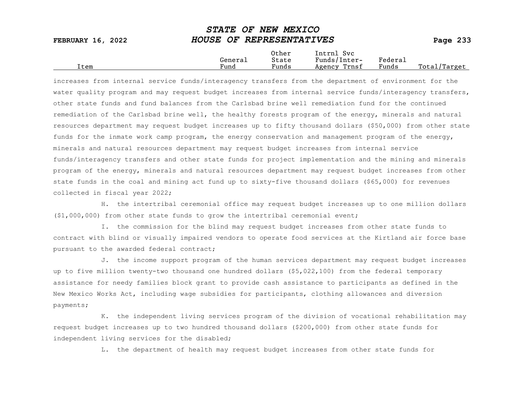| <b>FEBRUARY 16, 2022</b> | HOUSE OF REPRESENTATIVES |                |                            |         | Page $233$   |
|--------------------------|--------------------------|----------------|----------------------------|---------|--------------|
|                          | General                  | Other<br>State | Intrnl Svc<br>Funds/Inter- | Federal |              |
| Item                     | Fund                     | Funds          | Agency Trnsf               | Funds   | Total/Target |

STATE OF NEW MEXICO

increases from internal service funds/interagency transfers from the department of environment for the water quality program and may request budget increases from internal service funds/interagency transfers, other state funds and fund balances from the Carlsbad brine well remediation fund for the continued remediation of the Carlsbad brine well, the healthy forests program of the energy, minerals and natural resources department may request budget increases up to fifty thousand dollars (\$50,000) from other state funds for the inmate work camp program, the energy conservation and management program of the energy, minerals and natural resources department may request budget increases from internal service funds/interagency transfers and other state funds for project implementation and the mining and minerals program of the energy, minerals and natural resources department may request budget increases from other state funds in the coal and mining act fund up to sixty-five thousand dollars (\$65,000) for revenues collected in fiscal year 2022;

H. the intertribal ceremonial office may request budget increases up to one million dollars (\$1,000,000) from other state funds to grow the intertribal ceremonial event;

I. the commission for the blind may request budget increases from other state funds to contract with blind or visually impaired vendors to operate food services at the Kirtland air force base pursuant to the awarded federal contract;

J. the income support program of the human services department may request budget increases up to five million twenty-two thousand one hundred dollars (\$5,022,100) from the federal temporary assistance for needy families block grant to provide cash assistance to participants as defined in the New Mexico Works Act, including wage subsidies for participants, clothing allowances and diversion payments;

K. the independent living services program of the division of vocational rehabilitation may request budget increases up to two hundred thousand dollars (\$200,000) from other state funds for independent living services for the disabled;

L. the department of health may request budget increases from other state funds for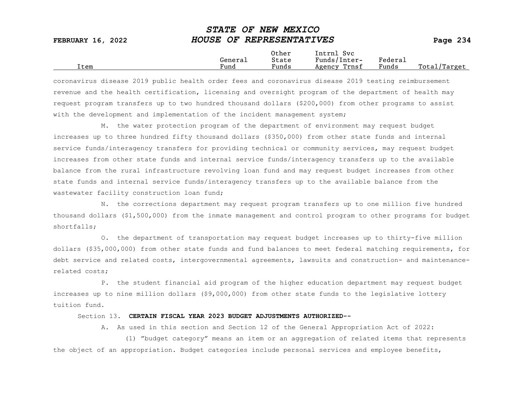|      |         | Other                 | Intrnl<br>Sv c  |                     |                   |
|------|---------|-----------------------|-----------------|---------------------|-------------------|
|      | Generai | State                 | Funds/Inter-    | Federa <sub>1</sub> |                   |
| Item | Fund    | $\mathbf{r}$<br>Funds | Trnsf<br>Agency | Funds               | Total,<br>'Target |

coronavirus disease 2019 public health order fees and coronavirus disease 2019 testing reimbursement revenue and the health certification, licensing and oversight program of the department of health may request program transfers up to two hundred thousand dollars (\$200,000) from other programs to assist with the development and implementation of the incident management system;

M. the water protection program of the department of environment may request budget increases up to three hundred fifty thousand dollars (\$350,000) from other state funds and internal service funds/interagency transfers for providing technical or community services, may request budget increases from other state funds and internal service funds/interagency transfers up to the available balance from the rural infrastructure revolving loan fund and may request budget increases from other state funds and internal service funds/interagency transfers up to the available balance from the wastewater facility construction loan fund;

N. the corrections department may request program transfers up to one million five hundred thousand dollars (\$1,500,000) from the inmate management and control program to other programs for budget shortfalls;

O. the department of transportation may request budget increases up to thirty-five million dollars (\$35,000,000) from other state funds and fund balances to meet federal matching requirements, for debt service and related costs, intergovernmental agreements, lawsuits and construction- and maintenancerelated costs;

P. the student financial aid program of the higher education department may request budget increases up to nine million dollars (\$9,000,000) from other state funds to the legislative lottery tuition fund.

#### Section 13. CERTAIN FISCAL YEAR 2023 BUDGET ADJUSTMENTS AUTHORIZED--

A. As used in this section and Section 12 of the General Appropriation Act of 2022:

(1) "budget category" means an item or an aggregation of related items that represents the object of an appropriation. Budget categories include personal services and employee benefits,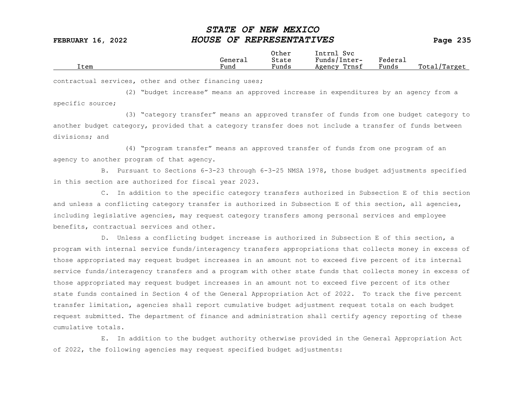|      | General | Other<br>State        | Intrnl<br>Sv c<br>Funds/Inter- | Federa <sub>1</sub> |                  |
|------|---------|-----------------------|--------------------------------|---------------------|------------------|
| Item | Fund    | $\mathbf{r}$<br>Funds | Trnsf<br>Agency                | Funds               | Total<br>'Target |

contractual services, other and other financing uses;

(2) "budget increase" means an approved increase in expenditures by an agency from a specific source;

(3) "category transfer" means an approved transfer of funds from one budget category to another budget category, provided that a category transfer does not include a transfer of funds between divisions; and

(4) "program transfer" means an approved transfer of funds from one program of an agency to another program of that agency.

B. Pursuant to Sections 6-3-23 through 6-3-25 NMSA 1978, those budget adjustments specified in this section are authorized for fiscal year 2023.

C. In addition to the specific category transfers authorized in Subsection E of this section and unless a conflicting category transfer is authorized in Subsection E of this section, all agencies, including legislative agencies, may request category transfers among personal services and employee benefits, contractual services and other.

D. Unless a conflicting budget increase is authorized in Subsection E of this section, a program with internal service funds/interagency transfers appropriations that collects money in excess of those appropriated may request budget increases in an amount not to exceed five percent of its internal service funds/interagency transfers and a program with other state funds that collects money in excess of those appropriated may request budget increases in an amount not to exceed five percent of its other state funds contained in Section 4 of the General Appropriation Act of 2022. To track the five percent transfer limitation, agencies shall report cumulative budget adjustment request totals on each budget request submitted. The department of finance and administration shall certify agency reporting of these cumulative totals.

E. In addition to the budget authority otherwise provided in the General Appropriation Act of 2022, the following agencies may request specified budget adjustments: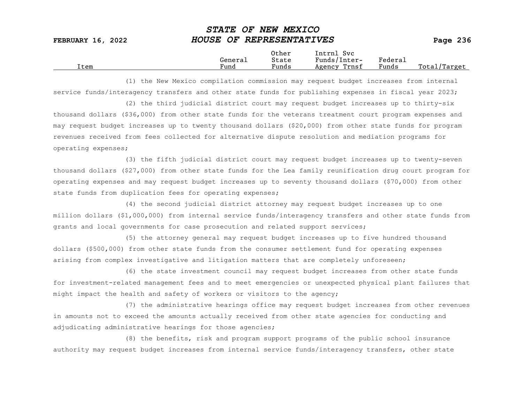|      |                      | Other                             | Intrnl<br>Sv c  |                           |                 |
|------|----------------------|-----------------------------------|-----------------|---------------------------|-----------------|
|      | Genera⊥              | State                             | Funds/Inter-    | ${}_{\rm Federa_{\perp}}$ |                 |
| Item | $\mathbf{r}$<br>Fund | $\overline{\phantom{a}}$<br>Funds | Trnsf<br>Agency | Funds                     | Total<br>Target |

(1) the New Mexico compilation commission may request budget increases from internal service funds/interagency transfers and other state funds for publishing expenses in fiscal year 2023;

(2) the third judicial district court may request budget increases up to thirty-six thousand dollars (\$36,000) from other state funds for the veterans treatment court program expenses and may request budget increases up to twenty thousand dollars (\$20,000) from other state funds for program revenues received from fees collected for alternative dispute resolution and mediation programs for operating expenses;

(3) the fifth judicial district court may request budget increases up to twenty-seven thousand dollars (\$27,000) from other state funds for the Lea family reunification drug court program for operating expenses and may request budget increases up to seventy thousand dollars (\$70,000) from other state funds from duplication fees for operating expenses;

(4) the second judicial district attorney may request budget increases up to one million dollars (\$1,000,000) from internal service funds/interagency transfers and other state funds from grants and local governments for case prosecution and related support services;

(5) the attorney general may request budget increases up to five hundred thousand dollars (\$500,000) from other state funds from the consumer settlement fund for operating expenses arising from complex investigative and litigation matters that are completely unforeseen;

(6) the state investment council may request budget increases from other state funds for investment-related management fees and to meet emergencies or unexpected physical plant failures that might impact the health and safety of workers or visitors to the agency;

(7) the administrative hearings office may request budget increases from other revenues in amounts not to exceed the amounts actually received from other state agencies for conducting and adjudicating administrative hearings for those agencies;

(8) the benefits, risk and program support programs of the public school insurance authority may request budget increases from internal service funds/interagency transfers, other state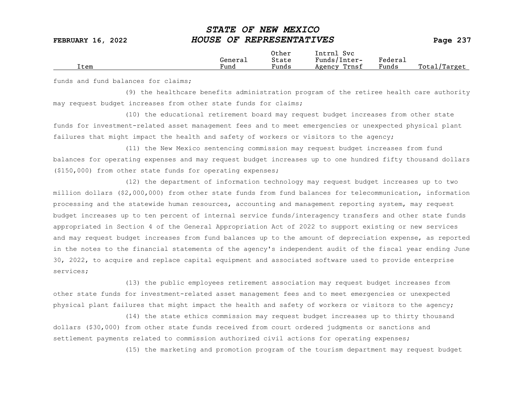|      |         | Other                 | Intrnl<br><b>Svc</b> |                             |                 |
|------|---------|-----------------------|----------------------|-----------------------------|-----------------|
|      | General | State                 | Funds/Inter-         | ${}_{\rm \texttt{Federau}}$ |                 |
| Item | Fund    | $\mathbf{r}$<br>Funds | Trnsf<br>Agency      | Funds                       | Total<br>Target |

funds and fund balances for claims;

(9) the healthcare benefits administration program of the retiree health care authority may request budget increases from other state funds for claims;

(10) the educational retirement board may request budget increases from other state funds for investment-related asset management fees and to meet emergencies or unexpected physical plant failures that might impact the health and safety of workers or visitors to the agency;

(11) the New Mexico sentencing commission may request budget increases from fund balances for operating expenses and may request budget increases up to one hundred fifty thousand dollars (\$150,000) from other state funds for operating expenses;

(12) the department of information technology may request budget increases up to two million dollars (\$2,000,000) from other state funds from fund balances for telecommunication, information processing and the statewide human resources, accounting and management reporting system, may request budget increases up to ten percent of internal service funds/interagency transfers and other state funds appropriated in Section 4 of the General Appropriation Act of 2022 to support existing or new services and may request budget increases from fund balances up to the amount of depreciation expense, as reported in the notes to the financial statements of the agency's independent audit of the fiscal year ending June 30, 2022, to acquire and replace capital equipment and associated software used to provide enterprise services;

(13) the public employees retirement association may request budget increases from other state funds for investment-related asset management fees and to meet emergencies or unexpected physical plant failures that might impact the health and safety of workers or visitors to the agency;

(14) the state ethics commission may request budget increases up to thirty thousand dollars (\$30,000) from other state funds received from court ordered judgments or sanctions and settlement payments related to commission authorized civil actions for operating expenses;

(15) the marketing and promotion program of the tourism department may request budget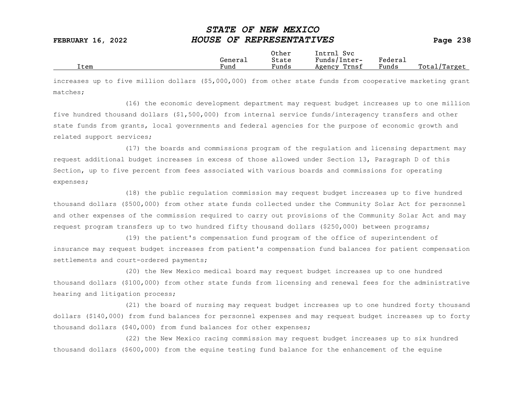|      |                      | Other                             | Intrnl<br>Sv c  |                           |                 |
|------|----------------------|-----------------------------------|-----------------|---------------------------|-----------------|
|      | Genera⊥              | State                             | Funds/Inter-    | ${}_{\rm Federa_{\perp}}$ |                 |
| Item | $\mathbf{r}$<br>Fund | $\overline{\phantom{a}}$<br>Funds | Trnsf<br>Agency | Funds                     | Total<br>Target |

increases up to five million dollars (\$5,000,000) from other state funds from cooperative marketing grant matches;

(16) the economic development department may request budget increases up to one million five hundred thousand dollars (\$1,500,000) from internal service funds/interagency transfers and other state funds from grants, local governments and federal agencies for the purpose of economic growth and related support services;

(17) the boards and commissions program of the regulation and licensing department may request additional budget increases in excess of those allowed under Section 13, Paragraph D of this Section, up to five percent from fees associated with various boards and commissions for operating expenses;

(18) the public regulation commission may request budget increases up to five hundred thousand dollars (\$500,000) from other state funds collected under the Community Solar Act for personnel and other expenses of the commission required to carry out provisions of the Community Solar Act and may request program transfers up to two hundred fifty thousand dollars (\$250,000) between programs;

(19) the patient's compensation fund program of the office of superintendent of insurance may request budget increases from patient's compensation fund balances for patient compensation settlements and court-ordered payments;

(20) the New Mexico medical board may request budget increases up to one hundred thousand dollars (\$100,000) from other state funds from licensing and renewal fees for the administrative hearing and litigation process;

(21) the board of nursing may request budget increases up to one hundred forty thousand dollars (\$140,000) from fund balances for personnel expenses and may request budget increases up to forty thousand dollars (\$40,000) from fund balances for other expenses;

(22) the New Mexico racing commission may request budget increases up to six hundred thousand dollars (\$600,000) from the equine testing fund balance for the enhancement of the equine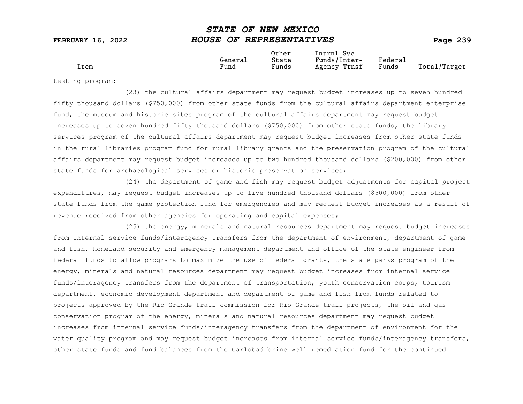|  | Item | General<br>Fund | Other<br>State<br>Funds | Svc<br>Intrnl<br>Funds/Inter-<br>Trnsf<br>Agency | Federau<br>Funds | Total<br>'Target |
|--|------|-----------------|-------------------------|--------------------------------------------------|------------------|------------------|
|--|------|-----------------|-------------------------|--------------------------------------------------|------------------|------------------|

testing program;

(23) the cultural affairs department may request budget increases up to seven hundred fifty thousand dollars (\$750,000) from other state funds from the cultural affairs department enterprise fund, the museum and historic sites program of the cultural affairs department may request budget increases up to seven hundred fifty thousand dollars (\$750,000) from other state funds, the library services program of the cultural affairs department may request budget increases from other state funds in the rural libraries program fund for rural library grants and the preservation program of the cultural affairs department may request budget increases up to two hundred thousand dollars (\$200,000) from other state funds for archaeological services or historic preservation services;

(24) the department of game and fish may request budget adjustments for capital project expenditures, may request budget increases up to five hundred thousand dollars (\$500,000) from other state funds from the game protection fund for emergencies and may request budget increases as a result of revenue received from other agencies for operating and capital expenses;

(25) the energy, minerals and natural resources department may request budget increases from internal service funds/interagency transfers from the department of environment, department of game and fish, homeland security and emergency management department and office of the state engineer from federal funds to allow programs to maximize the use of federal grants, the state parks program of the energy, minerals and natural resources department may request budget increases from internal service funds/interagency transfers from the department of transportation, youth conservation corps, tourism department, economic development department and department of game and fish from funds related to projects approved by the Rio Grande trail commission for Rio Grande trail projects, the oil and gas conservation program of the energy, minerals and natural resources department may request budget increases from internal service funds/interagency transfers from the department of environment for the water quality program and may request budget increases from internal service funds/interagency transfers, other state funds and fund balances from the Carlsbad brine well remediation fund for the continued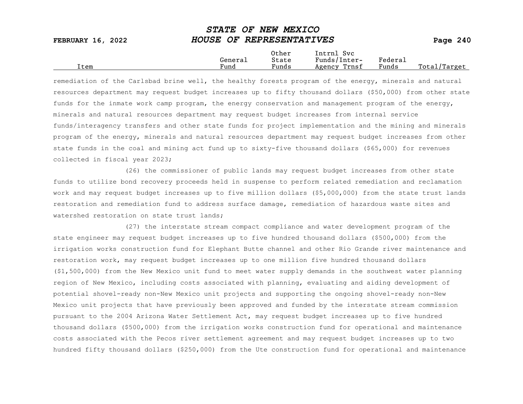|      |                      | Other                             | Intrnl<br>Sv c  |                           |                 |
|------|----------------------|-----------------------------------|-----------------|---------------------------|-----------------|
|      | Genera⊥              | State                             | Funds/Inter-    | ${}_{\rm Federa_{\perp}}$ |                 |
| Item | $\mathbf{r}$<br>Fund | $\overline{\phantom{a}}$<br>Funds | Trnsf<br>Agency | Funds                     | Total<br>Target |

remediation of the Carlsbad brine well, the healthy forests program of the energy, minerals and natural resources department may request budget increases up to fifty thousand dollars (\$50,000) from other state funds for the inmate work camp program, the energy conservation and management program of the energy, minerals and natural resources department may request budget increases from internal service funds/interagency transfers and other state funds for project implementation and the mining and minerals program of the energy, minerals and natural resources department may request budget increases from other state funds in the coal and mining act fund up to sixty-five thousand dollars (\$65,000) for revenues collected in fiscal year 2023;

(26) the commissioner of public lands may request budget increases from other state funds to utilize bond recovery proceeds held in suspense to perform related remediation and reclamation work and may request budget increases up to five million dollars (\$5,000,000) from the state trust lands restoration and remediation fund to address surface damage, remediation of hazardous waste sites and watershed restoration on state trust lands:

(27) the interstate stream compact compliance and water development program of the state engineer may request budget increases up to five hundred thousand dollars (\$500,000) from the irrigation works construction fund for Elephant Butte channel and other Rio Grande river maintenance and restoration work, may request budget increases up to one million five hundred thousand dollars (\$1,500,000) from the New Mexico unit fund to meet water supply demands in the southwest water planning region of New Mexico, including costs associated with planning, evaluating and aiding development of potential shovel-ready non-New Mexico unit projects and supporting the ongoing shovel-ready non-New Mexico unit projects that have previously been approved and funded by the interstate stream commission pursuant to the 2004 Arizona Water Settlement Act, may request budget increases up to five hundred thousand dollars (\$500,000) from the irrigation works construction fund for operational and maintenance costs associated with the Pecos river settlement agreement and may request budget increases up to two hundred fifty thousand dollars (\$250,000) from the Ute construction fund for operational and maintenance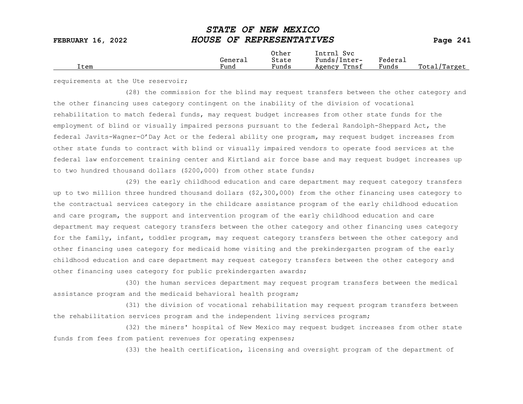|      |                      | Other                             | Intrnl<br>Sv c  |                                            |                  |
|------|----------------------|-----------------------------------|-----------------|--------------------------------------------|------------------|
|      | General              | State                             | Funds/Inter-    | ${}_{\rm Federa}$                          |                  |
| Item | $\mathbf{r}$<br>Fund | $\overline{\phantom{a}}$<br>Funds | Trnsf<br>Agency | and the state of the state of the<br>Funds | Total<br>'Target |
|      |                      |                                   |                 |                                            |                  |

requirements at the Ute reservoir;

(28) the commission for the blind may request transfers between the other category and the other financing uses category contingent on the inability of the division of vocational rehabilitation to match federal funds, may request budget increases from other state funds for the employment of blind or visually impaired persons pursuant to the federal Randolph-Sheppard Act, the federal Javits-Wagner-O'Day Act or the federal ability one program, may request budget increases from other state funds to contract with blind or visually impaired vendors to operate food services at the federal law enforcement training center and Kirtland air force base and may request budget increases up to two hundred thousand dollars (\$200,000) from other state funds;

(29) the early childhood education and care department may request category transfers up to two million three hundred thousand dollars (\$2,300,000) from the other financing uses category to the contractual services category in the childcare assistance program of the early childhood education and care program, the support and intervention program of the early childhood education and care department may request category transfers between the other category and other financing uses category for the family, infant, toddler program, may request category transfers between the other category and other financing uses category for medicaid home visiting and the prekindergarten program of the early childhood education and care department may request category transfers between the other category and other financing uses category for public prekindergarten awards;

(30) the human services department may request program transfers between the medical assistance program and the medicaid behavioral health program;

(31) the division of vocational rehabilitation may request program transfers between the rehabilitation services program and the independent living services program;

(32) the miners' hospital of New Mexico may request budget increases from other state funds from fees from patient revenues for operating expenses;

(33) the health certification, licensing and oversight program of the department of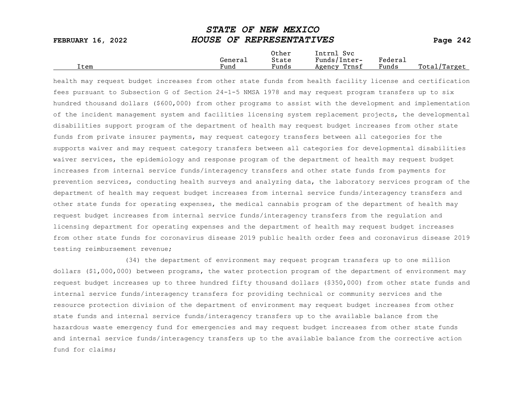|                   | ~~~~~~ ~~ ** <b>****</b> ********* |          |
|-------------------|------------------------------------|----------|
| FEBRUARY 16, 2022 | HOUSE OF REPRESENTATIVES           | Page 242 |
|                   | Other<br>Intrnl Svc                |          |

Total/Target

General State Funds/Inter- Federal<br>
Fund Funds Agency Trnsf Funds

STATE OF NEW MEXICO

health may request budget increases from other state funds from health facility license and certification fees pursuant to Subsection G of Section 24-1-5 NMSA 1978 and may request program transfers up to six hundred thousand dollars (\$600,000) from other programs to assist with the development and implementation of the incident management system and facilities licensing system replacement projects, the developmental disabilities support program of the department of health may request budget increases from other state funds from private insurer payments, may request category transfers between all categories for the supports waiver and may request category transfers between all categories for developmental disabilities waiver services, the epidemiology and response program of the department of health may request budget increases from internal service funds/interagency transfers and other state funds from payments for prevention services, conducting health surveys and analyzing data, the laboratory services program of the department of health may request budget increases from internal service funds/interagency transfers and other state funds for operating expenses, the medical cannabis program of the department of health may request budget increases from internal service funds/interagency transfers from the regulation and licensing department for operating expenses and the department of health may request budget increases from other state funds for coronavirus disease 2019 public health order fees and coronavirus disease 2019 testing reimbursement revenue;

(34) the department of environment may request program transfers up to one million dollars (\$1,000,000) between programs, the water protection program of the department of environment may request budget increases up to three hundred fifty thousand dollars (\$350,000) from other state funds and internal service funds/interagency transfers for providing technical or community services and the resource protection division of the department of environment may request budget increases from other state funds and internal service funds/interagency transfers up to the available balance from the hazardous waste emergency fund for emergencies and may request budget increases from other state funds and internal service funds/interagency transfers up to the available balance from the corrective action fund for claims;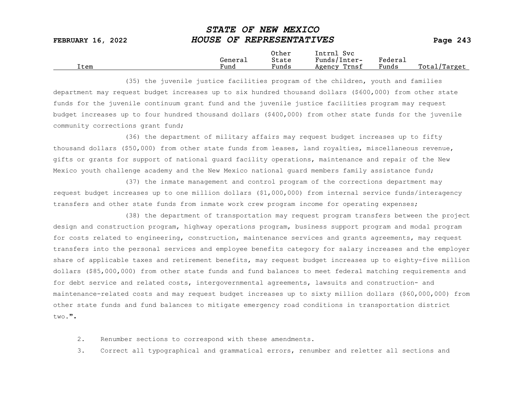|      |         | Other                 | Intrnl<br>Sv c  |                     |                   |
|------|---------|-----------------------|-----------------|---------------------|-------------------|
|      | Generai | State                 | Funds/Inter-    | Federa <sub>1</sub> |                   |
| Item | Fund    | $\mathbf{r}$<br>Funds | Trnsf<br>Agency | Funds               | Total,<br>'Target |

(35) the juvenile justice facilities program of the children, youth and families department may request budget increases up to six hundred thousand dollars (\$600,000) from other state funds for the juvenile continuum grant fund and the juvenile justice facilities program may request budget increases up to four hundred thousand dollars (\$400,000) from other state funds for the juvenile community corrections grant fund;

(36) the department of military affairs may request budget increases up to fifty thousand dollars (\$50,000) from other state funds from leases, land royalties, miscellaneous revenue, gifts or grants for support of national guard facility operations, maintenance and repair of the New Mexico youth challenge academy and the New Mexico national guard members family assistance fund;

(37) the inmate management and control program of the corrections department may request budget increases up to one million dollars (\$1,000,000) from internal service funds/interagency transfers and other state funds from inmate work crew program income for operating expenses;

(38) the department of transportation may request program transfers between the project design and construction program, highway operations program, business support program and modal program for costs related to engineering, construction, maintenance services and grants agreements, may request transfers into the personal services and employee benefits category for salary increases and the employer share of applicable taxes and retirement benefits, may request budget increases up to eighty-five million dollars (\$85,000,000) from other state funds and fund balances to meet federal matching requirements and for debt service and related costs, intergovernmental agreements, lawsuits and construction- and maintenance-related costs and may request budget increases up to sixty million dollars (\$60,000,000) from other state funds and fund balances to mitigate emergency road conditions in transportation district  $t_{WQ}$ .".

2. Renumber sections to correspond with these amendments.

3. Correct all typographical and grammatical errors, renumber and reletter all sections and